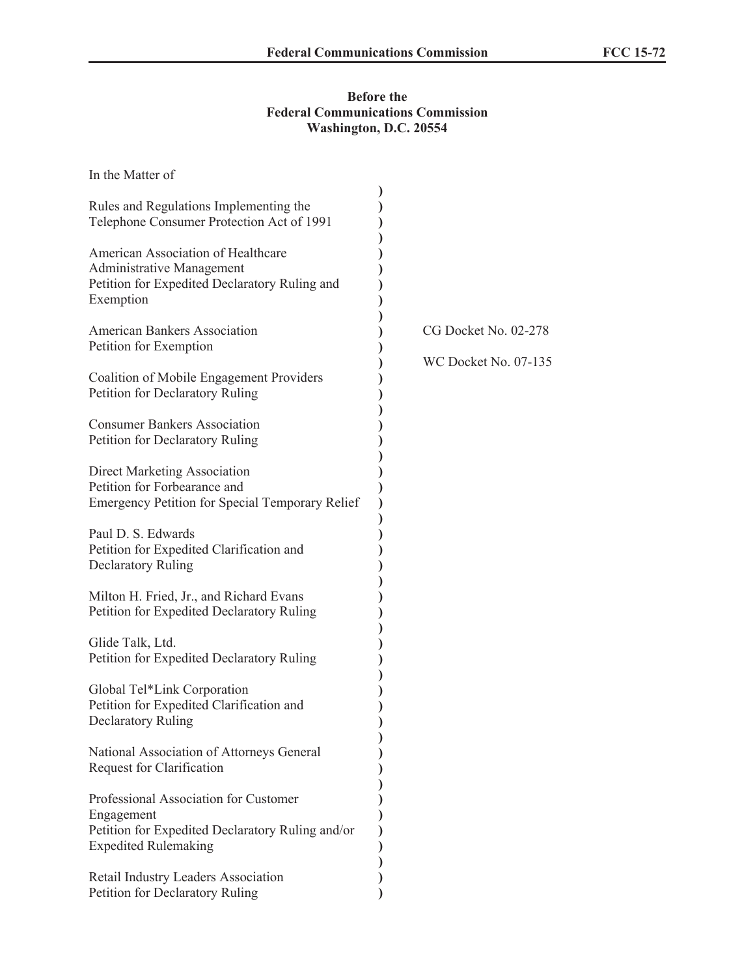## **Before the Federal Communications Commission Washington, D.C. 20554**

| In the Matter of                                                                                                                       |                             |
|----------------------------------------------------------------------------------------------------------------------------------------|-----------------------------|
| Rules and Regulations Implementing the<br>Telephone Consumer Protection Act of 1991                                                    |                             |
| American Association of Healthcare<br><b>Administrative Management</b><br>Petition for Expedited Declaratory Ruling and<br>Exemption   |                             |
| <b>American Bankers Association</b><br>Petition for Exemption                                                                          | CG Docket No. 02-278        |
| Coalition of Mobile Engagement Providers<br>Petition for Declaratory Ruling                                                            | <b>WC Docket No. 07-135</b> |
| <b>Consumer Bankers Association</b><br>Petition for Declaratory Ruling                                                                 |                             |
| <b>Direct Marketing Association</b><br>Petition for Forbearance and<br><b>Emergency Petition for Special Temporary Relief</b>          |                             |
| Paul D. S. Edwards<br>Petition for Expedited Clarification and<br><b>Declaratory Ruling</b>                                            |                             |
| Milton H. Fried, Jr., and Richard Evans<br>Petition for Expedited Declaratory Ruling                                                   |                             |
| Glide Talk, Ltd.<br>Petition for Expedited Declaratory Ruling                                                                          |                             |
| Global Tel*Link Corporation<br>Petition for Expedited Clarification and<br><b>Declaratory Ruling</b>                                   |                             |
| National Association of Attorneys General<br>Request for Clarification                                                                 |                             |
| Professional Association for Customer<br>Engagement<br>Petition for Expedited Declaratory Ruling and/or<br><b>Expedited Rulemaking</b> |                             |
| Retail Industry Leaders Association<br>Petition for Declaratory Ruling                                                                 |                             |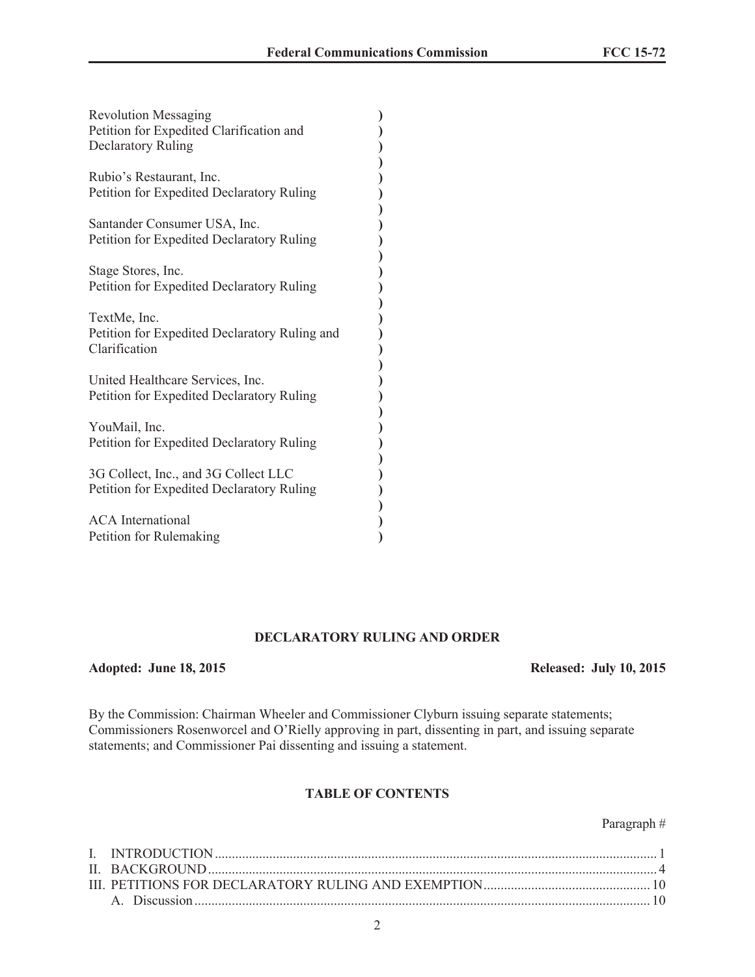| <b>Revolution Messaging</b><br>Petition for Expedited Clarification and<br><b>Declaratory Ruling</b> |  |
|------------------------------------------------------------------------------------------------------|--|
| Rubio's Restaurant, Inc.<br>Petition for Expedited Declaratory Ruling                                |  |
| Santander Consumer USA, Inc.<br>Petition for Expedited Declaratory Ruling                            |  |
| Stage Stores, Inc.<br>Petition for Expedited Declaratory Ruling                                      |  |
| TextMe, Inc.<br>Petition for Expedited Declaratory Ruling and<br>Clarification                       |  |
| United Healthcare Services, Inc.<br>Petition for Expedited Declaratory Ruling                        |  |
| YouMail, Inc.<br>Petition for Expedited Declaratory Ruling                                           |  |
| 3G Collect, Inc., and 3G Collect LLC<br>Petition for Expedited Declaratory Ruling                    |  |
| <b>ACA</b> International<br>Petition for Rulemaking                                                  |  |

### **DECLARATORY RULING AND ORDER**

### **Adopted: June 18, 2015 Released: July 10, 2015**

By the Commission: Chairman Wheeler and Commissioner Clyburn issuing separate statements; Commissioners Rosenworcel and O'Rielly approving in part, dissenting in part, and issuing separate statements; and Commissioner Pai dissenting and issuing a statement.

### **TABLE OF CONTENTS**

# Paragraph #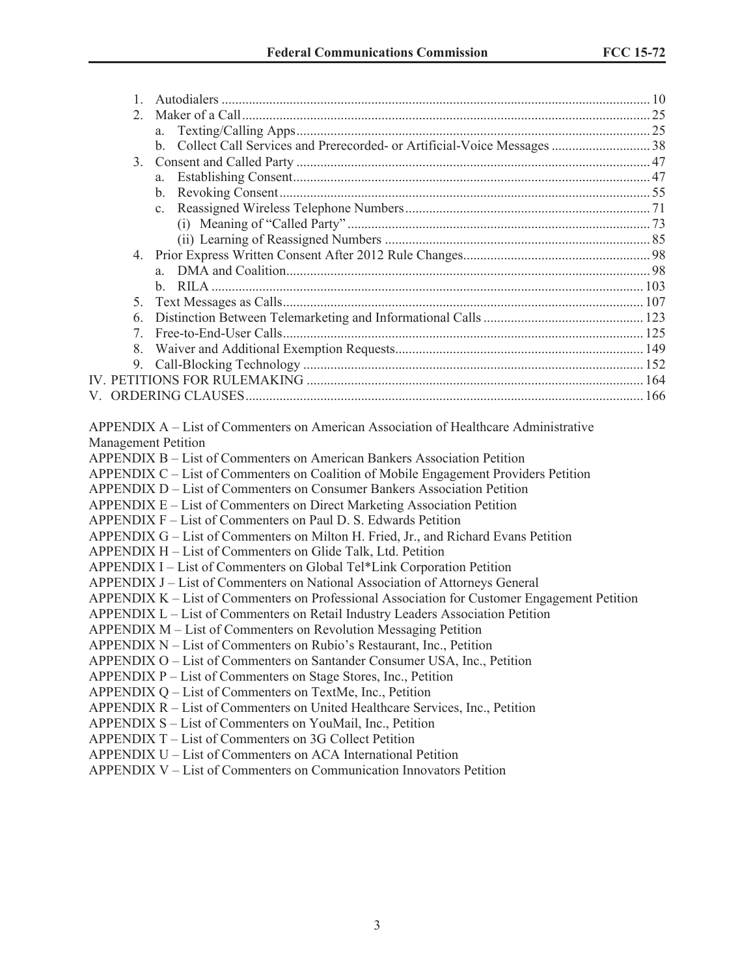| 2. |                                                                                                                                                                                                                                                                                                                                                                                                                                                                                                                                                                                                                                                                                                                                                                                                                                                                                                                                                                                                                                                                                                                                                                                                                                                                         |  |
|----|-------------------------------------------------------------------------------------------------------------------------------------------------------------------------------------------------------------------------------------------------------------------------------------------------------------------------------------------------------------------------------------------------------------------------------------------------------------------------------------------------------------------------------------------------------------------------------------------------------------------------------------------------------------------------------------------------------------------------------------------------------------------------------------------------------------------------------------------------------------------------------------------------------------------------------------------------------------------------------------------------------------------------------------------------------------------------------------------------------------------------------------------------------------------------------------------------------------------------------------------------------------------------|--|
|    | a.                                                                                                                                                                                                                                                                                                                                                                                                                                                                                                                                                                                                                                                                                                                                                                                                                                                                                                                                                                                                                                                                                                                                                                                                                                                                      |  |
|    |                                                                                                                                                                                                                                                                                                                                                                                                                                                                                                                                                                                                                                                                                                                                                                                                                                                                                                                                                                                                                                                                                                                                                                                                                                                                         |  |
| 3. |                                                                                                                                                                                                                                                                                                                                                                                                                                                                                                                                                                                                                                                                                                                                                                                                                                                                                                                                                                                                                                                                                                                                                                                                                                                                         |  |
|    |                                                                                                                                                                                                                                                                                                                                                                                                                                                                                                                                                                                                                                                                                                                                                                                                                                                                                                                                                                                                                                                                                                                                                                                                                                                                         |  |
|    |                                                                                                                                                                                                                                                                                                                                                                                                                                                                                                                                                                                                                                                                                                                                                                                                                                                                                                                                                                                                                                                                                                                                                                                                                                                                         |  |
|    |                                                                                                                                                                                                                                                                                                                                                                                                                                                                                                                                                                                                                                                                                                                                                                                                                                                                                                                                                                                                                                                                                                                                                                                                                                                                         |  |
|    |                                                                                                                                                                                                                                                                                                                                                                                                                                                                                                                                                                                                                                                                                                                                                                                                                                                                                                                                                                                                                                                                                                                                                                                                                                                                         |  |
|    |                                                                                                                                                                                                                                                                                                                                                                                                                                                                                                                                                                                                                                                                                                                                                                                                                                                                                                                                                                                                                                                                                                                                                                                                                                                                         |  |
|    |                                                                                                                                                                                                                                                                                                                                                                                                                                                                                                                                                                                                                                                                                                                                                                                                                                                                                                                                                                                                                                                                                                                                                                                                                                                                         |  |
|    |                                                                                                                                                                                                                                                                                                                                                                                                                                                                                                                                                                                                                                                                                                                                                                                                                                                                                                                                                                                                                                                                                                                                                                                                                                                                         |  |
|    |                                                                                                                                                                                                                                                                                                                                                                                                                                                                                                                                                                                                                                                                                                                                                                                                                                                                                                                                                                                                                                                                                                                                                                                                                                                                         |  |
| 5. |                                                                                                                                                                                                                                                                                                                                                                                                                                                                                                                                                                                                                                                                                                                                                                                                                                                                                                                                                                                                                                                                                                                                                                                                                                                                         |  |
| 6. |                                                                                                                                                                                                                                                                                                                                                                                                                                                                                                                                                                                                                                                                                                                                                                                                                                                                                                                                                                                                                                                                                                                                                                                                                                                                         |  |
|    |                                                                                                                                                                                                                                                                                                                                                                                                                                                                                                                                                                                                                                                                                                                                                                                                                                                                                                                                                                                                                                                                                                                                                                                                                                                                         |  |
| 8. |                                                                                                                                                                                                                                                                                                                                                                                                                                                                                                                                                                                                                                                                                                                                                                                                                                                                                                                                                                                                                                                                                                                                                                                                                                                                         |  |
|    |                                                                                                                                                                                                                                                                                                                                                                                                                                                                                                                                                                                                                                                                                                                                                                                                                                                                                                                                                                                                                                                                                                                                                                                                                                                                         |  |
|    |                                                                                                                                                                                                                                                                                                                                                                                                                                                                                                                                                                                                                                                                                                                                                                                                                                                                                                                                                                                                                                                                                                                                                                                                                                                                         |  |
|    |                                                                                                                                                                                                                                                                                                                                                                                                                                                                                                                                                                                                                                                                                                                                                                                                                                                                                                                                                                                                                                                                                                                                                                                                                                                                         |  |
|    | <b>APPENDIX B – List of Commenters on American Bankers Association Petition</b><br>APPENDIX C - List of Commenters on Coalition of Mobile Engagement Providers Petition<br><b>APPENDIX D – List of Commenters on Consumer Bankers Association Petition</b><br>APPENDIX E – List of Commenters on Direct Marketing Association Petition<br>APPENDIX F – List of Commenters on Paul D. S. Edwards Petition<br>APPENDIX G – List of Commenters on Milton H. Fried, Jr., and Richard Evans Petition<br>APPENDIX H - List of Commenters on Glide Talk, Ltd. Petition<br>APPENDIX I - List of Commenters on Global Tel*Link Corporation Petition<br>APPENDIX J – List of Commenters on National Association of Attorneys General<br>APPENDIX K – List of Commenters on Professional Association for Customer Engagement Petition<br>APPENDIX L - List of Commenters on Retail Industry Leaders Association Petition<br>APPENDIX M – List of Commenters on Revolution Messaging Petition<br>APPENDIX N – List of Commenters on Rubio's Restaurant, Inc., Petition<br>APPENDIX O - List of Commenters on Santander Consumer USA, Inc., Petition<br>APPENDIX P - List of Commenters on Stage Stores, Inc., Petition<br>APPENDIX Q – List of Commenters on TextMe, Inc., Petition |  |
|    | APPENDIX R - List of Commenters on United Healthcare Services, Inc., Petition<br>APPENDIX S - List of Commenters on YouMail, Inc., Petition                                                                                                                                                                                                                                                                                                                                                                                                                                                                                                                                                                                                                                                                                                                                                                                                                                                                                                                                                                                                                                                                                                                             |  |
|    | APPENDIX T – List of Commenters on 3G Collect Petition                                                                                                                                                                                                                                                                                                                                                                                                                                                                                                                                                                                                                                                                                                                                                                                                                                                                                                                                                                                                                                                                                                                                                                                                                  |  |
|    | APPENDIX U – List of Commenters on ACA International Petition                                                                                                                                                                                                                                                                                                                                                                                                                                                                                                                                                                                                                                                                                                                                                                                                                                                                                                                                                                                                                                                                                                                                                                                                           |  |
|    | ADDENIDIV V List of Commentars on Communication Innovators Detition                                                                                                                                                                                                                                                                                                                                                                                                                                                                                                                                                                                                                                                                                                                                                                                                                                                                                                                                                                                                                                                                                                                                                                                                     |  |

APPENDIX V – List of Commenters on Communication Innovators Petition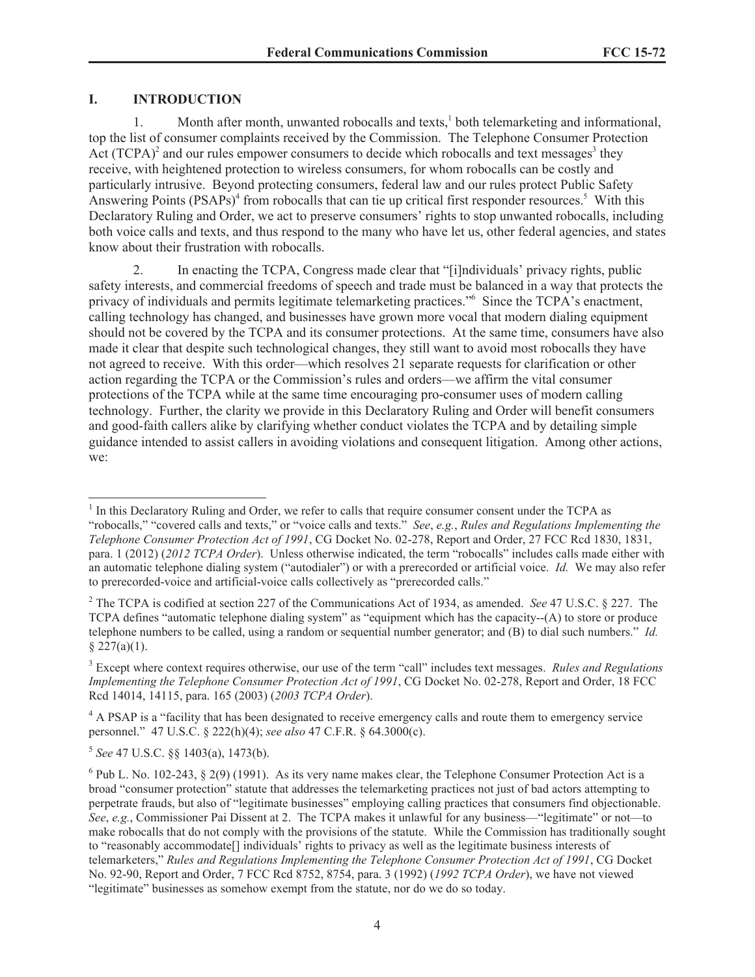# **I. INTRODUCTION**

1. Month after month, unwanted robocalls and texts,<sup>1</sup> both telemarketing and informational, top the list of consumer complaints received by the Commission. The Telephone Consumer Protection Act  $(TCPA)^2$  and our rules empower consumers to decide which robocalls and text messages<sup>3</sup> they receive, with heightened protection to wireless consumers, for whom robocalls can be costly and particularly intrusive. Beyond protecting consumers, federal law and our rules protect Public Safety Answering Points  $(PSAPs)^4$  from robocalls that can tie up critical first responder resources.<sup>5</sup> With this Declaratory Ruling and Order, we act to preserve consumers' rights to stop unwanted robocalls, including both voice calls and texts, and thus respond to the many who have let us, other federal agencies, and states know about their frustration with robocalls.

2. In enacting the TCPA, Congress made clear that "[i]ndividuals' privacy rights, public safety interests, and commercial freedoms of speech and trade must be balanced in a way that protects the privacy of individuals and permits legitimate telemarketing practices."<sup>6</sup> Since the TCPA's enactment, calling technology has changed, and businesses have grown more vocal that modern dialing equipment should not be covered by the TCPA and its consumer protections. At the same time, consumers have also made it clear that despite such technological changes, they still want to avoid most robocalls they have not agreed to receive. With this order—which resolves 21 separate requests for clarification or other action regarding the TCPA or the Commission's rules and orders—we affirm the vital consumer protections of the TCPA while at the same time encouraging pro-consumer uses of modern calling technology. Further, the clarity we provide in this Declaratory Ruling and Order will benefit consumers and good-faith callers alike by clarifying whether conduct violates the TCPA and by detailing simple guidance intended to assist callers in avoiding violations and consequent litigation. Among other actions, we:

5 *See* 47 U.S.C. §§ 1403(a), 1473(b).

<sup>&</sup>lt;sup>1</sup> In this Declaratory Ruling and Order, we refer to calls that require consumer consent under the TCPA as "robocalls," "covered calls and texts," or "voice calls and texts." *See*, *e.g.*, *Rules and Regulations Implementing the Telephone Consumer Protection Act of 1991*, CG Docket No. 02-278, Report and Order, 27 FCC Rcd 1830, 1831, para. 1 (2012) (*2012 TCPA Order*). Unless otherwise indicated, the term "robocalls" includes calls made either with an automatic telephone dialing system ("autodialer") or with a prerecorded or artificial voice. *Id.* We may also refer to prerecorded-voice and artificial-voice calls collectively as "prerecorded calls."

<sup>2</sup> The TCPA is codified at section 227 of the Communications Act of 1934, as amended. *See* 47 U.S.C. § 227. The TCPA defines "automatic telephone dialing system" as "equipment which has the capacity--(A) to store or produce telephone numbers to be called, using a random or sequential number generator; and (B) to dial such numbers." *Id.*  $§$  227(a)(1).

<sup>3</sup> Except where context requires otherwise, our use of the term "call" includes text messages. *Rules and Regulations Implementing the Telephone Consumer Protection Act of 1991*, CG Docket No. 02-278, Report and Order, 18 FCC Rcd 14014, 14115, para. 165 (2003) (*2003 TCPA Order*).

<sup>&</sup>lt;sup>4</sup> A PSAP is a "facility that has been designated to receive emergency calls and route them to emergency service personnel." 47 U.S.C. § 222(h)(4); *see also* 47 C.F.R. § 64.3000(c).

 $6$  Pub L. No. 102-243,  $\S$  2(9) (1991). As its very name makes clear, the Telephone Consumer Protection Act is a broad "consumer protection" statute that addresses the telemarketing practices not just of bad actors attempting to perpetrate frauds, but also of "legitimate businesses" employing calling practices that consumers find objectionable. *See*, *e.g.*, Commissioner Pai Dissent at 2. The TCPA makes it unlawful for any business—"legitimate" or not—to make robocalls that do not comply with the provisions of the statute. While the Commission has traditionally sought to "reasonably accommodate[] individuals' rights to privacy as well as the legitimate business interests of telemarketers," *Rules and Regulations Implementing the Telephone Consumer Protection Act of 1991*, CG Docket No. 92-90, Report and Order, 7 FCC Rcd 8752, 8754, para. 3 (1992) (*1992 TCPA Order*), we have not viewed "legitimate" businesses as somehow exempt from the statute, nor do we do so today.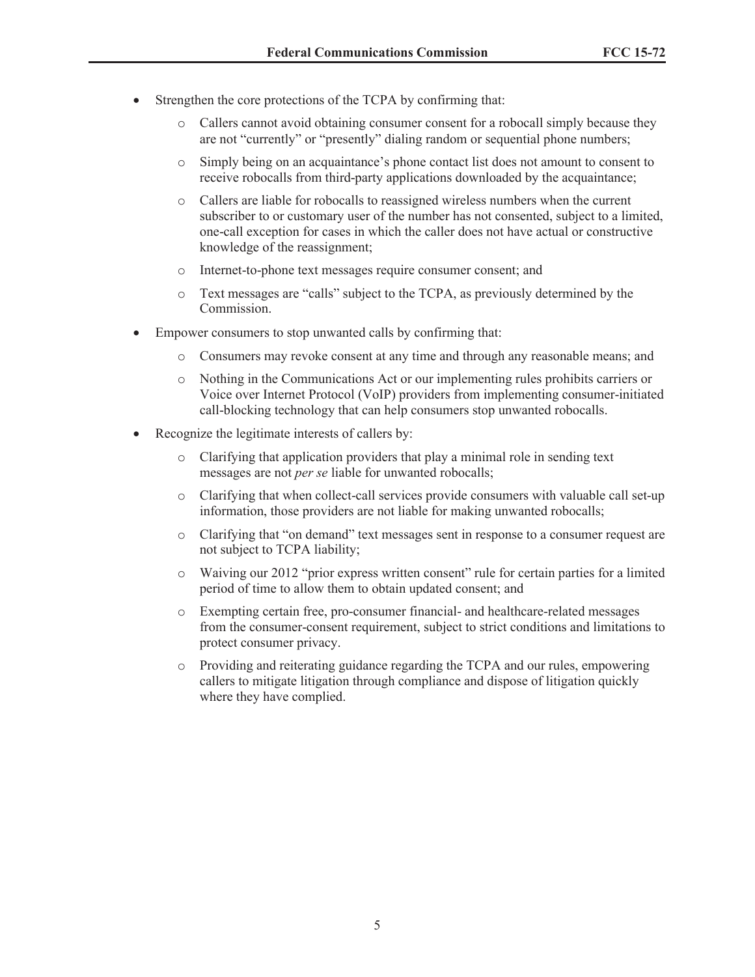- Strengthen the core protections of the TCPA by confirming that:
	- o Callers cannot avoid obtaining consumer consent for a robocall simply because they are not "currently" or "presently" dialing random or sequential phone numbers;
	- o Simply being on an acquaintance's phone contact list does not amount to consent to receive robocalls from third-party applications downloaded by the acquaintance;
	- o Callers are liable for robocalls to reassigned wireless numbers when the current subscriber to or customary user of the number has not consented, subject to a limited, one-call exception for cases in which the caller does not have actual or constructive knowledge of the reassignment;
	- o Internet-to-phone text messages require consumer consent; and
	- o Text messages are "calls" subject to the TCPA, as previously determined by the Commission.
- · Empower consumers to stop unwanted calls by confirming that:
	- o Consumers may revoke consent at any time and through any reasonable means; and
	- o Nothing in the Communications Act or our implementing rules prohibits carriers or Voice over Internet Protocol (VoIP) providers from implementing consumer-initiated call-blocking technology that can help consumers stop unwanted robocalls.
- Recognize the legitimate interests of callers by:
	- o Clarifying that application providers that play a minimal role in sending text messages are not *per se* liable for unwanted robocalls;
	- o Clarifying that when collect-call services provide consumers with valuable call set-up information, those providers are not liable for making unwanted robocalls;
	- o Clarifying that "on demand" text messages sent in response to a consumer request are not subject to TCPA liability;
	- o Waiving our 2012 "prior express written consent" rule for certain parties for a limited period of time to allow them to obtain updated consent; and
	- o Exempting certain free, pro-consumer financial- and healthcare-related messages from the consumer-consent requirement, subject to strict conditions and limitations to protect consumer privacy.
	- o Providing and reiterating guidance regarding the TCPA and our rules, empowering callers to mitigate litigation through compliance and dispose of litigation quickly where they have complied.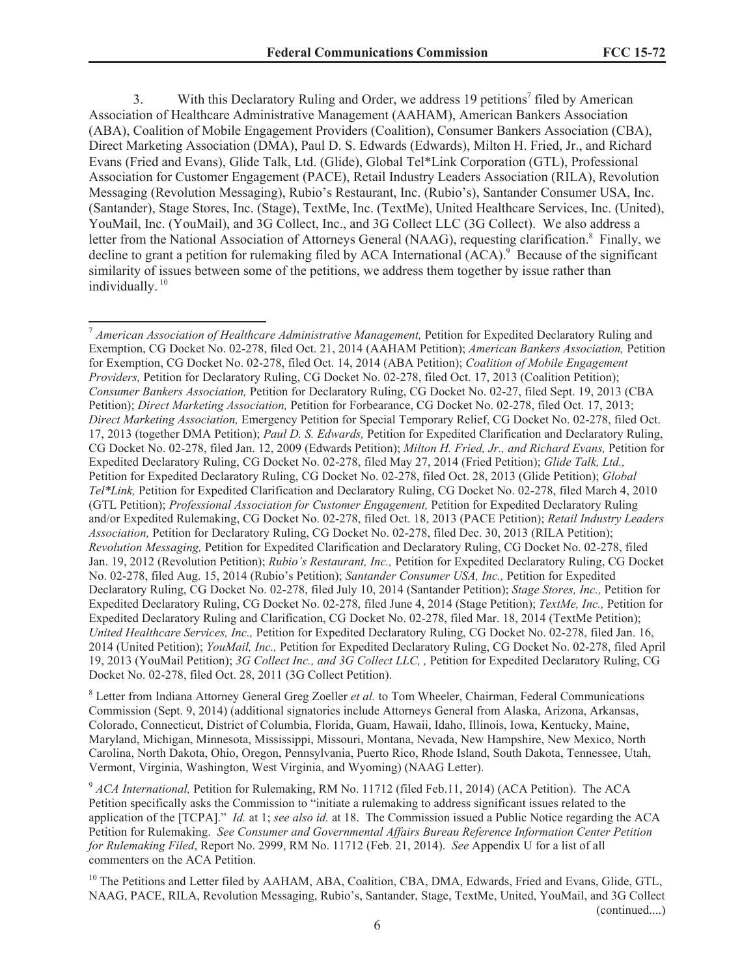3. With this Declaratory Ruling and Order, we address 19 petitions<sup>7</sup> filed by American Association of Healthcare Administrative Management (AAHAM), American Bankers Association (ABA), Coalition of Mobile Engagement Providers (Coalition), Consumer Bankers Association (CBA), Direct Marketing Association (DMA), Paul D. S. Edwards (Edwards), Milton H. Fried, Jr., and Richard Evans (Fried and Evans), Glide Talk, Ltd. (Glide), Global Tel\*Link Corporation (GTL), Professional Association for Customer Engagement (PACE), Retail Industry Leaders Association (RILA), Revolution Messaging (Revolution Messaging), Rubio's Restaurant, Inc. (Rubio's), Santander Consumer USA, Inc. (Santander), Stage Stores, Inc. (Stage), TextMe, Inc. (TextMe), United Healthcare Services, Inc. (United), YouMail, Inc. (YouMail), and 3G Collect, Inc., and 3G Collect LLC (3G Collect). We also address a letter from the National Association of Attorneys General (NAAG), requesting clarification.<sup>8</sup> Finally, we decline to grant a petition for rulemaking filed by ACA International  $(ACA)$ <sup>9</sup> Because of the significant similarity of issues between some of the petitions, we address them together by issue rather than individually.<sup>10</sup>

<sup>8</sup> Letter from Indiana Attorney General Greg Zoeller *et al.* to Tom Wheeler, Chairman, Federal Communications Commission (Sept. 9, 2014) (additional signatories include Attorneys General from Alaska, Arizona, Arkansas, Colorado, Connecticut, District of Columbia, Florida, Guam, Hawaii, Idaho, Illinois, Iowa, Kentucky, Maine, Maryland, Michigan, Minnesota, Mississippi, Missouri, Montana, Nevada, New Hampshire, New Mexico, North Carolina, North Dakota, Ohio, Oregon, Pennsylvania, Puerto Rico, Rhode Island, South Dakota, Tennessee, Utah, Vermont, Virginia, Washington, West Virginia, and Wyoming) (NAAG Letter).

<sup>9</sup> ACA International, Petition for Rulemaking, RM No. 11712 (filed Feb.11, 2014) (ACA Petition). The ACA Petition specifically asks the Commission to "initiate a rulemaking to address significant issues related to the application of the [TCPA]." *Id.* at 1; *see also id.* at 18. The Commission issued a Public Notice regarding the ACA Petition for Rulemaking. *See Consumer and Governmental Affairs Bureau Reference Information Center Petition for Rulemaking Filed*, Report No. 2999, RM No. 11712 (Feb. 21, 2014). *See* Appendix U for a list of all commenters on the ACA Petition.

<sup>10</sup> The Petitions and Letter filed by AAHAM, ABA, Coalition, CBA, DMA, Edwards, Fried and Evans, Glide, GTL, NAAG, PACE, RILA, Revolution Messaging, Rubio's, Santander, Stage, TextMe, United, YouMail, and 3G Collect (continued....)

<sup>7</sup> *American Association of Healthcare Administrative Management,* Petition for Expedited Declaratory Ruling and Exemption, CG Docket No. 02-278, filed Oct. 21, 2014 (AAHAM Petition); *American Bankers Association,* Petition for Exemption, CG Docket No. 02-278, filed Oct. 14, 2014 (ABA Petition); *Coalition of Mobile Engagement Providers,* Petition for Declaratory Ruling, CG Docket No. 02-278, filed Oct. 17, 2013 (Coalition Petition); *Consumer Bankers Association,* Petition for Declaratory Ruling, CG Docket No. 02-27, filed Sept. 19, 2013 (CBA Petition); *Direct Marketing Association,* Petition for Forbearance, CG Docket No. 02-278, filed Oct. 17, 2013; *Direct Marketing Association,* Emergency Petition for Special Temporary Relief, CG Docket No. 02-278, filed Oct. 17, 2013 (together DMA Petition); *Paul D. S. Edwards,* Petition for Expedited Clarification and Declaratory Ruling, CG Docket No. 02-278, filed Jan. 12, 2009 (Edwards Petition); *Milton H. Fried, Jr., and Richard Evans,* Petition for Expedited Declaratory Ruling, CG Docket No. 02-278, filed May 27, 2014 (Fried Petition); *Glide Talk, Ltd.,* Petition for Expedited Declaratory Ruling, CG Docket No. 02-278, filed Oct. 28, 2013 (Glide Petition); *Global Tel\*Link,* Petition for Expedited Clarification and Declaratory Ruling, CG Docket No. 02-278, filed March 4, 2010 (GTL Petition); *Professional Association for Customer Engagement,* Petition for Expedited Declaratory Ruling and/or Expedited Rulemaking, CG Docket No. 02-278, filed Oct. 18, 2013 (PACE Petition); *Retail Industry Leaders Association,* Petition for Declaratory Ruling, CG Docket No. 02-278, filed Dec. 30, 2013 (RILA Petition); *Revolution Messaging,* Petition for Expedited Clarification and Declaratory Ruling, CG Docket No. 02-278, filed Jan. 19, 2012 (Revolution Petition); *Rubio's Restaurant, Inc.,* Petition for Expedited Declaratory Ruling, CG Docket No. 02-278, filed Aug. 15, 2014 (Rubio's Petition); *Santander Consumer USA, Inc.,* Petition for Expedited Declaratory Ruling, CG Docket No. 02-278, filed July 10, 2014 (Santander Petition); *Stage Stores, Inc.,* Petition for Expedited Declaratory Ruling, CG Docket No. 02-278, filed June 4, 2014 (Stage Petition); *TextMe, Inc.,* Petition for Expedited Declaratory Ruling and Clarification, CG Docket No. 02-278, filed Mar. 18, 2014 (TextMe Petition); *United Healthcare Services, Inc.,* Petition for Expedited Declaratory Ruling, CG Docket No. 02-278, filed Jan. 16, 2014 (United Petition); *YouMail, Inc.,* Petition for Expedited Declaratory Ruling, CG Docket No. 02-278, filed April 19, 2013 (YouMail Petition); *3G Collect Inc., and 3G Collect LLC, ,* Petition for Expedited Declaratory Ruling, CG Docket No. 02-278, filed Oct. 28, 2011 (3G Collect Petition).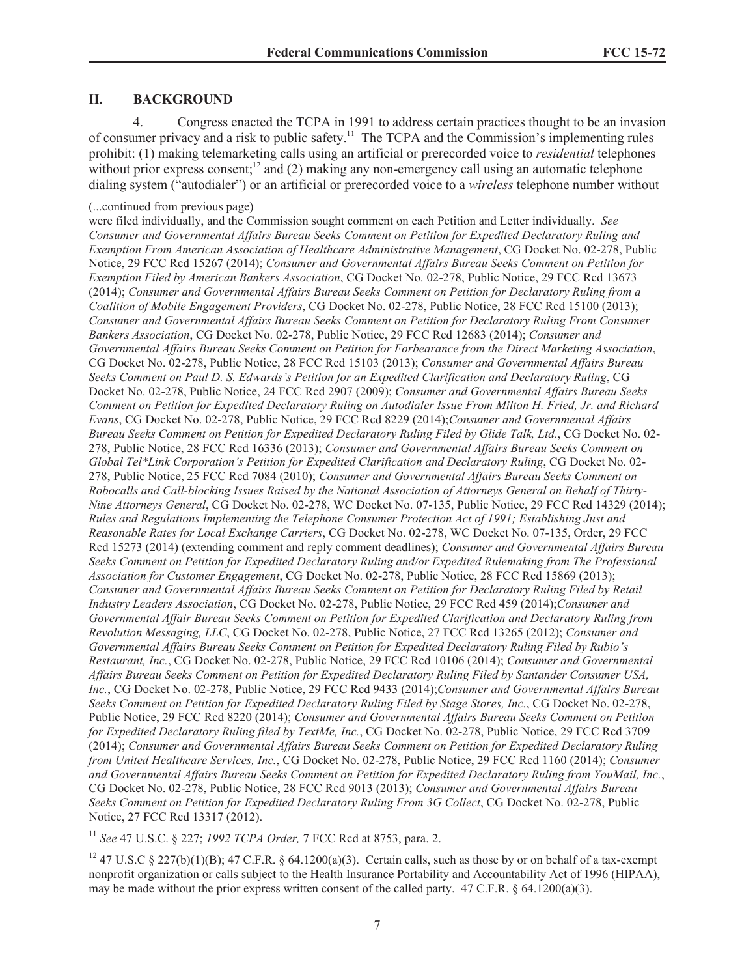### **II. BACKGROUND**

4. Congress enacted the TCPA in 1991 to address certain practices thought to be an invasion of consumer privacy and a risk to public safety.<sup>11</sup> The TCPA and the Commission's implementing rules prohibit: (1) making telemarketing calls using an artificial or prerecorded voice to *residential* telephones without prior express consent; $^{12}$  and (2) making any non-emergency call using an automatic telephone dialing system ("autodialer") or an artificial or prerecorded voice to a *wireless* telephone number without

were filed individually, and the Commission sought comment on each Petition and Letter individually. *See Consumer and Governmental Affairs Bureau Seeks Comment on Petition for Expedited Declaratory Ruling and Exemption From American Association of Healthcare Administrative Management*, CG Docket No. 02-278, Public Notice, 29 FCC Rcd 15267 (2014); *Consumer and Governmental Affairs Bureau Seeks Comment on Petition for Exemption Filed by American Bankers Association*, CG Docket No. 02-278, Public Notice, 29 FCC Rcd 13673 (2014); *Consumer and Governmental Affairs Bureau Seeks Comment on Petition for Declaratory Ruling from a Coalition of Mobile Engagement Providers*, CG Docket No. 02-278, Public Notice, 28 FCC Rcd 15100 (2013); *Consumer and Governmental Affairs Bureau Seeks Comment on Petition for Declaratory Ruling From Consumer Bankers Association*, CG Docket No. 02-278, Public Notice, 29 FCC Rcd 12683 (2014); *Consumer and Governmental Affairs Bureau Seeks Comment on Petition for Forbearance from the Direct Marketing Association*, CG Docket No. 02-278, Public Notice, 28 FCC Rcd 15103 (2013); *Consumer and Governmental Affairs Bureau Seeks Comment on Paul D. S. Edwards's Petition for an Expedited Clarification and Declaratory Ruling*, CG Docket No. 02-278, Public Notice, 24 FCC Rcd 2907 (2009); *Consumer and Governmental Affairs Bureau Seeks Comment on Petition for Expedited Declaratory Ruling on Autodialer Issue From Milton H. Fried, Jr. and Richard Evans*, CG Docket No. 02-278, Public Notice, 29 FCC Rcd 8229 (2014);*Consumer and Governmental Affairs Bureau Seeks Comment on Petition for Expedited Declaratory Ruling Filed by Glide Talk, Ltd.*, CG Docket No. 02- 278, Public Notice, 28 FCC Rcd 16336 (2013); *Consumer and Governmental Affairs Bureau Seeks Comment on Global Tel\*Link Corporation's Petition for Expedited Clarification and Declaratory Ruling*, CG Docket No. 02- 278, Public Notice, 25 FCC Rcd 7084 (2010); *Consumer and Governmental Affairs Bureau Seeks Comment on Robocalls and Call-blocking Issues Raised by the National Association of Attorneys General on Behalf of Thirty-Nine Attorneys General*, CG Docket No. 02-278, WC Docket No. 07-135, Public Notice, 29 FCC Rcd 14329 (2014); *Rules and Regulations Implementing the Telephone Consumer Protection Act of 1991; Establishing Just and Reasonable Rates for Local Exchange Carriers*, CG Docket No. 02-278, WC Docket No. 07-135, Order, 29 FCC Rcd 15273 (2014) (extending comment and reply comment deadlines); *Consumer and Governmental Affairs Bureau Seeks Comment on Petition for Expedited Declaratory Ruling and/or Expedited Rulemaking from The Professional Association for Customer Engagement*, CG Docket No. 02-278, Public Notice, 28 FCC Rcd 15869 (2013); *Consumer and Governmental Affairs Bureau Seeks Comment on Petition for Declaratory Ruling Filed by Retail Industry Leaders Association*, CG Docket No. 02-278, Public Notice, 29 FCC Rcd 459 (2014);*Consumer and Governmental Affair Bureau Seeks Comment on Petition for Expedited Clarification and Declaratory Ruling from Revolution Messaging, LLC*, CG Docket No. 02-278, Public Notice, 27 FCC Rcd 13265 (2012); *Consumer and Governmental Affairs Bureau Seeks Comment on Petition for Expedited Declaratory Ruling Filed by Rubio's Restaurant, Inc.*, CG Docket No. 02-278, Public Notice, 29 FCC Rcd 10106 (2014); *Consumer and Governmental Affairs Bureau Seeks Comment on Petition for Expedited Declaratory Ruling Filed by Santander Consumer USA, Inc.*, CG Docket No. 02-278, Public Notice, 29 FCC Rcd 9433 (2014);*Consumer and Governmental Affairs Bureau Seeks Comment on Petition for Expedited Declaratory Ruling Filed by Stage Stores, Inc.*, CG Docket No. 02-278, Public Notice, 29 FCC Rcd 8220 (2014); *Consumer and Governmental Affairs Bureau Seeks Comment on Petition for Expedited Declaratory Ruling filed by TextMe, Inc.*, CG Docket No. 02-278, Public Notice, 29 FCC Rcd 3709 (2014); *Consumer and Governmental Affairs Bureau Seeks Comment on Petition for Expedited Declaratory Ruling from United Healthcare Services, Inc.*, CG Docket No. 02-278, Public Notice, 29 FCC Rcd 1160 (2014); *Consumer and Governmental Affairs Bureau Seeks Comment on Petition for Expedited Declaratory Ruling from YouMail, Inc.*, CG Docket No. 02-278, Public Notice, 28 FCC Rcd 9013 (2013); *Consumer and Governmental Affairs Bureau Seeks Comment on Petition for Expedited Declaratory Ruling From 3G Collect*, CG Docket No. 02-278, Public Notice, 27 FCC Rcd 13317 (2012).

<sup>11</sup> *See* 47 U.S.C. § 227; *1992 TCPA Order,* 7 FCC Rcd at 8753, para. 2.

<sup>12</sup> 47 U.S.C § 227(b)(1)(B); 47 C.F.R. § 64.1200(a)(3). Certain calls, such as those by or on behalf of a tax-exempt nonprofit organization or calls subject to the Health Insurance Portability and Accountability Act of 1996 (HIPAA), may be made without the prior express written consent of the called party. 47 C.F.R. § 64.1200(a)(3).

<sup>(...</sup>continued from previous page)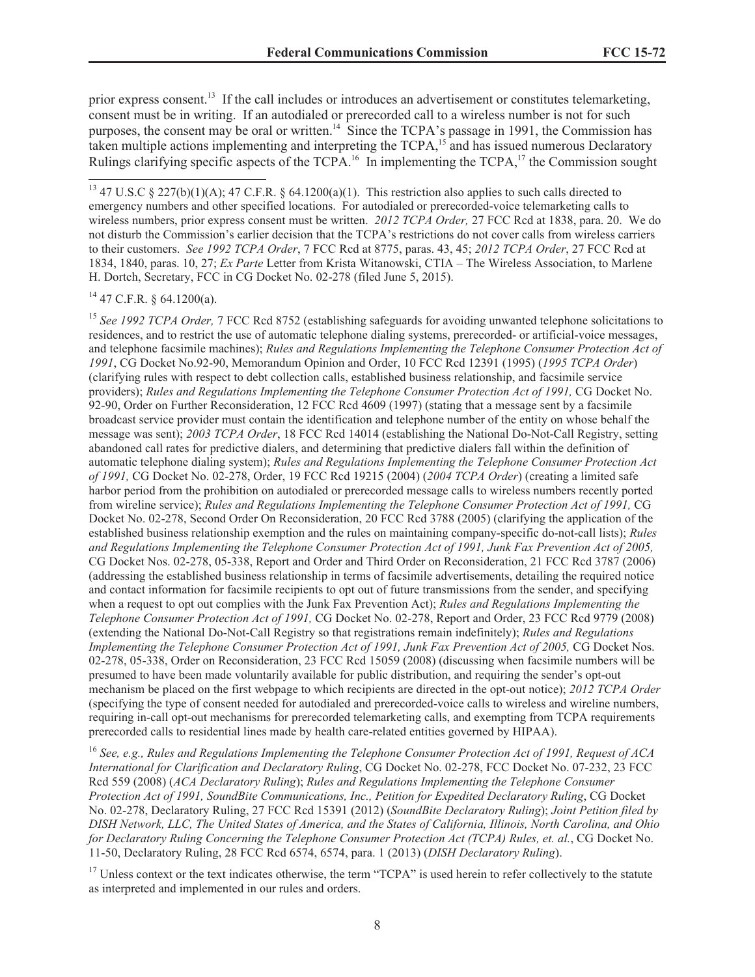prior express consent.<sup>13</sup> If the call includes or introduces an advertisement or constitutes telemarketing, consent must be in writing. If an autodialed or prerecorded call to a wireless number is not for such purposes, the consent may be oral or written.<sup>14</sup> Since the TCPA's passage in 1991, the Commission has taken multiple actions implementing and interpreting the TCPA,<sup>15</sup> and has issued numerous Declaratory Rulings clarifying specific aspects of the TCPA.<sup>16</sup> In implementing the TCPA,<sup>17</sup> the Commission sought

 $14$  47 C.F.R. § 64.1200(a).

<sup>15</sup> *See 1992 TCPA Order,* 7 FCC Rcd 8752 (establishing safeguards for avoiding unwanted telephone solicitations to residences, and to restrict the use of automatic telephone dialing systems, prerecorded- or artificial-voice messages, and telephone facsimile machines); *Rules and Regulations Implementing the Telephone Consumer Protection Act of 1991*, CG Docket No.92-90, Memorandum Opinion and Order, 10 FCC Rcd 12391 (1995) (*1995 TCPA Order*) (clarifying rules with respect to debt collection calls, established business relationship, and facsimile service providers); *Rules and Regulations Implementing the Telephone Consumer Protection Act of 1991,* CG Docket No. 92-90, Order on Further Reconsideration, 12 FCC Rcd 4609 (1997) (stating that a message sent by a facsimile broadcast service provider must contain the identification and telephone number of the entity on whose behalf the message was sent); *2003 TCPA Order*, 18 FCC Rcd 14014 (establishing the National Do-Not-Call Registry, setting abandoned call rates for predictive dialers, and determining that predictive dialers fall within the definition of automatic telephone dialing system); *Rules and Regulations Implementing the Telephone Consumer Protection Act of 1991,* CG Docket No. 02-278, Order, 19 FCC Rcd 19215 (2004) (*2004 TCPA Order*) (creating a limited safe harbor period from the prohibition on autodialed or prerecorded message calls to wireless numbers recently ported from wireline service); *Rules and Regulations Implementing the Telephone Consumer Protection Act of 1991,* CG Docket No. 02-278, Second Order On Reconsideration, 20 FCC Rcd 3788 (2005) (clarifying the application of the established business relationship exemption and the rules on maintaining company-specific do-not-call lists); *Rules and Regulations Implementing the Telephone Consumer Protection Act of 1991, Junk Fax Prevention Act of 2005,* CG Docket Nos. 02-278, 05-338, Report and Order and Third Order on Reconsideration, 21 FCC Rcd 3787 (2006) (addressing the established business relationship in terms of facsimile advertisements, detailing the required notice and contact information for facsimile recipients to opt out of future transmissions from the sender, and specifying when a request to opt out complies with the Junk Fax Prevention Act); *Rules and Regulations Implementing the Telephone Consumer Protection Act of 1991,* CG Docket No. 02-278, Report and Order, 23 FCC Rcd 9779 (2008) (extending the National Do-Not-Call Registry so that registrations remain indefinitely); *Rules and Regulations Implementing the Telephone Consumer Protection Act of 1991, Junk Fax Prevention Act of 2005,* CG Docket Nos. 02-278, 05-338, Order on Reconsideration, 23 FCC Rcd 15059 (2008) (discussing when facsimile numbers will be presumed to have been made voluntarily available for public distribution, and requiring the sender's opt-out mechanism be placed on the first webpage to which recipients are directed in the opt-out notice); *2012 TCPA Order* (specifying the type of consent needed for autodialed and prerecorded-voice calls to wireless and wireline numbers, requiring in-call opt-out mechanisms for prerecorded telemarketing calls, and exempting from TCPA requirements prerecorded calls to residential lines made by health care-related entities governed by HIPAA).

<sup>16</sup> *See, e.g., Rules and Regulations Implementing the Telephone Consumer Protection Act of 1991, Request of ACA International for Clarification and Declaratory Ruling*, CG Docket No. 02-278, FCC Docket No. 07-232, 23 FCC Rcd 559 (2008) (*ACA Declaratory Ruling*); *Rules and Regulations Implementing the Telephone Consumer Protection Act of 1991, SoundBite Communications, Inc., Petition for Expedited Declaratory Ruling*, CG Docket No. 02-278, Declaratory Ruling, 27 FCC Rcd 15391 (2012) (*SoundBite Declaratory Ruling*); *Joint Petition filed by DISH Network, LLC, The United States of America, and the States of California, Illinois, North Carolina, and Ohio for Declaratory Ruling Concerning the Telephone Consumer Protection Act (TCPA) Rules, et. al.*, CG Docket No. 11-50, Declaratory Ruling, 28 FCC Rcd 6574, 6574, para. 1 (2013) (*DISH Declaratory Ruling*).

<sup>17</sup> Unless context or the text indicates otherwise, the term "TCPA" is used herein to refer collectively to the statute as interpreted and implemented in our rules and orders.

<sup>&</sup>lt;sup>13</sup> 47 U.S.C § 227(b)(1)(A); 47 C.F.R. § 64.1200(a)(1). This restriction also applies to such calls directed to emergency numbers and other specified locations. For autodialed or prerecorded-voice telemarketing calls to wireless numbers, prior express consent must be written. *2012 TCPA Order,* 27 FCC Rcd at 1838, para. 20. We do not disturb the Commission's earlier decision that the TCPA's restrictions do not cover calls from wireless carriers to their customers. *See 1992 TCPA Order*, 7 FCC Rcd at 8775, paras. 43, 45; *2012 TCPA Order*, 27 FCC Rcd at 1834, 1840, paras. 10, 27; *Ex Parte* Letter from Krista Witanowski, CTIA – The Wireless Association, to Marlene H. Dortch, Secretary, FCC in CG Docket No. 02-278 (filed June 5, 2015).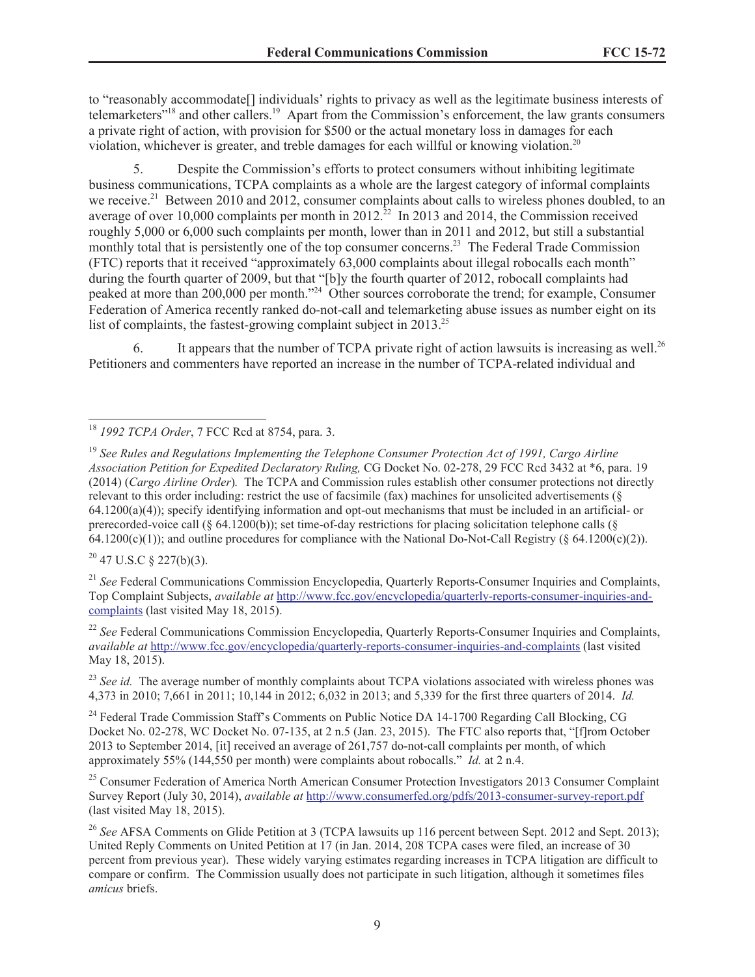to "reasonably accommodate[] individuals' rights to privacy as well as the legitimate business interests of telemarketers"<sup>18</sup> and other callers.<sup>19</sup> Apart from the Commission's enforcement, the law grants consumers a private right of action, with provision for \$500 or the actual monetary loss in damages for each violation, whichever is greater, and treble damages for each willful or knowing violation.<sup>20</sup>

5. Despite the Commission's efforts to protect consumers without inhibiting legitimate business communications, TCPA complaints as a whole are the largest category of informal complaints we receive.<sup>21</sup> Between 2010 and 2012, consumer complaints about calls to wireless phones doubled, to an average of over 10,000 complaints per month in 2012.<sup>22</sup> In 2013 and 2014, the Commission received roughly 5,000 or 6,000 such complaints per month, lower than in 2011 and 2012, but still a substantial monthly total that is persistently one of the top consumer concerns.<sup>23</sup> The Federal Trade Commission (FTC) reports that it received "approximately 63,000 complaints about illegal robocalls each month" during the fourth quarter of 2009, but that "[b]y the fourth quarter of 2012, robocall complaints had peaked at more than 200,000 per month."<sup>24</sup> Other sources corroborate the trend; for example, Consumer Federation of America recently ranked do-not-call and telemarketing abuse issues as number eight on its list of complaints, the fastest-growing complaint subject in 2013.<sup>25</sup>

6. It appears that the number of TCPA private right of action lawsuits is increasing as well.<sup>26</sup> Petitioners and commenters have reported an increase in the number of TCPA-related individual and

 $20$  47 U.S.C § 227(b)(3).

<sup>21</sup> *See* Federal Communications Commission Encyclopedia, Quarterly Reports-Consumer Inquiries and Complaints, Top Complaint Subjects, *available at* http://www.fcc.gov/encyclopedia/quarterly-reports-consumer-inquiries-andcomplaints (last visited May 18, 2015).

<sup>22</sup> *See* Federal Communications Commission Encyclopedia, Quarterly Reports-Consumer Inquiries and Complaints, *available at* http://www.fcc.gov/encyclopedia/quarterly-reports-consumer-inquiries-and-complaints (last visited May 18, 2015).

<sup>23</sup> See *id.* The average number of monthly complaints about TCPA violations associated with wireless phones was 4,373 in 2010; 7,661 in 2011; 10,144 in 2012; 6,032 in 2013; and 5,339 for the first three quarters of 2014. *Id.*

<sup>24</sup> Federal Trade Commission Staff's Comments on Public Notice DA 14-1700 Regarding Call Blocking, CG Docket No. 02-278, WC Docket No. 07-135, at 2 n.5 (Jan. 23, 2015). The FTC also reports that, "[f]rom October 2013 to September 2014, [it] received an average of 261,757 do-not-call complaints per month, of which approximately 55% (144,550 per month) were complaints about robocalls." *Id.* at 2 n.4.

<sup>25</sup> Consumer Federation of America North American Consumer Protection Investigators 2013 Consumer Complaint Survey Report (July 30, 2014), *available at* http://www.consumerfed.org/pdfs/2013-consumer-survey-report.pdf (last visited May 18, 2015).

<sup>26</sup> See AFSA Comments on Glide Petition at 3 (TCPA lawsuits up 116 percent between Sept. 2012 and Sept. 2013); United Reply Comments on United Petition at 17 (in Jan. 2014, 208 TCPA cases were filed, an increase of 30 percent from previous year). These widely varying estimates regarding increases in TCPA litigation are difficult to compare or confirm. The Commission usually does not participate in such litigation, although it sometimes files *amicus* briefs.

<sup>18</sup> *1992 TCPA Order*, 7 FCC Rcd at 8754, para. 3.

<sup>19</sup> *See Rules and Regulations Implementing the Telephone Consumer Protection Act of 1991, Cargo Airline Association Petition for Expedited Declaratory Ruling,* CG Docket No. 02-278, 29 FCC Rcd 3432 at \*6, para. 19 (2014) (*Cargo Airline Order*)*.* The TCPA and Commission rules establish other consumer protections not directly relevant to this order including: restrict the use of facsimile (fax) machines for unsolicited advertisements (§ 64.1200(a)(4)); specify identifying information and opt-out mechanisms that must be included in an artificial- or prerecorded-voice call (§ 64.1200(b)); set time-of-day restrictions for placing solicitation telephone calls (§  $64.1200(c)(1)$ ; and outline procedures for compliance with the National Do-Not-Call Registry (§ 64.1200(c)(2)).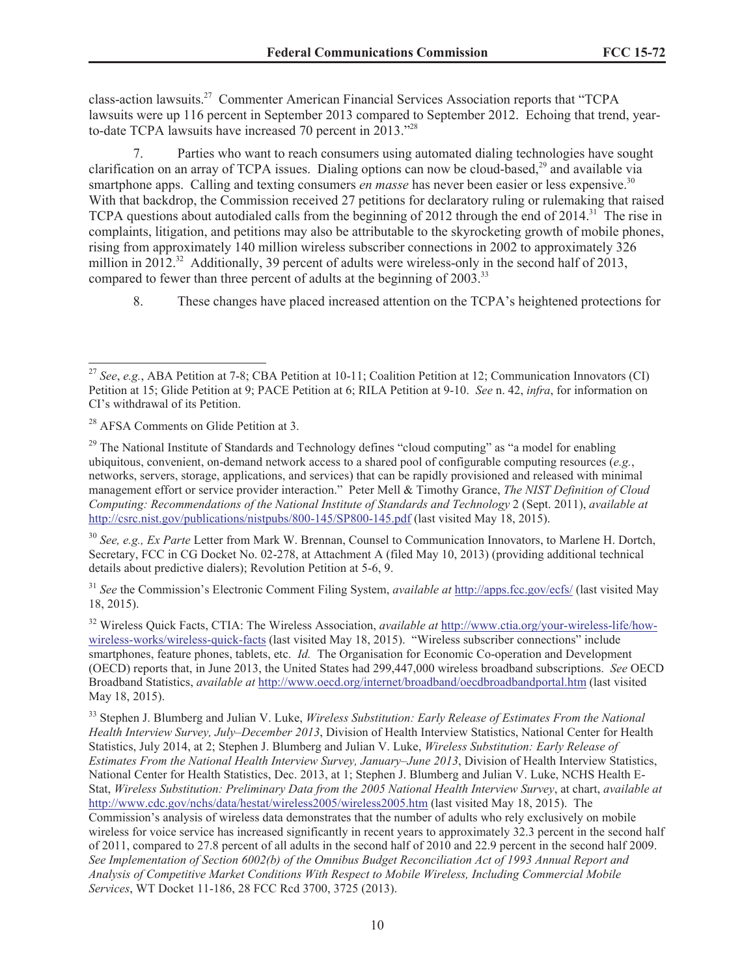class-action lawsuits.<sup>27</sup> Commenter American Financial Services Association reports that "TCPA lawsuits were up 116 percent in September 2013 compared to September 2012. Echoing that trend, yearto-date TCPA lawsuits have increased 70 percent in 2013."<sup>28</sup>

7. Parties who want to reach consumers using automated dialing technologies have sought clarification on an array of TCPA issues. Dialing options can now be cloud-based,<sup>29</sup> and available via smartphone apps. Calling and texting consumers *en masse* has never been easier or less expensive.<sup>30</sup> With that backdrop, the Commission received 27 petitions for declaratory ruling or rulemaking that raised TCPA questions about autodialed calls from the beginning of 2012 through the end of  $2014$ .<sup>31</sup> The rise in complaints, litigation, and petitions may also be attributable to the skyrocketing growth of mobile phones, rising from approximately 140 million wireless subscriber connections in 2002 to approximately 326 million in 2012.<sup>32</sup> Additionally, 39 percent of adults were wireless-only in the second half of 2013, compared to fewer than three percent of adults at the beginning of 2003.<sup>33</sup>

8. These changes have placed increased attention on the TCPA's heightened protections for

<sup>30</sup> *See, e.g., Ex Parte* Letter from Mark W. Brennan, Counsel to Communication Innovators, to Marlene H. Dortch, Secretary, FCC in CG Docket No. 02-278, at Attachment A (filed May 10, 2013) (providing additional technical details about predictive dialers); Revolution Petition at 5-6, 9.

<sup>31</sup> *See* the Commission's Electronic Comment Filing System, *available at* http://apps.fcc.gov/ecfs/ (last visited May 18, 2015).

<sup>32</sup> Wireless Quick Facts, CTIA: The Wireless Association, *available at* http://www.ctia.org/your-wireless-life/howwireless-works/wireless-quick-facts (last visited May 18, 2015). "Wireless subscriber connections" include smartphones, feature phones, tablets, etc. *Id.* The Organisation for Economic Co-operation and Development (OECD) reports that, in June 2013, the United States had 299,447,000 wireless broadband subscriptions. *See* OECD Broadband Statistics, *available at* http://www.oecd.org/internet/broadband/oecdbroadbandportal.htm (last visited May 18, 2015).

<sup>33</sup> Stephen J. Blumberg and Julian V. Luke, *Wireless Substitution: Early Release of Estimates From the National Health Interview Survey, July–December 2013*, Division of Health Interview Statistics, National Center for Health Statistics, July 2014, at 2; Stephen J. Blumberg and Julian V. Luke, *Wireless Substitution: Early Release of Estimates From the National Health Interview Survey, January–June 2013*, Division of Health Interview Statistics, National Center for Health Statistics, Dec. 2013, at 1; Stephen J. Blumberg and Julian V. Luke, NCHS Health E-Stat, *Wireless Substitution: Preliminary Data from the 2005 National Health Interview Survey*, at chart, *available at* http://www.cdc.gov/nchs/data/hestat/wireless2005/wireless2005.htm (last visited May 18, 2015). The Commission's analysis of wireless data demonstrates that the number of adults who rely exclusively on mobile wireless for voice service has increased significantly in recent years to approximately 32.3 percent in the second half of 2011, compared to 27.8 percent of all adults in the second half of 2010 and 22.9 percent in the second half 2009. *See Implementation of Section 6002(b) of the Omnibus Budget Reconciliation Act of 1993 Annual Report and Analysis of Competitive Market Conditions With Respect to Mobile Wireless, Including Commercial Mobile Services*, WT Docket 11-186, 28 FCC Rcd 3700, 3725 (2013).

<sup>27</sup> *See*, *e.g.*, ABA Petition at 7-8; CBA Petition at 10-11; Coalition Petition at 12; Communication Innovators (CI) Petition at 15; Glide Petition at 9; PACE Petition at 6; RILA Petition at 9-10. *See* n. 42, *infra*, for information on CI's withdrawal of its Petition.

<sup>&</sup>lt;sup>28</sup> AFSA Comments on Glide Petition at 3.

<sup>&</sup>lt;sup>29</sup> The National Institute of Standards and Technology defines "cloud computing" as "a model for enabling ubiquitous, convenient, on-demand network access to a shared pool of configurable computing resources (*e.g.*, networks, servers, storage, applications, and services) that can be rapidly provisioned and released with minimal management effort or service provider interaction." Peter Mell & Timothy Grance, *The NIST Definition of Cloud Computing: Recommendations of the National Institute of Standards and Technology* 2 (Sept. 2011), *available at* http://csrc.nist.gov/publications/nistpubs/800-145/SP800-145.pdf (last visited May 18, 2015).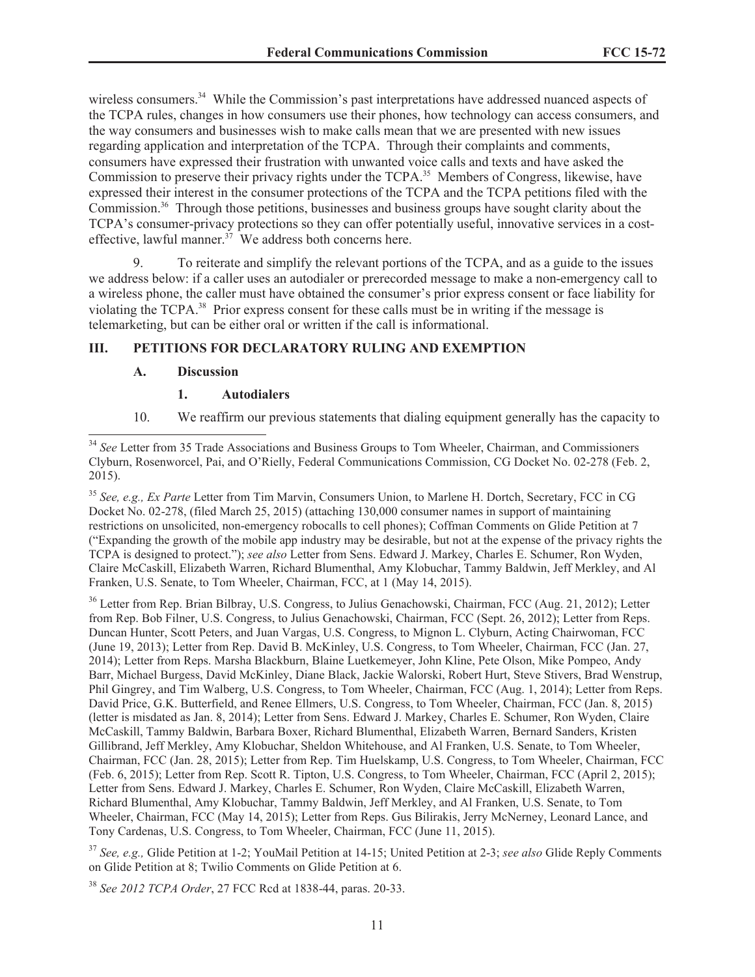wireless consumers.<sup>34</sup> While the Commission's past interpretations have addressed nuanced aspects of the TCPA rules, changes in how consumers use their phones, how technology can access consumers, and the way consumers and businesses wish to make calls mean that we are presented with new issues regarding application and interpretation of the TCPA. Through their complaints and comments, consumers have expressed their frustration with unwanted voice calls and texts and have asked the Commission to preserve their privacy rights under the TCPA.<sup>35</sup> Members of Congress, likewise, have expressed their interest in the consumer protections of the TCPA and the TCPA petitions filed with the Commission.<sup>36</sup> Through those petitions, businesses and business groups have sought clarity about the TCPA's consumer-privacy protections so they can offer potentially useful, innovative services in a costeffective, lawful manner. $37$  We address both concerns here.

9. To reiterate and simplify the relevant portions of the TCPA, and as a guide to the issues we address below: if a caller uses an autodialer or prerecorded message to make a non-emergency call to a wireless phone, the caller must have obtained the consumer's prior express consent or face liability for violating the TCPA.<sup>38</sup> Prior express consent for these calls must be in writing if the message is telemarketing, but can be either oral or written if the call is informational.

### **III. PETITIONS FOR DECLARATORY RULING AND EXEMPTION**

#### **A. Discussion**

#### **1. Autodialers**

10. We reaffirm our previous statements that dialing equipment generally has the capacity to

<sup>35</sup> *See, e.g., Ex Parte* Letter from Tim Marvin, Consumers Union, to Marlene H. Dortch, Secretary, FCC in CG Docket No. 02-278, (filed March 25, 2015) (attaching 130,000 consumer names in support of maintaining restrictions on unsolicited, non-emergency robocalls to cell phones); Coffman Comments on Glide Petition at 7 ("Expanding the growth of the mobile app industry may be desirable, but not at the expense of the privacy rights the TCPA is designed to protect."); *see also* Letter from Sens. Edward J. Markey, Charles E. Schumer, Ron Wyden, Claire McCaskill, Elizabeth Warren, Richard Blumenthal, Amy Klobuchar, Tammy Baldwin, Jeff Merkley, and Al Franken, U.S. Senate, to Tom Wheeler, Chairman, FCC, at 1 (May 14, 2015).

<sup>36</sup> Letter from Rep. Brian Bilbray, U.S. Congress, to Julius Genachowski, Chairman, FCC (Aug. 21, 2012); Letter from Rep. Bob Filner, U.S. Congress, to Julius Genachowski, Chairman, FCC (Sept. 26, 2012); Letter from Reps. Duncan Hunter, Scott Peters, and Juan Vargas, U.S. Congress, to Mignon L. Clyburn, Acting Chairwoman, FCC (June 19, 2013); Letter from Rep. David B. McKinley, U.S. Congress, to Tom Wheeler, Chairman, FCC (Jan. 27, 2014); Letter from Reps. Marsha Blackburn, Blaine Luetkemeyer, John Kline, Pete Olson, Mike Pompeo, Andy Barr, Michael Burgess, David McKinley, Diane Black, Jackie Walorski, Robert Hurt, Steve Stivers, Brad Wenstrup, Phil Gingrey, and Tim Walberg, U.S. Congress, to Tom Wheeler, Chairman, FCC (Aug. 1, 2014); Letter from Reps. David Price, G.K. Butterfield, and Renee Ellmers, U.S. Congress, to Tom Wheeler, Chairman, FCC (Jan. 8, 2015) (letter is misdated as Jan. 8, 2014); Letter from Sens. Edward J. Markey, Charles E. Schumer, Ron Wyden, Claire McCaskill, Tammy Baldwin, Barbara Boxer, Richard Blumenthal, Elizabeth Warren, Bernard Sanders, Kristen Gillibrand, Jeff Merkley, Amy Klobuchar, Sheldon Whitehouse, and Al Franken, U.S. Senate, to Tom Wheeler, Chairman, FCC (Jan. 28, 2015); Letter from Rep. Tim Huelskamp, U.S. Congress, to Tom Wheeler, Chairman, FCC (Feb. 6, 2015); Letter from Rep. Scott R. Tipton, U.S. Congress, to Tom Wheeler, Chairman, FCC (April 2, 2015); Letter from Sens. Edward J. Markey, Charles E. Schumer, Ron Wyden, Claire McCaskill, Elizabeth Warren, Richard Blumenthal, Amy Klobuchar, Tammy Baldwin, Jeff Merkley, and Al Franken, U.S. Senate, to Tom Wheeler, Chairman, FCC (May 14, 2015); Letter from Reps. Gus Bilirakis, Jerry McNerney, Leonard Lance, and Tony Cardenas, U.S. Congress, to Tom Wheeler, Chairman, FCC (June 11, 2015).

<sup>37</sup> *See, e.g.,* Glide Petition at 1-2; YouMail Petition at 14-15; United Petition at 2-3; *see also* Glide Reply Comments on Glide Petition at 8; Twilio Comments on Glide Petition at 6.

<sup>38</sup> *See 2012 TCPA Order*, 27 FCC Rcd at 1838-44, paras. 20-33.

<sup>&</sup>lt;sup>34</sup> See Letter from 35 Trade Associations and Business Groups to Tom Wheeler, Chairman, and Commissioners Clyburn, Rosenworcel, Pai, and O'Rielly, Federal Communications Commission, CG Docket No. 02-278 (Feb. 2, 2015).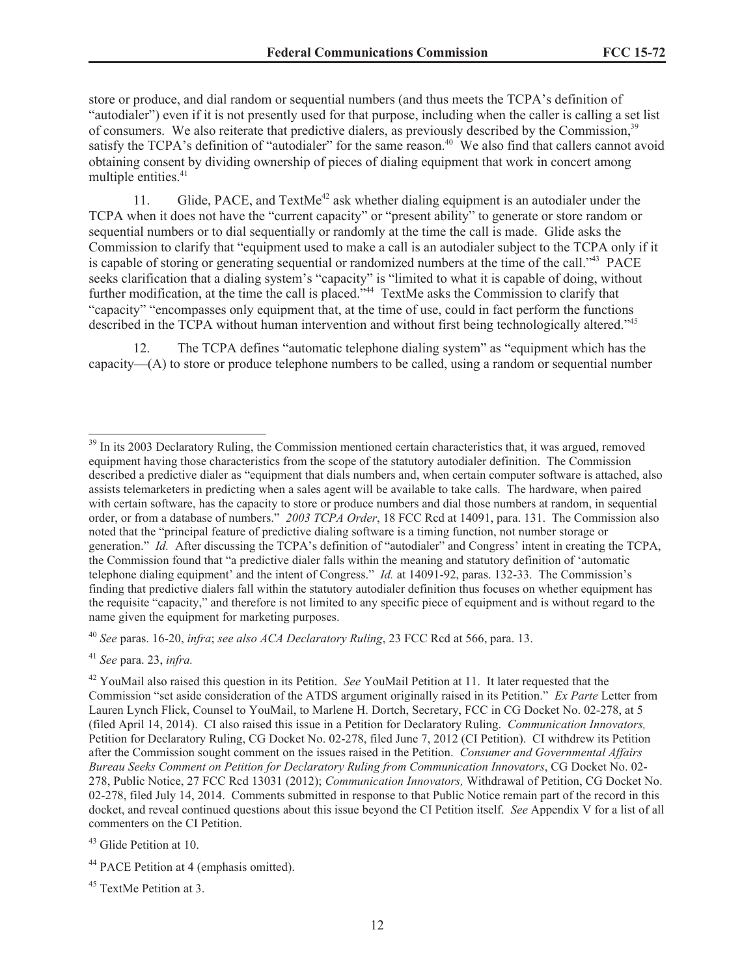store or produce, and dial random or sequential numbers (and thus meets the TCPA's definition of "autodialer") even if it is not presently used for that purpose, including when the caller is calling a set list of consumers. We also reiterate that predictive dialers, as previously described by the Commission,<sup>39</sup> satisfy the TCPA's definition of "autodialer" for the same reason.<sup>40</sup> We also find that callers cannot avoid obtaining consent by dividing ownership of pieces of dialing equipment that work in concert among multiple entities.<sup>41</sup>

11. Glide, PACE, and  $TextMe^{42}$  ask whether dialing equipment is an autodialer under the TCPA when it does not have the "current capacity" or "present ability" to generate or store random or sequential numbers or to dial sequentially or randomly at the time the call is made. Glide asks the Commission to clarify that "equipment used to make a call is an autodialer subject to the TCPA only if it is capable of storing or generating sequential or randomized numbers at the time of the call."<sup>43</sup> PACE seeks clarification that a dialing system's "capacity" is "limited to what it is capable of doing, without further modification, at the time the call is placed."<sup>44</sup> TextMe asks the Commission to clarify that "capacity" "encompasses only equipment that, at the time of use, could in fact perform the functions described in the TCPA without human intervention and without first being technologically altered."<sup>45</sup>

12. The TCPA defines "automatic telephone dialing system" as "equipment which has the capacity—(A) to store or produce telephone numbers to be called, using a random or sequential number

<sup>40</sup> *See* paras. 16-20, *infra*; *see also ACA Declaratory Ruling*, 23 FCC Rcd at 566, para. 13.

<sup>41</sup> *See* para. 23, *infra.*

<sup>&</sup>lt;sup>39</sup> In its 2003 Declaratory Ruling, the Commission mentioned certain characteristics that, it was argued, removed equipment having those characteristics from the scope of the statutory autodialer definition. The Commission described a predictive dialer as "equipment that dials numbers and, when certain computer software is attached, also assists telemarketers in predicting when a sales agent will be available to take calls. The hardware, when paired with certain software, has the capacity to store or produce numbers and dial those numbers at random, in sequential order, or from a database of numbers." *2003 TCPA Order*, 18 FCC Rcd at 14091, para. 131. The Commission also noted that the "principal feature of predictive dialing software is a timing function, not number storage or generation." *Id.* After discussing the TCPA's definition of "autodialer" and Congress' intent in creating the TCPA, the Commission found that "a predictive dialer falls within the meaning and statutory definition of 'automatic telephone dialing equipment' and the intent of Congress." *Id.* at 14091-92, paras. 132-33. The Commission's finding that predictive dialers fall within the statutory autodialer definition thus focuses on whether equipment has the requisite "capacity," and therefore is not limited to any specific piece of equipment and is without regard to the name given the equipment for marketing purposes.

<sup>42</sup> YouMail also raised this question in its Petition. *See* YouMail Petition at 11. It later requested that the Commission "set aside consideration of the ATDS argument originally raised in its Petition." *Ex Parte* Letter from Lauren Lynch Flick, Counsel to YouMail, to Marlene H. Dortch, Secretary, FCC in CG Docket No. 02-278, at 5 (filed April 14, 2014). CI also raised this issue in a Petition for Declaratory Ruling. *Communication Innovators,* Petition for Declaratory Ruling, CG Docket No. 02-278, filed June 7, 2012 (CI Petition). CI withdrew its Petition after the Commission sought comment on the issues raised in the Petition. *Consumer and Governmental Affairs Bureau Seeks Comment on Petition for Declaratory Ruling from Communication Innovators*, CG Docket No. 02- 278, Public Notice, 27 FCC Rcd 13031 (2012); *Communication Innovators,* Withdrawal of Petition, CG Docket No. 02-278, filed July 14, 2014. Comments submitted in response to that Public Notice remain part of the record in this docket, and reveal continued questions about this issue beyond the CI Petition itself. *See* Appendix V for a list of all commenters on the CI Petition.

<sup>43</sup> Glide Petition at 10.

<sup>&</sup>lt;sup>44</sup> PACE Petition at 4 (emphasis omitted).

<sup>&</sup>lt;sup>45</sup> TextMe Petition at 3.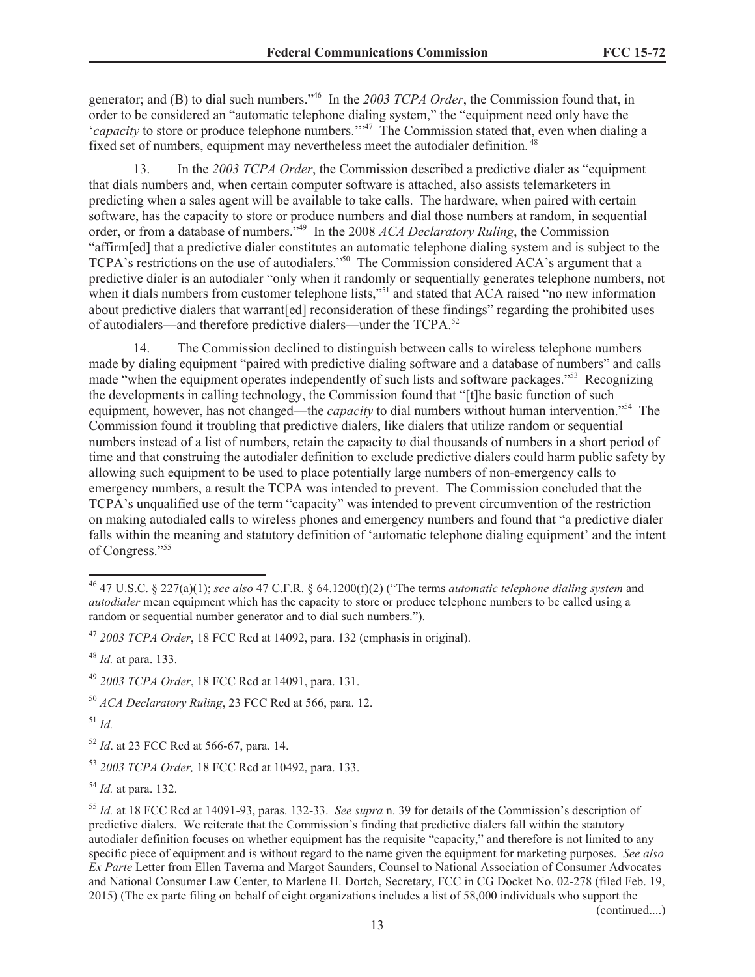generator; and (B) to dial such numbers."<sup>46</sup> In the *2003 TCPA Order*, the Commission found that, in order to be considered an "automatic telephone dialing system," the "equipment need only have the '*capacity* to store or produce telephone numbers.'"<sup>47</sup> The Commission stated that, even when dialing a fixed set of numbers, equipment may nevertheless meet the autodialer definition.

13. In the *2003 TCPA Order*, the Commission described a predictive dialer as "equipment that dials numbers and, when certain computer software is attached, also assists telemarketers in predicting when a sales agent will be available to take calls. The hardware, when paired with certain software, has the capacity to store or produce numbers and dial those numbers at random, in sequential order, or from a database of numbers."<sup>49</sup> In the 2008 *ACA Declaratory Ruling*, the Commission "affirm[ed] that a predictive dialer constitutes an automatic telephone dialing system and is subject to the TCPA's restrictions on the use of autodialers."<sup>50</sup> The Commission considered ACA's argument that a predictive dialer is an autodialer "only when it randomly or sequentially generates telephone numbers, not when it dials numbers from customer telephone lists,"<sup>51</sup> and stated that ACA raised "no new information" about predictive dialers that warrant [ed] reconsideration of these findings" regarding the prohibited uses of autodialers—and therefore predictive dialers—under the TCPA.<sup>52</sup>

14. The Commission declined to distinguish between calls to wireless telephone numbers made by dialing equipment "paired with predictive dialing software and a database of numbers" and calls made "when the equipment operates independently of such lists and software packages."<sup>53</sup> Recognizing the developments in calling technology, the Commission found that "[t]he basic function of such equipment, however, has not changed—the *capacity* to dial numbers without human intervention."<sup>54</sup> The Commission found it troubling that predictive dialers, like dialers that utilize random or sequential numbers instead of a list of numbers, retain the capacity to dial thousands of numbers in a short period of time and that construing the autodialer definition to exclude predictive dialers could harm public safety by allowing such equipment to be used to place potentially large numbers of non-emergency calls to emergency numbers, a result the TCPA was intended to prevent. The Commission concluded that the TCPA's unqualified use of the term "capacity" was intended to prevent circumvention of the restriction on making autodialed calls to wireless phones and emergency numbers and found that "a predictive dialer falls within the meaning and statutory definition of 'automatic telephone dialing equipment' and the intent of Congress."<sup>55</sup>

<sup>51</sup> *Id.*

<sup>52</sup> *Id*. at 23 FCC Rcd at 566-67, para. 14.

<sup>54</sup> *Id.* at para. 132.

(continued....)

<sup>46</sup> 47 U.S.C. § 227(a)(1); *see also* 47 C.F.R. § 64.1200(f)(2) ("The terms *automatic telephone dialing system* and *autodialer* mean equipment which has the capacity to store or produce telephone numbers to be called using a random or sequential number generator and to dial such numbers.").

<sup>47</sup> *2003 TCPA Order*, 18 FCC Rcd at 14092, para. 132 (emphasis in original).

<sup>48</sup> *Id.* at para. 133.

<sup>49</sup> *2003 TCPA Order*, 18 FCC Rcd at 14091, para. 131.

<sup>50</sup> *ACA Declaratory Ruling*, 23 FCC Rcd at 566, para. 12.

<sup>53</sup> *2003 TCPA Order,* 18 FCC Rcd at 10492, para. 133.

<sup>55</sup> *Id.* at 18 FCC Rcd at 14091-93, paras. 132-33. *See supra* n. 39 for details of the Commission's description of predictive dialers. We reiterate that the Commission's finding that predictive dialers fall within the statutory autodialer definition focuses on whether equipment has the requisite "capacity," and therefore is not limited to any specific piece of equipment and is without regard to the name given the equipment for marketing purposes. *See also Ex Parte* Letter from Ellen Taverna and Margot Saunders, Counsel to National Association of Consumer Advocates and National Consumer Law Center, to Marlene H. Dortch, Secretary, FCC in CG Docket No. 02-278 (filed Feb. 19, 2015) (The ex parte filing on behalf of eight organizations includes a list of 58,000 individuals who support the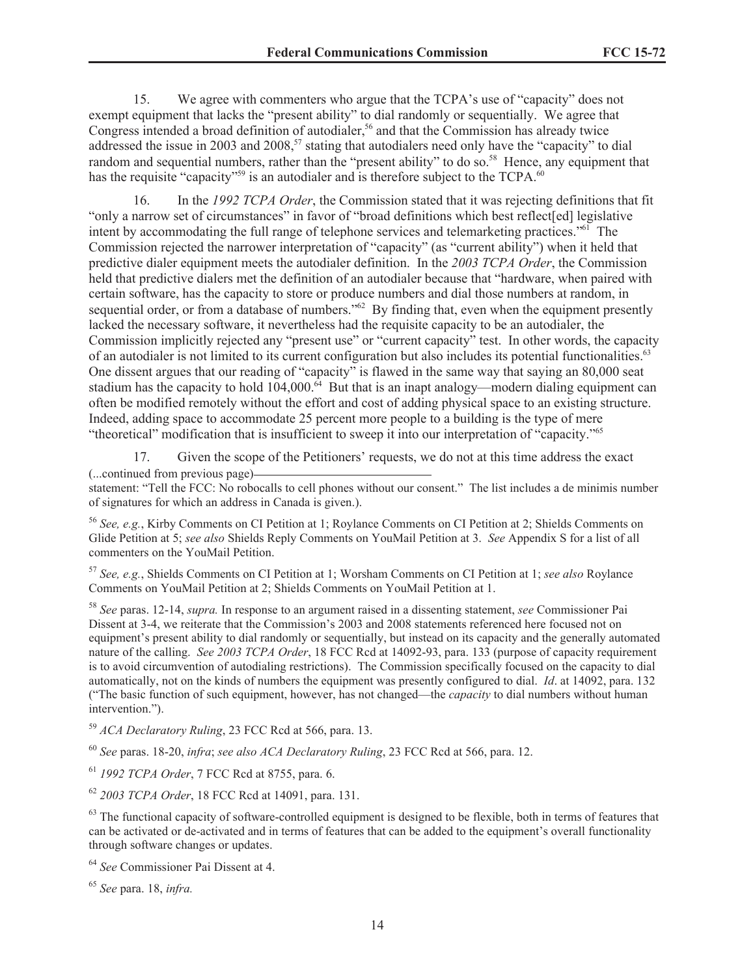15. We agree with commenters who argue that the TCPA's use of "capacity" does not exempt equipment that lacks the "present ability" to dial randomly or sequentially. We agree that Congress intended a broad definition of autodialer,<sup>56</sup> and that the Commission has already twice addressed the issue in 2003 and 2008,<sup>57</sup> stating that autodialers need only have the "capacity" to dial random and sequential numbers, rather than the "present ability" to do so.<sup>58</sup> Hence, any equipment that has the requisite "capacity"<sup>59</sup> is an autodialer and is therefore subject to the TCPA.<sup>60</sup>

16. In the *1992 TCPA Order*, the Commission stated that it was rejecting definitions that fit "only a narrow set of circumstances" in favor of "broad definitions which best reflect[ed] legislative intent by accommodating the full range of telephone services and telemarketing practices."<sup>61</sup> The Commission rejected the narrower interpretation of "capacity" (as "current ability") when it held that predictive dialer equipment meets the autodialer definition. In the *2003 TCPA Order*, the Commission held that predictive dialers met the definition of an autodialer because that "hardware, when paired with certain software, has the capacity to store or produce numbers and dial those numbers at random, in sequential order, or from a database of numbers.<sup>762</sup> By finding that, even when the equipment presently lacked the necessary software, it nevertheless had the requisite capacity to be an autodialer, the Commission implicitly rejected any "present use" or "current capacity" test. In other words, the capacity of an autodialer is not limited to its current configuration but also includes its potential functionalities.<sup>63</sup> One dissent argues that our reading of "capacity" is flawed in the same way that saying an 80,000 seat stadium has the capacity to hold  $104,000$ .  $64$  But that is an inapt analogy—modern dialing equipment can often be modified remotely without the effort and cost of adding physical space to an existing structure. Indeed, adding space to accommodate 25 percent more people to a building is the type of mere "theoretical" modification that is insufficient to sweep it into our interpretation of "capacity."<sup>65</sup>

17. Given the scope of the Petitioners' requests, we do not at this time address the exact (...continued from previous page)

statement: "Tell the FCC: No robocalls to cell phones without our consent." The list includes a de minimis number of signatures for which an address in Canada is given.).

<sup>56</sup> *See, e.g.*, Kirby Comments on CI Petition at 1; Roylance Comments on CI Petition at 2; Shields Comments on Glide Petition at 5; *see also* Shields Reply Comments on YouMail Petition at 3. *See* Appendix S for a list of all commenters on the YouMail Petition.

<sup>57</sup> *See, e.g.*, Shields Comments on CI Petition at 1; Worsham Comments on CI Petition at 1; *see also* Roylance Comments on YouMail Petition at 2; Shields Comments on YouMail Petition at 1.

<sup>58</sup> *See* paras. 12-14, *supra.* In response to an argument raised in a dissenting statement, *see* Commissioner Pai Dissent at 3-4, we reiterate that the Commission's 2003 and 2008 statements referenced here focused not on equipment's present ability to dial randomly or sequentially, but instead on its capacity and the generally automated nature of the calling. *See 2003 TCPA Order*, 18 FCC Rcd at 14092-93, para. 133 (purpose of capacity requirement is to avoid circumvention of autodialing restrictions). The Commission specifically focused on the capacity to dial automatically, not on the kinds of numbers the equipment was presently configured to dial. *Id*. at 14092, para. 132 ("The basic function of such equipment, however, has not changed—the *capacity* to dial numbers without human intervention.").

<sup>59</sup> *ACA Declaratory Ruling*, 23 FCC Rcd at 566, para. 13.

<sup>60</sup> *See* paras. 18-20, *infra*; *see also ACA Declaratory Ruling*, 23 FCC Rcd at 566, para. 12.

<sup>61</sup> *1992 TCPA Order*, 7 FCC Rcd at 8755, para. 6.

<sup>62</sup> *2003 TCPA Order*, 18 FCC Rcd at 14091, para. 131.

 $63$  The functional capacity of software-controlled equipment is designed to be flexible, both in terms of features that can be activated or de-activated and in terms of features that can be added to the equipment's overall functionality through software changes or updates.

<sup>64</sup> *See* Commissioner Pai Dissent at 4.

<sup>65</sup> *See* para. 18, *infra.*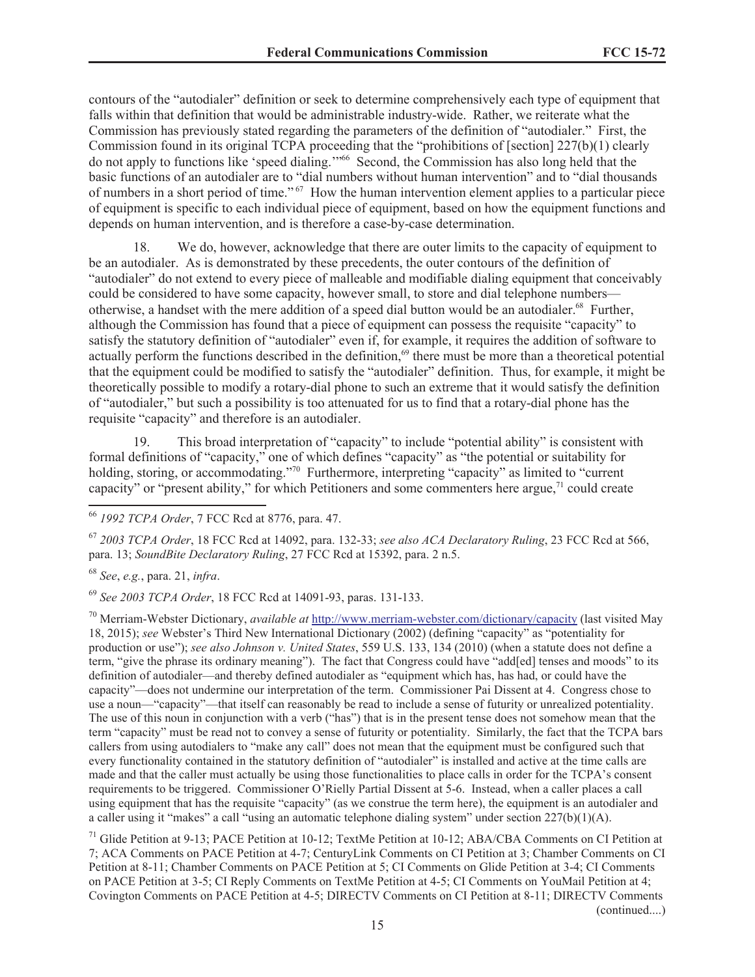contours of the "autodialer" definition or seek to determine comprehensively each type of equipment that falls within that definition that would be administrable industry-wide. Rather, we reiterate what the Commission has previously stated regarding the parameters of the definition of "autodialer." First, the Commission found in its original TCPA proceeding that the "prohibitions of [section] 227(b)(1) clearly do not apply to functions like 'speed dialing."<sup>566</sup> Second, the Commission has also long held that the basic functions of an autodialer are to "dial numbers without human intervention" and to "dial thousands of numbers in a short period of time." <sup>67</sup> How the human intervention element applies to a particular piece of equipment is specific to each individual piece of equipment, based on how the equipment functions and depends on human intervention, and is therefore a case-by-case determination.

18. We do, however, acknowledge that there are outer limits to the capacity of equipment to be an autodialer. As is demonstrated by these precedents, the outer contours of the definition of "autodialer" do not extend to every piece of malleable and modifiable dialing equipment that conceivably could be considered to have some capacity, however small, to store and dial telephone numbers otherwise, a handset with the mere addition of a speed dial button would be an autodialer.<sup>68</sup> Further, although the Commission has found that a piece of equipment can possess the requisite "capacity" to satisfy the statutory definition of "autodialer" even if, for example, it requires the addition of software to actually perform the functions described in the definition,<sup>69</sup> there must be more than a theoretical potential that the equipment could be modified to satisfy the "autodialer" definition. Thus, for example, it might be theoretically possible to modify a rotary-dial phone to such an extreme that it would satisfy the definition of "autodialer," but such a possibility is too attenuated for us to find that a rotary-dial phone has the requisite "capacity" and therefore is an autodialer.

19. This broad interpretation of "capacity" to include "potential ability" is consistent with formal definitions of "capacity," one of which defines "capacity" as "the potential or suitability for holding, storing, or accommodating."<sup>70</sup> Furthermore, interpreting "capacity" as limited to "current capacity" or "present ability," for which Petitioners and some commenters here argue,<sup>71</sup> could create

<sup>68</sup> *See*, *e.g.*, para. 21, *infra*.

<sup>69</sup> *See 2003 TCPA Order*, 18 FCC Rcd at 14091-93, paras. 131-133.

<sup>70</sup> Merriam-Webster Dictionary, *available at* http://www.merriam-webster.com/dictionary/capacity (last visited May 18, 2015); *see* Webster's Third New International Dictionary (2002) (defining "capacity" as "potentiality for production or use"); *see also Johnson v. United States*, 559 U.S. 133, 134 (2010) (when a statute does not define a term, "give the phrase its ordinary meaning"). The fact that Congress could have "add[ed] tenses and moods" to its definition of autodialer—and thereby defined autodialer as "equipment which has, has had, or could have the capacity"—does not undermine our interpretation of the term. Commissioner Pai Dissent at 4. Congress chose to use a noun—"capacity"—that itself can reasonably be read to include a sense of futurity or unrealized potentiality. The use of this noun in conjunction with a verb ("has") that is in the present tense does not somehow mean that the term "capacity" must be read not to convey a sense of futurity or potentiality. Similarly, the fact that the TCPA bars callers from using autodialers to "make any call" does not mean that the equipment must be configured such that every functionality contained in the statutory definition of "autodialer" is installed and active at the time calls are made and that the caller must actually be using those functionalities to place calls in order for the TCPA's consent requirements to be triggered. Commissioner O'Rielly Partial Dissent at 5-6. Instead, when a caller places a call using equipment that has the requisite "capacity" (as we construe the term here), the equipment is an autodialer and a caller using it "makes" a call "using an automatic telephone dialing system" under section 227(b)(1)(A).

<sup>71</sup> Glide Petition at 9-13; PACE Petition at 10-12; TextMe Petition at 10-12; ABA/CBA Comments on CI Petition at 7; ACA Comments on PACE Petition at 4-7; CenturyLink Comments on CI Petition at 3; Chamber Comments on CI Petition at 8-11; Chamber Comments on PACE Petition at 5; CI Comments on Glide Petition at 3-4; CI Comments on PACE Petition at 3-5; CI Reply Comments on TextMe Petition at 4-5; CI Comments on YouMail Petition at 4; Covington Comments on PACE Petition at 4-5; DIRECTV Comments on CI Petition at 8-11; DIRECTV Comments (continued....)

<sup>66</sup> *1992 TCPA Order*, 7 FCC Rcd at 8776, para. 47.

<sup>67</sup> *2003 TCPA Order*, 18 FCC Rcd at 14092, para. 132-33; *see also ACA Declaratory Ruling*, 23 FCC Rcd at 566, para. 13; *SoundBite Declaratory Ruling*, 27 FCC Rcd at 15392, para. 2 n.5.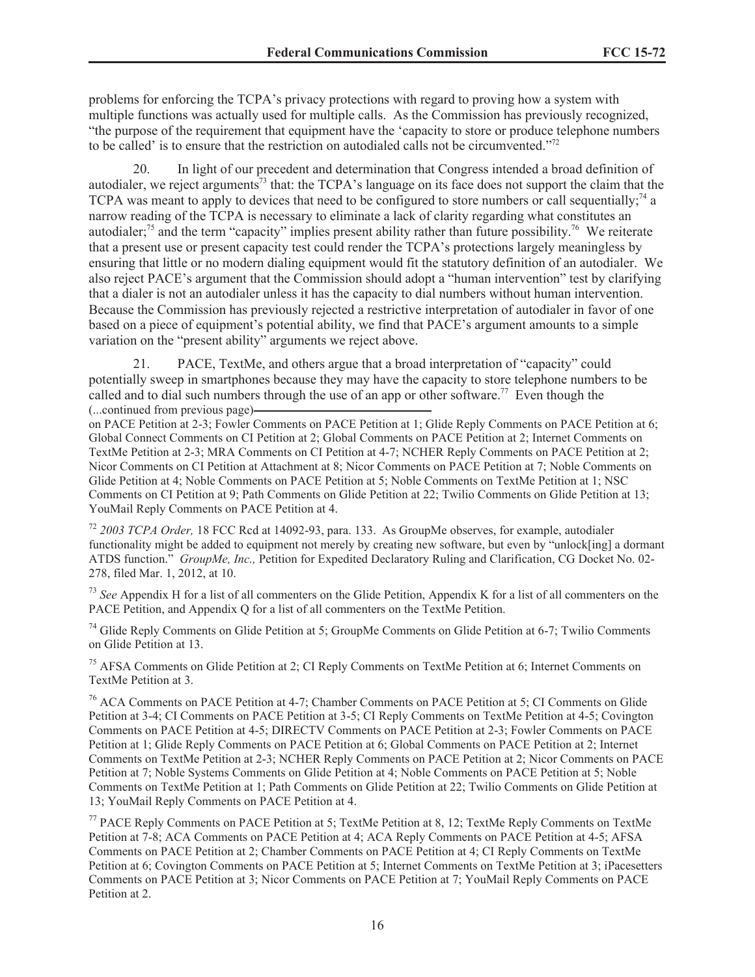problems for enforcing the TCPA's privacy protections with regard to proving how a system with multiple functions was actually used for multiple calls. As the Commission has previously recognized, "the purpose of the requirement that equipment have the 'capacity to store or produce telephone numbers to be called' is to ensure that the restriction on autodialed calls not be circumvented."<sup>72</sup>

20. In light of our precedent and determination that Congress intended a broad definition of autodialer, we reject arguments<sup>73</sup> that: the TCPA's language on its face does not support the claim that the TCPA was meant to apply to devices that need to be configured to store numbers or call sequentially;<sup>74</sup> a narrow reading of the TCPA is necessary to eliminate a lack of clarity regarding what constitutes an autodialer;<sup>75</sup> and the term "capacity" implies present ability rather than future possibility.<sup>76</sup> We reiterate that a present use or present capacity test could render the TCPA's protections largely meaningless by ensuring that little or no modern dialing equipment would fit the statutory definition of an autodialer. We also reject PACE's argument that the Commission should adopt a "human intervention" test by clarifying that a dialer is not an autodialer unless it has the capacity to dial numbers without human intervention. Because the Commission has previously rejected a restrictive interpretation of autodialer in favor of one based on a piece of equipment's potential ability, we find that PACE's argument amounts to a simple variation on the "present ability" arguments we reject above.

21. PACE, TextMe, and others argue that a broad interpretation of "capacity" could potentially sweep in smartphones because they may have the capacity to store telephone numbers to be called and to dial such numbers through the use of an app or other software.<sup>77</sup> Even though the (...continued from previous page)

on PACE Petition at 2-3; Fowler Comments on PACE Petition at 1; Glide Reply Comments on PACE Petition at 6; Global Connect Comments on CI Petition at 2; Global Comments on PACE Petition at 2; Internet Comments on TextMe Petition at 2-3; MRA Comments on CI Petition at 4-7; NCHER Reply Comments on PACE Petition at 2; Nicor Comments on CI Petition at Attachment at 8; Nicor Comments on PACE Petition at 7; Noble Comments on Glide Petition at 4; Noble Comments on PACE Petition at 5; Noble Comments on TextMe Petition at 1; NSC Comments on CI Petition at 9; Path Comments on Glide Petition at 22; Twilio Comments on Glide Petition at 13; YouMail Reply Comments on PACE Petition at 4.

<sup>72</sup> *2003 TCPA Order,* 18 FCC Rcd at 14092-93, para. 133. As GroupMe observes, for example, autodialer functionality might be added to equipment not merely by creating new software, but even by "unlock[ing] a dormant ATDS function." *GroupMe, Inc.,* Petition for Expedited Declaratory Ruling and Clarification, CG Docket No. 02- 278, filed Mar. 1, 2012, at 10.

<sup>73</sup> See Appendix H for a list of all commenters on the Glide Petition, Appendix K for a list of all commenters on the PACE Petition, and Appendix Q for a list of all commenters on the TextMe Petition.

<sup>74</sup> Glide Reply Comments on Glide Petition at 5; GroupMe Comments on Glide Petition at 6-7; Twilio Comments on Glide Petition at 13.

<sup>75</sup> AFSA Comments on Glide Petition at 2; CI Reply Comments on TextMe Petition at 6; Internet Comments on TextMe Petition at 3.

<sup>76</sup> ACA Comments on PACE Petition at 4-7; Chamber Comments on PACE Petition at 5; CI Comments on Glide Petition at 3-4; CI Comments on PACE Petition at 3-5; CI Reply Comments on TextMe Petition at 4-5; Covington Comments on PACE Petition at 4-5; DIRECTV Comments on PACE Petition at 2-3; Fowler Comments on PACE Petition at 1; Glide Reply Comments on PACE Petition at 6; Global Comments on PACE Petition at 2; Internet Comments on TextMe Petition at 2-3; NCHER Reply Comments on PACE Petition at 2; Nicor Comments on PACE Petition at 7; Noble Systems Comments on Glide Petition at 4; Noble Comments on PACE Petition at 5; Noble Comments on TextMe Petition at 1; Path Comments on Glide Petition at 22; Twilio Comments on Glide Petition at 13; YouMail Reply Comments on PACE Petition at 4.

<sup>77</sup> PACE Reply Comments on PACE Petition at 5; TextMe Petition at 8, 12; TextMe Reply Comments on TextMe Petition at 7-8; ACA Comments on PACE Petition at 4; ACA Reply Comments on PACE Petition at 4-5; AFSA Comments on PACE Petition at 2; Chamber Comments on PACE Petition at 4; CI Reply Comments on TextMe Petition at 6; Covington Comments on PACE Petition at 5; Internet Comments on TextMe Petition at 3; iPacesetters Comments on PACE Petition at 3; Nicor Comments on PACE Petition at 7; YouMail Reply Comments on PACE Petition at 2.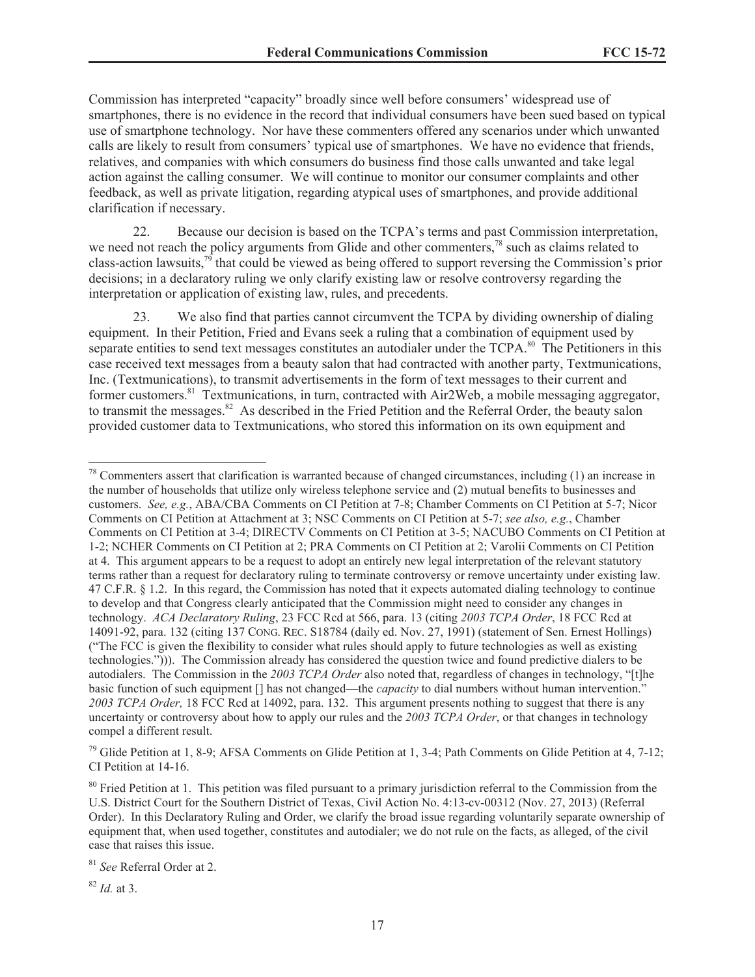Commission has interpreted "capacity" broadly since well before consumers' widespread use of smartphones, there is no evidence in the record that individual consumers have been sued based on typical use of smartphone technology. Nor have these commenters offered any scenarios under which unwanted calls are likely to result from consumers' typical use of smartphones. We have no evidence that friends, relatives, and companies with which consumers do business find those calls unwanted and take legal action against the calling consumer. We will continue to monitor our consumer complaints and other feedback, as well as private litigation, regarding atypical uses of smartphones, and provide additional clarification if necessary.

22. Because our decision is based on the TCPA's terms and past Commission interpretation, we need not reach the policy arguments from Glide and other commenters,<sup>78</sup> such as claims related to class-action lawsuits,<sup>79</sup> that could be viewed as being offered to support reversing the Commission's prior decisions; in a declaratory ruling we only clarify existing law or resolve controversy regarding the interpretation or application of existing law, rules, and precedents.

23. We also find that parties cannot circumvent the TCPA by dividing ownership of dialing equipment. In their Petition, Fried and Evans seek a ruling that a combination of equipment used by separate entities to send text messages constitutes an autodialer under the TCPA.<sup>80</sup> The Petitioners in this case received text messages from a beauty salon that had contracted with another party, Textmunications, Inc. (Textmunications), to transmit advertisements in the form of text messages to their current and former customers.<sup>81</sup> Textmunications, in turn, contracted with Air2Web, a mobile messaging aggregator, to transmit the messages.<sup>82</sup> As described in the Fried Petition and the Referral Order, the beauty salon provided customer data to Textmunications, who stored this information on its own equipment and

<sup>79</sup> Glide Petition at 1, 8-9; AFSA Comments on Glide Petition at 1, 3-4; Path Comments on Glide Petition at 4, 7-12; CI Petition at 14-16.

<sup>82</sup> *Id.* at 3.

 $78$  Commenters assert that clarification is warranted because of changed circumstances, including (1) an increase in the number of households that utilize only wireless telephone service and (2) mutual benefits to businesses and customers. *See, e.g.*, ABA/CBA Comments on CI Petition at 7-8; Chamber Comments on CI Petition at 5-7; Nicor Comments on CI Petition at Attachment at 3; NSC Comments on CI Petition at 5-7; *see also, e.g.*, Chamber Comments on CI Petition at 3-4; DIRECTV Comments on CI Petition at 3-5; NACUBO Comments on CI Petition at 1-2; NCHER Comments on CI Petition at 2; PRA Comments on CI Petition at 2; Varolii Comments on CI Petition at 4. This argument appears to be a request to adopt an entirely new legal interpretation of the relevant statutory terms rather than a request for declaratory ruling to terminate controversy or remove uncertainty under existing law. 47 C.F.R. § 1.2. In this regard, the Commission has noted that it expects automated dialing technology to continue to develop and that Congress clearly anticipated that the Commission might need to consider any changes in technology. *ACA Declaratory Ruling*, 23 FCC Rcd at 566, para. 13 (citing *2003 TCPA Order*, 18 FCC Rcd at 14091-92, para. 132 (citing 137 CONG. REC. S18784 (daily ed. Nov. 27, 1991) (statement of Sen. Ernest Hollings) ("The FCC is given the flexibility to consider what rules should apply to future technologies as well as existing technologies."))). The Commission already has considered the question twice and found predictive dialers to be autodialers. The Commission in the *2003 TCPA Order* also noted that, regardless of changes in technology, "[t]he basic function of such equipment [] has not changed—the *capacity* to dial numbers without human intervention." *2003 TCPA Order,* 18 FCC Rcd at 14092, para. 132. This argument presents nothing to suggest that there is any uncertainty or controversy about how to apply our rules and the *2003 TCPA Order*, or that changes in technology compel a different result.

<sup>&</sup>lt;sup>80</sup> Fried Petition at 1. This petition was filed pursuant to a primary jurisdiction referral to the Commission from the U.S. District Court for the Southern District of Texas, Civil Action No. 4:13-cv-00312 (Nov. 27, 2013) (Referral Order). In this Declaratory Ruling and Order, we clarify the broad issue regarding voluntarily separate ownership of equipment that, when used together, constitutes and autodialer; we do not rule on the facts, as alleged, of the civil case that raises this issue.

<sup>81</sup> *See* Referral Order at 2.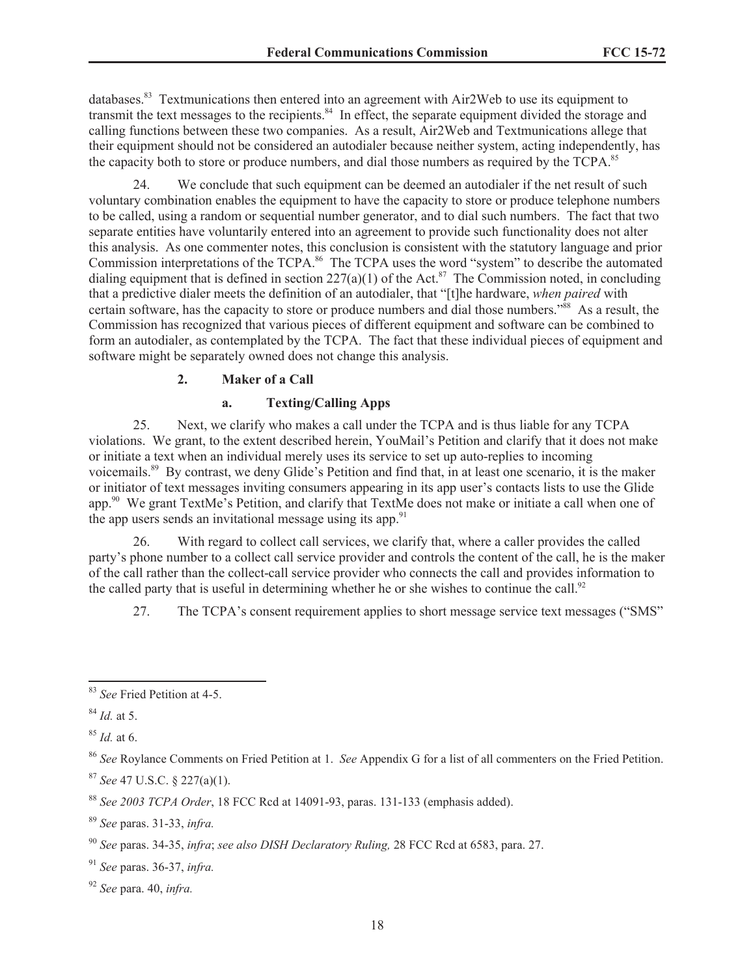databases.<sup>83</sup> Textmunications then entered into an agreement with Air2Web to use its equipment to transmit the text messages to the recipients.<sup>84</sup> In effect, the separate equipment divided the storage and calling functions between these two companies. As a result, Air2Web and Textmunications allege that their equipment should not be considered an autodialer because neither system, acting independently, has the capacity both to store or produce numbers, and dial those numbers as required by the TCPA.<sup>85</sup>

24. We conclude that such equipment can be deemed an autodialer if the net result of such voluntary combination enables the equipment to have the capacity to store or produce telephone numbers to be called, using a random or sequential number generator, and to dial such numbers. The fact that two separate entities have voluntarily entered into an agreement to provide such functionality does not alter this analysis. As one commenter notes, this conclusion is consistent with the statutory language and prior Commission interpretations of the TCPA.<sup>86</sup> The TCPA uses the word "system" to describe the automated dialing equipment that is defined in section  $227(a)(1)$  of the Act.<sup>87</sup> The Commission noted, in concluding that a predictive dialer meets the definition of an autodialer, that "[t]he hardware, *when paired* with certain software, has the capacity to store or produce numbers and dial those numbers."<sup>88</sup> As a result, the Commission has recognized that various pieces of different equipment and software can be combined to form an autodialer, as contemplated by the TCPA. The fact that these individual pieces of equipment and software might be separately owned does not change this analysis.

### **2. Maker of a Call**

### **a. Texting/Calling Apps**

25. Next, we clarify who makes a call under the TCPA and is thus liable for any TCPA violations. We grant, to the extent described herein, YouMail's Petition and clarify that it does not make or initiate a text when an individual merely uses its service to set up auto-replies to incoming voicemails.<sup>89</sup> By contrast, we deny Glide's Petition and find that, in at least one scenario, it is the maker or initiator of text messages inviting consumers appearing in its app user's contacts lists to use the Glide app.<sup>90</sup> We grant TextMe's Petition, and clarify that TextMe does not make or initiate a call when one of the app users sends an invitational message using its app. $91$ 

26. With regard to collect call services, we clarify that, where a caller provides the called party's phone number to a collect call service provider and controls the content of the call, he is the maker of the call rather than the collect-call service provider who connects the call and provides information to the called party that is useful in determining whether he or she wishes to continue the call.<sup>92</sup>

27. The TCPA's consent requirement applies to short message service text messages ("SMS"

<sup>89</sup> *See* paras. 31-33, *infra.*

<sup>83</sup> *See* Fried Petition at 4-5.

<sup>84</sup> *Id.* at 5.

<sup>85</sup> *Id.* at 6.

<sup>86</sup> *See* Roylance Comments on Fried Petition at 1. *See* Appendix G for a list of all commenters on the Fried Petition.

<sup>87</sup> *See* 47 U.S.C. § 227(a)(1).

<sup>88</sup> *See 2003 TCPA Order*, 18 FCC Rcd at 14091-93, paras. 131-133 (emphasis added).

<sup>90</sup> *See* paras. 34-35, *infra*; *see also DISH Declaratory Ruling,* 28 FCC Rcd at 6583, para. 27.

<sup>91</sup> *See* paras. 36-37, *infra.*

<sup>92</sup> *See* para. 40, *infra.*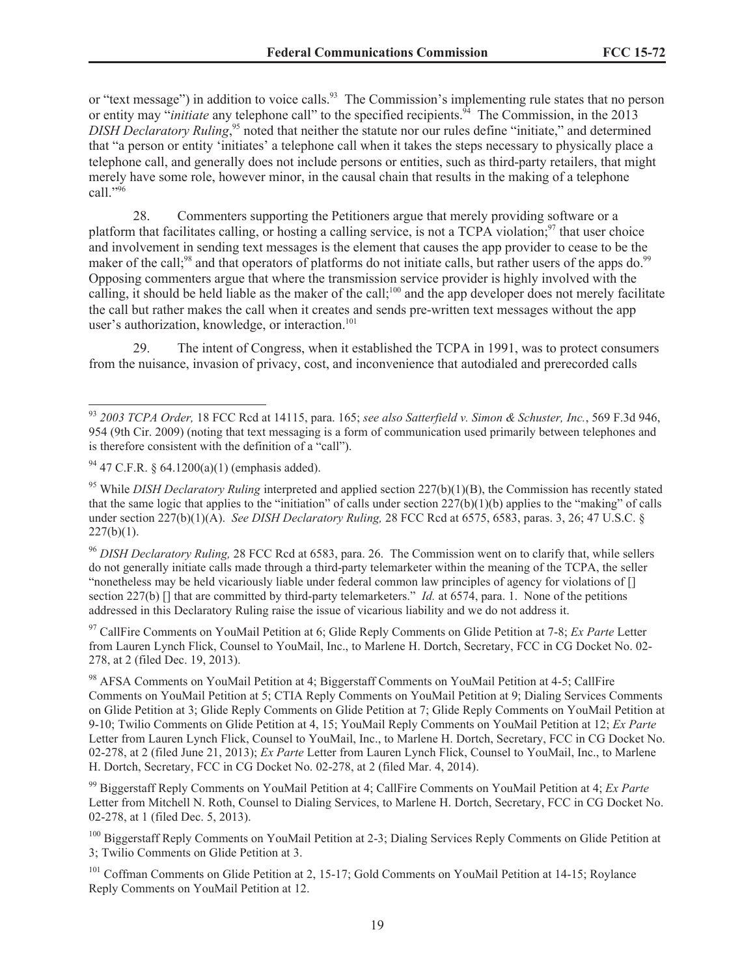or "text message") in addition to voice calls.<sup>93</sup> The Commission's implementing rule states that no person or entity may "*initiate* any telephone call" to the specified recipients.<sup>94</sup> The Commission, in the 2013 DISH Declaratory Ruling,<sup>95</sup> noted that neither the statute nor our rules define "initiate," and determined that "a person or entity 'initiates' a telephone call when it takes the steps necessary to physically place a telephone call, and generally does not include persons or entities, such as third-party retailers, that might merely have some role, however minor, in the causal chain that results in the making of a telephone call."<sup>96</sup>

28. Commenters supporting the Petitioners argue that merely providing software or a platform that facilitates calling, or hosting a calling service, is not a  $TCPA$  violation;<sup>97</sup> that user choice and involvement in sending text messages is the element that causes the app provider to cease to be the maker of the call;<sup>98</sup> and that operators of platforms do not initiate calls, but rather users of the apps do.<sup>99</sup> Opposing commenters argue that where the transmission service provider is highly involved with the calling, it should be held liable as the maker of the call;<sup>100</sup> and the app developer does not merely facilitate the call but rather makes the call when it creates and sends pre-written text messages without the app user's authorization, knowledge, or interaction.<sup>101</sup>

29. The intent of Congress, when it established the TCPA in 1991, was to protect consumers from the nuisance, invasion of privacy, cost, and inconvenience that autodialed and prerecorded calls

<sup>97</sup> CallFire Comments on YouMail Petition at 6; Glide Reply Comments on Glide Petition at 7-8; *Ex Parte* Letter from Lauren Lynch Flick, Counsel to YouMail, Inc., to Marlene H. Dortch, Secretary, FCC in CG Docket No. 02- 278, at 2 (filed Dec. 19, 2013).

<sup>93</sup> *2003 TCPA Order,* 18 FCC Rcd at 14115, para. 165; *see also Satterfield v. Simon & Schuster, Inc.*, 569 F.3d 946, 954 (9th Cir. 2009) (noting that text messaging is a form of communication used primarily between telephones and is therefore consistent with the definition of a "call").

 $94$  47 C.F.R. § 64.1200(a)(1) (emphasis added).

<sup>&</sup>lt;sup>95</sup> While *DISH Declaratory Ruling* interpreted and applied section 227(b)(1)(B), the Commission has recently stated that the same logic that applies to the "initiation" of calls under section  $227(b)(1)(b)$  applies to the "making" of calls under section 227(b)(1)(A). *See DISH Declaratory Ruling,* 28 FCC Rcd at 6575, 6583, paras. 3, 26; 47 U.S.C. §  $227(b)(1)$ .

<sup>96</sup> *DISH Declaratory Ruling,* 28 FCC Rcd at 6583, para. 26. The Commission went on to clarify that, while sellers do not generally initiate calls made through a third-party telemarketer within the meaning of the TCPA, the seller "nonetheless may be held vicariously liable under federal common law principles of agency for violations of [] section 227(b) [] that are committed by third-party telemarketers." *Id.* at 6574, para. 1. None of the petitions addressed in this Declaratory Ruling raise the issue of vicarious liability and we do not address it.

<sup>98</sup> AFSA Comments on YouMail Petition at 4; Biggerstaff Comments on YouMail Petition at 4-5; CallFire Comments on YouMail Petition at 5; CTIA Reply Comments on YouMail Petition at 9; Dialing Services Comments on Glide Petition at 3; Glide Reply Comments on Glide Petition at 7; Glide Reply Comments on YouMail Petition at 9-10; Twilio Comments on Glide Petition at 4, 15; YouMail Reply Comments on YouMail Petition at 12; *Ex Parte* Letter from Lauren Lynch Flick, Counsel to YouMail, Inc., to Marlene H. Dortch, Secretary, FCC in CG Docket No. 02-278, at 2 (filed June 21, 2013); *Ex Parte* Letter from Lauren Lynch Flick, Counsel to YouMail, Inc., to Marlene H. Dortch, Secretary, FCC in CG Docket No. 02-278, at 2 (filed Mar. 4, 2014).

<sup>99</sup> Biggerstaff Reply Comments on YouMail Petition at 4; CallFire Comments on YouMail Petition at 4; *Ex Parte* Letter from Mitchell N. Roth, Counsel to Dialing Services, to Marlene H. Dortch, Secretary, FCC in CG Docket No. 02-278, at 1 (filed Dec. 5, 2013).

<sup>&</sup>lt;sup>100</sup> Biggerstaff Reply Comments on YouMail Petition at 2-3; Dialing Services Reply Comments on Glide Petition at 3; Twilio Comments on Glide Petition at 3.

<sup>&</sup>lt;sup>101</sup> Coffman Comments on Glide Petition at 2, 15-17; Gold Comments on YouMail Petition at 14-15; Roylance Reply Comments on YouMail Petition at 12.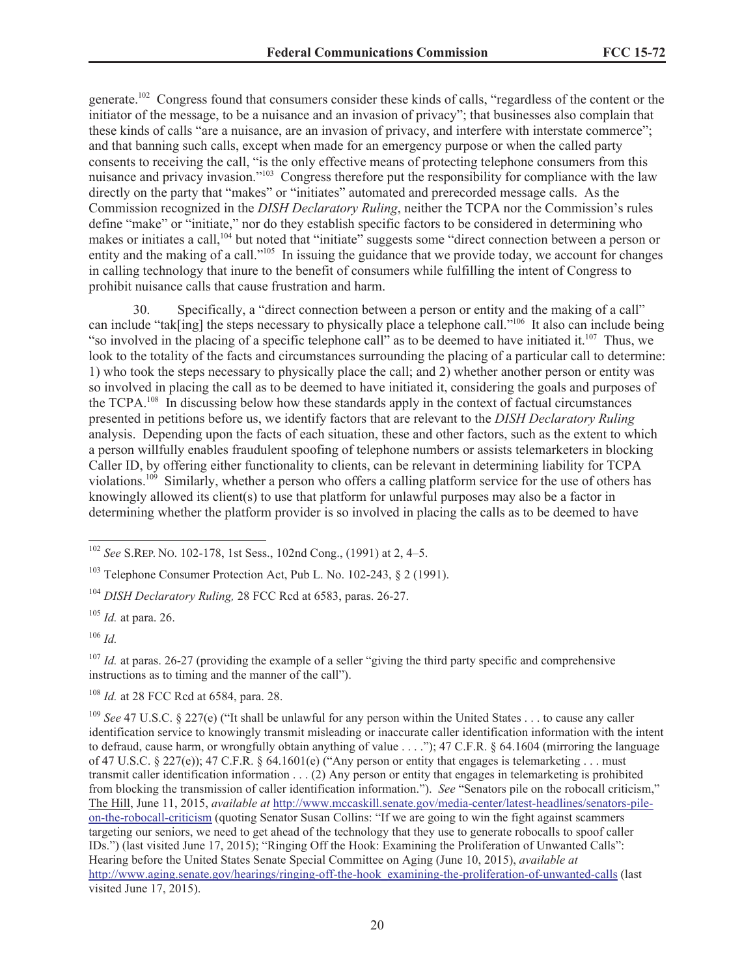generate.<sup>102</sup> Congress found that consumers consider these kinds of calls, "regardless of the content or the initiator of the message, to be a nuisance and an invasion of privacy"; that businesses also complain that these kinds of calls "are a nuisance, are an invasion of privacy, and interfere with interstate commerce"; and that banning such calls, except when made for an emergency purpose or when the called party consents to receiving the call, "is the only effective means of protecting telephone consumers from this nuisance and privacy invasion."<sup>103</sup> Congress therefore put the responsibility for compliance with the law directly on the party that "makes" or "initiates" automated and prerecorded message calls. As the Commission recognized in the *DISH Declaratory Ruling*, neither the TCPA nor the Commission's rules define "make" or "initiate," nor do they establish specific factors to be considered in determining who makes or initiates a call,<sup>104</sup> but noted that "initiate" suggests some "direct connection between a person or entity and the making of a call."<sup>105</sup> In issuing the guidance that we provide today, we account for changes in calling technology that inure to the benefit of consumers while fulfilling the intent of Congress to prohibit nuisance calls that cause frustration and harm.

30. Specifically, a "direct connection between a person or entity and the making of a call" can include "tak[ing] the steps necessary to physically place a telephone call."<sup>106</sup> It also can include being "so involved in the placing of a specific telephone call" as to be deemed to have initiated it.<sup>107</sup> Thus, we look to the totality of the facts and circumstances surrounding the placing of a particular call to determine: 1) who took the steps necessary to physically place the call; and 2) whether another person or entity was so involved in placing the call as to be deemed to have initiated it, considering the goals and purposes of the TCPA.<sup>108</sup> In discussing below how these standards apply in the context of factual circumstances presented in petitions before us, we identify factors that are relevant to the *DISH Declaratory Ruling* analysis. Depending upon the facts of each situation, these and other factors, such as the extent to which a person willfully enables fraudulent spoofing of telephone numbers or assists telemarketers in blocking Caller ID, by offering either functionality to clients, can be relevant in determining liability for TCPA violations.<sup>109</sup> Similarly, whether a person who offers a calling platform service for the use of others has knowingly allowed its client(s) to use that platform for unlawful purposes may also be a factor in determining whether the platform provider is so involved in placing the calls as to be deemed to have

<sup>107</sup> *Id.* at paras. 26-27 (providing the example of a seller "giving the third party specific and comprehensive instructions as to timing and the manner of the call").

<sup>102</sup> *See* S.REP. NO. 102-178, 1st Sess., 102nd Cong., (1991) at 2, 4–5.

 $103$  Telephone Consumer Protection Act. Pub L. No. 102-243,  $82(1991)$ .

<sup>104</sup> *DISH Declaratory Ruling,* 28 FCC Rcd at 6583, paras. 26-27.

<sup>105</sup> *Id.* at para. 26.

<sup>106</sup> *Id.*

<sup>108</sup> *Id.* at 28 FCC Rcd at 6584, para. 28.

<sup>109</sup> *See* 47 U.S.C. § 227(e) ("It shall be unlawful for any person within the United States . . . to cause any caller identification service to knowingly transmit misleading or inaccurate caller identification information with the intent to defraud, cause harm, or wrongfully obtain anything of value . . . ."); 47 C.F.R. § 64.1604 (mirroring the language of 47 U.S.C. § 227(e)); 47 C.F.R. § 64.1601(e) ("Any person or entity that engages is telemarketing . . . must transmit caller identification information . . . (2) Any person or entity that engages in telemarketing is prohibited from blocking the transmission of caller identification information."). *See* "Senators pile on the robocall criticism," The Hill, June 11, 2015, *available at* http://www.mccaskill.senate.gov/media-center/latest-headlines/senators-pileon-the-robocall-criticism (quoting Senator Susan Collins: "If we are going to win the fight against scammers targeting our seniors, we need to get ahead of the technology that they use to generate robocalls to spoof caller IDs.") (last visited June 17, 2015); "Ringing Off the Hook: Examining the Proliferation of Unwanted Calls": Hearing before the United States Senate Special Committee on Aging (June 10, 2015), *available at* http://www.aging.senate.gov/hearings/ringing-off-the-hook\_examining-the-proliferation-of-unwanted-calls (last visited June 17, 2015).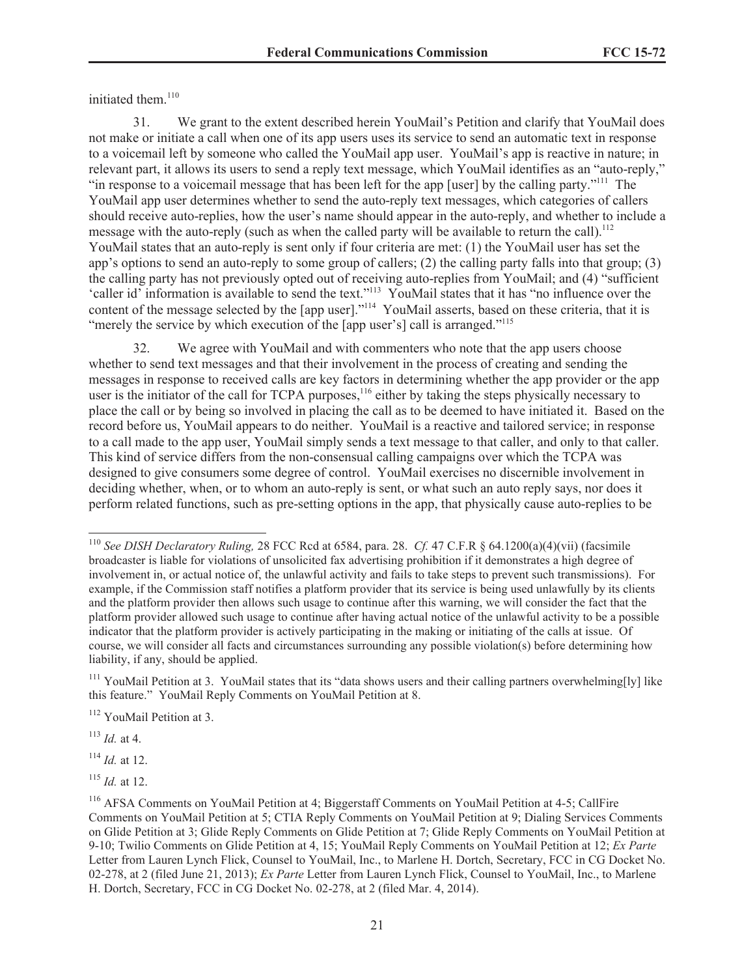initiated them.<sup>110</sup>

31. We grant to the extent described herein YouMail's Petition and clarify that YouMail does not make or initiate a call when one of its app users uses its service to send an automatic text in response to a voicemail left by someone who called the YouMail app user. YouMail's app is reactive in nature; in relevant part, it allows its users to send a reply text message, which YouMail identifies as an "auto-reply," "in response to a voicemail message that has been left for the app [user] by the calling party."<sup>111</sup> The YouMail app user determines whether to send the auto-reply text messages, which categories of callers should receive auto-replies, how the user's name should appear in the auto-reply, and whether to include a message with the auto-reply (such as when the called party will be available to return the call).<sup>112</sup> YouMail states that an auto-reply is sent only if four criteria are met: (1) the YouMail user has set the app's options to send an auto-reply to some group of callers; (2) the calling party falls into that group; (3) the calling party has not previously opted out of receiving auto-replies from YouMail; and (4) "sufficient 'caller id' information is available to send the text."<sup>113</sup> YouMail states that it has "no influence over the content of the message selected by the [app user]."<sup>114</sup> YouMail asserts, based on these criteria, that it is "merely the service by which execution of the [app user's] call is arranged."<sup>115</sup>

32. We agree with YouMail and with commenters who note that the app users choose whether to send text messages and that their involvement in the process of creating and sending the messages in response to received calls are key factors in determining whether the app provider or the app user is the initiator of the call for TCPA purposes,<sup>116</sup> either by taking the steps physically necessary to place the call or by being so involved in placing the call as to be deemed to have initiated it. Based on the record before us, YouMail appears to do neither. YouMail is a reactive and tailored service; in response to a call made to the app user, YouMail simply sends a text message to that caller, and only to that caller. This kind of service differs from the non-consensual calling campaigns over which the TCPA was designed to give consumers some degree of control. YouMail exercises no discernible involvement in deciding whether, when, or to whom an auto-reply is sent, or what such an auto reply says, nor does it perform related functions, such as pre-setting options in the app, that physically cause auto-replies to be

<sup>113</sup> *Id.* at 4.

<sup>114</sup> *Id.* at 12.

<sup>115</sup> *Id.* at 12.

<sup>110</sup> *See DISH Declaratory Ruling,* 28 FCC Rcd at 6584, para. 28. *Cf.* 47 C.F.R § 64.1200(a)(4)(vii) (facsimile broadcaster is liable for violations of unsolicited fax advertising prohibition if it demonstrates a high degree of involvement in, or actual notice of, the unlawful activity and fails to take steps to prevent such transmissions). For example, if the Commission staff notifies a platform provider that its service is being used unlawfully by its clients and the platform provider then allows such usage to continue after this warning, we will consider the fact that the platform provider allowed such usage to continue after having actual notice of the unlawful activity to be a possible indicator that the platform provider is actively participating in the making or initiating of the calls at issue. Of course, we will consider all facts and circumstances surrounding any possible violation(s) before determining how liability, if any, should be applied.

<sup>&</sup>lt;sup>111</sup> YouMail Petition at 3. YouMail states that its "data shows users and their calling partners overwhelming[ly] like this feature." YouMail Reply Comments on YouMail Petition at 8.

<sup>112</sup> YouMail Petition at 3.

<sup>116</sup> AFSA Comments on YouMail Petition at 4; Biggerstaff Comments on YouMail Petition at 4-5; CallFire Comments on YouMail Petition at 5; CTIA Reply Comments on YouMail Petition at 9; Dialing Services Comments on Glide Petition at 3; Glide Reply Comments on Glide Petition at 7; Glide Reply Comments on YouMail Petition at 9-10; Twilio Comments on Glide Petition at 4, 15; YouMail Reply Comments on YouMail Petition at 12; *Ex Parte* Letter from Lauren Lynch Flick, Counsel to YouMail, Inc., to Marlene H. Dortch, Secretary, FCC in CG Docket No. 02-278, at 2 (filed June 21, 2013); *Ex Parte* Letter from Lauren Lynch Flick, Counsel to YouMail, Inc., to Marlene H. Dortch, Secretary, FCC in CG Docket No. 02-278, at 2 (filed Mar. 4, 2014).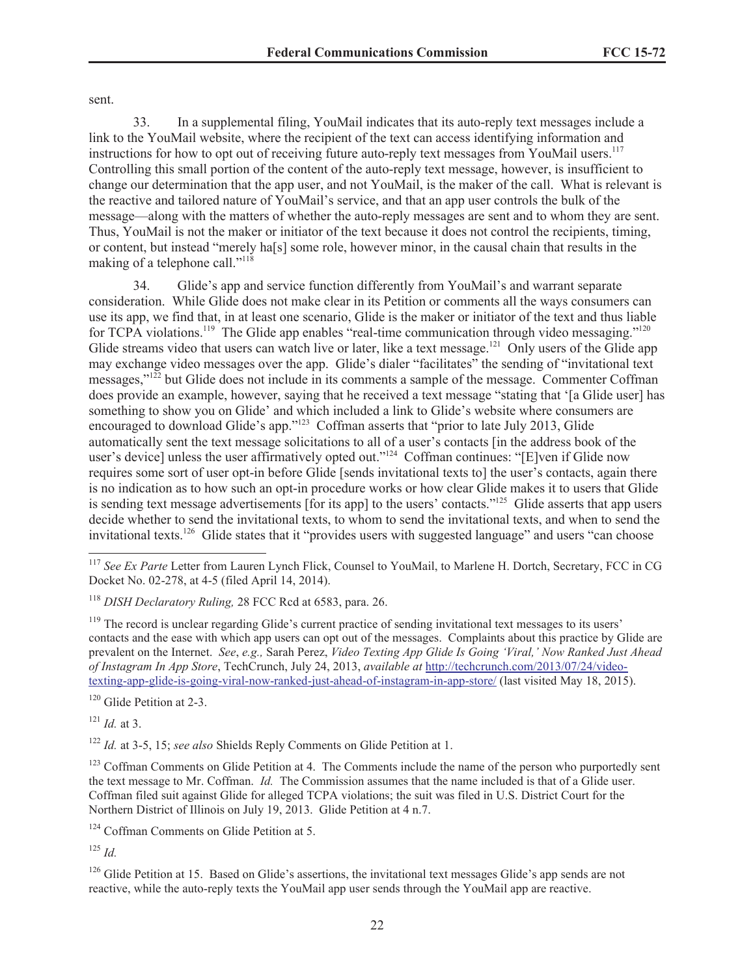sent.

33. In a supplemental filing, YouMail indicates that its auto-reply text messages include a link to the YouMail website, where the recipient of the text can access identifying information and instructions for how to opt out of receiving future auto-reply text messages from YouMail users.<sup>117</sup> Controlling this small portion of the content of the auto-reply text message, however, is insufficient to change our determination that the app user, and not YouMail, is the maker of the call. What is relevant is the reactive and tailored nature of YouMail's service, and that an app user controls the bulk of the message—along with the matters of whether the auto-reply messages are sent and to whom they are sent. Thus, YouMail is not the maker or initiator of the text because it does not control the recipients, timing, or content, but instead "merely ha[s] some role, however minor, in the causal chain that results in the making of a telephone call."<sup>118</sup>

34. Glide's app and service function differently from YouMail's and warrant separate consideration. While Glide does not make clear in its Petition or comments all the ways consumers can use its app, we find that, in at least one scenario, Glide is the maker or initiator of the text and thus liable for TCPA violations.<sup>119</sup> The Glide app enables "real-time communication through video messaging."<sup>120</sup> Glide streams video that users can watch live or later, like a text message.<sup>121</sup> Only users of the Glide app may exchange video messages over the app. Glide's dialer "facilitates" the sending of "invitational text messages,"<sup>122</sup> but Glide does not include in its comments a sample of the message. Commenter Coffman does provide an example, however, saying that he received a text message "stating that '[a Glide user] has something to show you on Glide' and which included a link to Glide's website where consumers are encouraged to download Glide's app."<sup>123</sup> Coffman asserts that "prior to late July 2013, Glide automatically sent the text message solicitations to all of a user's contacts [in the address book of the user's device] unless the user affirmatively opted out."<sup>124</sup> Coffman continues: "[E]ven if Glide now requires some sort of user opt-in before Glide [sends invitational texts to] the user's contacts, again there is no indication as to how such an opt-in procedure works or how clear Glide makes it to users that Glide is sending text message advertisements [for its app] to the users' contacts."<sup>125</sup> Glide asserts that app users decide whether to send the invitational texts, to whom to send the invitational texts, and when to send the invitational texts.<sup>126</sup> Glide states that it "provides users with suggested language" and users "can choose

<sup>119</sup> The record is unclear regarding Glide's current practice of sending invitational text messages to its users' contacts and the ease with which app users can opt out of the messages. Complaints about this practice by Glide are prevalent on the Internet. *See*, *e.g.,* Sarah Perez, *Video Texting App Glide Is Going 'Viral,' Now Ranked Just Ahead of Instagram In App Store*, TechCrunch, July 24, 2013, *available at* http://techcrunch.com/2013/07/24/videotexting-app-glide-is-going-viral-now-ranked-just-ahead-of-instagram-in-app-store/ (last visited May 18, 2015).

<sup>120</sup> Glide Petition at 2-3.

<sup>121</sup> *Id.* at 3.

<sup>122</sup> *Id.* at 3-5, 15; *see also* Shields Reply Comments on Glide Petition at 1.

<sup>123</sup> Coffman Comments on Glide Petition at 4. The Comments include the name of the person who purportedly sent the text message to Mr. Coffman. *Id.* The Commission assumes that the name included is that of a Glide user. Coffman filed suit against Glide for alleged TCPA violations; the suit was filed in U.S. District Court for the Northern District of Illinois on July 19, 2013. Glide Petition at 4 n.7.

<sup>124</sup> Coffman Comments on Glide Petition at 5.

<sup>125</sup> *Id.*

<sup>&</sup>lt;sup>117</sup> See Ex Parte Letter from Lauren Lynch Flick, Counsel to YouMail, to Marlene H. Dortch, Secretary, FCC in CG Docket No. 02-278, at 4-5 (filed April 14, 2014).

<sup>118</sup> *DISH Declaratory Ruling,* 28 FCC Rcd at 6583, para. 26.

<sup>&</sup>lt;sup>126</sup> Glide Petition at 15. Based on Glide's assertions, the invitational text messages Glide's app sends are not reactive, while the auto-reply texts the YouMail app user sends through the YouMail app are reactive.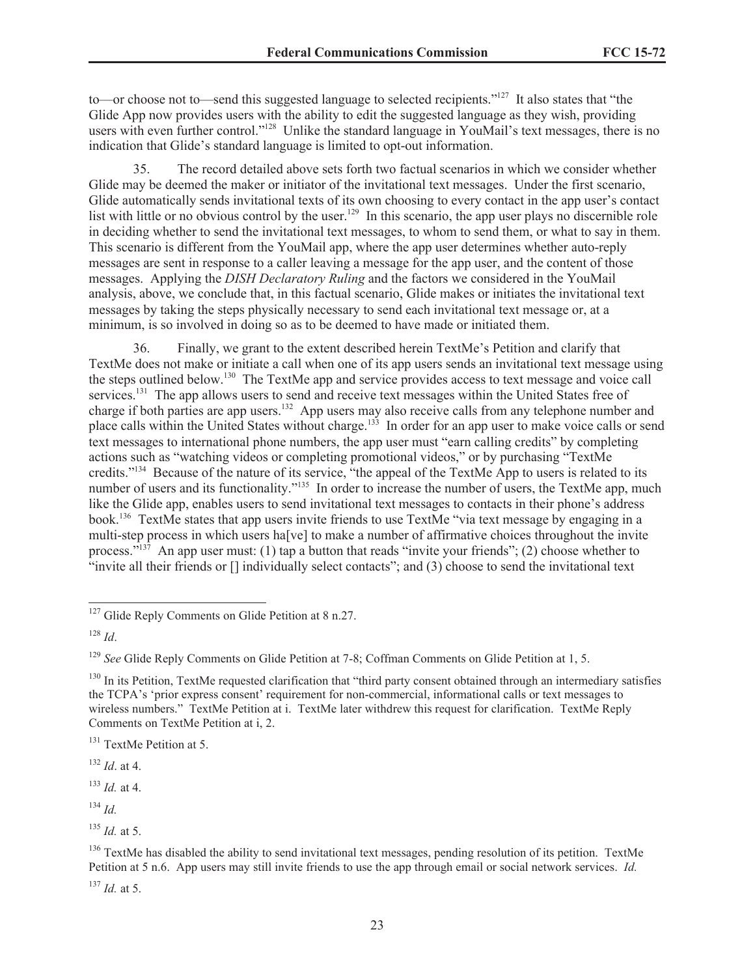to—or choose not to—send this suggested language to selected recipients."<sup>127</sup> It also states that "the Glide App now provides users with the ability to edit the suggested language as they wish, providing users with even further control."<sup>128</sup> Unlike the standard language in YouMail's text messages, there is no indication that Glide's standard language is limited to opt-out information.

35. The record detailed above sets forth two factual scenarios in which we consider whether Glide may be deemed the maker or initiator of the invitational text messages. Under the first scenario, Glide automatically sends invitational texts of its own choosing to every contact in the app user's contact list with little or no obvious control by the user.<sup>129</sup> In this scenario, the app user plays no discernible role in deciding whether to send the invitational text messages, to whom to send them, or what to say in them. This scenario is different from the YouMail app, where the app user determines whether auto-reply messages are sent in response to a caller leaving a message for the app user, and the content of those messages. Applying the *DISH Declaratory Ruling* and the factors we considered in the YouMail analysis, above, we conclude that, in this factual scenario, Glide makes or initiates the invitational text messages by taking the steps physically necessary to send each invitational text message or, at a minimum, is so involved in doing so as to be deemed to have made or initiated them.

36. Finally, we grant to the extent described herein TextMe's Petition and clarify that TextMe does not make or initiate a call when one of its app users sends an invitational text message using the steps outlined below.<sup>130</sup> The TextMe app and service provides access to text message and voice call services.<sup>131</sup> The app allows users to send and receive text messages within the United States free of charge if both parties are app users.<sup>132</sup> App users may also receive calls from any telephone number and place calls within the United States without charge.<sup>133</sup> In order for an app user to make voice calls or send text messages to international phone numbers, the app user must "earn calling credits" by completing actions such as "watching videos or completing promotional videos," or by purchasing "TextMe credits."<sup>134</sup> Because of the nature of its service, "the appeal of the TextMe App to users is related to its number of users and its functionality."<sup>135</sup> In order to increase the number of users, the TextMe app, much like the Glide app, enables users to send invitational text messages to contacts in their phone's address book.<sup>136</sup> TextMe states that app users invite friends to use TextMe "via text message by engaging in a multi-step process in which users ha[ve] to make a number of affirmative choices throughout the invite process." $^{137}$  An app user must: (1) tap a button that reads "invite your friends"; (2) choose whether to "invite all their friends or [] individually select contacts"; and (3) choose to send the invitational text

<sup>132</sup> *Id*. at 4.

<sup>133</sup> *Id.* at 4.

<sup>134</sup> *Id.*

<sup>137</sup> *Id.* at 5.

<sup>&</sup>lt;sup>127</sup> Glide Reply Comments on Glide Petition at 8 n.27.

<sup>128</sup> *Id*.

<sup>&</sup>lt;sup>129</sup> *See* Glide Reply Comments on Glide Petition at 7-8; Coffman Comments on Glide Petition at 1, 5.

 $130$  In its Petition, TextMe requested clarification that "third party consent obtained through an intermediary satisfies the TCPA's 'prior express consent' requirement for non-commercial, informational calls or text messages to wireless numbers." TextMe Petition at i. TextMe later withdrew this request for clarification. TextMe Reply Comments on TextMe Petition at i, 2.

<sup>&</sup>lt;sup>131</sup> TextMe Petition at 5.

<sup>135</sup> *Id.* at 5.

<sup>&</sup>lt;sup>136</sup> TextMe has disabled the ability to send invitational text messages, pending resolution of its petition. TextMe Petition at 5 n.6. App users may still invite friends to use the app through email or social network services. *Id.*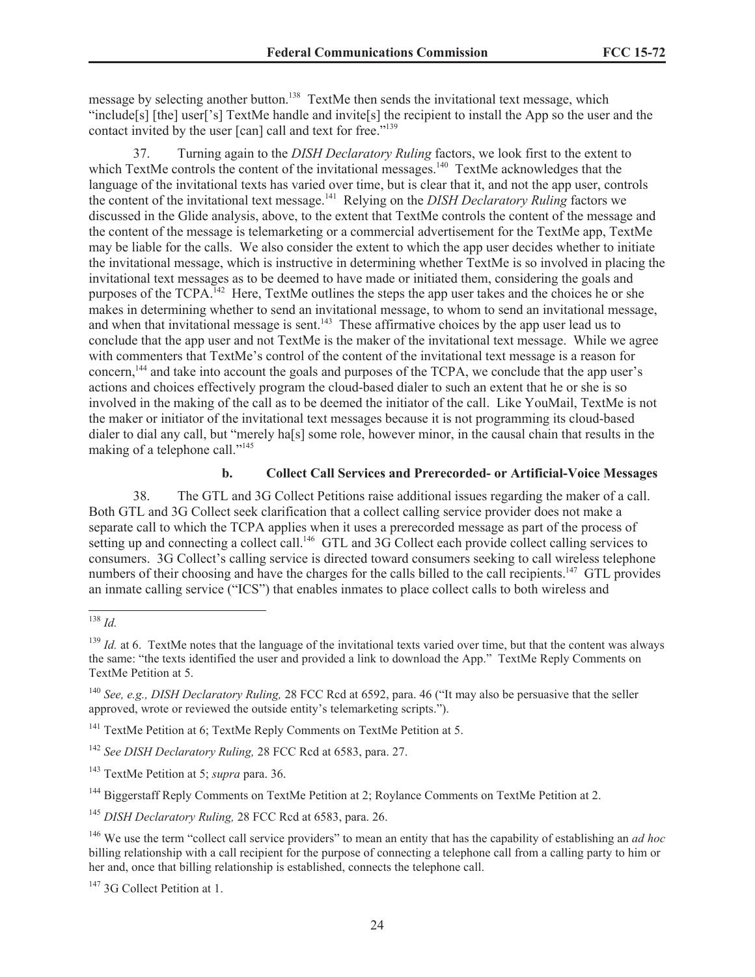message by selecting another button.<sup>138</sup> TextMe then sends the invitational text message, which "include[s] [the] user['s] TextMe handle and invite[s] the recipient to install the App so the user and the contact invited by the user [can] call and text for free."<sup>139</sup>

37. Turning again to the *DISH Declaratory Ruling* factors, we look first to the extent to which TextMe controls the content of the invitational messages.<sup>140</sup> TextMe acknowledges that the language of the invitational texts has varied over time, but is clear that it, and not the app user, controls the content of the invitational text message.<sup>141</sup> Relying on the *DISH Declaratory Ruling* factors we discussed in the Glide analysis, above, to the extent that TextMe controls the content of the message and the content of the message is telemarketing or a commercial advertisement for the TextMe app, TextMe may be liable for the calls. We also consider the extent to which the app user decides whether to initiate the invitational message, which is instructive in determining whether TextMe is so involved in placing the invitational text messages as to be deemed to have made or initiated them, considering the goals and purposes of the TCPA.<sup>142</sup> Here, TextMe outlines the steps the app user takes and the choices he or she makes in determining whether to send an invitational message, to whom to send an invitational message, and when that invitational message is sent.<sup>143</sup> These affirmative choices by the app user lead us to conclude that the app user and not TextMe is the maker of the invitational text message. While we agree with commenters that TextMe's control of the content of the invitational text message is a reason for concern,<sup>144</sup> and take into account the goals and purposes of the TCPA, we conclude that the app user's actions and choices effectively program the cloud-based dialer to such an extent that he or she is so involved in the making of the call as to be deemed the initiator of the call. Like YouMail, TextMe is not the maker or initiator of the invitational text messages because it is not programming its cloud-based dialer to dial any call, but "merely ha[s] some role, however minor, in the causal chain that results in the making of a telephone call."<sup>145</sup>

### **b. Collect Call Services and Prerecorded- or Artificial-Voice Messages**

38. The GTL and 3G Collect Petitions raise additional issues regarding the maker of a call. Both GTL and 3G Collect seek clarification that a collect calling service provider does not make a separate call to which the TCPA applies when it uses a prerecorded message as part of the process of setting up and connecting a collect call.<sup>146</sup> GTL and 3G Collect each provide collect calling services to consumers. 3G Collect's calling service is directed toward consumers seeking to call wireless telephone numbers of their choosing and have the charges for the calls billed to the call recipients.<sup>147</sup> GTL provides an inmate calling service ("ICS") that enables inmates to place collect calls to both wireless and

<sup>138</sup> *Id.*

 $139$  *Id.* at 6. TextMe notes that the language of the invitational texts varied over time, but that the content was always the same: "the texts identified the user and provided a link to download the App." TextMe Reply Comments on TextMe Petition at 5.

<sup>140</sup> *See, e.g., DISH Declaratory Ruling,* 28 FCC Rcd at 6592, para. 46 ("It may also be persuasive that the seller approved, wrote or reviewed the outside entity's telemarketing scripts.").

<sup>&</sup>lt;sup>141</sup> TextMe Petition at 6; TextMe Reply Comments on TextMe Petition at 5.

<sup>142</sup> *See DISH Declaratory Ruling,* 28 FCC Rcd at 6583, para. 27.

<sup>143</sup> TextMe Petition at 5; *supra* para. 36.

<sup>&</sup>lt;sup>144</sup> Biggerstaff Reply Comments on TextMe Petition at 2; Roylance Comments on TextMe Petition at 2.

<sup>145</sup> *DISH Declaratory Ruling,* 28 FCC Rcd at 6583, para. 26.

<sup>146</sup> We use the term "collect call service providers" to mean an entity that has the capability of establishing an *ad hoc* billing relationship with a call recipient for the purpose of connecting a telephone call from a calling party to him or her and, once that billing relationship is established, connects the telephone call.

<sup>&</sup>lt;sup>147</sup> 3G Collect Petition at 1.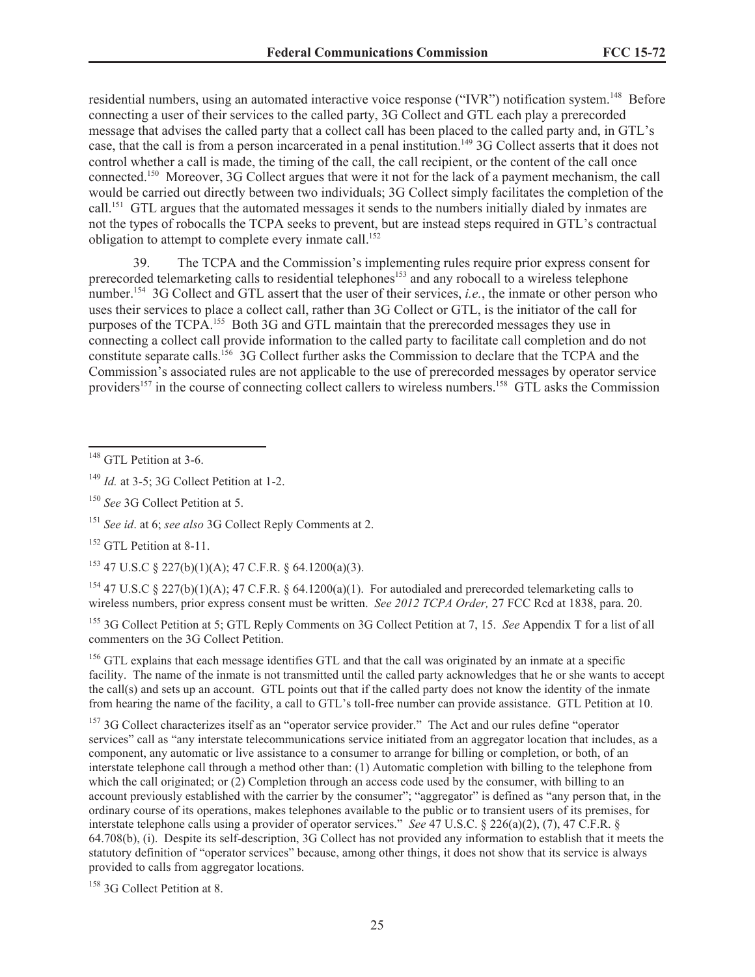residential numbers, using an automated interactive voice response ("IVR") notification system.<sup>148</sup> Before connecting a user of their services to the called party, 3G Collect and GTL each play a prerecorded message that advises the called party that a collect call has been placed to the called party and, in GTL's case, that the call is from a person incarcerated in a penal institution.<sup>149</sup> 3G Collect asserts that it does not control whether a call is made, the timing of the call, the call recipient, or the content of the call once connected.<sup>150</sup> Moreover, 3G Collect argues that were it not for the lack of a payment mechanism, the call would be carried out directly between two individuals; 3G Collect simply facilitates the completion of the call.<sup>151</sup> GTL argues that the automated messages it sends to the numbers initially dialed by inmates are not the types of robocalls the TCPA seeks to prevent, but are instead steps required in GTL's contractual obligation to attempt to complete every inmate call.<sup>152</sup>

39. The TCPA and the Commission's implementing rules require prior express consent for prerecorded telemarketing calls to residential telephones<sup>153</sup> and any robocall to a wireless telephone number.<sup>154</sup> 3G Collect and GTL assert that the user of their services, *i.e.*, the inmate or other person who uses their services to place a collect call, rather than 3G Collect or GTL, is the initiator of the call for purposes of the TCPA.<sup>155</sup> Both 3G and GTL maintain that the prerecorded messages they use in connecting a collect call provide information to the called party to facilitate call completion and do not constitute separate calls.<sup>156</sup> 3G Collect further asks the Commission to declare that the TCPA and the Commission's associated rules are not applicable to the use of prerecorded messages by operator service providers<sup>157</sup> in the course of connecting collect callers to wireless numbers.<sup>158</sup> GTL asks the Commission

 $153$  47 U.S.C § 227(b)(1)(A); 47 C.F.R. § 64.1200(a)(3).

<sup>154</sup> 47 U.S.C § 227(b)(1)(A); 47 C.F.R. § 64.1200(a)(1). For autodialed and prerecorded telemarketing calls to wireless numbers, prior express consent must be written. *See 2012 TCPA Order,* 27 FCC Rcd at 1838, para. 20.

<sup>155</sup> 3G Collect Petition at 5; GTL Reply Comments on 3G Collect Petition at 7, 15. *See* Appendix T for a list of all commenters on the 3G Collect Petition.

<sup>156</sup> GTL explains that each message identifies GTL and that the call was originated by an inmate at a specific facility. The name of the inmate is not transmitted until the called party acknowledges that he or she wants to accept the call(s) and sets up an account. GTL points out that if the called party does not know the identity of the inmate from hearing the name of the facility, a call to GTL's toll-free number can provide assistance. GTL Petition at 10.

<sup>157</sup> 3G Collect characterizes itself as an "operator service provider." The Act and our rules define "operator services" call as "any interstate telecommunications service initiated from an aggregator location that includes, as a component, any automatic or live assistance to a consumer to arrange for billing or completion, or both, of an interstate telephone call through a method other than: (1) Automatic completion with billing to the telephone from which the call originated; or (2) Completion through an access code used by the consumer, with billing to an account previously established with the carrier by the consumer"; "aggregator" is defined as "any person that, in the ordinary course of its operations, makes telephones available to the public or to transient users of its premises, for interstate telephone calls using a provider of operator services." *See* 47 U.S.C. § 226(a)(2), (7), 47 C.F.R. § 64.708(b), (i). Despite its self-description, 3G Collect has not provided any information to establish that it meets the statutory definition of "operator services" because, among other things, it does not show that its service is always provided to calls from aggregator locations.

<sup>158</sup> 3G Collect Petition at 8.

 $148$  GTL Petition at 3-6.

<sup>149</sup> *Id.* at 3-5; 3G Collect Petition at 1-2.

<sup>150</sup> *See* 3G Collect Petition at 5.

<sup>151</sup> *See id*. at 6; *see also* 3G Collect Reply Comments at 2.

<sup>&</sup>lt;sup>152</sup> GTL Petition at 8-11.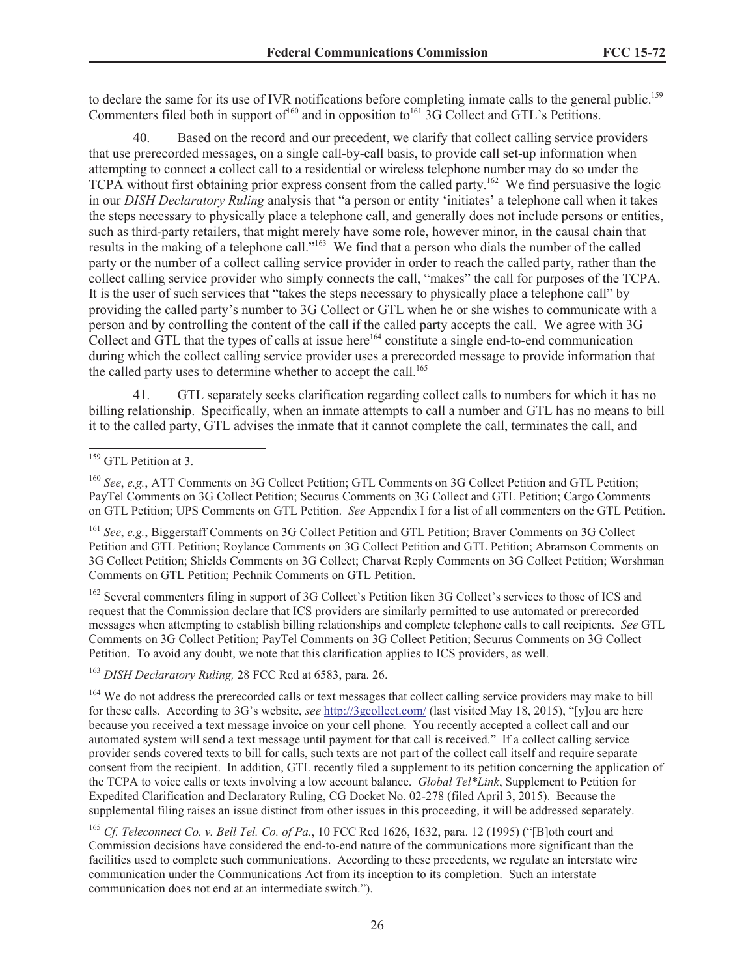to declare the same for its use of IVR notifications before completing inmate calls to the general public.<sup>159</sup> Commenters filed both in support of<sup>160</sup> and in opposition to<sup>161</sup> 3G Collect and GTL's Petitions.

40. Based on the record and our precedent, we clarify that collect calling service providers that use prerecorded messages, on a single call-by-call basis, to provide call set-up information when attempting to connect a collect call to a residential or wireless telephone number may do so under the TCPA without first obtaining prior express consent from the called party.<sup>162</sup> We find persuasive the logic in our *DISH Declaratory Ruling* analysis that "a person or entity 'initiates' a telephone call when it takes the steps necessary to physically place a telephone call, and generally does not include persons or entities, such as third-party retailers, that might merely have some role, however minor, in the causal chain that results in the making of a telephone call."<sup>163</sup> We find that a person who dials the number of the called party or the number of a collect calling service provider in order to reach the called party, rather than the collect calling service provider who simply connects the call, "makes" the call for purposes of the TCPA. It is the user of such services that "takes the steps necessary to physically place a telephone call" by providing the called party's number to 3G Collect or GTL when he or she wishes to communicate with a person and by controlling the content of the call if the called party accepts the call. We agree with 3G Collect and GTL that the types of calls at issue here<sup>164</sup> constitute a single end-to-end communication during which the collect calling service provider uses a prerecorded message to provide information that the called party uses to determine whether to accept the call.<sup>165</sup>

41. GTL separately seeks clarification regarding collect calls to numbers for which it has no billing relationship. Specifically, when an inmate attempts to call a number and GTL has no means to bill it to the called party, GTL advises the inmate that it cannot complete the call, terminates the call, and

<sup>160</sup> *See*, *e.g.*, ATT Comments on 3G Collect Petition; GTL Comments on 3G Collect Petition and GTL Petition; PayTel Comments on 3G Collect Petition; Securus Comments on 3G Collect and GTL Petition; Cargo Comments on GTL Petition; UPS Comments on GTL Petition. *See* Appendix I for a list of all commenters on the GTL Petition.

<sup>161</sup> *See*, *e.g.*, Biggerstaff Comments on 3G Collect Petition and GTL Petition; Braver Comments on 3G Collect Petition and GTL Petition; Roylance Comments on 3G Collect Petition and GTL Petition; Abramson Comments on 3G Collect Petition; Shields Comments on 3G Collect; Charvat Reply Comments on 3G Collect Petition; Worshman Comments on GTL Petition; Pechnik Comments on GTL Petition.

<sup>162</sup> Several commenters filing in support of 3G Collect's Petition liken 3G Collect's services to those of ICS and request that the Commission declare that ICS providers are similarly permitted to use automated or prerecorded messages when attempting to establish billing relationships and complete telephone calls to call recipients. *See* GTL Comments on 3G Collect Petition; PayTel Comments on 3G Collect Petition; Securus Comments on 3G Collect Petition. To avoid any doubt, we note that this clarification applies to ICS providers, as well.

<sup>163</sup> *DISH Declaratory Ruling,* 28 FCC Rcd at 6583, para. 26.

<sup>164</sup> We do not address the prerecorded calls or text messages that collect calling service providers may make to bill for these calls. According to 3G's website, *see* http://3gcollect.com/ (last visited May 18, 2015), "[y]ou are here because you received a text message invoice on your cell phone. You recently accepted a collect call and our automated system will send a text message until payment for that call is received." If a collect calling service provider sends covered texts to bill for calls, such texts are not part of the collect call itself and require separate consent from the recipient. In addition, GTL recently filed a supplement to its petition concerning the application of the TCPA to voice calls or texts involving a low account balance. *Global Tel\*Link*, Supplement to Petition for Expedited Clarification and Declaratory Ruling, CG Docket No. 02-278 (filed April 3, 2015). Because the supplemental filing raises an issue distinct from other issues in this proceeding, it will be addressed separately.

<sup>165</sup> *Cf. Teleconnect Co. v. Bell Tel. Co. of Pa.*, 10 FCC Rcd 1626, 1632, para. 12 (1995) ("[B]oth court and Commission decisions have considered the end-to-end nature of the communications more significant than the facilities used to complete such communications. According to these precedents, we regulate an interstate wire communication under the Communications Act from its inception to its completion. Such an interstate communication does not end at an intermediate switch.").

<sup>&</sup>lt;sup>159</sup> GTL Petition at 3.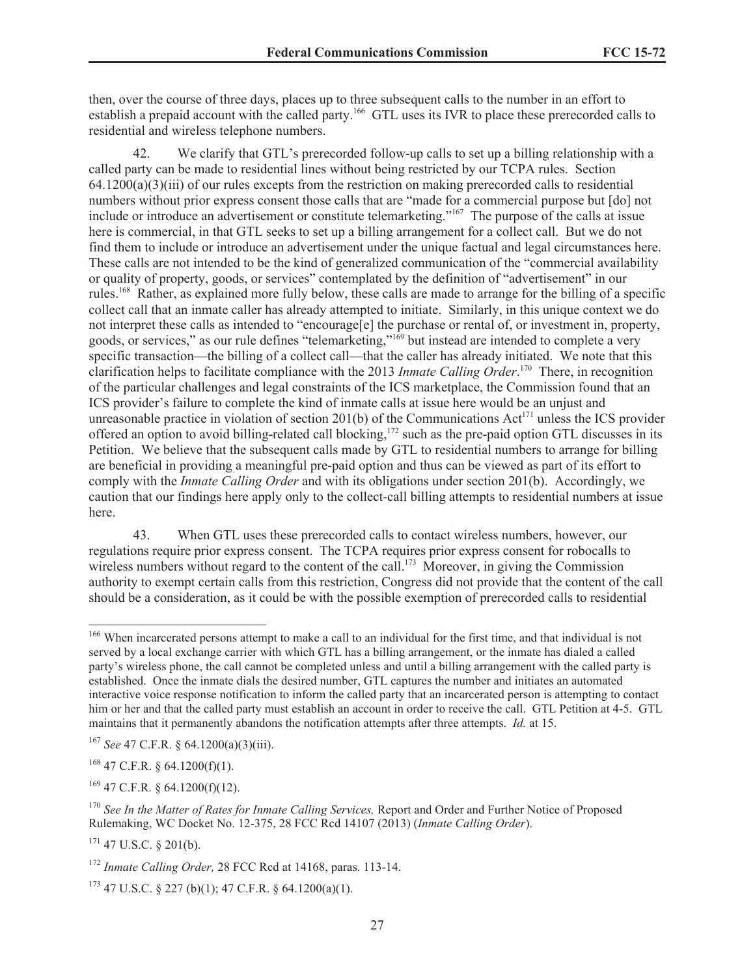then, over the course of three days, places up to three subsequent calls to the number in an effort to establish a prepaid account with the called party.<sup>166</sup> GTL uses its IVR to place these prerecorded calls to residential and wireless telephone numbers.

We clarify that GTL's prerecorded follow-up calls to set up a billing relationship with a called party can be made to residential lines without being restricted by our TCPA rules. Section  $64.1200(a)(3)(iii)$  of our rules excepts from the restriction on making prerecorded calls to residential numbers without prior express consent those calls that are "made for a commercial purpose but [do] not include or introduce an advertisement or constitute telemarketing."<sup>167</sup> The purpose of the calls at issue here is commercial, in that GTL seeks to set up a billing arrangement for a collect call. But we do not find them to include or introduce an advertisement under the unique factual and legal circumstances here. These calls are not intended to be the kind of generalized communication of the "commercial availability or quality of property, goods, or services" contemplated by the definition of "advertisement" in our rules.<sup>168</sup> Rather, as explained more fully below, these calls are made to arrange for the billing of a specific collect call that an inmate caller has already attempted to initiate. Similarly, in this unique context we do not interpret these calls as intended to "encourage[e] the purchase or rental of, or investment in, property, goods, or services," as our rule defines "telemarketing,"<sup>169</sup> but instead are intended to complete a very specific transaction—the billing of a collect call—that the caller has already initiated. We note that this clarification helps to facilitate compliance with the 2013 *Inmate Calling Order*. <sup>170</sup> There, in recognition of the particular challenges and legal constraints of the ICS marketplace, the Commission found that an ICS provider's failure to complete the kind of inmate calls at issue here would be an unjust and unreasonable practice in violation of section 201(b) of the Communications  $Act^{171}$  unless the ICS provider offered an option to avoid billing-related call blocking,<sup>172</sup> such as the pre-paid option GTL discusses in its Petition. We believe that the subsequent calls made by GTL to residential numbers to arrange for billing are beneficial in providing a meaningful pre-paid option and thus can be viewed as part of its effort to comply with the *Inmate Calling Order* and with its obligations under section 201(b). Accordingly, we caution that our findings here apply only to the collect-call billing attempts to residential numbers at issue here.

43. When GTL uses these prerecorded calls to contact wireless numbers, however, our regulations require prior express consent. The TCPA requires prior express consent for robocalls to wireless numbers without regard to the content of the call.<sup>173</sup> Moreover, in giving the Commission authority to exempt certain calls from this restriction, Congress did not provide that the content of the call should be a consideration, as it could be with the possible exemption of prerecorded calls to residential

 $169$  47 C.F.R. § 64.1200(f)(12).

<sup>&</sup>lt;sup>166</sup> When incarcerated persons attempt to make a call to an individual for the first time, and that individual is not served by a local exchange carrier with which GTL has a billing arrangement, or the inmate has dialed a called party's wireless phone, the call cannot be completed unless and until a billing arrangement with the called party is established. Once the inmate dials the desired number, GTL captures the number and initiates an automated interactive voice response notification to inform the called party that an incarcerated person is attempting to contact him or her and that the called party must establish an account in order to receive the call. GTL Petition at 4-5. GTL maintains that it permanently abandons the notification attempts after three attempts. *Id.* at 15.

<sup>167</sup> *See* 47 C.F.R. § 64.1200(a)(3)(iii).

 $168$  47 C.F.R. § 64.1200(f)(1).

<sup>170</sup> *See In the Matter of Rates for Inmate Calling Services,* Report and Order and Further Notice of Proposed Rulemaking, WC Docket No. 12-375, 28 FCC Rcd 14107 (2013) (*Inmate Calling Order*).

 $171$  47 U.S.C. § 201(b).

<sup>172</sup> *Inmate Calling Order,* 28 FCC Rcd at 14168, paras. 113-14.

 $173$  47 U.S.C. § 227 (b)(1); 47 C.F.R. § 64.1200(a)(1).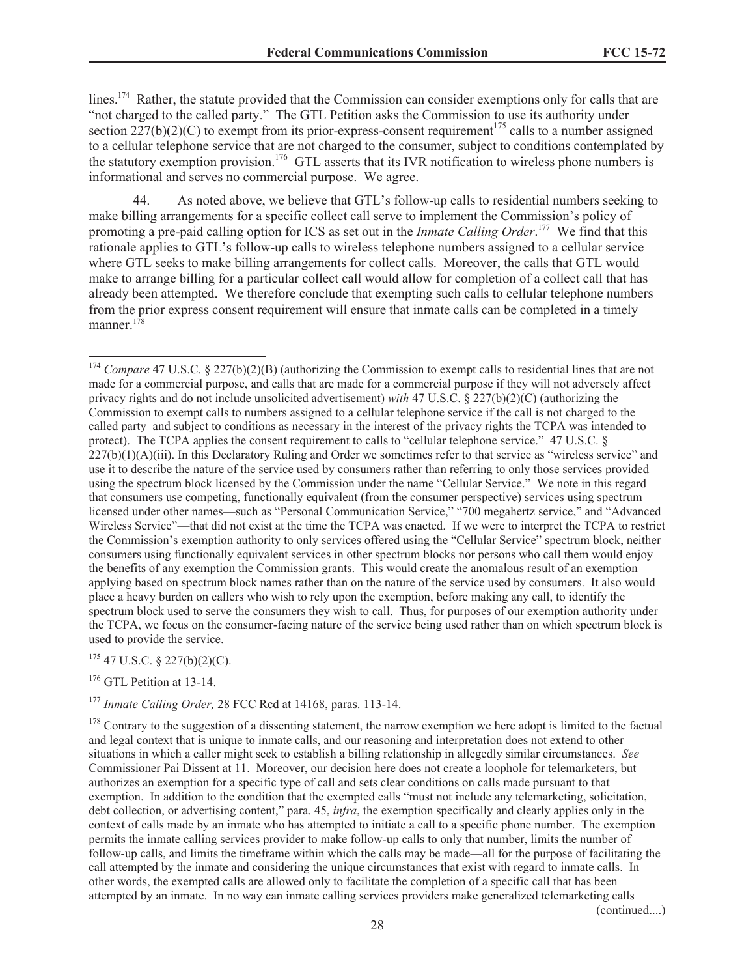lines.<sup>174</sup> Rather, the statute provided that the Commission can consider exemptions only for calls that are "not charged to the called party." The GTL Petition asks the Commission to use its authority under section  $227(b)(2)(C)$  to exempt from its prior-express-consent requirement<sup>175</sup> calls to a number assigned to a cellular telephone service that are not charged to the consumer, subject to conditions contemplated by the statutory exemption provision.<sup>176</sup> GTL asserts that its IVR notification to wireless phone numbers is informational and serves no commercial purpose. We agree.

44. As noted above, we believe that GTL's follow-up calls to residential numbers seeking to make billing arrangements for a specific collect call serve to implement the Commission's policy of promoting a pre-paid calling option for ICS as set out in the *Inmate Calling Order*. <sup>177</sup> We find that this rationale applies to GTL's follow-up calls to wireless telephone numbers assigned to a cellular service where GTL seeks to make billing arrangements for collect calls. Moreover, the calls that GTL would make to arrange billing for a particular collect call would allow for completion of a collect call that has already been attempted. We therefore conclude that exempting such calls to cellular telephone numbers from the prior express consent requirement will ensure that inmate calls can be completed in a timely manner. $1^{78}$ 

 $175$  47 U.S.C. § 227(b)(2)(C).

<sup>176</sup> GTL Petition at 13-14.

<sup>177</sup> *Inmate Calling Order,* 28 FCC Rcd at 14168, paras. 113-14.

(continued....)

<sup>&</sup>lt;sup>174</sup> *Compare* 47 U.S.C. § 227(b)(2)(B) (authorizing the Commission to exempt calls to residential lines that are not made for a commercial purpose, and calls that are made for a commercial purpose if they will not adversely affect privacy rights and do not include unsolicited advertisement) *with* 47 U.S.C. § 227(b)(2)(C) (authorizing the Commission to exempt calls to numbers assigned to a cellular telephone service if the call is not charged to the called party and subject to conditions as necessary in the interest of the privacy rights the TCPA was intended to protect). The TCPA applies the consent requirement to calls to "cellular telephone service." 47 U.S.C. §  $227(b)(1)(A)(iii)$ . In this Declaratory Ruling and Order we sometimes refer to that service as "wireless service" and use it to describe the nature of the service used by consumers rather than referring to only those services provided using the spectrum block licensed by the Commission under the name "Cellular Service." We note in this regard that consumers use competing, functionally equivalent (from the consumer perspective) services using spectrum licensed under other names—such as "Personal Communication Service," "700 megahertz service," and "Advanced Wireless Service"—that did not exist at the time the TCPA was enacted. If we were to interpret the TCPA to restrict the Commission's exemption authority to only services offered using the "Cellular Service" spectrum block, neither consumers using functionally equivalent services in other spectrum blocks nor persons who call them would enjoy the benefits of any exemption the Commission grants. This would create the anomalous result of an exemption applying based on spectrum block names rather than on the nature of the service used by consumers. It also would place a heavy burden on callers who wish to rely upon the exemption, before making any call, to identify the spectrum block used to serve the consumers they wish to call. Thus, for purposes of our exemption authority under the TCPA, we focus on the consumer-facing nature of the service being used rather than on which spectrum block is used to provide the service.

 $178$  Contrary to the suggestion of a dissenting statement, the narrow exemption we here adopt is limited to the factual and legal context that is unique to inmate calls, and our reasoning and interpretation does not extend to other situations in which a caller might seek to establish a billing relationship in allegedly similar circumstances. *See* Commissioner Pai Dissent at 11. Moreover, our decision here does not create a loophole for telemarketers, but authorizes an exemption for a specific type of call and sets clear conditions on calls made pursuant to that exemption. In addition to the condition that the exempted calls "must not include any telemarketing, solicitation, debt collection, or advertising content," para. 45, *infra*, the exemption specifically and clearly applies only in the context of calls made by an inmate who has attempted to initiate a call to a specific phone number. The exemption permits the inmate calling services provider to make follow-up calls to only that number, limits the number of follow-up calls, and limits the timeframe within which the calls may be made—all for the purpose of facilitating the call attempted by the inmate and considering the unique circumstances that exist with regard to inmate calls. In other words, the exempted calls are allowed only to facilitate the completion of a specific call that has been attempted by an inmate. In no way can inmate calling services providers make generalized telemarketing calls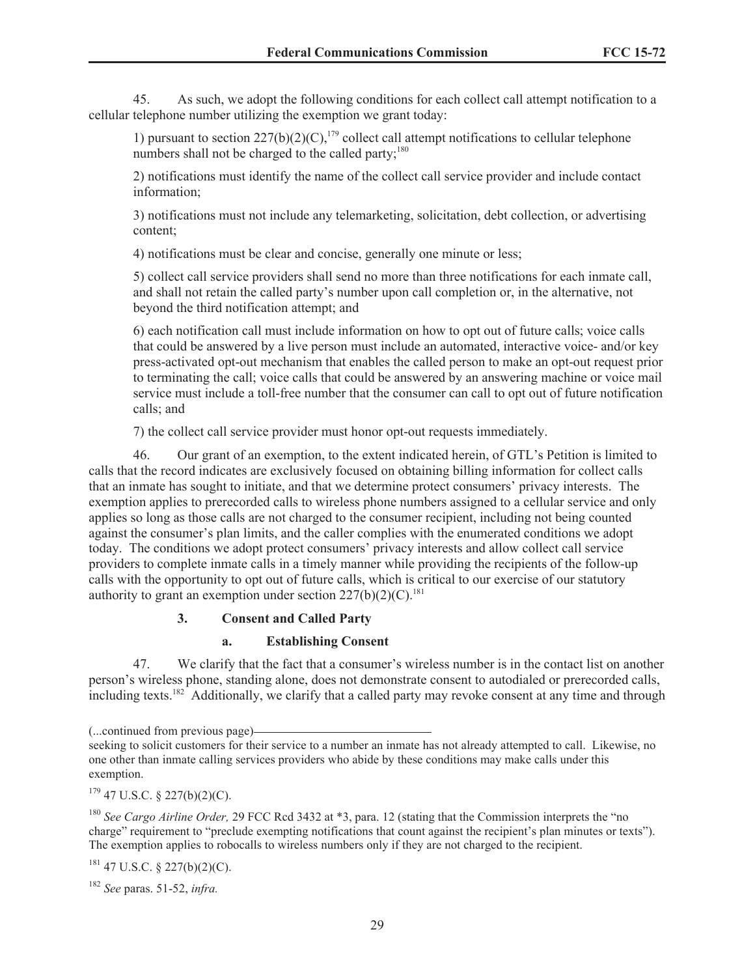45. As such, we adopt the following conditions for each collect call attempt notification to a cellular telephone number utilizing the exemption we grant today:

1) pursuant to section  $227(b)(2)(C)$ ,<sup>179</sup> collect call attempt notifications to cellular telephone numbers shall not be charged to the called party;<sup>180</sup>

2) notifications must identify the name of the collect call service provider and include contact information;

3) notifications must not include any telemarketing, solicitation, debt collection, or advertising content;

4) notifications must be clear and concise, generally one minute or less;

5) collect call service providers shall send no more than three notifications for each inmate call, and shall not retain the called party's number upon call completion or, in the alternative, not beyond the third notification attempt; and

6) each notification call must include information on how to opt out of future calls; voice calls that could be answered by a live person must include an automated, interactive voice- and/or key press-activated opt-out mechanism that enables the called person to make an opt-out request prior to terminating the call; voice calls that could be answered by an answering machine or voice mail service must include a toll-free number that the consumer can call to opt out of future notification calls; and

7) the collect call service provider must honor opt-out requests immediately.

46. Our grant of an exemption, to the extent indicated herein, of GTL's Petition is limited to calls that the record indicates are exclusively focused on obtaining billing information for collect calls that an inmate has sought to initiate, and that we determine protect consumers' privacy interests. The exemption applies to prerecorded calls to wireless phone numbers assigned to a cellular service and only applies so long as those calls are not charged to the consumer recipient, including not being counted against the consumer's plan limits, and the caller complies with the enumerated conditions we adopt today. The conditions we adopt protect consumers' privacy interests and allow collect call service providers to complete inmate calls in a timely manner while providing the recipients of the follow-up calls with the opportunity to opt out of future calls, which is critical to our exercise of our statutory authority to grant an exemption under section  $227(b)(2)(C)^{181}$ .

# **3. Consent and Called Party**

# **a. Establishing Consent**

47. We clarify that the fact that a consumer's wireless number is in the contact list on another person's wireless phone, standing alone, does not demonstrate consent to autodialed or prerecorded calls, including texts.<sup>182</sup> Additionally, we clarify that a called party may revoke consent at any time and through

 $181$  47 U.S.C. § 227(b)(2)(C).

<sup>(...</sup>continued from previous page)

seeking to solicit customers for their service to a number an inmate has not already attempted to call. Likewise, no one other than inmate calling services providers who abide by these conditions may make calls under this exemption.

 $179$  47 U.S.C. § 227(b)(2)(C).

<sup>180</sup> *See Cargo Airline Order,* 29 FCC Rcd 3432 at \*3, para. 12 (stating that the Commission interprets the "no charge" requirement to "preclude exempting notifications that count against the recipient's plan minutes or texts"). The exemption applies to robocalls to wireless numbers only if they are not charged to the recipient.

<sup>182</sup> *See* paras. 51-52, *infra.*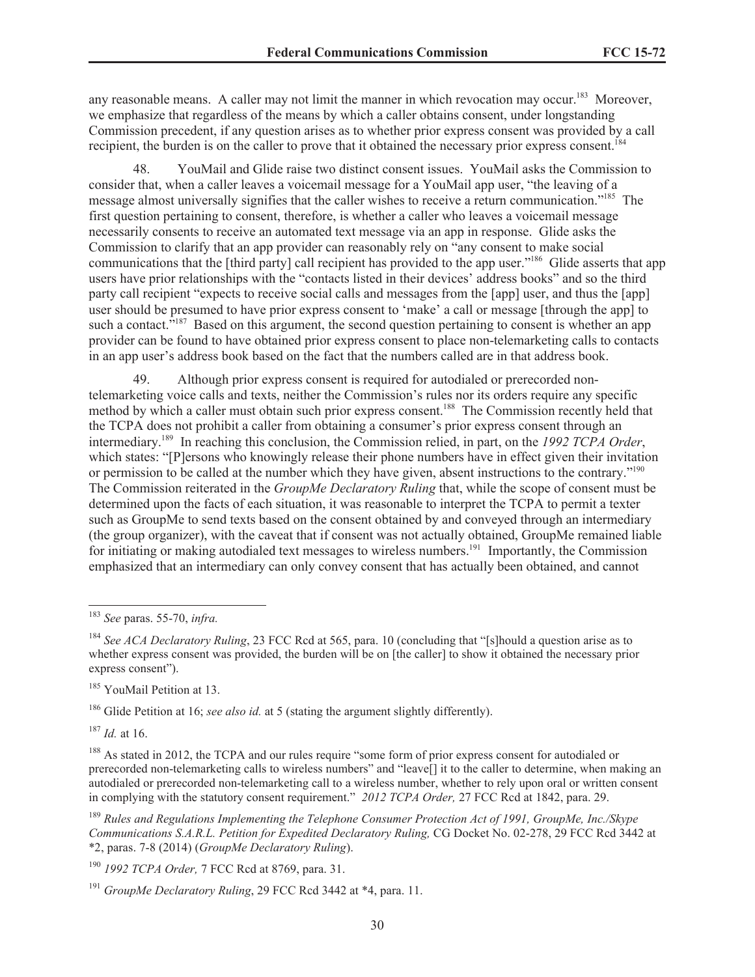any reasonable means. A caller may not limit the manner in which revocation may occur.<sup>183</sup> Moreover, we emphasize that regardless of the means by which a caller obtains consent, under longstanding Commission precedent, if any question arises as to whether prior express consent was provided by a call recipient, the burden is on the caller to prove that it obtained the necessary prior express consent.<sup>184</sup>

48. YouMail and Glide raise two distinct consent issues. YouMail asks the Commission to consider that, when a caller leaves a voicemail message for a YouMail app user, "the leaving of a message almost universally signifies that the caller wishes to receive a return communication."<sup>185</sup> The first question pertaining to consent, therefore, is whether a caller who leaves a voicemail message necessarily consents to receive an automated text message via an app in response. Glide asks the Commission to clarify that an app provider can reasonably rely on "any consent to make social communications that the [third party] call recipient has provided to the app user."<sup>186</sup> Glide asserts that app users have prior relationships with the "contacts listed in their devices' address books" and so the third party call recipient "expects to receive social calls and messages from the [app] user, and thus the [app] user should be presumed to have prior express consent to 'make' a call or message [through the app] to such a contact.<sup>5187</sup> Based on this argument, the second question pertaining to consent is whether an app provider can be found to have obtained prior express consent to place non-telemarketing calls to contacts in an app user's address book based on the fact that the numbers called are in that address book.

49. Although prior express consent is required for autodialed or prerecorded nontelemarketing voice calls and texts, neither the Commission's rules nor its orders require any specific method by which a caller must obtain such prior express consent.<sup>188</sup> The Commission recently held that the TCPA does not prohibit a caller from obtaining a consumer's prior express consent through an intermediary.<sup>189</sup> In reaching this conclusion, the Commission relied, in part, on the *1992 TCPA Order*, which states: "[P]ersons who knowingly release their phone numbers have in effect given their invitation or permission to be called at the number which they have given, absent instructions to the contrary."<sup>190</sup> The Commission reiterated in the *GroupMe Declaratory Ruling* that, while the scope of consent must be determined upon the facts of each situation, it was reasonable to interpret the TCPA to permit a texter such as GroupMe to send texts based on the consent obtained by and conveyed through an intermediary (the group organizer), with the caveat that if consent was not actually obtained, GroupMe remained liable for initiating or making autodialed text messages to wireless numbers.<sup>191</sup> Importantly, the Commission emphasized that an intermediary can only convey consent that has actually been obtained, and cannot

<sup>185</sup> YouMail Petition at 13.

<sup>186</sup> Glide Petition at 16; *see also id.* at 5 (stating the argument slightly differently).

<sup>187</sup> *Id.* at 16.

<sup>183</sup> *See* paras. 55-70, *infra.*

<sup>184</sup> *See ACA Declaratory Ruling*, 23 FCC Rcd at 565, para. 10 (concluding that "[s]hould a question arise as to whether express consent was provided, the burden will be on [the caller] to show it obtained the necessary prior express consent").

<sup>&</sup>lt;sup>188</sup> As stated in 2012, the TCPA and our rules require "some form of prior express consent for autodialed or prerecorded non-telemarketing calls to wireless numbers" and "leave[] it to the caller to determine, when making an autodialed or prerecorded non-telemarketing call to a wireless number, whether to rely upon oral or written consent in complying with the statutory consent requirement." *2012 TCPA Order,* 27 FCC Rcd at 1842, para. 29.

<sup>189</sup> *Rules and Regulations Implementing the Telephone Consumer Protection Act of 1991, GroupMe, Inc./Skype Communications S.A.R.L. Petition for Expedited Declaratory Ruling,* CG Docket No. 02-278, 29 FCC Rcd 3442 at \*2, paras. 7-8 (2014) (*GroupMe Declaratory Ruling*).

<sup>190</sup> *1992 TCPA Order,* 7 FCC Rcd at 8769, para. 31.

<sup>191</sup> *GroupMe Declaratory Ruling*, 29 FCC Rcd 3442 at \*4, para. 11.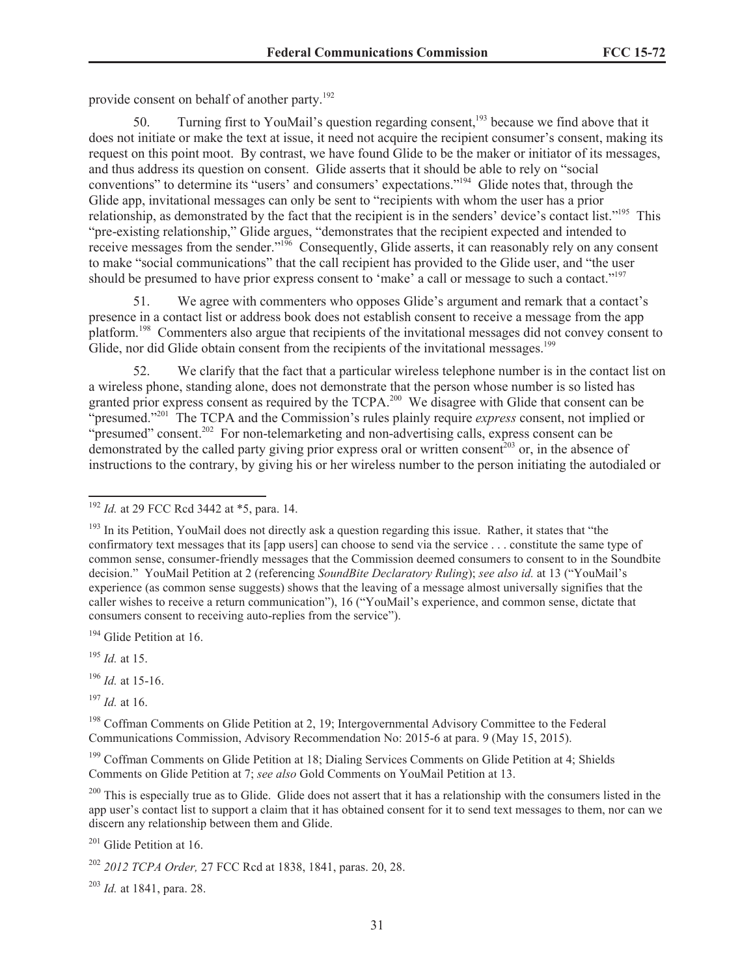provide consent on behalf of another party.<sup>192</sup>

50. Turning first to YouMail's question regarding consent,<sup>193</sup> because we find above that it does not initiate or make the text at issue, it need not acquire the recipient consumer's consent, making its request on this point moot. By contrast, we have found Glide to be the maker or initiator of its messages, and thus address its question on consent. Glide asserts that it should be able to rely on "social conventions" to determine its "users' and consumers' expectations."<sup>194</sup> Glide notes that, through the Glide app, invitational messages can only be sent to "recipients with whom the user has a prior relationship, as demonstrated by the fact that the recipient is in the senders' device's contact list."<sup>195</sup> This "pre-existing relationship," Glide argues, "demonstrates that the recipient expected and intended to receive messages from the sender."<sup>196</sup> Consequently, Glide asserts, it can reasonably rely on any consent to make "social communications" that the call recipient has provided to the Glide user, and "the user should be presumed to have prior express consent to 'make' a call or message to such a contact."<sup>197</sup>

51. We agree with commenters who opposes Glide's argument and remark that a contact's presence in a contact list or address book does not establish consent to receive a message from the app platform.<sup>198</sup> Commenters also argue that recipients of the invitational messages did not convey consent to Glide, nor did Glide obtain consent from the recipients of the invitational messages.<sup>199</sup>

52. We clarify that the fact that a particular wireless telephone number is in the contact list on a wireless phone, standing alone, does not demonstrate that the person whose number is so listed has granted prior express consent as required by the TCPA.<sup>200</sup> We disagree with Glide that consent can be "presumed."<sup>201</sup> The TCPA and the Commission's rules plainly require *express* consent, not implied or "presumed" consent.<sup>202</sup> For non-telemarketing and non-advertising calls, express consent can be demonstrated by the called party giving prior express oral or written consent<sup>203</sup> or, in the absence of instructions to the contrary, by giving his or her wireless number to the person initiating the autodialed or

<sup>194</sup> Glide Petition at 16.

<sup>195</sup> *Id.* at 15.

<sup>196</sup> *Id.* at 15-16.

<sup>197</sup> *Id.* at 16.

<sup>198</sup> Coffman Comments on Glide Petition at 2, 19; Intergovernmental Advisory Committee to the Federal Communications Commission, Advisory Recommendation No: 2015-6 at para. 9 (May 15, 2015).

<sup>199</sup> Coffman Comments on Glide Petition at 18; Dialing Services Comments on Glide Petition at 4; Shields Comments on Glide Petition at 7; *see also* Gold Comments on YouMail Petition at 13.

<sup>200</sup> This is especially true as to Glide. Glide does not assert that it has a relationship with the consumers listed in the app user's contact list to support a claim that it has obtained consent for it to send text messages to them, nor can we discern any relationship between them and Glide.

 $201$  Glide Petition at 16.

<sup>203</sup> *Id.* at 1841, para. 28.

<sup>192</sup> *Id.* at 29 FCC Rcd 3442 at \*5, para. 14.

<sup>&</sup>lt;sup>193</sup> In its Petition, YouMail does not directly ask a question regarding this issue. Rather, it states that "the confirmatory text messages that its [app users] can choose to send via the service . . . constitute the same type of common sense, consumer-friendly messages that the Commission deemed consumers to consent to in the Soundbite decision." YouMail Petition at 2 (referencing *SoundBite Declaratory Ruling*); *see also id.* at 13 ("YouMail's experience (as common sense suggests) shows that the leaving of a message almost universally signifies that the caller wishes to receive a return communication"), 16 ("YouMail's experience, and common sense, dictate that consumers consent to receiving auto-replies from the service").

<sup>202</sup> *2012 TCPA Order,* 27 FCC Rcd at 1838, 1841, paras. 20, 28.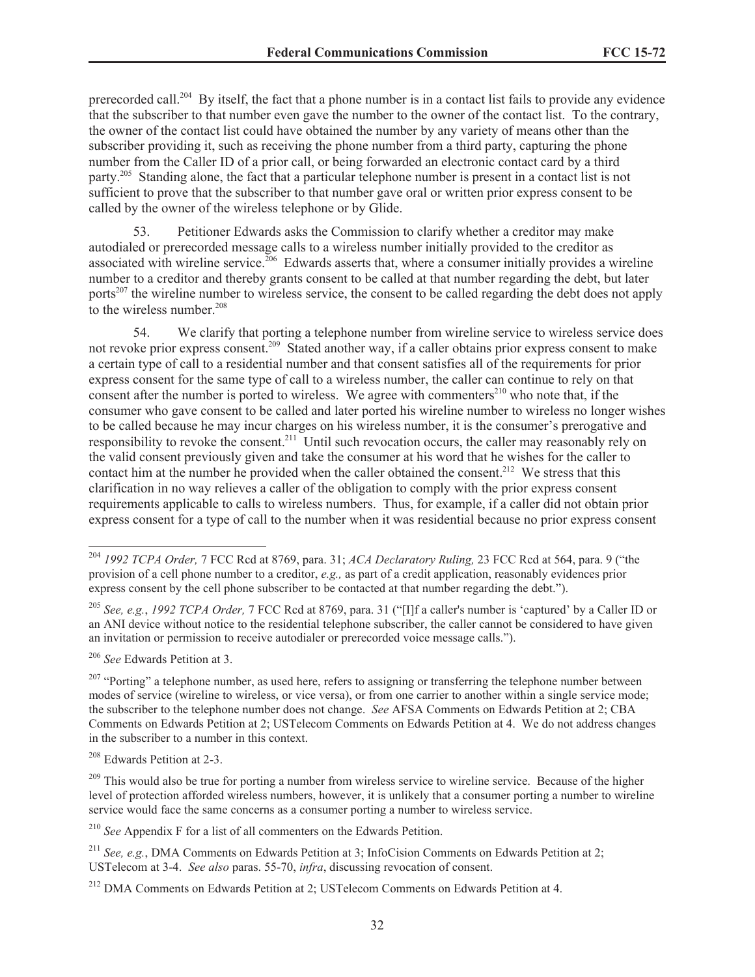prerecorded call.<sup>204</sup> By itself, the fact that a phone number is in a contact list fails to provide any evidence that the subscriber to that number even gave the number to the owner of the contact list. To the contrary, the owner of the contact list could have obtained the number by any variety of means other than the subscriber providing it, such as receiving the phone number from a third party, capturing the phone number from the Caller ID of a prior call, or being forwarded an electronic contact card by a third party.<sup>205</sup> Standing alone, the fact that a particular telephone number is present in a contact list is not sufficient to prove that the subscriber to that number gave oral or written prior express consent to be called by the owner of the wireless telephone or by Glide.

53. Petitioner Edwards asks the Commission to clarify whether a creditor may make autodialed or prerecorded message calls to a wireless number initially provided to the creditor as associated with wireline service.<sup>206</sup> Edwards asserts that, where a consumer initially provides a wireline number to a creditor and thereby grants consent to be called at that number regarding the debt, but later ports<sup>207</sup> the wireline number to wireless service, the consent to be called regarding the debt does not apply to the wireless number.<sup>208</sup>

54. We clarify that porting a telephone number from wireline service to wireless service does not revoke prior express consent.<sup>209</sup> Stated another way, if a caller obtains prior express consent to make a certain type of call to a residential number and that consent satisfies all of the requirements for prior express consent for the same type of call to a wireless number, the caller can continue to rely on that consent after the number is ported to wireless. We agree with commenters<sup>210</sup> who note that, if the consumer who gave consent to be called and later ported his wireline number to wireless no longer wishes to be called because he may incur charges on his wireless number, it is the consumer's prerogative and responsibility to revoke the consent.<sup>211</sup> Until such revocation occurs, the caller may reasonably rely on the valid consent previously given and take the consumer at his word that he wishes for the caller to contact him at the number he provided when the caller obtained the consent.<sup>212</sup> We stress that this clarification in no way relieves a caller of the obligation to comply with the prior express consent requirements applicable to calls to wireless numbers. Thus, for example, if a caller did not obtain prior express consent for a type of call to the number when it was residential because no prior express consent

<sup>206</sup> *See* Edwards Petition at 3.

<sup>210</sup> *See* Appendix F for a list of all commenters on the Edwards Petition.

<sup>204</sup> *1992 TCPA Order,* 7 FCC Rcd at 8769, para. 31; *ACA Declaratory Ruling,* 23 FCC Rcd at 564, para. 9 ("the provision of a cell phone number to a creditor, *e.g.,* as part of a credit application, reasonably evidences prior express consent by the cell phone subscriber to be contacted at that number regarding the debt.").

<sup>205</sup> *See, e.g.*, *1992 TCPA Order,* 7 FCC Rcd at 8769, para. 31 ("[I]f a caller's number is 'captured' by a Caller ID or an ANI device without notice to the residential telephone subscriber, the caller cannot be considered to have given an invitation or permission to receive autodialer or prerecorded voice message calls.").

 $207$  "Porting" a telephone number, as used here, refers to assigning or transferring the telephone number between modes of service (wireline to wireless, or vice versa), or from one carrier to another within a single service mode; the subscriber to the telephone number does not change. *See* AFSA Comments on Edwards Petition at 2; CBA Comments on Edwards Petition at 2; USTelecom Comments on Edwards Petition at 4. We do not address changes in the subscriber to a number in this context.

<sup>208</sup> Edwards Petition at 2-3.

<sup>&</sup>lt;sup>209</sup> This would also be true for porting a number from wireless service to wireline service. Because of the higher level of protection afforded wireless numbers, however, it is unlikely that a consumer porting a number to wireline service would face the same concerns as a consumer porting a number to wireless service.

<sup>211</sup> *See, e.g.*, DMA Comments on Edwards Petition at 3; InfoCision Comments on Edwards Petition at 2; USTelecom at 3-4. *See also* paras. 55-70, *infra*, discussing revocation of consent.

<sup>&</sup>lt;sup>212</sup> DMA Comments on Edwards Petition at 2; USTelecom Comments on Edwards Petition at 4.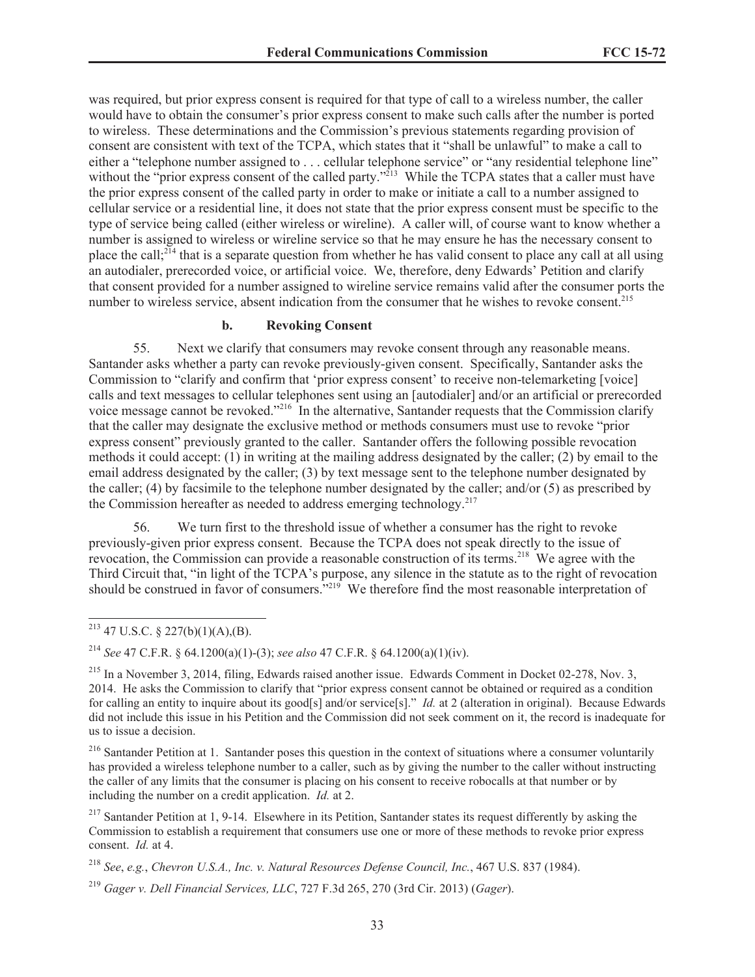was required, but prior express consent is required for that type of call to a wireless number, the caller would have to obtain the consumer's prior express consent to make such calls after the number is ported to wireless. These determinations and the Commission's previous statements regarding provision of consent are consistent with text of the TCPA, which states that it "shall be unlawful" to make a call to either a "telephone number assigned to ... cellular telephone service" or "any residential telephone line" without the "prior express consent of the called party."<sup>213</sup> While the TCPA states that a caller must have the prior express consent of the called party in order to make or initiate a call to a number assigned to cellular service or a residential line, it does not state that the prior express consent must be specific to the type of service being called (either wireless or wireline). A caller will, of course want to know whether a number is assigned to wireless or wireline service so that he may ensure he has the necessary consent to place the call;<sup>214</sup> that is a separate question from whether he has valid consent to place any call at all using an autodialer, prerecorded voice, or artificial voice. We, therefore, deny Edwards' Petition and clarify that consent provided for a number assigned to wireline service remains valid after the consumer ports the number to wireless service, absent indication from the consumer that he wishes to revoke consent.<sup>215</sup>

### **b. Revoking Consent**

55. Next we clarify that consumers may revoke consent through any reasonable means. Santander asks whether a party can revoke previously-given consent. Specifically, Santander asks the Commission to "clarify and confirm that 'prior express consent' to receive non-telemarketing [voice] calls and text messages to cellular telephones sent using an [autodialer] and/or an artificial or prerecorded voice message cannot be revoked."<sup>216</sup> In the alternative, Santander requests that the Commission clarify that the caller may designate the exclusive method or methods consumers must use to revoke "prior express consent" previously granted to the caller. Santander offers the following possible revocation methods it could accept: (1) in writing at the mailing address designated by the caller; (2) by email to the email address designated by the caller; (3) by text message sent to the telephone number designated by the caller; (4) by facsimile to the telephone number designated by the caller; and/or (5) as prescribed by the Commission hereafter as needed to address emerging technology.<sup>217</sup>

56. We turn first to the threshold issue of whether a consumer has the right to revoke previously-given prior express consent. Because the TCPA does not speak directly to the issue of revocation, the Commission can provide a reasonable construction of its terms.<sup>218</sup> We agree with the Third Circuit that, "in light of the TCPA's purpose, any silence in the statute as to the right of revocation should be construed in favor of consumers.<sup>5,219</sup> We therefore find the most reasonable interpretation of

<sup>216</sup> Santander Petition at 1. Santander poses this question in the context of situations where a consumer voluntarily has provided a wireless telephone number to a caller, such as by giving the number to the caller without instructing the caller of any limits that the consumer is placing on his consent to receive robocalls at that number or by including the number on a credit application. *Id.* at 2.

<sup>&</sup>lt;sup>213</sup> 47 U.S.C. § 227(b)(1)(A),(B).

<sup>214</sup> *See* 47 C.F.R. § 64.1200(a)(1)-(3); *see also* 47 C.F.R. § 64.1200(a)(1)(iv).

 $^{215}$  In a November 3, 2014, filing, Edwards raised another issue. Edwards Comment in Docket 02-278, Nov. 3, 2014. He asks the Commission to clarify that "prior express consent cannot be obtained or required as a condition for calling an entity to inquire about its good[s] and/or service[s]." *Id.* at 2 (alteration in original). Because Edwards did not include this issue in his Petition and the Commission did not seek comment on it, the record is inadequate for us to issue a decision.

<sup>&</sup>lt;sup>217</sup> Santander Petition at 1, 9-14. Elsewhere in its Petition, Santander states its request differently by asking the Commission to establish a requirement that consumers use one or more of these methods to revoke prior express consent. *Id.* at 4.

<sup>218</sup> *See*, *e.g.*, *Chevron U.S.A., Inc. v. Natural Resources Defense Council, Inc.*, 467 U.S. 837 (1984).

<sup>219</sup> *Gager v. Dell Financial Services, LLC*, 727 F.3d 265, 270 (3rd Cir. 2013) (*Gager*).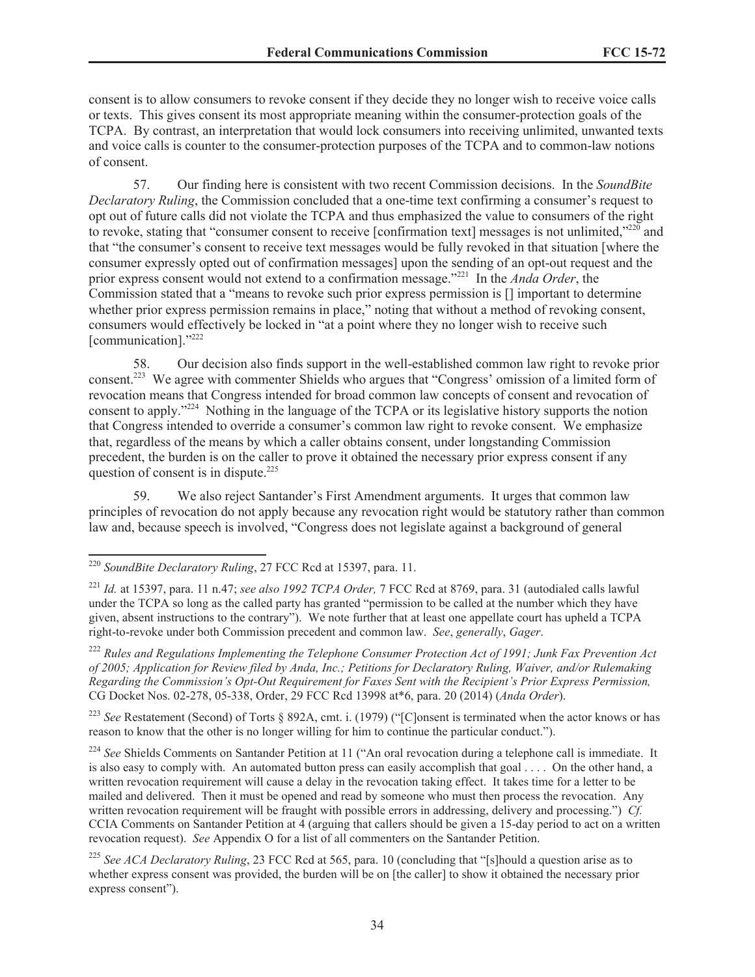consent is to allow consumers to revoke consent if they decide they no longer wish to receive voice calls or texts. This gives consent its most appropriate meaning within the consumer-protection goals of the TCPA. By contrast, an interpretation that would lock consumers into receiving unlimited, unwanted texts and voice calls is counter to the consumer-protection purposes of the TCPA and to common-law notions of consent.

57. Our finding here is consistent with two recent Commission decisions. In the *SoundBite Declaratory Ruling*, the Commission concluded that a one-time text confirming a consumer's request to opt out of future calls did not violate the TCPA and thus emphasized the value to consumers of the right to revoke, stating that "consumer consent to receive [confirmation text] messages is not unlimited,"<sup>220</sup> and that "the consumer's consent to receive text messages would be fully revoked in that situation [where the consumer expressly opted out of confirmation messages] upon the sending of an opt-out request and the prior express consent would not extend to a confirmation message."<sup>221</sup> In the *Anda Order*, the Commission stated that a "means to revoke such prior express permission is [] important to determine whether prior express permission remains in place," noting that without a method of revoking consent, consumers would effectively be locked in "at a point where they no longer wish to receive such [communication]."222

58. Our decision also finds support in the well-established common law right to revoke prior consent.<sup>223</sup> We agree with commenter Shields who argues that "Congress' omission of a limited form of revocation means that Congress intended for broad common law concepts of consent and revocation of consent to apply."<sup>224</sup> Nothing in the language of the TCPA or its legislative history supports the notion that Congress intended to override a consumer's common law right to revoke consent. We emphasize that, regardless of the means by which a caller obtains consent, under longstanding Commission precedent, the burden is on the caller to prove it obtained the necessary prior express consent if any question of consent is in dispute.<sup>225</sup>

59. We also reject Santander's First Amendment arguments. It urges that common law principles of revocation do not apply because any revocation right would be statutory rather than common law and, because speech is involved, "Congress does not legislate against a background of general

<sup>222</sup> *Rules and Regulations Implementing the Telephone Consumer Protection Act of 1991; Junk Fax Prevention Act of 2005; Application for Review filed by Anda, Inc.; Petitions for Declaratory Ruling, Waiver, and/or Rulemaking Regarding the Commission's Opt-Out Requirement for Faxes Sent with the Recipient's Prior Express Permission,* CG Docket Nos. 02-278, 05-338, Order, 29 FCC Rcd 13998 at\*6, para. 20 (2014) (*Anda Order*).

<sup>223</sup> *See* Restatement (Second) of Torts § 892A, cmt. i. (1979) ("[C]onsent is terminated when the actor knows or has reason to know that the other is no longer willing for him to continue the particular conduct.").

<sup>224</sup> See Shields Comments on Santander Petition at 11 ("An oral revocation during a telephone call is immediate. It is also easy to comply with. An automated button press can easily accomplish that goal . . . . On the other hand, a written revocation requirement will cause a delay in the revocation taking effect. It takes time for a letter to be mailed and delivered. Then it must be opened and read by someone who must then process the revocation. Any written revocation requirement will be fraught with possible errors in addressing, delivery and processing.") *Cf.* CCIA Comments on Santander Petition at 4 (arguing that callers should be given a 15-day period to act on a written revocation request). *See* Appendix O for a list of all commenters on the Santander Petition.

<sup>220</sup> *SoundBite Declaratory Ruling*, 27 FCC Rcd at 15397, para. 11.

<sup>221</sup> *Id.* at 15397, para. 11 n.47; *see also 1992 TCPA Order,* 7 FCC Rcd at 8769, para. 31 (autodialed calls lawful under the TCPA so long as the called party has granted "permission to be called at the number which they have given, absent instructions to the contrary"). We note further that at least one appellate court has upheld a TCPA right-to-revoke under both Commission precedent and common law. *See*, *generally*, *Gager*.

<sup>225</sup> *See ACA Declaratory Ruling*, 23 FCC Rcd at 565, para. 10 (concluding that "[s]hould a question arise as to whether express consent was provided, the burden will be on [the caller] to show it obtained the necessary prior express consent").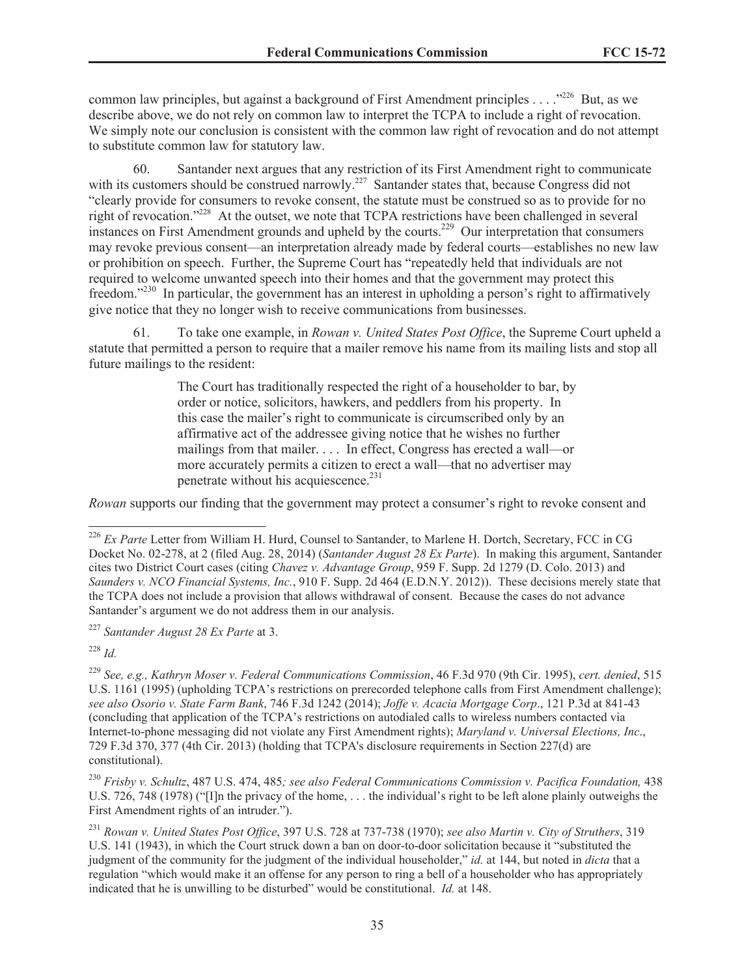common law principles, but against a background of First Amendment principles . . . .<sup>"226</sup> But, as we describe above, we do not rely on common law to interpret the TCPA to include a right of revocation. We simply note our conclusion is consistent with the common law right of revocation and do not attempt to substitute common law for statutory law.

60. Santander next argues that any restriction of its First Amendment right to communicate with its customers should be construed narrowly.<sup>227</sup> Santander states that, because Congress did not "clearly provide for consumers to revoke consent, the statute must be construed so as to provide for no right of revocation."<sup>228</sup> At the outset, we note that TCPA restrictions have been challenged in several instances on First Amendment grounds and upheld by the courts.<sup>229</sup> Our interpretation that consumers may revoke previous consent—an interpretation already made by federal courts—establishes no new law or prohibition on speech. Further, the Supreme Court has "repeatedly held that individuals are not required to welcome unwanted speech into their homes and that the government may protect this freedom."<sup>230</sup> In particular, the government has an interest in upholding a person's right to affirmatively give notice that they no longer wish to receive communications from businesses.

61. To take one example, in *Rowan v. United States Post Office*, the Supreme Court upheld a statute that permitted a person to require that a mailer remove his name from its mailing lists and stop all future mailings to the resident:

> The Court has traditionally respected the right of a householder to bar, by order or notice, solicitors, hawkers, and peddlers from his property. In this case the mailer's right to communicate is circumscribed only by an affirmative act of the addressee giving notice that he wishes no further mailings from that mailer. . . . In effect, Congress has erected a wall—or more accurately permits a citizen to erect a wall—that no advertiser may penetrate without his acquiescence. $231$

*Rowan* supports our finding that the government may protect a consumer's right to revoke consent and

<sup>227</sup> *Santander August 28 Ex Parte* at 3.

<sup>228</sup> *Id.*

<sup>&</sup>lt;sup>226</sup> *Ex Parte* Letter from William H. Hurd, Counsel to Santander, to Marlene H. Dortch, Secretary, FCC in CG Docket No. 02-278, at 2 (filed Aug. 28, 2014) (*Santander August 28 Ex Parte*). In making this argument, Santander cites two District Court cases (citing *Chavez v. Advantage Group*, 959 F. Supp. 2d 1279 (D. Colo. 2013) and *Saunders v. NCO Financial Systems, Inc.*, 910 F. Supp. 2d 464 (E.D.N.Y. 2012)). These decisions merely state that the TCPA does not include a provision that allows withdrawal of consent. Because the cases do not advance Santander's argument we do not address them in our analysis.

<sup>229</sup> *See, e.g., Kathryn Moser v. Federal Communications Commission*, 46 F.3d 970 (9th Cir. 1995), *cert. denied*, 515 U.S. 1161 (1995) (upholding TCPA's restrictions on prerecorded telephone calls from First Amendment challenge); *see also Osorio v. State Farm Bank*, 746 F.3d 1242 (2014); *Joffe v. Acacia Mortgage Corp*., 121 P.3d at 841-43 (concluding that application of the TCPA's restrictions on autodialed calls to wireless numbers contacted via Internet-to-phone messaging did not violate any First Amendment rights); *Maryland v. Universal Elections, Inc*., 729 F.3d 370, 377 (4th Cir. 2013) (holding that TCPA's disclosure requirements in Section 227(d) are constitutional).

<sup>230</sup> *Frisby v. Schultz*, 487 U.S. 474, 485*; see also Federal Communications Commission v. Pacifica Foundation,* 438 U.S. 726, 748 (1978) ("[I]n the privacy of the home, . . . the individual's right to be left alone plainly outweighs the First Amendment rights of an intruder.").

<sup>231</sup> *Rowan v. United States Post Office*, 397 U.S. 728 at 737-738 (1970); *see also Martin v. City of Struthers*, 319 U.S. 141 (1943), in which the Court struck down a ban on door-to-door solicitation because it "substituted the judgment of the community for the judgment of the individual householder," *id.* at 144, but noted in *dicta* that a regulation "which would make it an offense for any person to ring a bell of a householder who has appropriately indicated that he is unwilling to be disturbed" would be constitutional. *Id.* at 148.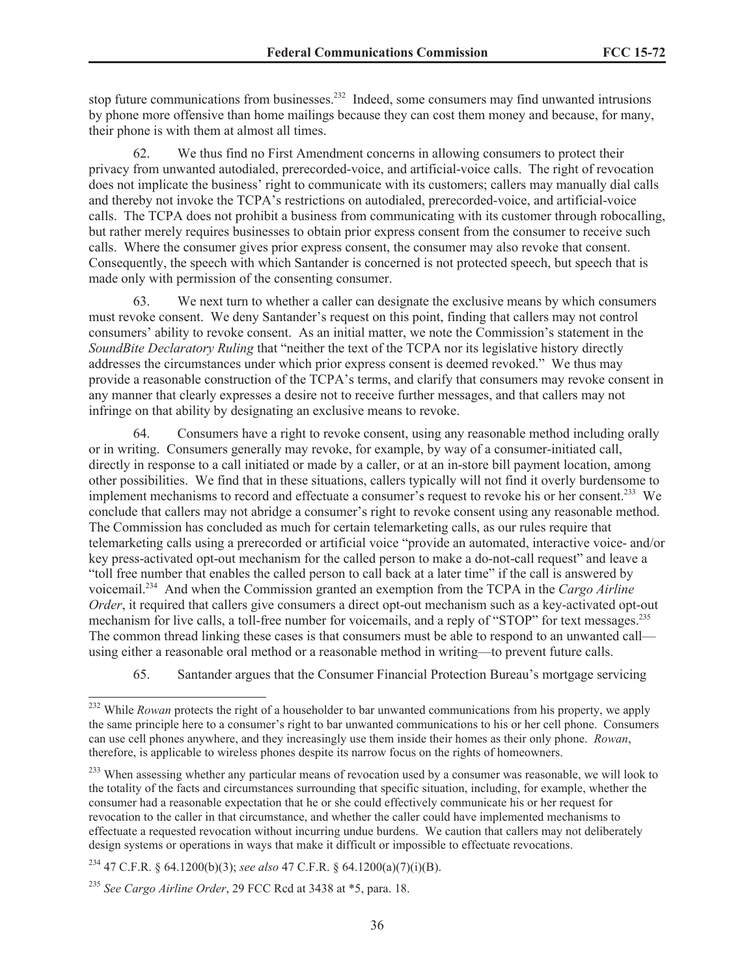stop future communications from businesses.<sup>232</sup> Indeed, some consumers may find unwanted intrusions by phone more offensive than home mailings because they can cost them money and because, for many, their phone is with them at almost all times.

62. We thus find no First Amendment concerns in allowing consumers to protect their privacy from unwanted autodialed, prerecorded-voice, and artificial-voice calls. The right of revocation does not implicate the business' right to communicate with its customers; callers may manually dial calls and thereby not invoke the TCPA's restrictions on autodialed, prerecorded-voice, and artificial-voice calls. The TCPA does not prohibit a business from communicating with its customer through robocalling, but rather merely requires businesses to obtain prior express consent from the consumer to receive such calls. Where the consumer gives prior express consent, the consumer may also revoke that consent. Consequently, the speech with which Santander is concerned is not protected speech, but speech that is made only with permission of the consenting consumer.

63. We next turn to whether a caller can designate the exclusive means by which consumers must revoke consent. We deny Santander's request on this point, finding that callers may not control consumers' ability to revoke consent. As an initial matter, we note the Commission's statement in the *SoundBite Declaratory Ruling* that "neither the text of the TCPA nor its legislative history directly addresses the circumstances under which prior express consent is deemed revoked." We thus may provide a reasonable construction of the TCPA's terms, and clarify that consumers may revoke consent in any manner that clearly expresses a desire not to receive further messages, and that callers may not infringe on that ability by designating an exclusive means to revoke.

64. Consumers have a right to revoke consent, using any reasonable method including orally or in writing. Consumers generally may revoke, for example, by way of a consumer-initiated call, directly in response to a call initiated or made by a caller, or at an in-store bill payment location, among other possibilities. We find that in these situations, callers typically will not find it overly burdensome to implement mechanisms to record and effectuate a consumer's request to revoke his or her consent.<sup>233</sup> We conclude that callers may not abridge a consumer's right to revoke consent using any reasonable method. The Commission has concluded as much for certain telemarketing calls, as our rules require that telemarketing calls using a prerecorded or artificial voice "provide an automated, interactive voice- and/or key press-activated opt-out mechanism for the called person to make a do-not-call request" and leave a "toll free number that enables the called person to call back at a later time" if the call is answered by voicemail.<sup>234</sup> And when the Commission granted an exemption from the TCPA in the *Cargo Airline Order*, it required that callers give consumers a direct opt-out mechanism such as a key-activated opt-out mechanism for live calls, a toll-free number for voicemails, and a reply of "STOP" for text messages.<sup>235</sup> The common thread linking these cases is that consumers must be able to respond to an unwanted call using either a reasonable oral method or a reasonable method in writing—to prevent future calls.

65. Santander argues that the Consumer Financial Protection Bureau's mortgage servicing

<sup>234</sup> 47 C.F.R. § 64.1200(b)(3); *see also* 47 C.F.R. § 64.1200(a)(7)(i)(B).

<sup>&</sup>lt;sup>232</sup> While *Rowan* protects the right of a householder to bar unwanted communications from his property, we apply the same principle here to a consumer's right to bar unwanted communications to his or her cell phone. Consumers can use cell phones anywhere, and they increasingly use them inside their homes as their only phone. *Rowan*, therefore, is applicable to wireless phones despite its narrow focus on the rights of homeowners.

<sup>&</sup>lt;sup>233</sup> When assessing whether any particular means of revocation used by a consumer was reasonable, we will look to the totality of the facts and circumstances surrounding that specific situation, including, for example, whether the consumer had a reasonable expectation that he or she could effectively communicate his or her request for revocation to the caller in that circumstance, and whether the caller could have implemented mechanisms to effectuate a requested revocation without incurring undue burdens. We caution that callers may not deliberately design systems or operations in ways that make it difficult or impossible to effectuate revocations.

<sup>235</sup> *See Cargo Airline Order*, 29 FCC Rcd at 3438 at \*5, para. 18.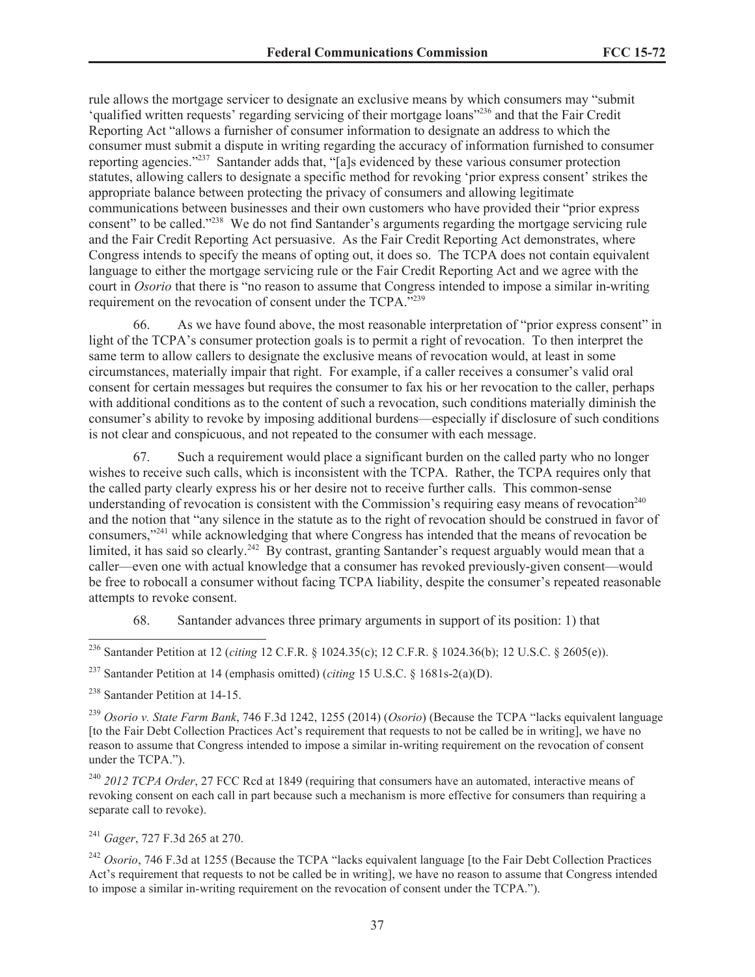rule allows the mortgage servicer to designate an exclusive means by which consumers may "submit 'qualified written requests' regarding servicing of their mortgage loans"<sup>236</sup> and that the Fair Credit Reporting Act "allows a furnisher of consumer information to designate an address to which the consumer must submit a dispute in writing regarding the accuracy of information furnished to consumer reporting agencies."<sup>237</sup> Santander adds that, "[a]s evidenced by these various consumer protection statutes, allowing callers to designate a specific method for revoking 'prior express consent' strikes the appropriate balance between protecting the privacy of consumers and allowing legitimate communications between businesses and their own customers who have provided their "prior express consent" to be called."<sup>238</sup> We do not find Santander's arguments regarding the mortgage servicing rule and the Fair Credit Reporting Act persuasive. As the Fair Credit Reporting Act demonstrates, where Congress intends to specify the means of opting out, it does so. The TCPA does not contain equivalent language to either the mortgage servicing rule or the Fair Credit Reporting Act and we agree with the court in *Osorio* that there is "no reason to assume that Congress intended to impose a similar in-writing requirement on the revocation of consent under the TCPA.<sup>"239</sup>

66. As we have found above, the most reasonable interpretation of "prior express consent" in light of the TCPA's consumer protection goals is to permit a right of revocation. To then interpret the same term to allow callers to designate the exclusive means of revocation would, at least in some circumstances, materially impair that right. For example, if a caller receives a consumer's valid oral consent for certain messages but requires the consumer to fax his or her revocation to the caller, perhaps with additional conditions as to the content of such a revocation, such conditions materially diminish the consumer's ability to revoke by imposing additional burdens—especially if disclosure of such conditions is not clear and conspicuous, and not repeated to the consumer with each message.

67. Such a requirement would place a significant burden on the called party who no longer wishes to receive such calls, which is inconsistent with the TCPA. Rather, the TCPA requires only that the called party clearly express his or her desire not to receive further calls. This common-sense understanding of revocation is consistent with the Commission's requiring easy means of revocation<sup>240</sup> and the notion that "any silence in the statute as to the right of revocation should be construed in favor of consumers,"<sup>241</sup> while acknowledging that where Congress has intended that the means of revocation be limited, it has said so clearly.<sup>242</sup> By contrast, granting Santander's request arguably would mean that a caller—even one with actual knowledge that a consumer has revoked previously-given consent—would be free to robocall a consumer without facing TCPA liability, despite the consumer's repeated reasonable attempts to revoke consent.

68. Santander advances three primary arguments in support of its position: 1) that

<sup>236</sup> Santander Petition at 12 (*citing* 12 C.F.R. § 1024.35(c); 12 C.F.R. § 1024.36(b); 12 U.S.C. § 2605(e)).

<sup>237</sup> Santander Petition at 14 (emphasis omitted) (*citing* 15 U.S.C. § 1681s-2(a)(D).

<sup>238</sup> Santander Petition at 14-15.

<sup>239</sup> *Osorio v. State Farm Bank*, 746 F.3d 1242, 1255 (2014) (*Osorio*) (Because the TCPA "lacks equivalent language [to the Fair Debt Collection Practices Act's requirement that requests to not be called be in writing], we have no reason to assume that Congress intended to impose a similar in-writing requirement on the revocation of consent under the TCPA.").

<sup>240</sup> *2012 TCPA Order*, 27 FCC Rcd at 1849 (requiring that consumers have an automated, interactive means of revoking consent on each call in part because such a mechanism is more effective for consumers than requiring a separate call to revoke).

<sup>241</sup> *Gager*, 727 F.3d 265 at 270.

<sup>242</sup> *Osorio*, 746 F.3d at 1255 (Because the TCPA "lacks equivalent language [to the Fair Debt Collection Practices Act's requirement that requests to not be called be in writing], we have no reason to assume that Congress intended to impose a similar in-writing requirement on the revocation of consent under the TCPA.").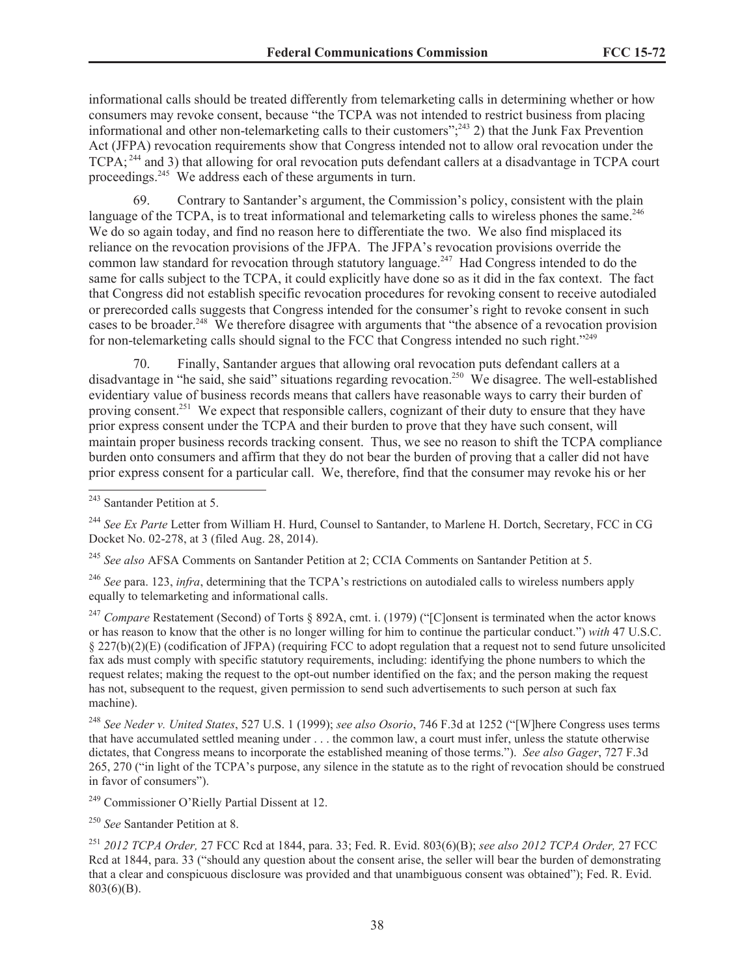informational calls should be treated differently from telemarketing calls in determining whether or how consumers may revoke consent, because "the TCPA was not intended to restrict business from placing informational and other non-telemarketing calls to their customers";<sup>243</sup> 2) that the Junk Fax Prevention Act (JFPA) revocation requirements show that Congress intended not to allow oral revocation under the TCPA; <sup>244</sup> and 3) that allowing for oral revocation puts defendant callers at a disadvantage in TCPA court proceedings.<sup>245</sup> We address each of these arguments in turn.

69. Contrary to Santander's argument, the Commission's policy, consistent with the plain language of the TCPA, is to treat informational and telemarketing calls to wireless phones the same.<sup>246</sup> We do so again today, and find no reason here to differentiate the two. We also find misplaced its reliance on the revocation provisions of the JFPA. The JFPA's revocation provisions override the common law standard for revocation through statutory language.<sup>247</sup> Had Congress intended to do the same for calls subject to the TCPA, it could explicitly have done so as it did in the fax context. The fact that Congress did not establish specific revocation procedures for revoking consent to receive autodialed or prerecorded calls suggests that Congress intended for the consumer's right to revoke consent in such cases to be broader.<sup>248</sup> We therefore disagree with arguments that "the absence of a revocation provision" for non-telemarketing calls should signal to the FCC that Congress intended no such right."<sup>249</sup>

70. Finally, Santander argues that allowing oral revocation puts defendant callers at a disadvantage in "he said, she said" situations regarding revocation.<sup>250</sup> We disagree. The well-established evidentiary value of business records means that callers have reasonable ways to carry their burden of proving consent.<sup>251</sup> We expect that responsible callers, cognizant of their duty to ensure that they have prior express consent under the TCPA and their burden to prove that they have such consent, will maintain proper business records tracking consent. Thus, we see no reason to shift the TCPA compliance burden onto consumers and affirm that they do not bear the burden of proving that a caller did not have prior express consent for a particular call. We, therefore, find that the consumer may revoke his or her

<sup>245</sup> *See also* AFSA Comments on Santander Petition at 2; CCIA Comments on Santander Petition at 5.

<sup>246</sup> *See* para. 123, *infra*, determining that the TCPA's restrictions on autodialed calls to wireless numbers apply equally to telemarketing and informational calls.

<sup>247</sup> *Compare* Restatement (Second) of Torts § 892A, cmt. i. (1979) ("[C]onsent is terminated when the actor knows or has reason to know that the other is no longer willing for him to continue the particular conduct.") *with* 47 U.S.C. § 227(b)(2)(E) (codification of JFPA) (requiring FCC to adopt regulation that a request not to send future unsolicited fax ads must comply with specific statutory requirements, including: identifying the phone numbers to which the request relates; making the request to the opt-out number identified on the fax; and the person making the request has not, subsequent to the request, given permission to send such advertisements to such person at such fax machine).

<sup>248</sup> *See Neder v. United States*, 527 U.S. 1 (1999); *see also Osorio*, 746 F.3d at 1252 ("[W]here Congress uses terms that have accumulated settled meaning under . . . the common law, a court must infer, unless the statute otherwise dictates, that Congress means to incorporate the established meaning of those terms."). *See also Gager*, 727 F.3d 265, 270 ("in light of the TCPA's purpose, any silence in the statute as to the right of revocation should be construed in favor of consumers").

<sup>249</sup> Commissioner O'Rielly Partial Dissent at 12.

<sup>250</sup> *See* Santander Petition at 8.

<sup>251</sup> *2012 TCPA Order,* 27 FCC Rcd at 1844, para. 33; Fed. R. Evid. 803(6)(B); *see also 2012 TCPA Order,* 27 FCC Rcd at 1844, para. 33 ("should any question about the consent arise, the seller will bear the burden of demonstrating that a clear and conspicuous disclosure was provided and that unambiguous consent was obtained"); Fed. R. Evid. 803(6)(B).

<sup>243</sup> Santander Petition at 5.

<sup>&</sup>lt;sup>244</sup> See Ex Parte Letter from William H. Hurd, Counsel to Santander, to Marlene H. Dortch, Secretary, FCC in CG Docket No. 02-278, at 3 (filed Aug. 28, 2014).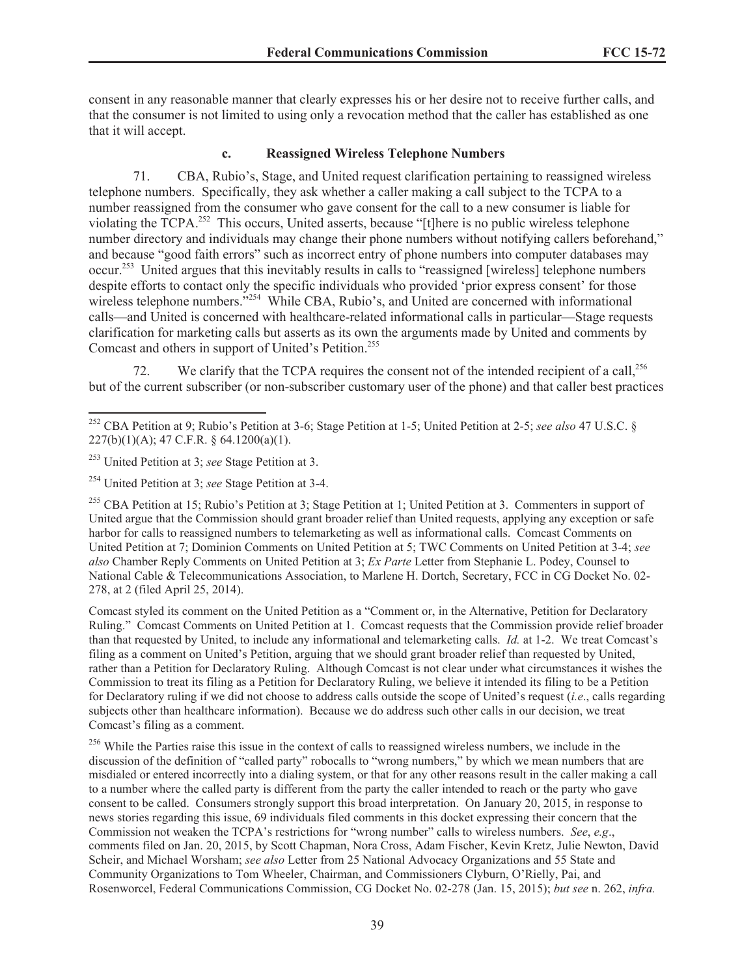consent in any reasonable manner that clearly expresses his or her desire not to receive further calls, and that the consumer is not limited to using only a revocation method that the caller has established as one that it will accept.

#### **c. Reassigned Wireless Telephone Numbers**

71. CBA, Rubio's, Stage, and United request clarification pertaining to reassigned wireless telephone numbers. Specifically, they ask whether a caller making a call subject to the TCPA to a number reassigned from the consumer who gave consent for the call to a new consumer is liable for violating the TCPA.<sup>252</sup> This occurs, United asserts, because "[t]here is no public wireless telephone number directory and individuals may change their phone numbers without notifying callers beforehand," and because "good faith errors" such as incorrect entry of phone numbers into computer databases may occur.<sup>253</sup> United argues that this inevitably results in calls to "reassigned [wireless] telephone numbers despite efforts to contact only the specific individuals who provided 'prior express consent' for those wireless telephone numbers.<sup>"254</sup> While CBA, Rubio's, and United are concerned with informational calls—and United is concerned with healthcare-related informational calls in particular—Stage requests clarification for marketing calls but asserts as its own the arguments made by United and comments by Comcast and others in support of United's Petition.<sup>255</sup>

72. We clarify that the TCPA requires the consent not of the intended recipient of a call,  $^{256}$ but of the current subscriber (or non-subscriber customary user of the phone) and that caller best practices

Comcast styled its comment on the United Petition as a "Comment or, in the Alternative, Petition for Declaratory Ruling." Comcast Comments on United Petition at 1. Comcast requests that the Commission provide relief broader than that requested by United, to include any informational and telemarketing calls. *Id.* at 1-2. We treat Comcast's filing as a comment on United's Petition, arguing that we should grant broader relief than requested by United, rather than a Petition for Declaratory Ruling. Although Comcast is not clear under what circumstances it wishes the Commission to treat its filing as a Petition for Declaratory Ruling, we believe it intended its filing to be a Petition for Declaratory ruling if we did not choose to address calls outside the scope of United's request (*i.e*., calls regarding subjects other than healthcare information). Because we do address such other calls in our decision, we treat Comcast's filing as a comment.

<sup>256</sup> While the Parties raise this issue in the context of calls to reassigned wireless numbers, we include in the discussion of the definition of "called party" robocalls to "wrong numbers," by which we mean numbers that are misdialed or entered incorrectly into a dialing system, or that for any other reasons result in the caller making a call to a number where the called party is different from the party the caller intended to reach or the party who gave consent to be called. Consumers strongly support this broad interpretation. On January 20, 2015, in response to news stories regarding this issue, 69 individuals filed comments in this docket expressing their concern that the Commission not weaken the TCPA's restrictions for "wrong number" calls to wireless numbers. *See*, *e.g*., comments filed on Jan. 20, 2015, by Scott Chapman, Nora Cross, Adam Fischer, Kevin Kretz, Julie Newton, David Scheir, and Michael Worsham; *see also* Letter from 25 National Advocacy Organizations and 55 State and Community Organizations to Tom Wheeler, Chairman, and Commissioners Clyburn, O'Rielly, Pai, and Rosenworcel, Federal Communications Commission, CG Docket No. 02-278 (Jan. 15, 2015); *but see* n. 262, *infra.*

<sup>252</sup> CBA Petition at 9; Rubio's Petition at 3-6; Stage Petition at 1-5; United Petition at 2-5; *see also* 47 U.S.C. § 227(b)(1)(A); 47 C.F.R. § 64.1200(a)(1).

<sup>253</sup> United Petition at 3; *see* Stage Petition at 3.

<sup>254</sup> United Petition at 3; *see* Stage Petition at 3-4.

<sup>&</sup>lt;sup>255</sup> CBA Petition at 15; Rubio's Petition at 3; Stage Petition at 1; United Petition at 3. Commenters in support of United argue that the Commission should grant broader relief than United requests, applying any exception or safe harbor for calls to reassigned numbers to telemarketing as well as informational calls. Comcast Comments on United Petition at 7; Dominion Comments on United Petition at 5; TWC Comments on United Petition at 3-4; *see also* Chamber Reply Comments on United Petition at 3; *Ex Parte* Letter from Stephanie L. Podey, Counsel to National Cable & Telecommunications Association, to Marlene H. Dortch, Secretary, FCC in CG Docket No. 02- 278, at 2 (filed April 25, 2014).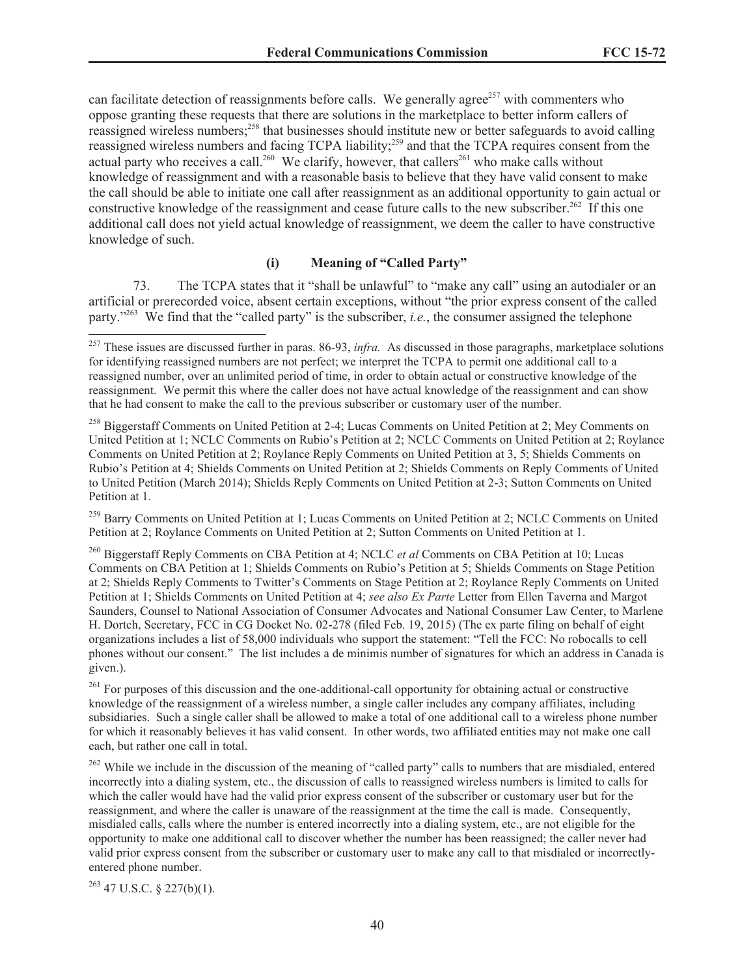can facilitate detection of reassignments before calls. We generally agree<sup>257</sup> with commenters who oppose granting these requests that there are solutions in the marketplace to better inform callers of reassigned wireless numbers;<sup>258</sup> that businesses should institute new or better safeguards to avoid calling reassigned wireless numbers and facing TCPA liability;<sup>259</sup> and that the TCPA requires consent from the actual party who receives a call.<sup>260</sup> We clarify, however, that callers<sup>261</sup> who make calls without knowledge of reassignment and with a reasonable basis to believe that they have valid consent to make the call should be able to initiate one call after reassignment as an additional opportunity to gain actual or constructive knowledge of the reassignment and cease future calls to the new subscriber.<sup>262</sup> If this one additional call does not yield actual knowledge of reassignment, we deem the caller to have constructive knowledge of such.

### **(i) Meaning of "Called Party"**

73. The TCPA states that it "shall be unlawful" to "make any call" using an autodialer or an artificial or prerecorded voice, absent certain exceptions, without "the prior express consent of the called party."<sup>263</sup> We find that the "called party" is the subscriber, *i.e.*, the consumer assigned the telephone

<sup>259</sup> Barry Comments on United Petition at 1; Lucas Comments on United Petition at 2; NCLC Comments on United Petition at 2; Roylance Comments on United Petition at 2; Sutton Comments on United Petition at 1.

<sup>260</sup> Biggerstaff Reply Comments on CBA Petition at 4; NCLC *et al* Comments on CBA Petition at 10; Lucas Comments on CBA Petition at 1; Shields Comments on Rubio's Petition at 5; Shields Comments on Stage Petition at 2; Shields Reply Comments to Twitter's Comments on Stage Petition at 2; Roylance Reply Comments on United Petition at 1; Shields Comments on United Petition at 4; *see also Ex Parte* Letter from Ellen Taverna and Margot Saunders, Counsel to National Association of Consumer Advocates and National Consumer Law Center, to Marlene H. Dortch, Secretary, FCC in CG Docket No. 02-278 (filed Feb. 19, 2015) (The ex parte filing on behalf of eight organizations includes a list of 58,000 individuals who support the statement: "Tell the FCC: No robocalls to cell phones without our consent." The list includes a de minimis number of signatures for which an address in Canada is given.).

<sup>261</sup> For purposes of this discussion and the one-additional-call opportunity for obtaining actual or constructive knowledge of the reassignment of a wireless number, a single caller includes any company affiliates, including subsidiaries. Such a single caller shall be allowed to make a total of one additional call to a wireless phone number for which it reasonably believes it has valid consent. In other words, two affiliated entities may not make one call each, but rather one call in total.

<sup>262</sup> While we include in the discussion of the meaning of "called party" calls to numbers that are misdialed, entered incorrectly into a dialing system, etc., the discussion of calls to reassigned wireless numbers is limited to calls for which the caller would have had the valid prior express consent of the subscriber or customary user but for the reassignment, and where the caller is unaware of the reassignment at the time the call is made. Consequently, misdialed calls, calls where the number is entered incorrectly into a dialing system, etc., are not eligible for the opportunity to make one additional call to discover whether the number has been reassigned; the caller never had valid prior express consent from the subscriber or customary user to make any call to that misdialed or incorrectlyentered phone number.

 $263$  47 U.S.C. § 227(b)(1).

<sup>257</sup> These issues are discussed further in paras. 86-93, *infra.* As discussed in those paragraphs, marketplace solutions for identifying reassigned numbers are not perfect; we interpret the TCPA to permit one additional call to a reassigned number, over an unlimited period of time, in order to obtain actual or constructive knowledge of the reassignment. We permit this where the caller does not have actual knowledge of the reassignment and can show that he had consent to make the call to the previous subscriber or customary user of the number.

<sup>&</sup>lt;sup>258</sup> Biggerstaff Comments on United Petition at 2-4; Lucas Comments on United Petition at 2; Mey Comments on United Petition at 1; NCLC Comments on Rubio's Petition at 2; NCLC Comments on United Petition at 2; Roylance Comments on United Petition at 2; Roylance Reply Comments on United Petition at 3, 5; Shields Comments on Rubio's Petition at 4; Shields Comments on United Petition at 2; Shields Comments on Reply Comments of United to United Petition (March 2014); Shields Reply Comments on United Petition at 2-3; Sutton Comments on United Petition at 1.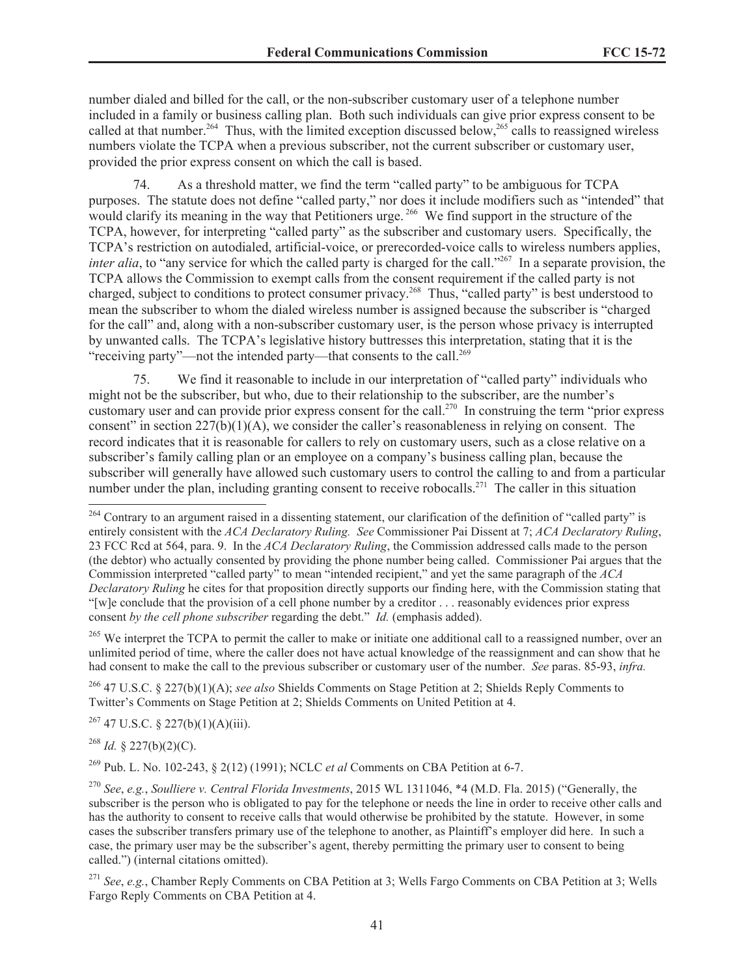number dialed and billed for the call, or the non-subscriber customary user of a telephone number included in a family or business calling plan. Both such individuals can give prior express consent to be called at that number.<sup>264</sup> Thus, with the limited exception discussed below,<sup>265</sup> calls to reassigned wireless numbers violate the TCPA when a previous subscriber, not the current subscriber or customary user, provided the prior express consent on which the call is based.

74. As a threshold matter, we find the term "called party" to be ambiguous for TCPA purposes. The statute does not define "called party," nor does it include modifiers such as "intended" that would clarify its meaning in the way that Petitioners urge.<sup>266</sup> We find support in the structure of the TCPA, however, for interpreting "called party" as the subscriber and customary users. Specifically, the TCPA's restriction on autodialed, artificial-voice, or prerecorded-voice calls to wireless numbers applies, *inter alia*, to "any service for which the called party is charged for the call."<sup>267</sup> In a separate provision, the TCPA allows the Commission to exempt calls from the consent requirement if the called party is not charged, subject to conditions to protect consumer privacy.<sup>268</sup> Thus, "called party" is best understood to mean the subscriber to whom the dialed wireless number is assigned because the subscriber is "charged for the call" and, along with a non-subscriber customary user, is the person whose privacy is interrupted by unwanted calls. The TCPA's legislative history buttresses this interpretation, stating that it is the "receiving party"—not the intended party—that consents to the call.<sup>269</sup>

75. We find it reasonable to include in our interpretation of "called party" individuals who might not be the subscriber, but who, due to their relationship to the subscriber, are the number's customary user and can provide prior express consent for the call.<sup>270</sup> In construing the term "prior express" consent" in section  $227(b)(1)(A)$ , we consider the caller's reasonableness in relying on consent. The record indicates that it is reasonable for callers to rely on customary users, such as a close relative on a subscriber's family calling plan or an employee on a company's business calling plan, because the subscriber will generally have allowed such customary users to control the calling to and from a particular number under the plan, including granting consent to receive robocalls.<sup>271</sup> The caller in this situation

<sup>265</sup> We interpret the TCPA to permit the caller to make or initiate one additional call to a reassigned number, over an unlimited period of time, where the caller does not have actual knowledge of the reassignment and can show that he had consent to make the call to the previous subscriber or customary user of the number. *See* paras. 85-93, *infra.*

<sup>266</sup> 47 U.S.C. § 227(b)(1)(A); *see also* Shields Comments on Stage Petition at 2; Shields Reply Comments to Twitter's Comments on Stage Petition at 2; Shields Comments on United Petition at 4.

 $267$  47 U.S.C. § 227(b)(1)(A)(iii).

 $^{268}$  *Id.* § 227(b)(2)(C).

<sup>269</sup> Pub. L. No. 102-243, § 2(12) (1991); NCLC *et al* Comments on CBA Petition at 6-7.

<sup>270</sup> *See*, *e.g.*, *Soulliere v. Central Florida Investments*, 2015 WL 1311046, \*4 (M.D. Fla. 2015) ("Generally, the subscriber is the person who is obligated to pay for the telephone or needs the line in order to receive other calls and has the authority to consent to receive calls that would otherwise be prohibited by the statute. However, in some cases the subscriber transfers primary use of the telephone to another, as Plaintiff's employer did here. In such a case, the primary user may be the subscriber's agent, thereby permitting the primary user to consent to being called.") (internal citations omitted).

<sup>&</sup>lt;sup>264</sup> Contrary to an argument raised in a dissenting statement, our clarification of the definition of "called party" is entirely consistent with the *ACA Declaratory Ruling. See* Commissioner Pai Dissent at 7; *ACA Declaratory Ruling*, 23 FCC Rcd at 564, para. 9. In the *ACA Declaratory Ruling*, the Commission addressed calls made to the person (the debtor) who actually consented by providing the phone number being called. Commissioner Pai argues that the Commission interpreted "called party" to mean "intended recipient," and yet the same paragraph of the *ACA Declaratory Ruling* he cites for that proposition directly supports our finding here, with the Commission stating that "[w]e conclude that the provision of a cell phone number by a creditor . . . reasonably evidences prior express consent *by the cell phone subscriber* regarding the debt." *Id.* (emphasis added).

<sup>271</sup> *See*, *e.g.*, Chamber Reply Comments on CBA Petition at 3; Wells Fargo Comments on CBA Petition at 3; Wells Fargo Reply Comments on CBA Petition at 4.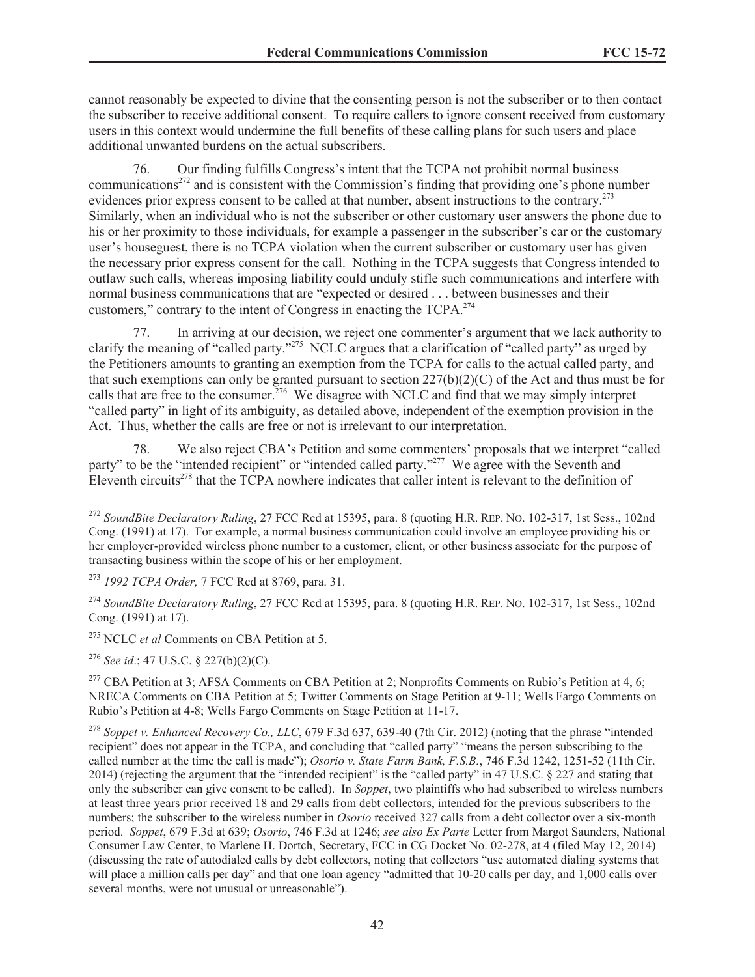cannot reasonably be expected to divine that the consenting person is not the subscriber or to then contact the subscriber to receive additional consent. To require callers to ignore consent received from customary users in this context would undermine the full benefits of these calling plans for such users and place additional unwanted burdens on the actual subscribers.

76. Our finding fulfills Congress's intent that the TCPA not prohibit normal business communications<sup> $272$ </sup> and is consistent with the Commission's finding that providing one's phone number evidences prior express consent to be called at that number, absent instructions to the contrary.<sup>273</sup> Similarly, when an individual who is not the subscriber or other customary user answers the phone due to his or her proximity to those individuals, for example a passenger in the subscriber's car or the customary user's houseguest, there is no TCPA violation when the current subscriber or customary user has given the necessary prior express consent for the call. Nothing in the TCPA suggests that Congress intended to outlaw such calls, whereas imposing liability could unduly stifle such communications and interfere with normal business communications that are "expected or desired . . . between businesses and their customers," contrary to the intent of Congress in enacting the TCPA.<sup>274</sup>

77. In arriving at our decision, we reject one commenter's argument that we lack authority to clarify the meaning of "called party."<sup>275</sup> NCLC argues that a clarification of "called party" as urged by the Petitioners amounts to granting an exemption from the TCPA for calls to the actual called party, and that such exemptions can only be granted pursuant to section 227(b)(2)(C) of the Act and thus must be for calls that are free to the consumer.<sup>276</sup> We disagree with NCLC and find that we may simply interpret "called party" in light of its ambiguity, as detailed above, independent of the exemption provision in the Act. Thus, whether the calls are free or not is irrelevant to our interpretation.

78. We also reject CBA's Petition and some commenters' proposals that we interpret "called party" to be the "intended recipient" or "intended called party."<sup>277</sup> We agree with the Seventh and Eleventh circuits<sup>278</sup> that the TCPA nowhere indicates that caller intent is relevant to the definition of

<sup>275</sup> NCLC *et al* Comments on CBA Petition at 5.

<sup>276</sup> *See id*.; 47 U.S.C. § 227(b)(2)(C).

<sup>277</sup> CBA Petition at 3; AFSA Comments on CBA Petition at 2; Nonprofits Comments on Rubio's Petition at 4, 6; NRECA Comments on CBA Petition at 5; Twitter Comments on Stage Petition at 9-11; Wells Fargo Comments on Rubio's Petition at 4-8; Wells Fargo Comments on Stage Petition at 11-17.

<sup>272</sup> *SoundBite Declaratory Ruling*, 27 FCC Rcd at 15395, para. 8 (quoting H.R. REP. NO. 102-317, 1st Sess., 102nd Cong. (1991) at 17). For example, a normal business communication could involve an employee providing his or her employer-provided wireless phone number to a customer, client, or other business associate for the purpose of transacting business within the scope of his or her employment.

<sup>273</sup> *1992 TCPA Order,* 7 FCC Rcd at 8769, para. 31.

<sup>274</sup> *SoundBite Declaratory Ruling*, 27 FCC Rcd at 15395, para. 8 (quoting H.R. REP. NO. 102-317, 1st Sess., 102nd Cong. (1991) at 17).

<sup>278</sup> *Soppet v. Enhanced Recovery Co., LLC*, 679 F.3d 637, 639-40 (7th Cir. 2012) (noting that the phrase "intended recipient" does not appear in the TCPA, and concluding that "called party" "means the person subscribing to the called number at the time the call is made"); *Osorio v. State Farm Bank, F.S.B.*, 746 F.3d 1242, 1251-52 (11th Cir. 2014) (rejecting the argument that the "intended recipient" is the "called party" in 47 U.S.C. § 227 and stating that only the subscriber can give consent to be called). In *Soppet*, two plaintiffs who had subscribed to wireless numbers at least three years prior received 18 and 29 calls from debt collectors, intended for the previous subscribers to the numbers; the subscriber to the wireless number in *Osorio* received 327 calls from a debt collector over a six-month period. *Soppet*, 679 F.3d at 639; *Osorio*, 746 F.3d at 1246; *see also Ex Parte* Letter from Margot Saunders, National Consumer Law Center, to Marlene H. Dortch, Secretary, FCC in CG Docket No. 02-278, at 4 (filed May 12, 2014) (discussing the rate of autodialed calls by debt collectors, noting that collectors "use automated dialing systems that will place a million calls per day" and that one loan agency "admitted that 10-20 calls per day, and 1,000 calls over several months, were not unusual or unreasonable").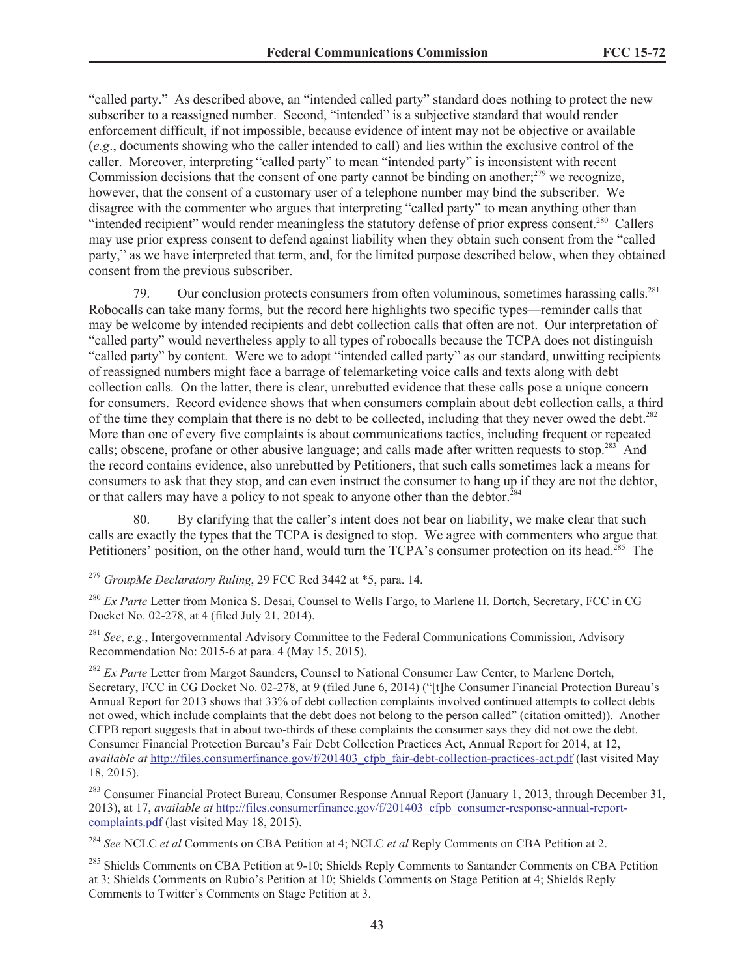"called party." As described above, an "intended called party" standard does nothing to protect the new subscriber to a reassigned number. Second, "intended" is a subjective standard that would render enforcement difficult, if not impossible, because evidence of intent may not be objective or available (*e.g*., documents showing who the caller intended to call) and lies within the exclusive control of the caller. Moreover, interpreting "called party" to mean "intended party" is inconsistent with recent Commission decisions that the consent of one party cannot be binding on another; $279$  we recognize, however, that the consent of a customary user of a telephone number may bind the subscriber. We disagree with the commenter who argues that interpreting "called party" to mean anything other than "intended recipient" would render meaningless the statutory defense of prior express consent.<sup>280</sup> Callers may use prior express consent to defend against liability when they obtain such consent from the "called party," as we have interpreted that term, and, for the limited purpose described below, when they obtained consent from the previous subscriber.

79. Our conclusion protects consumers from often voluminous, sometimes harassing calls.<sup>281</sup> Robocalls can take many forms, but the record here highlights two specific types—reminder calls that may be welcome by intended recipients and debt collection calls that often are not. Our interpretation of "called party" would nevertheless apply to all types of robocalls because the TCPA does not distinguish "called party" by content. Were we to adopt "intended called party" as our standard, unwitting recipients of reassigned numbers might face a barrage of telemarketing voice calls and texts along with debt collection calls. On the latter, there is clear, unrebutted evidence that these calls pose a unique concern for consumers. Record evidence shows that when consumers complain about debt collection calls, a third of the time they complain that there is no debt to be collected, including that they never owed the debt.<sup>282</sup> More than one of every five complaints is about communications tactics, including frequent or repeated calls; obscene, profane or other abusive language; and calls made after written requests to stop.<sup>283</sup> And the record contains evidence, also unrebutted by Petitioners, that such calls sometimes lack a means for consumers to ask that they stop, and can even instruct the consumer to hang up if they are not the debtor, or that callers may have a policy to not speak to anyone other than the debtor.<sup>284</sup>

80. By clarifying that the caller's intent does not bear on liability, we make clear that such calls are exactly the types that the TCPA is designed to stop. We agree with commenters who argue that Petitioners' position, on the other hand, would turn the TCPA's consumer protection on its head.<sup>285</sup> The

<sup>281</sup> *See*, *e.g.*, Intergovernmental Advisory Committee to the Federal Communications Commission, Advisory Recommendation No: 2015-6 at para. 4 (May 15, 2015).

<sup>282</sup> *Ex Parte* Letter from Margot Saunders, Counsel to National Consumer Law Center, to Marlene Dortch, Secretary, FCC in CG Docket No. 02-278, at 9 (filed June 6, 2014) ("[t]he Consumer Financial Protection Bureau's Annual Report for 2013 shows that 33% of debt collection complaints involved continued attempts to collect debts not owed, which include complaints that the debt does not belong to the person called" (citation omitted)). Another CFPB report suggests that in about two-thirds of these complaints the consumer says they did not owe the debt. Consumer Financial Protection Bureau's Fair Debt Collection Practices Act, Annual Report for 2014, at 12, *available at* http://files.consumerfinance.gov/f/201403\_cfpb\_fair-debt-collection-practices-act.pdf (last visited May 18, 2015).

<sup>283</sup> Consumer Financial Protect Bureau, Consumer Response Annual Report (January 1, 2013, through December 31, 2013), at 17, *available at* http://files.consumerfinance.gov/f/201403\_cfpb\_consumer-response-annual-reportcomplaints.pdf (last visited May 18, 2015).

<sup>284</sup> *See* NCLC *et al* Comments on CBA Petition at 4; NCLC *et al* Reply Comments on CBA Petition at 2.

<sup>285</sup> Shields Comments on CBA Petition at 9-10; Shields Reply Comments to Santander Comments on CBA Petition at 3; Shields Comments on Rubio's Petition at 10; Shields Comments on Stage Petition at 4; Shields Reply Comments to Twitter's Comments on Stage Petition at 3.

<sup>279</sup> *GroupMe Declaratory Ruling*, 29 FCC Rcd 3442 at \*5, para. 14.

<sup>&</sup>lt;sup>280</sup> *Ex Parte* Letter from Monica S. Desai, Counsel to Wells Fargo, to Marlene H. Dortch, Secretary, FCC in CG Docket No. 02-278, at 4 (filed July 21, 2014).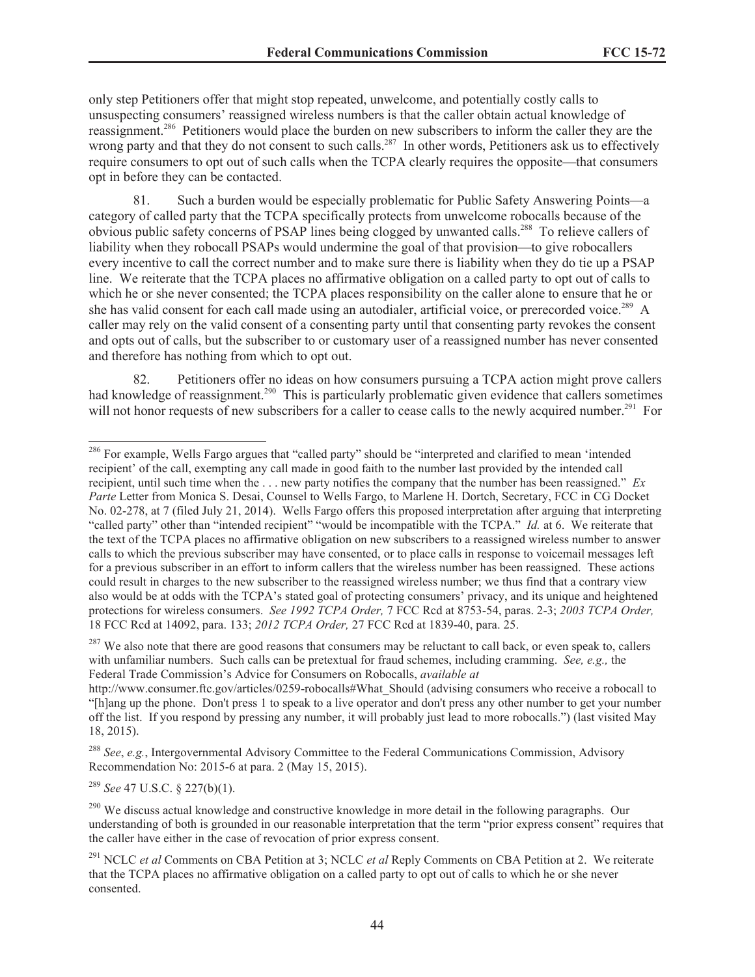only step Petitioners offer that might stop repeated, unwelcome, and potentially costly calls to unsuspecting consumers' reassigned wireless numbers is that the caller obtain actual knowledge of reassignment.<sup>286</sup> Petitioners would place the burden on new subscribers to inform the caller they are the wrong party and that they do not consent to such calls.<sup>287</sup> In other words, Petitioners ask us to effectively require consumers to opt out of such calls when the TCPA clearly requires the opposite—that consumers opt in before they can be contacted.

81. Such a burden would be especially problematic for Public Safety Answering Points—a category of called party that the TCPA specifically protects from unwelcome robocalls because of the obvious public safety concerns of PSAP lines being clogged by unwanted calls.<sup>288</sup> To relieve callers of liability when they robocall PSAPs would undermine the goal of that provision—to give robocallers every incentive to call the correct number and to make sure there is liability when they do tie up a PSAP line. We reiterate that the TCPA places no affirmative obligation on a called party to opt out of calls to which he or she never consented; the TCPA places responsibility on the caller alone to ensure that he or she has valid consent for each call made using an autodialer, artificial voice, or prerecorded voice.<sup>289</sup> A caller may rely on the valid consent of a consenting party until that consenting party revokes the consent and opts out of calls, but the subscriber to or customary user of a reassigned number has never consented and therefore has nothing from which to opt out.

82. Petitioners offer no ideas on how consumers pursuing a TCPA action might prove callers had knowledge of reassignment.<sup>290</sup> This is particularly problematic given evidence that callers sometimes will not honor requests of new subscribers for a caller to cease calls to the newly acquired number.<sup>291</sup> For

<sup>287</sup> We also note that there are good reasons that consumers may be reluctant to call back, or even speak to, callers with unfamiliar numbers. Such calls can be pretextual for fraud schemes, including cramming. *See, e.g.,* the Federal Trade Commission's Advice for Consumers on Robocalls, *available at*

<sup>289</sup> *See* 47 U.S.C. § 227(b)(1).

<sup>&</sup>lt;sup>286</sup> For example, Wells Fargo argues that "called party" should be "interpreted and clarified to mean 'intended recipient' of the call, exempting any call made in good faith to the number last provided by the intended call recipient, until such time when the . . . new party notifies the company that the number has been reassigned." *Ex Parte* Letter from Monica S. Desai, Counsel to Wells Fargo, to Marlene H. Dortch, Secretary, FCC in CG Docket No. 02-278, at 7 (filed July 21, 2014). Wells Fargo offers this proposed interpretation after arguing that interpreting "called party" other than "intended recipient" "would be incompatible with the TCPA." *Id.* at 6. We reiterate that the text of the TCPA places no affirmative obligation on new subscribers to a reassigned wireless number to answer calls to which the previous subscriber may have consented, or to place calls in response to voicemail messages left for a previous subscriber in an effort to inform callers that the wireless number has been reassigned. These actions could result in charges to the new subscriber to the reassigned wireless number; we thus find that a contrary view also would be at odds with the TCPA's stated goal of protecting consumers' privacy, and its unique and heightened protections for wireless consumers. *See 1992 TCPA Order,* 7 FCC Rcd at 8753-54, paras. 2-3; *2003 TCPA Order,* 18 FCC Rcd at 14092, para. 133; *2012 TCPA Order,* 27 FCC Rcd at 1839-40, para. 25.

http://www.consumer.ftc.gov/articles/0259-robocalls#What\_Should (advising consumers who receive a robocall to "[h]ang up the phone. Don't press 1 to speak to a live operator and don't press any other number to get your number off the list. If you respond by pressing any number, it will probably just lead to more robocalls.") (last visited May 18, 2015).

<sup>288</sup> *See*, *e.g.*, Intergovernmental Advisory Committee to the Federal Communications Commission, Advisory Recommendation No: 2015-6 at para. 2 (May 15, 2015).

<sup>&</sup>lt;sup>290</sup> We discuss actual knowledge and constructive knowledge in more detail in the following paragraphs. Our understanding of both is grounded in our reasonable interpretation that the term "prior express consent" requires that the caller have either in the case of revocation of prior express consent.

<sup>291</sup> NCLC *et al* Comments on CBA Petition at 3; NCLC *et al* Reply Comments on CBA Petition at 2. We reiterate that the TCPA places no affirmative obligation on a called party to opt out of calls to which he or she never consented.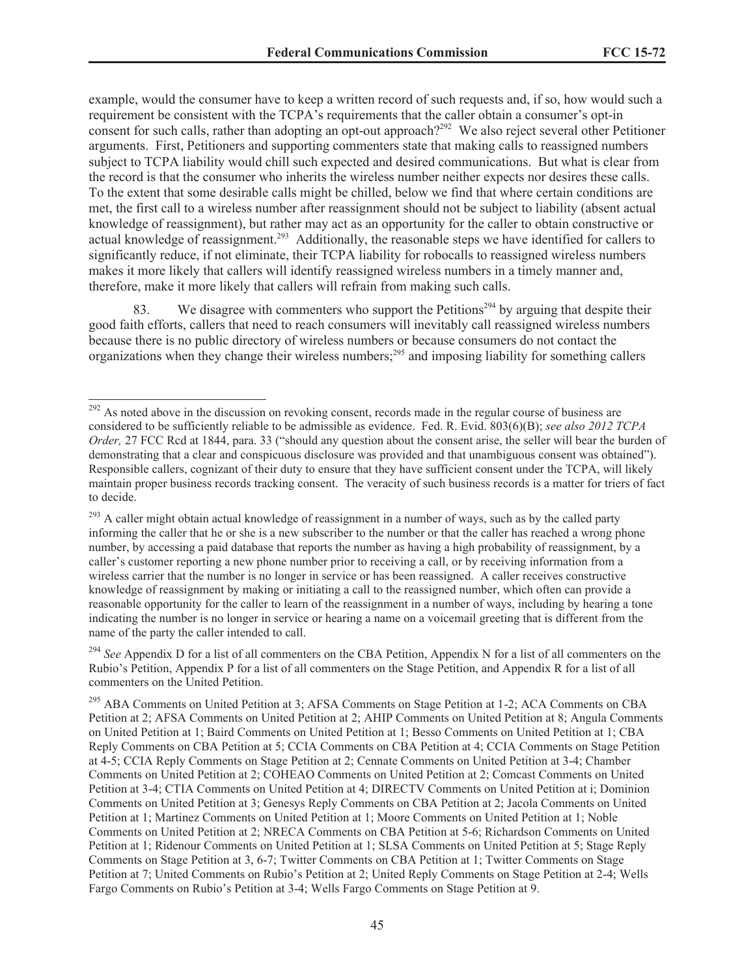example, would the consumer have to keep a written record of such requests and, if so, how would such a requirement be consistent with the TCPA's requirements that the caller obtain a consumer's opt-in consent for such calls, rather than adopting an opt-out approach?<sup>292</sup> We also reject several other Petitioner arguments. First, Petitioners and supporting commenters state that making calls to reassigned numbers subject to TCPA liability would chill such expected and desired communications. But what is clear from the record is that the consumer who inherits the wireless number neither expects nor desires these calls. To the extent that some desirable calls might be chilled, below we find that where certain conditions are met, the first call to a wireless number after reassignment should not be subject to liability (absent actual knowledge of reassignment), but rather may act as an opportunity for the caller to obtain constructive or actual knowledge of reassignment.<sup>293</sup> Additionally, the reasonable steps we have identified for callers to significantly reduce, if not eliminate, their TCPA liability for robocalls to reassigned wireless numbers makes it more likely that callers will identify reassigned wireless numbers in a timely manner and, therefore, make it more likely that callers will refrain from making such calls.

83. We disagree with commenters who support the Petitions<sup>294</sup> by arguing that despite their good faith efforts, callers that need to reach consumers will inevitably call reassigned wireless numbers because there is no public directory of wireless numbers or because consumers do not contact the organizations when they change their wireless numbers;<sup>295</sup> and imposing liability for something callers

<sup>&</sup>lt;sup>292</sup> As noted above in the discussion on revoking consent, records made in the regular course of business are considered to be sufficiently reliable to be admissible as evidence. Fed. R. Evid. 803(6)(B); *see also 2012 TCPA Order,* 27 FCC Rcd at 1844, para. 33 ("should any question about the consent arise, the seller will bear the burden of demonstrating that a clear and conspicuous disclosure was provided and that unambiguous consent was obtained"). Responsible callers, cognizant of their duty to ensure that they have sufficient consent under the TCPA, will likely maintain proper business records tracking consent. The veracity of such business records is a matter for triers of fact to decide.

 $293$  A caller might obtain actual knowledge of reassignment in a number of ways, such as by the called party informing the caller that he or she is a new subscriber to the number or that the caller has reached a wrong phone number, by accessing a paid database that reports the number as having a high probability of reassignment, by a caller's customer reporting a new phone number prior to receiving a call, or by receiving information from a wireless carrier that the number is no longer in service or has been reassigned. A caller receives constructive knowledge of reassignment by making or initiating a call to the reassigned number, which often can provide a reasonable opportunity for the caller to learn of the reassignment in a number of ways, including by hearing a tone indicating the number is no longer in service or hearing a name on a voicemail greeting that is different from the name of the party the caller intended to call.

<sup>&</sup>lt;sup>294</sup> See Appendix D for a list of all commenters on the CBA Petition, Appendix N for a list of all commenters on the Rubio's Petition, Appendix P for a list of all commenters on the Stage Petition, and Appendix R for a list of all commenters on the United Petition.

<sup>295</sup> ABA Comments on United Petition at 3; AFSA Comments on Stage Petition at 1-2; ACA Comments on CBA Petition at 2; AFSA Comments on United Petition at 2; AHIP Comments on United Petition at 8; Angula Comments on United Petition at 1; Baird Comments on United Petition at 1; Besso Comments on United Petition at 1; CBA Reply Comments on CBA Petition at 5; CCIA Comments on CBA Petition at 4; CCIA Comments on Stage Petition at 4-5; CCIA Reply Comments on Stage Petition at 2; Cennate Comments on United Petition at 3-4; Chamber Comments on United Petition at 2; COHEAO Comments on United Petition at 2; Comcast Comments on United Petition at 3-4; CTIA Comments on United Petition at 4; DIRECTV Comments on United Petition at i; Dominion Comments on United Petition at 3; Genesys Reply Comments on CBA Petition at 2; Jacola Comments on United Petition at 1; Martinez Comments on United Petition at 1; Moore Comments on United Petition at 1; Noble Comments on United Petition at 2; NRECA Comments on CBA Petition at 5-6; Richardson Comments on United Petition at 1; Ridenour Comments on United Petition at 1; SLSA Comments on United Petition at 5; Stage Reply Comments on Stage Petition at 3, 6-7; Twitter Comments on CBA Petition at 1; Twitter Comments on Stage Petition at 7; United Comments on Rubio's Petition at 2; United Reply Comments on Stage Petition at 2-4; Wells Fargo Comments on Rubio's Petition at 3-4; Wells Fargo Comments on Stage Petition at 9.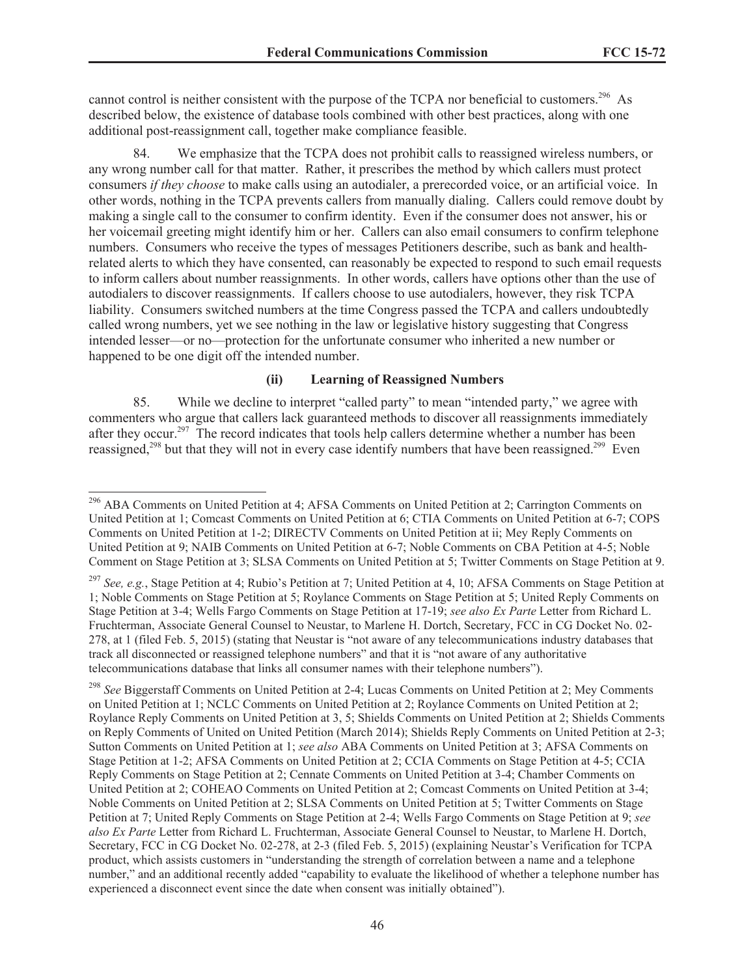cannot control is neither consistent with the purpose of the TCPA nor beneficial to customers.<sup>296</sup> As described below, the existence of database tools combined with other best practices, along with one additional post-reassignment call, together make compliance feasible.

We emphasize that the TCPA does not prohibit calls to reassigned wireless numbers, or any wrong number call for that matter. Rather, it prescribes the method by which callers must protect consumers *if they choose* to make calls using an autodialer, a prerecorded voice, or an artificial voice. In other words, nothing in the TCPA prevents callers from manually dialing. Callers could remove doubt by making a single call to the consumer to confirm identity. Even if the consumer does not answer, his or her voicemail greeting might identify him or her. Callers can also email consumers to confirm telephone numbers. Consumers who receive the types of messages Petitioners describe, such as bank and healthrelated alerts to which they have consented, can reasonably be expected to respond to such email requests to inform callers about number reassignments. In other words, callers have options other than the use of autodialers to discover reassignments. If callers choose to use autodialers, however, they risk TCPA liability. Consumers switched numbers at the time Congress passed the TCPA and callers undoubtedly called wrong numbers, yet we see nothing in the law or legislative history suggesting that Congress intended lesser—or no—protection for the unfortunate consumer who inherited a new number or happened to be one digit off the intended number.

## **(ii) Learning of Reassigned Numbers**

85. While we decline to interpret "called party" to mean "intended party," we agree with commenters who argue that callers lack guaranteed methods to discover all reassignments immediately after they occur.<sup>297</sup> The record indicates that tools help callers determine whether a number has been reassigned,<sup>298</sup> but that they will not in every case identify numbers that have been reassigned.<sup>299</sup> Even

<sup>296</sup> ABA Comments on United Petition at 4; AFSA Comments on United Petition at 2; Carrington Comments on United Petition at 1; Comcast Comments on United Petition at 6; CTIA Comments on United Petition at 6-7; COPS Comments on United Petition at 1-2; DIRECTV Comments on United Petition at ii; Mey Reply Comments on United Petition at 9; NAIB Comments on United Petition at 6-7; Noble Comments on CBA Petition at 4-5; Noble Comment on Stage Petition at 3; SLSA Comments on United Petition at 5; Twitter Comments on Stage Petition at 9.

<sup>297</sup> *See, e.g.*, Stage Petition at 4; Rubio's Petition at 7; United Petition at 4, 10; AFSA Comments on Stage Petition at 1; Noble Comments on Stage Petition at 5; Roylance Comments on Stage Petition at 5; United Reply Comments on Stage Petition at 3-4; Wells Fargo Comments on Stage Petition at 17-19; *see also Ex Parte* Letter from Richard L. Fruchterman, Associate General Counsel to Neustar, to Marlene H. Dortch, Secretary, FCC in CG Docket No. 02- 278, at 1 (filed Feb. 5, 2015) (stating that Neustar is "not aware of any telecommunications industry databases that track all disconnected or reassigned telephone numbers" and that it is "not aware of any authoritative telecommunications database that links all consumer names with their telephone numbers").

<sup>298</sup> *See* Biggerstaff Comments on United Petition at 2-4; Lucas Comments on United Petition at 2; Mey Comments on United Petition at 1; NCLC Comments on United Petition at 2; Roylance Comments on United Petition at 2; Roylance Reply Comments on United Petition at 3, 5; Shields Comments on United Petition at 2; Shields Comments on Reply Comments of United on United Petition (March 2014); Shields Reply Comments on United Petition at 2-3; Sutton Comments on United Petition at 1; *see also* ABA Comments on United Petition at 3; AFSA Comments on Stage Petition at 1-2; AFSA Comments on United Petition at 2; CCIA Comments on Stage Petition at 4-5; CCIA Reply Comments on Stage Petition at 2; Cennate Comments on United Petition at 3-4; Chamber Comments on United Petition at 2; COHEAO Comments on United Petition at 2; Comcast Comments on United Petition at 3-4; Noble Comments on United Petition at 2; SLSA Comments on United Petition at 5; Twitter Comments on Stage Petition at 7; United Reply Comments on Stage Petition at 2-4; Wells Fargo Comments on Stage Petition at 9; *see also Ex Parte* Letter from Richard L. Fruchterman, Associate General Counsel to Neustar, to Marlene H. Dortch, Secretary, FCC in CG Docket No. 02-278, at 2-3 (filed Feb. 5, 2015) (explaining Neustar's Verification for TCPA product, which assists customers in "understanding the strength of correlation between a name and a telephone number," and an additional recently added "capability to evaluate the likelihood of whether a telephone number has experienced a disconnect event since the date when consent was initially obtained").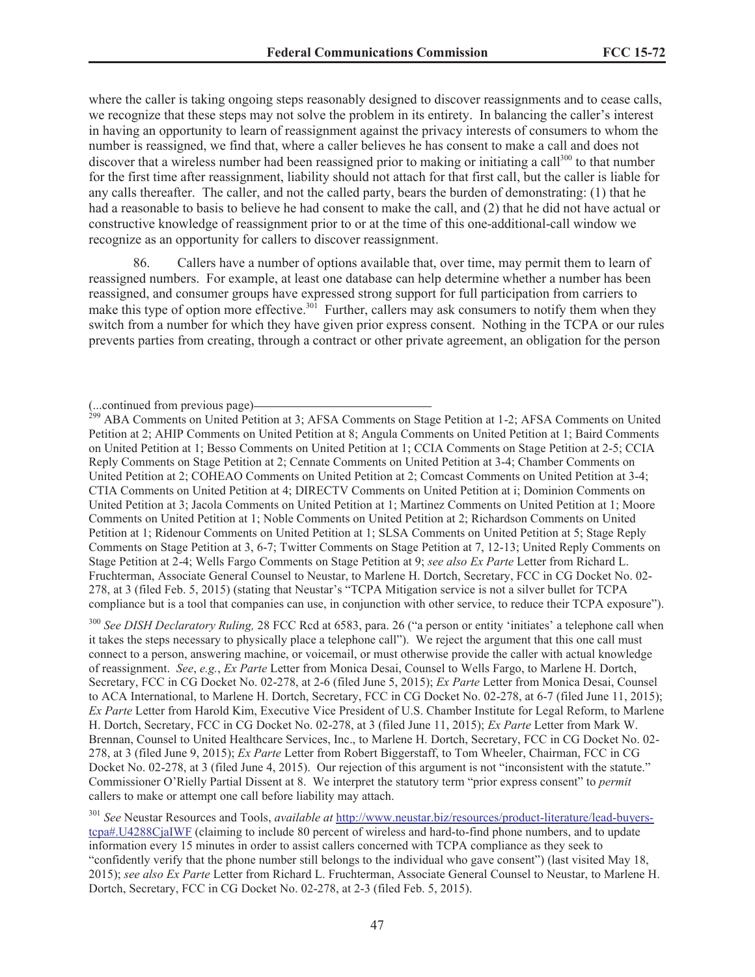where the caller is taking ongoing steps reasonably designed to discover reassignments and to cease calls, we recognize that these steps may not solve the problem in its entirety. In balancing the caller's interest in having an opportunity to learn of reassignment against the privacy interests of consumers to whom the number is reassigned, we find that, where a caller believes he has consent to make a call and does not discover that a wireless number had been reassigned prior to making or initiating a call<sup>300</sup> to that number for the first time after reassignment, liability should not attach for that first call, but the caller is liable for any calls thereafter. The caller, and not the called party, bears the burden of demonstrating: (1) that he had a reasonable to basis to believe he had consent to make the call, and (2) that he did not have actual or constructive knowledge of reassignment prior to or at the time of this one-additional-call window we recognize as an opportunity for callers to discover reassignment.

86. Callers have a number of options available that, over time, may permit them to learn of reassigned numbers. For example, at least one database can help determine whether a number has been reassigned, and consumer groups have expressed strong support for full participation from carriers to make this type of option more effective.<sup>301</sup> Further, callers may ask consumers to notify them when they switch from a number for which they have given prior express consent. Nothing in the TCPA or our rules prevents parties from creating, through a contract or other private agreement, an obligation for the person

<sup>300</sup> *See DISH Declaratory Ruling,* 28 FCC Rcd at 6583, para. 26 ("a person or entity 'initiates' a telephone call when it takes the steps necessary to physically place a telephone call"). We reject the argument that this one call must connect to a person, answering machine, or voicemail, or must otherwise provide the caller with actual knowledge of reassignment. *See*, *e.g.*, *Ex Parte* Letter from Monica Desai, Counsel to Wells Fargo, to Marlene H. Dortch, Secretary, FCC in CG Docket No. 02-278, at 2-6 (filed June 5, 2015); *Ex Parte* Letter from Monica Desai, Counsel to ACA International, to Marlene H. Dortch, Secretary, FCC in CG Docket No. 02-278, at 6-7 (filed June 11, 2015); *Ex Parte* Letter from Harold Kim, Executive Vice President of U.S. Chamber Institute for Legal Reform, to Marlene H. Dortch, Secretary, FCC in CG Docket No. 02-278, at 3 (filed June 11, 2015); *Ex Parte* Letter from Mark W. Brennan, Counsel to United Healthcare Services, Inc., to Marlene H. Dortch, Secretary, FCC in CG Docket No. 02- 278, at 3 (filed June 9, 2015); *Ex Parte* Letter from Robert Biggerstaff, to Tom Wheeler, Chairman, FCC in CG Docket No. 02-278, at 3 (filed June 4, 2015). Our rejection of this argument is not "inconsistent with the statute." Commissioner O'Rielly Partial Dissent at 8. We interpret the statutory term "prior express consent" to *permit* callers to make or attempt one call before liability may attach.

<sup>301</sup> *See* Neustar Resources and Tools, *available at* http://www.neustar.biz/resources/product-literature/lead-buyerstcpa#.U4288CjaIWF (claiming to include 80 percent of wireless and hard-to-find phone numbers, and to update information every 15 minutes in order to assist callers concerned with TCPA compliance as they seek to "confidently verify that the phone number still belongs to the individual who gave consent") (last visited May 18, 2015); *see also Ex Parte* Letter from Richard L. Fruchterman, Associate General Counsel to Neustar, to Marlene H. Dortch, Secretary, FCC in CG Docket No. 02-278, at 2-3 (filed Feb. 5, 2015).

<sup>(...</sup>continued from previous page)

<sup>&</sup>lt;sup>299</sup> ABA Comments on United Petition at 3; AFSA Comments on Stage Petition at 1-2; AFSA Comments on United Petition at 2; AHIP Comments on United Petition at 8; Angula Comments on United Petition at 1; Baird Comments on United Petition at 1; Besso Comments on United Petition at 1; CCIA Comments on Stage Petition at 2-5; CCIA Reply Comments on Stage Petition at 2; Cennate Comments on United Petition at 3-4; Chamber Comments on United Petition at 2; COHEAO Comments on United Petition at 2; Comcast Comments on United Petition at 3-4; CTIA Comments on United Petition at 4; DIRECTV Comments on United Petition at i; Dominion Comments on United Petition at 3; Jacola Comments on United Petition at 1; Martinez Comments on United Petition at 1; Moore Comments on United Petition at 1; Noble Comments on United Petition at 2; Richardson Comments on United Petition at 1; Ridenour Comments on United Petition at 1; SLSA Comments on United Petition at 5; Stage Reply Comments on Stage Petition at 3, 6-7; Twitter Comments on Stage Petition at 7, 12-13; United Reply Comments on Stage Petition at 2-4; Wells Fargo Comments on Stage Petition at 9; *see also Ex Parte* Letter from Richard L. Fruchterman, Associate General Counsel to Neustar, to Marlene H. Dortch, Secretary, FCC in CG Docket No. 02- 278, at 3 (filed Feb. 5, 2015) (stating that Neustar's "TCPA Mitigation service is not a silver bullet for TCPA compliance but is a tool that companies can use, in conjunction with other service, to reduce their TCPA exposure").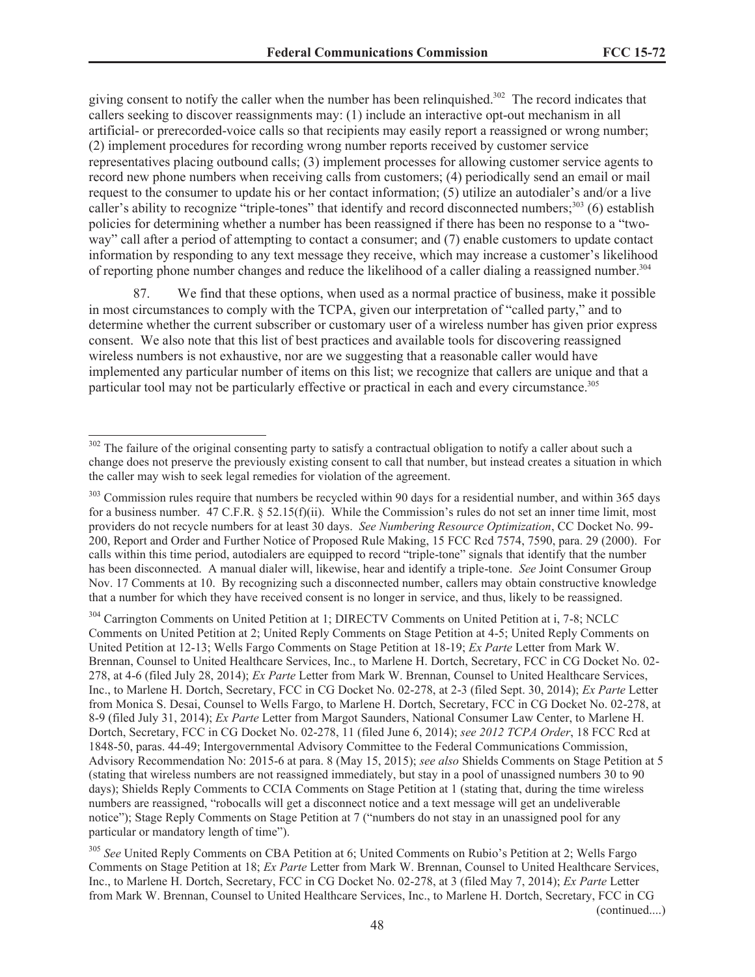giving consent to notify the caller when the number has been relinquished.<sup>302</sup> The record indicates that callers seeking to discover reassignments may: (1) include an interactive opt-out mechanism in all artificial- or prerecorded-voice calls so that recipients may easily report a reassigned or wrong number; (2) implement procedures for recording wrong number reports received by customer service representatives placing outbound calls; (3) implement processes for allowing customer service agents to record new phone numbers when receiving calls from customers; (4) periodically send an email or mail request to the consumer to update his or her contact information; (5) utilize an autodialer's and/or a live caller's ability to recognize "triple-tones" that identify and record disconnected numbers;<sup>303</sup> (6) establish policies for determining whether a number has been reassigned if there has been no response to a "twoway" call after a period of attempting to contact a consumer; and (7) enable customers to update contact information by responding to any text message they receive, which may increase a customer's likelihood of reporting phone number changes and reduce the likelihood of a caller dialing a reassigned number.<sup>304</sup>

87. We find that these options, when used as a normal practice of business, make it possible in most circumstances to comply with the TCPA, given our interpretation of "called party," and to determine whether the current subscriber or customary user of a wireless number has given prior express consent. We also note that this list of best practices and available tools for discovering reassigned wireless numbers is not exhaustive, nor are we suggesting that a reasonable caller would have implemented any particular number of items on this list; we recognize that callers are unique and that a particular tool may not be particularly effective or practical in each and every circumstance.<sup>305</sup>

<sup>304</sup> Carrington Comments on United Petition at 1; DIRECTV Comments on United Petition at i, 7-8; NCLC Comments on United Petition at 2; United Reply Comments on Stage Petition at 4-5; United Reply Comments on United Petition at 12-13; Wells Fargo Comments on Stage Petition at 18-19; *Ex Parte* Letter from Mark W. Brennan, Counsel to United Healthcare Services, Inc., to Marlene H. Dortch, Secretary, FCC in CG Docket No. 02- 278, at 4-6 (filed July 28, 2014); *Ex Parte* Letter from Mark W. Brennan, Counsel to United Healthcare Services, Inc., to Marlene H. Dortch, Secretary, FCC in CG Docket No. 02-278, at 2-3 (filed Sept. 30, 2014); *Ex Parte* Letter from Monica S. Desai, Counsel to Wells Fargo, to Marlene H. Dortch, Secretary, FCC in CG Docket No. 02-278, at 8-9 (filed July 31, 2014); *Ex Parte* Letter from Margot Saunders, National Consumer Law Center, to Marlene H. Dortch, Secretary, FCC in CG Docket No. 02-278, 11 (filed June 6, 2014); *see 2012 TCPA Order*, 18 FCC Rcd at 1848-50, paras. 44-49; Intergovernmental Advisory Committee to the Federal Communications Commission, Advisory Recommendation No: 2015-6 at para. 8 (May 15, 2015); *see also* Shields Comments on Stage Petition at 5 (stating that wireless numbers are not reassigned immediately, but stay in a pool of unassigned numbers 30 to 90 days); Shields Reply Comments to CCIA Comments on Stage Petition at 1 (stating that, during the time wireless numbers are reassigned, "robocalls will get a disconnect notice and a text message will get an undeliverable notice"); Stage Reply Comments on Stage Petition at 7 ("numbers do not stay in an unassigned pool for any particular or mandatory length of time").

<sup>305</sup> *See* United Reply Comments on CBA Petition at 6; United Comments on Rubio's Petition at 2; Wells Fargo Comments on Stage Petition at 18; *Ex Parte* Letter from Mark W. Brennan, Counsel to United Healthcare Services, Inc., to Marlene H. Dortch, Secretary, FCC in CG Docket No. 02-278, at 3 (filed May 7, 2014); *Ex Parte* Letter from Mark W. Brennan, Counsel to United Healthcare Services, Inc., to Marlene H. Dortch, Secretary, FCC in CG

<sup>&</sup>lt;sup>302</sup> The failure of the original consenting party to satisfy a contractual obligation to notify a caller about such a change does not preserve the previously existing consent to call that number, but instead creates a situation in which the caller may wish to seek legal remedies for violation of the agreement.

 $303$  Commission rules require that numbers be recycled within 90 days for a residential number, and within 365 days for a business number.  $47 \text{ C.F.R.}$  §  $52.15 \text{ (f)}$  (ii). While the Commission's rules do not set an inner time limit, most providers do not recycle numbers for at least 30 days. *See Numbering Resource Optimization*, CC Docket No. 99- 200, Report and Order and Further Notice of Proposed Rule Making, 15 FCC Rcd 7574, 7590, para. 29 (2000). For calls within this time period, autodialers are equipped to record "triple-tone" signals that identify that the number has been disconnected. A manual dialer will, likewise, hear and identify a triple-tone. *See* Joint Consumer Group Nov. 17 Comments at 10. By recognizing such a disconnected number, callers may obtain constructive knowledge that a number for which they have received consent is no longer in service, and thus, likely to be reassigned.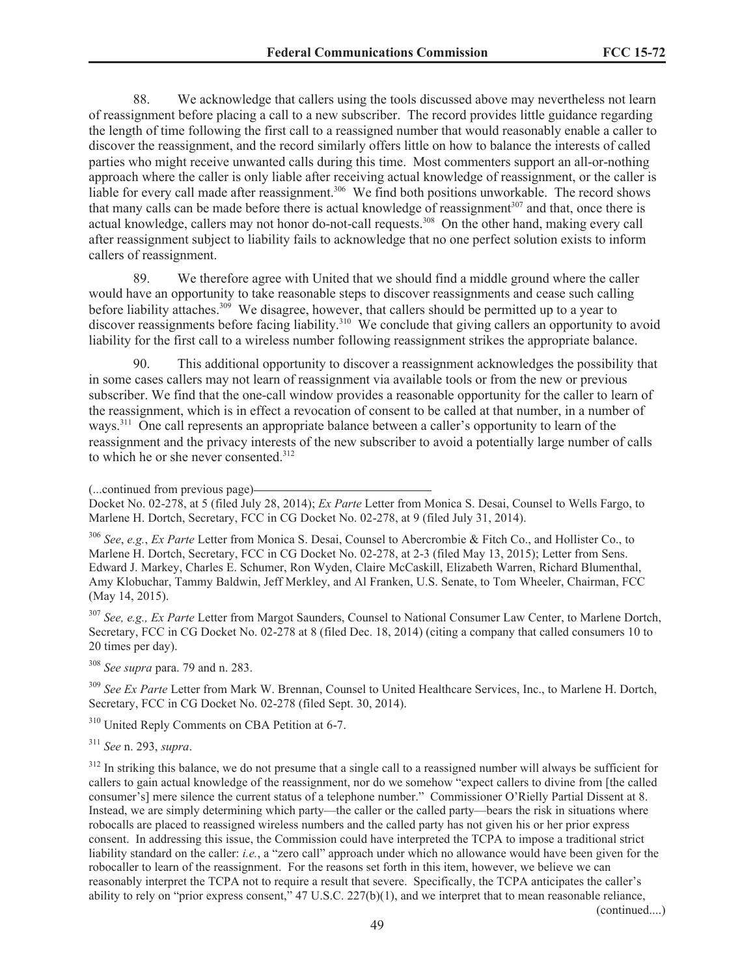88. We acknowledge that callers using the tools discussed above may nevertheless not learn of reassignment before placing a call to a new subscriber. The record provides little guidance regarding the length of time following the first call to a reassigned number that would reasonably enable a caller to discover the reassignment, and the record similarly offers little on how to balance the interests of called parties who might receive unwanted calls during this time. Most commenters support an all-or-nothing approach where the caller is only liable after receiving actual knowledge of reassignment, or the caller is liable for every call made after reassignment.<sup>306</sup> We find both positions unworkable. The record shows that many calls can be made before there is actual knowledge of reassignment<sup>307</sup> and that, once there is actual knowledge, callers may not honor do-not-call requests.<sup>308</sup> On the other hand, making every call after reassignment subject to liability fails to acknowledge that no one perfect solution exists to inform callers of reassignment.

89. We therefore agree with United that we should find a middle ground where the caller would have an opportunity to take reasonable steps to discover reassignments and cease such calling before liability attaches.<sup>309</sup> We disagree, however, that callers should be permitted up to a year to discover reassignments before facing liability.<sup>310</sup> We conclude that giving callers an opportunity to avoid liability for the first call to a wireless number following reassignment strikes the appropriate balance.

90. This additional opportunity to discover a reassignment acknowledges the possibility that in some cases callers may not learn of reassignment via available tools or from the new or previous subscriber. We find that the one-call window provides a reasonable opportunity for the caller to learn of the reassignment, which is in effect a revocation of consent to be called at that number, in a number of ways.<sup>311</sup> One call represents an appropriate balance between a caller's opportunity to learn of the reassignment and the privacy interests of the new subscriber to avoid a potentially large number of calls to which he or she never consented.<sup>312</sup>

(...continued from previous page)

<sup>306</sup> *See*, *e.g.*, *Ex Parte* Letter from Monica S. Desai, Counsel to Abercrombie & Fitch Co., and Hollister Co., to Marlene H. Dortch, Secretary, FCC in CG Docket No. 02-278, at 2-3 (filed May 13, 2015); Letter from Sens. Edward J. Markey, Charles E. Schumer, Ron Wyden, Claire McCaskill, Elizabeth Warren, Richard Blumenthal, Amy Klobuchar, Tammy Baldwin, Jeff Merkley, and Al Franken, U.S. Senate, to Tom Wheeler, Chairman, FCC (May 14, 2015).

<sup>307</sup> *See, e.g., Ex Parte* Letter from Margot Saunders, Counsel to National Consumer Law Center, to Marlene Dortch, Secretary, FCC in CG Docket No. 02-278 at 8 (filed Dec. 18, 2014) (citing a company that called consumers 10 to 20 times per day).

<sup>308</sup> *See supra* para. 79 and n. 283.

<sup>309</sup> *See Ex Parte* Letter from Mark W. Brennan, Counsel to United Healthcare Services, Inc., to Marlene H. Dortch, Secretary, FCC in CG Docket No. 02-278 (filed Sept. 30, 2014).

<sup>310</sup> United Reply Comments on CBA Petition at 6-7.

<sup>311</sup> *See* n. 293, *supra*.

<sup>312</sup> In striking this balance, we do not presume that a single call to a reassigned number will always be sufficient for callers to gain actual knowledge of the reassignment, nor do we somehow "expect callers to divine from [the called consumer's] mere silence the current status of a telephone number." Commissioner O'Rielly Partial Dissent at 8. Instead, we are simply determining which party—the caller or the called party—bears the risk in situations where robocalls are placed to reassigned wireless numbers and the called party has not given his or her prior express consent. In addressing this issue, the Commission could have interpreted the TCPA to impose a traditional strict liability standard on the caller: *i.e.*, a "zero call" approach under which no allowance would have been given for the robocaller to learn of the reassignment. For the reasons set forth in this item, however, we believe we can reasonably interpret the TCPA not to require a result that severe. Specifically, the TCPA anticipates the caller's ability to rely on "prior express consent,"  $47 \text{ U.S.C. } 227(b)(1)$ , and we interpret that to mean reasonable reliance,

Docket No. 02-278, at 5 (filed July 28, 2014); *Ex Parte* Letter from Monica S. Desai, Counsel to Wells Fargo, to Marlene H. Dortch, Secretary, FCC in CG Docket No. 02-278, at 9 (filed July 31, 2014).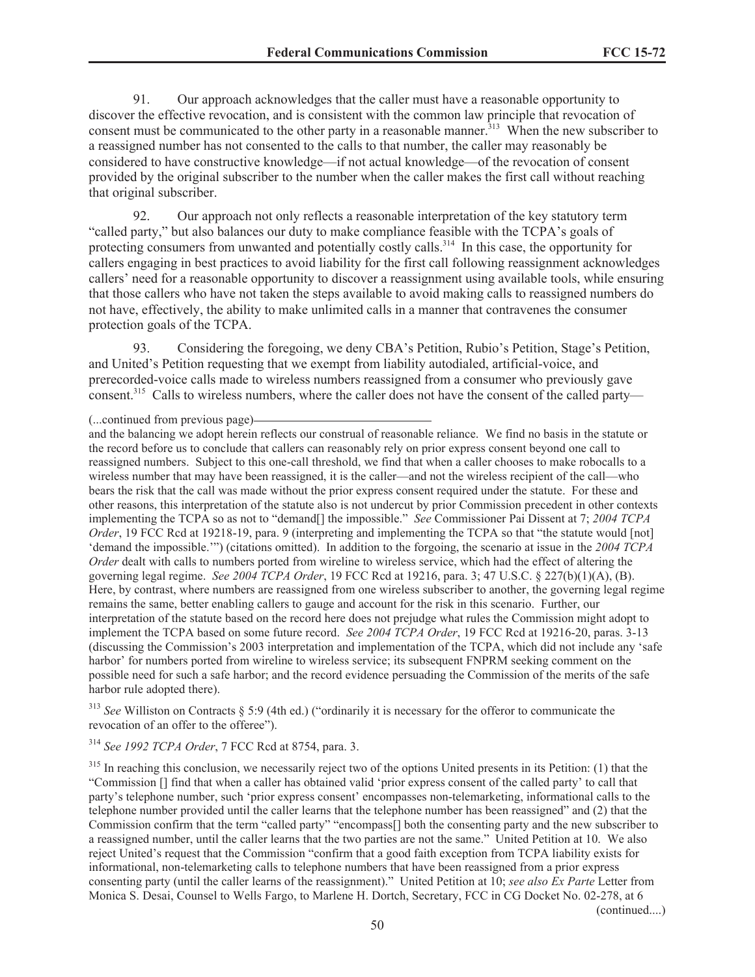91. Our approach acknowledges that the caller must have a reasonable opportunity to discover the effective revocation, and is consistent with the common law principle that revocation of consent must be communicated to the other party in a reasonable manner.<sup>313</sup> When the new subscriber to a reassigned number has not consented to the calls to that number, the caller may reasonably be considered to have constructive knowledge—if not actual knowledge—of the revocation of consent provided by the original subscriber to the number when the caller makes the first call without reaching that original subscriber.

92. Our approach not only reflects a reasonable interpretation of the key statutory term "called party," but also balances our duty to make compliance feasible with the TCPA's goals of protecting consumers from unwanted and potentially costly calls.<sup>314</sup> In this case, the opportunity for callers engaging in best practices to avoid liability for the first call following reassignment acknowledges callers' need for a reasonable opportunity to discover a reassignment using available tools, while ensuring that those callers who have not taken the steps available to avoid making calls to reassigned numbers do not have, effectively, the ability to make unlimited calls in a manner that contravenes the consumer protection goals of the TCPA.

93. Considering the foregoing, we deny CBA's Petition, Rubio's Petition, Stage's Petition, and United's Petition requesting that we exempt from liability autodialed, artificial-voice, and prerecorded-voice calls made to wireless numbers reassigned from a consumer who previously gave consent.<sup>315</sup> Calls to wireless numbers, where the caller does not have the consent of the called party—

<sup>313</sup> *See* Williston on Contracts § 5:9 (4th ed.) ("ordinarily it is necessary for the offeror to communicate the revocation of an offer to the offeree").

<sup>314</sup> *See 1992 TCPA Order*, 7 FCC Rcd at 8754, para. 3.

<sup>315</sup> In reaching this conclusion, we necessarily reject two of the options United presents in its Petition: (1) that the "Commission [] find that when a caller has obtained valid 'prior express consent of the called party' to call that party's telephone number, such 'prior express consent' encompasses non-telemarketing, informational calls to the telephone number provided until the caller learns that the telephone number has been reassigned" and (2) that the Commission confirm that the term "called party" "encompass[] both the consenting party and the new subscriber to a reassigned number, until the caller learns that the two parties are not the same." United Petition at 10. We also reject United's request that the Commission "confirm that a good faith exception from TCPA liability exists for informational, non-telemarketing calls to telephone numbers that have been reassigned from a prior express consenting party (until the caller learns of the reassignment)." United Petition at 10; *see also Ex Parte* Letter from Monica S. Desai, Counsel to Wells Fargo, to Marlene H. Dortch, Secretary, FCC in CG Docket No. 02-278, at 6

<sup>(...</sup>continued from previous page)

and the balancing we adopt herein reflects our construal of reasonable reliance. We find no basis in the statute or the record before us to conclude that callers can reasonably rely on prior express consent beyond one call to reassigned numbers. Subject to this one-call threshold, we find that when a caller chooses to make robocalls to a wireless number that may have been reassigned, it is the caller—and not the wireless recipient of the call—who bears the risk that the call was made without the prior express consent required under the statute. For these and other reasons, this interpretation of the statute also is not undercut by prior Commission precedent in other contexts implementing the TCPA so as not to "demand[] the impossible." *See* Commissioner Pai Dissent at 7; *2004 TCPA Order*, 19 FCC Rcd at 19218-19, para. 9 (interpreting and implementing the TCPA so that "the statute would [not] 'demand the impossible.'") (citations omitted). In addition to the forgoing, the scenario at issue in the *2004 TCPA Order* dealt with calls to numbers ported from wireline to wireless service, which had the effect of altering the governing legal regime. *See 2004 TCPA Order*, 19 FCC Rcd at 19216, para. 3; 47 U.S.C. § 227(b)(1)(A), (B). Here, by contrast, where numbers are reassigned from one wireless subscriber to another, the governing legal regime remains the same, better enabling callers to gauge and account for the risk in this scenario. Further, our interpretation of the statute based on the record here does not prejudge what rules the Commission might adopt to implement the TCPA based on some future record. *See 2004 TCPA Order*, 19 FCC Rcd at 19216-20, paras. 3-13 (discussing the Commission's 2003 interpretation and implementation of the TCPA, which did not include any 'safe harbor' for numbers ported from wireline to wireless service; its subsequent FNPRM seeking comment on the possible need for such a safe harbor; and the record evidence persuading the Commission of the merits of the safe harbor rule adopted there).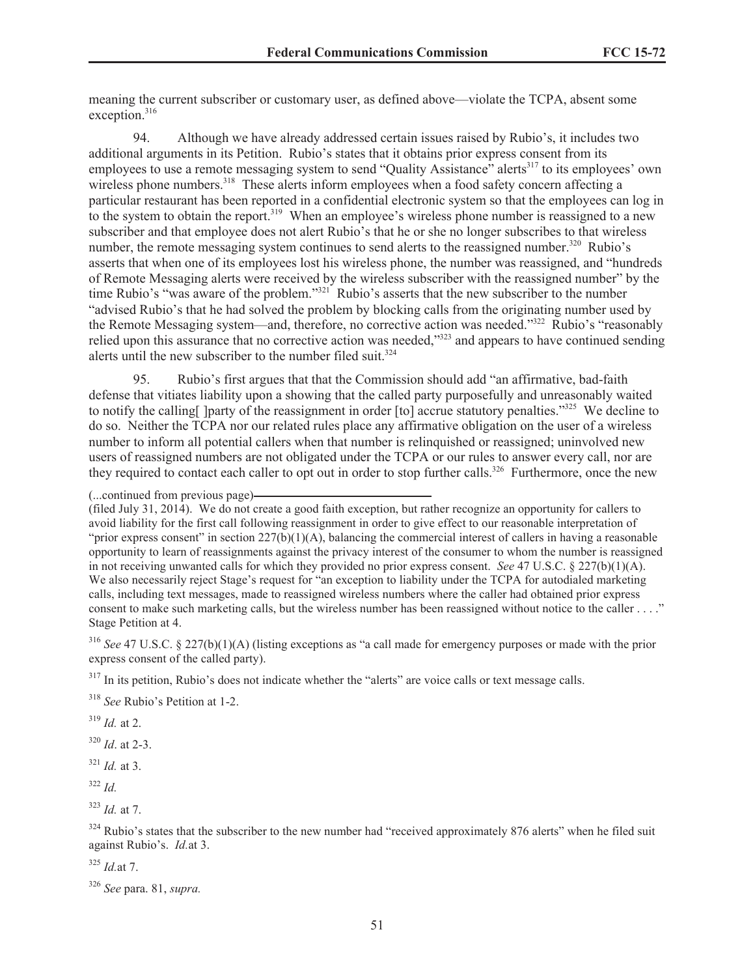meaning the current subscriber or customary user, as defined above—violate the TCPA, absent some exception.<sup>316</sup>

94. Although we have already addressed certain issues raised by Rubio's, it includes two additional arguments in its Petition. Rubio's states that it obtains prior express consent from its employees to use a remote messaging system to send "Quality Assistance" alerts<sup>317</sup> to its employees' own wireless phone numbers.<sup>318</sup> These alerts inform employees when a food safety concern affecting a particular restaurant has been reported in a confidential electronic system so that the employees can log in to the system to obtain the report.<sup>319</sup> When an employee's wireless phone number is reassigned to a new subscriber and that employee does not alert Rubio's that he or she no longer subscribes to that wireless number, the remote messaging system continues to send alerts to the reassigned number.<sup>320</sup> Rubio's asserts that when one of its employees lost his wireless phone, the number was reassigned, and "hundreds of Remote Messaging alerts were received by the wireless subscriber with the reassigned number" by the time Rubio's "was aware of the problem."<sup>321</sup> Rubio's asserts that the new subscriber to the number "advised Rubio's that he had solved the problem by blocking calls from the originating number used by the Remote Messaging system—and, therefore, no corrective action was needed."<sup>322</sup> Rubio's "reasonably relied upon this assurance that no corrective action was needed,"<sup>323</sup> and appears to have continued sending alerts until the new subscriber to the number filed suit  $324$ 

95. Rubio's first argues that that the Commission should add "an affirmative, bad-faith defense that vitiates liability upon a showing that the called party purposefully and unreasonably waited to notify the calling [ ]party of the reassignment in order [to] accrue statutory penalties."<sup>325</sup> We decline to do so. Neither the TCPA nor our related rules place any affirmative obligation on the user of a wireless number to inform all potential callers when that number is relinquished or reassigned; uninvolved new users of reassigned numbers are not obligated under the TCPA or our rules to answer every call, nor are they required to contact each caller to opt out in order to stop further calls.<sup>326</sup> Furthermore, once the new

(filed July 31, 2014). We do not create a good faith exception, but rather recognize an opportunity for callers to avoid liability for the first call following reassignment in order to give effect to our reasonable interpretation of "prior express consent" in section  $227(b)(1)(A)$ , balancing the commercial interest of callers in having a reasonable opportunity to learn of reassignments against the privacy interest of the consumer to whom the number is reassigned in not receiving unwanted calls for which they provided no prior express consent. *See* 47 U.S.C. § 227(b)(1)(A). We also necessarily reject Stage's request for "an exception to liability under the TCPA for autodialed marketing calls, including text messages, made to reassigned wireless numbers where the caller had obtained prior express consent to make such marketing calls, but the wireless number has been reassigned without notice to the caller . . . ." Stage Petition at 4.

<sup>316</sup> *See* 47 U.S.C. § 227(b)(1)(A) (listing exceptions as "a call made for emergency purposes or made with the prior express consent of the called party).

<sup>317</sup> In its petition, Rubio's does not indicate whether the "alerts" are voice calls or text message calls.

<sup>318</sup> *See* Rubio's Petition at 1-2.

<sup>319</sup> *Id.* at 2.

<sup>320</sup> *Id*. at 2-3.

<sup>321</sup> *Id.* at 3.

 $322$  *Id.* 

<sup>323</sup> *Id.* at 7.

<sup>324</sup> Rubio's states that the subscriber to the new number had "received approximately 876 alerts" when he filed suit against Rubio's. *Id.*at 3.

<sup>325</sup> *Id.*at 7.

<sup>(...</sup>continued from previous page)

<sup>326</sup> *See* para. 81, *supra.*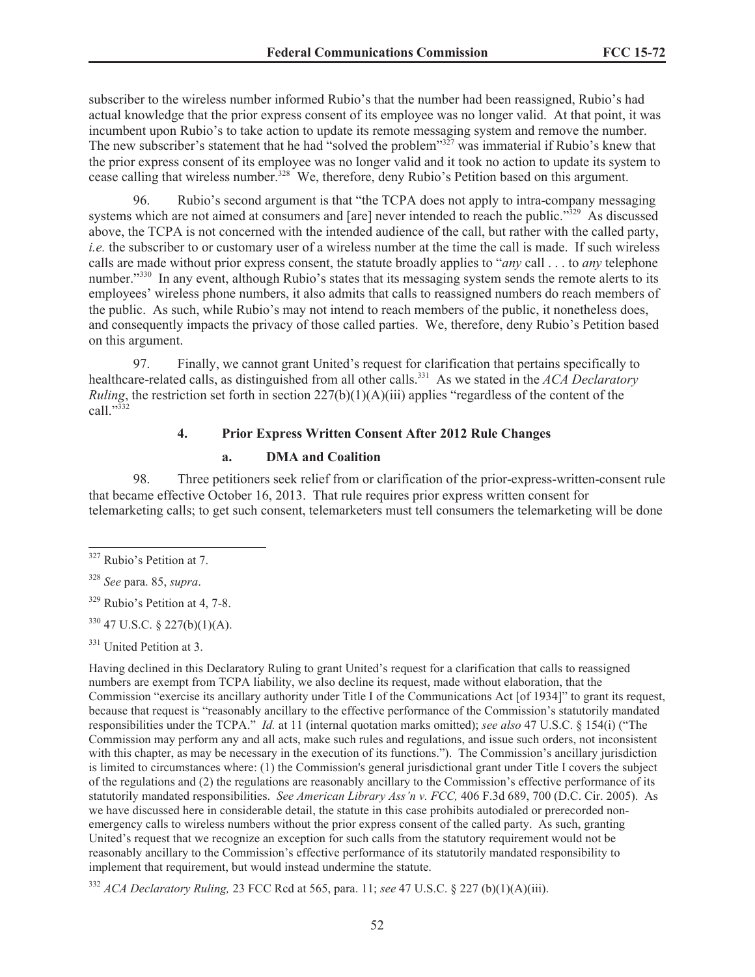subscriber to the wireless number informed Rubio's that the number had been reassigned, Rubio's had actual knowledge that the prior express consent of its employee was no longer valid. At that point, it was incumbent upon Rubio's to take action to update its remote messaging system and remove the number. The new subscriber's statement that he had "solved the problem"<sup>327</sup> was immaterial if Rubio's knew that the prior express consent of its employee was no longer valid and it took no action to update its system to cease calling that wireless number.<sup>328</sup> We, therefore, deny Rubio's Petition based on this argument.

96. Rubio's second argument is that "the TCPA does not apply to intra-company messaging systems which are not aimed at consumers and [are] never intended to reach the public."<sup>329</sup> As discussed above, the TCPA is not concerned with the intended audience of the call, but rather with the called party, *i.e.* the subscriber to or customary user of a wireless number at the time the call is made. If such wireless calls are made without prior express consent, the statute broadly applies to "*any* call . . . to *any* telephone number."<sup>330</sup> In any event, although Rubio's states that its messaging system sends the remote alerts to its employees' wireless phone numbers, it also admits that calls to reassigned numbers do reach members of the public. As such, while Rubio's may not intend to reach members of the public, it nonetheless does, and consequently impacts the privacy of those called parties. We, therefore, deny Rubio's Petition based on this argument.

97. Finally, we cannot grant United's request for clarification that pertains specifically to healthcare-related calls, as distinguished from all other calls.<sup>331</sup> As we stated in the *ACA Declaratory Ruling*, the restriction set forth in section 227(b)(1)(A)(iii) applies "regardless of the content of the call."<sup>332</sup>

## **4. Prior Express Written Consent After 2012 Rule Changes**

#### **a. DMA and Coalition**

98. Three petitioners seek relief from or clarification of the prior-express-written-consent rule that became effective October 16, 2013. That rule requires prior express written consent for telemarketing calls; to get such consent, telemarketers must tell consumers the telemarketing will be done

<sup>331</sup> United Petition at 3.

Having declined in this Declaratory Ruling to grant United's request for a clarification that calls to reassigned numbers are exempt from TCPA liability, we also decline its request, made without elaboration, that the Commission "exercise its ancillary authority under Title I of the Communications Act [of 1934]" to grant its request, because that request is "reasonably ancillary to the effective performance of the Commission's statutorily mandated responsibilities under the TCPA." *Id.* at 11 (internal quotation marks omitted); *see also* 47 U.S.C. § 154(i) ("The Commission may perform any and all acts, make such rules and regulations, and issue such orders, not inconsistent with this chapter, as may be necessary in the execution of its functions."). The Commission's ancillary jurisdiction is limited to circumstances where: (1) the Commission's general jurisdictional grant under Title I covers the subject of the regulations and (2) the regulations are reasonably ancillary to the Commission's effective performance of its statutorily mandated responsibilities. *See American Library Ass'n v. FCC,* 406 F.3d 689, 700 (D.C. Cir. 2005). As we have discussed here in considerable detail, the statute in this case prohibits autodialed or prerecorded nonemergency calls to wireless numbers without the prior express consent of the called party. As such, granting United's request that we recognize an exception for such calls from the statutory requirement would not be reasonably ancillary to the Commission's effective performance of its statutorily mandated responsibility to implement that requirement, but would instead undermine the statute.

<sup>332</sup> *ACA Declaratory Ruling,* 23 FCC Rcd at 565, para. 11; *see* 47 U.S.C. § 227 (b)(1)(A)(iii).

<sup>327</sup> Rubio's Petition at 7.

<sup>328</sup> *See* para. 85, *supra*.

<sup>329</sup> Rubio's Petition at 4, 7-8.

 $330$  47 U.S.C. § 227(b)(1)(A).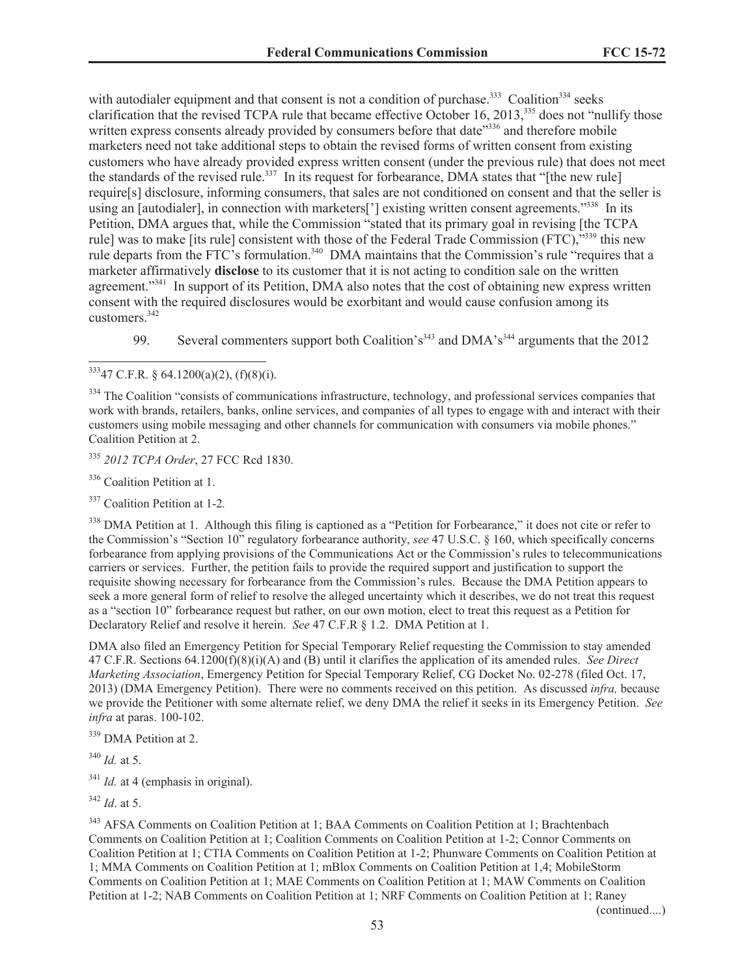with autodialer equipment and that consent is not a condition of purchase.<sup>333</sup> Coalition<sup>334</sup> seeks clarification that the revised TCPA rule that became effective October 16, 2013,<sup>335</sup> does not "nullify those written express consents already provided by consumers before that date<sup>3336</sup> and therefore mobile marketers need not take additional steps to obtain the revised forms of written consent from existing customers who have already provided express written consent (under the previous rule) that does not meet the standards of the revised rule.<sup>337</sup> In its request for forbearance, DMA states that "[the new rule] require[s] disclosure, informing consumers, that sales are not conditioned on consent and that the seller is using an [autodialer], in connection with marketers<sup>[']</sup> existing written consent agreements."<sup>338</sup> In its Petition, DMA argues that, while the Commission "stated that its primary goal in revising [the TCPA rule] was to make [its rule] consistent with those of the Federal Trade Commission (FTC),"<sup>339</sup> this new rule departs from the FTC's formulation.<sup>340</sup> DMA maintains that the Commission's rule "requires that a marketer affirmatively **disclose** to its customer that it is not acting to condition sale on the written agreement."<sup>341</sup> In support of its Petition, DMA also notes that the cost of obtaining new express written consent with the required disclosures would be exorbitant and would cause confusion among its customers.<sup>342</sup>

99. Several commenters support both Coalition's<sup>343</sup> and DMA's<sup>344</sup> arguments that the 2012

<sup>335</sup> *2012 TCPA Order*, 27 FCC Rcd 1830.

<sup>336</sup> Coalition Petition at 1.

<sup>337</sup> Coalition Petition at 1-2*.*

 $338$  DMA Petition at 1. Although this filing is captioned as a "Petition for Forbearance." it does not cite or refer to the Commission's "Section 10" regulatory forbearance authority, *see* 47 U.S.C. § 160, which specifically concerns forbearance from applying provisions of the Communications Act or the Commission's rules to telecommunications carriers or services. Further, the petition fails to provide the required support and justification to support the requisite showing necessary for forbearance from the Commission's rules. Because the DMA Petition appears to seek a more general form of relief to resolve the alleged uncertainty which it describes, we do not treat this request as a "section 10" forbearance request but rather, on our own motion, elect to treat this request as a Petition for Declaratory Relief and resolve it herein. *See* 47 C.F.R § 1.2. DMA Petition at 1.

DMA also filed an Emergency Petition for Special Temporary Relief requesting the Commission to stay amended 47 C.F.R. Sections 64.1200(f)(8)(i)(A) and (B) until it clarifies the application of its amended rules. *See Direct Marketing Association*, Emergency Petition for Special Temporary Relief, CG Docket No. 02-278 (filed Oct. 17, 2013) (DMA Emergency Petition). There were no comments received on this petition. As discussed *infra,* because we provide the Petitioner with some alternate relief, we deny DMA the relief it seeks in its Emergency Petition. *See infra* at paras. 100-102.

<sup>339</sup> DMA Petition at 2.

 $340$  *Id.* at 5.

<sup>341</sup> *Id.* at 4 (emphasis in original).

<sup>342</sup> *Id*. at 5.

<sup>343</sup> AFSA Comments on Coalition Petition at 1; BAA Comments on Coalition Petition at 1; Brachtenbach Comments on Coalition Petition at 1; Coalition Comments on Coalition Petition at 1-2; Connor Comments on Coalition Petition at 1; CTIA Comments on Coalition Petition at 1-2; Phunware Comments on Coalition Petition at 1; MMA Comments on Coalition Petition at 1; mBlox Comments on Coalition Petition at 1,4; MobileStorm Comments on Coalition Petition at 1; MAE Comments on Coalition Petition at 1; MAW Comments on Coalition Petition at 1-2; NAB Comments on Coalition Petition at 1; NRF Comments on Coalition Petition at 1; Raney

 $33347$  C.F.R. § 64.1200(a)(2), (f)(8)(i).

<sup>&</sup>lt;sup>334</sup> The Coalition "consists of communications infrastructure, technology, and professional services companies that work with brands, retailers, banks, online services, and companies of all types to engage with and interact with their customers using mobile messaging and other channels for communication with consumers via mobile phones." Coalition Petition at 2.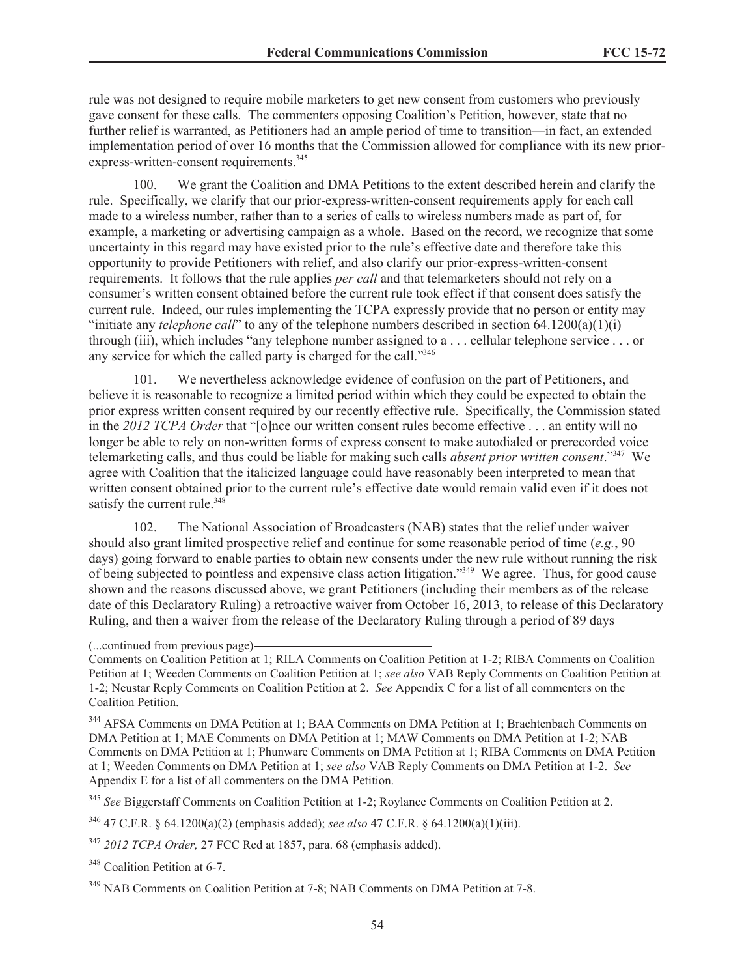rule was not designed to require mobile marketers to get new consent from customers who previously gave consent for these calls. The commenters opposing Coalition's Petition, however, state that no further relief is warranted, as Petitioners had an ample period of time to transition—in fact, an extended implementation period of over 16 months that the Commission allowed for compliance with its new priorexpress-written-consent requirements.<sup>345</sup>

100. We grant the Coalition and DMA Petitions to the extent described herein and clarify the rule. Specifically, we clarify that our prior-express-written-consent requirements apply for each call made to a wireless number, rather than to a series of calls to wireless numbers made as part of, for example, a marketing or advertising campaign as a whole. Based on the record, we recognize that some uncertainty in this regard may have existed prior to the rule's effective date and therefore take this opportunity to provide Petitioners with relief, and also clarify our prior-express-written-consent requirements. It follows that the rule applies *per call* and that telemarketers should not rely on a consumer's written consent obtained before the current rule took effect if that consent does satisfy the current rule. Indeed, our rules implementing the TCPA expressly provide that no person or entity may "initiate any *telephone call*" to any of the telephone numbers described in section 64.1200(a)(1)(i) through (iii), which includes "any telephone number assigned to a . . . cellular telephone service . . . or any service for which the called party is charged for the call."<sup>346</sup>

101. We nevertheless acknowledge evidence of confusion on the part of Petitioners, and believe it is reasonable to recognize a limited period within which they could be expected to obtain the prior express written consent required by our recently effective rule. Specifically, the Commission stated in the *2012 TCPA Order* that "[o]nce our written consent rules become effective . . . an entity will no longer be able to rely on non-written forms of express consent to make autodialed or prerecorded voice telemarketing calls, and thus could be liable for making such calls *absent prior written consent*."<sup>347</sup> We agree with Coalition that the italicized language could have reasonably been interpreted to mean that written consent obtained prior to the current rule's effective date would remain valid even if it does not satisfy the current rule.<sup>348</sup>

102. The National Association of Broadcasters (NAB) states that the relief under waiver should also grant limited prospective relief and continue for some reasonable period of time (*e.g.*, 90 days) going forward to enable parties to obtain new consents under the new rule without running the risk of being subjected to pointless and expensive class action litigation."<sup>349</sup> We agree. Thus, for good cause shown and the reasons discussed above, we grant Petitioners (including their members as of the release date of this Declaratory Ruling) a retroactive waiver from October 16, 2013, to release of this Declaratory Ruling, and then a waiver from the release of the Declaratory Ruling through a period of 89 days

(...continued from previous page)

Comments on Coalition Petition at 1; RILA Comments on Coalition Petition at 1-2; RIBA Comments on Coalition Petition at 1; Weeden Comments on Coalition Petition at 1; *see also* VAB Reply Comments on Coalition Petition at 1-2; Neustar Reply Comments on Coalition Petition at 2. *See* Appendix C for a list of all commenters on the Coalition Petition.

<sup>344</sup> AFSA Comments on DMA Petition at 1; BAA Comments on DMA Petition at 1; Brachtenbach Comments on DMA Petition at 1; MAE Comments on DMA Petition at 1; MAW Comments on DMA Petition at 1-2; NAB Comments on DMA Petition at 1; Phunware Comments on DMA Petition at 1; RIBA Comments on DMA Petition at 1; Weeden Comments on DMA Petition at 1; *see also* VAB Reply Comments on DMA Petition at 1-2. *See*  Appendix E for a list of all commenters on the DMA Petition.

<sup>345</sup> *See* Biggerstaff Comments on Coalition Petition at 1-2; Roylance Comments on Coalition Petition at 2.

<sup>346</sup> 47 C.F.R. § 64.1200(a)(2) (emphasis added); *see also* 47 C.F.R. § 64.1200(a)(1)(iii).

<sup>347</sup> *2012 TCPA Order,* 27 FCC Rcd at 1857, para. 68 (emphasis added).

<sup>348</sup> Coalition Petition at 6-7.

<sup>349</sup> NAB Comments on Coalition Petition at 7-8; NAB Comments on DMA Petition at 7-8.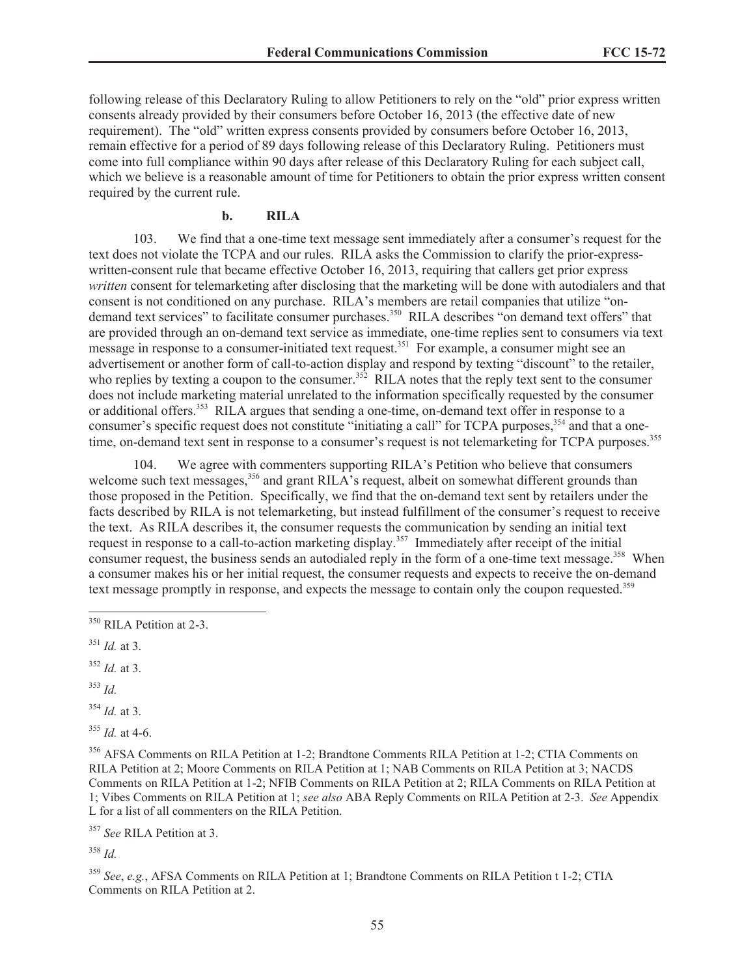following release of this Declaratory Ruling to allow Petitioners to rely on the "old" prior express written consents already provided by their consumers before October 16, 2013 (the effective date of new requirement). The "old" written express consents provided by consumers before October 16, 2013, remain effective for a period of 89 days following release of this Declaratory Ruling. Petitioners must come into full compliance within 90 days after release of this Declaratory Ruling for each subject call, which we believe is a reasonable amount of time for Petitioners to obtain the prior express written consent required by the current rule.

#### **b. RILA**

103. We find that a one-time text message sent immediately after a consumer's request for the text does not violate the TCPA and our rules. RILA asks the Commission to clarify the prior-expresswritten-consent rule that became effective October 16, 2013, requiring that callers get prior express *written* consent for telemarketing after disclosing that the marketing will be done with autodialers and that consent is not conditioned on any purchase. RILA's members are retail companies that utilize "ondemand text services" to facilitate consumer purchases.<sup>350</sup> RILA describes "on demand text offers" that are provided through an on-demand text service as immediate, one-time replies sent to consumers via text message in response to a consumer-initiated text request.<sup>351</sup> For example, a consumer might see an advertisement or another form of call-to-action display and respond by texting "discount" to the retailer, who replies by texting a coupon to the consumer.<sup>352</sup> RILA notes that the reply text sent to the consumer does not include marketing material unrelated to the information specifically requested by the consumer or additional offers.<sup>353</sup> RILA argues that sending a one-time, on-demand text offer in response to a consumer's specific request does not constitute "initiating a call" for TCPA purposes,<sup>354</sup> and that a onetime, on-demand text sent in response to a consumer's request is not telemarketing for TCPA purposes.<sup>355</sup>

104. We agree with commenters supporting RILA's Petition who believe that consumers welcome such text messages,<sup>356</sup> and grant RILA's request, albeit on somewhat different grounds than those proposed in the Petition. Specifically, we find that the on-demand text sent by retailers under the facts described by RILA is not telemarketing, but instead fulfillment of the consumer's request to receive the text. As RILA describes it, the consumer requests the communication by sending an initial text request in response to a call-to-action marketing display.<sup>357</sup> Immediately after receipt of the initial consumer request, the business sends an autodialed reply in the form of a one-time text message.<sup>358</sup> When a consumer makes his or her initial request, the consumer requests and expects to receive the on-demand text message promptly in response, and expects the message to contain only the coupon requested.<sup>359</sup>

- <sup>352</sup> *Id.* at 3.
- <sup>353</sup> *Id.*
- <sup>354</sup> *Id.* at 3.

<sup>355</sup> *Id.* at 4-6.

<sup>356</sup> AFSA Comments on RILA Petition at 1-2; Brandtone Comments RILA Petition at 1-2; CTIA Comments on RILA Petition at 2; Moore Comments on RILA Petition at 1; NAB Comments on RILA Petition at 3; NACDS Comments on RILA Petition at 1-2; NFIB Comments on RILA Petition at 2; RILA Comments on RILA Petition at 1; Vibes Comments on RILA Petition at 1; *see also* ABA Reply Comments on RILA Petition at 2-3. *See* Appendix L for a list of all commenters on the RILA Petition.

<sup>357</sup> *See* RILA Petition at 3.

<sup>358</sup> *Id.*

<sup>359</sup> *See*, *e.g.*, AFSA Comments on RILA Petition at 1; Brandtone Comments on RILA Petition t 1-2; CTIA Comments on RILA Petition at 2.

<sup>&</sup>lt;sup>350</sup> RILA Petition at 2-3.

<sup>351</sup> *Id.* at 3.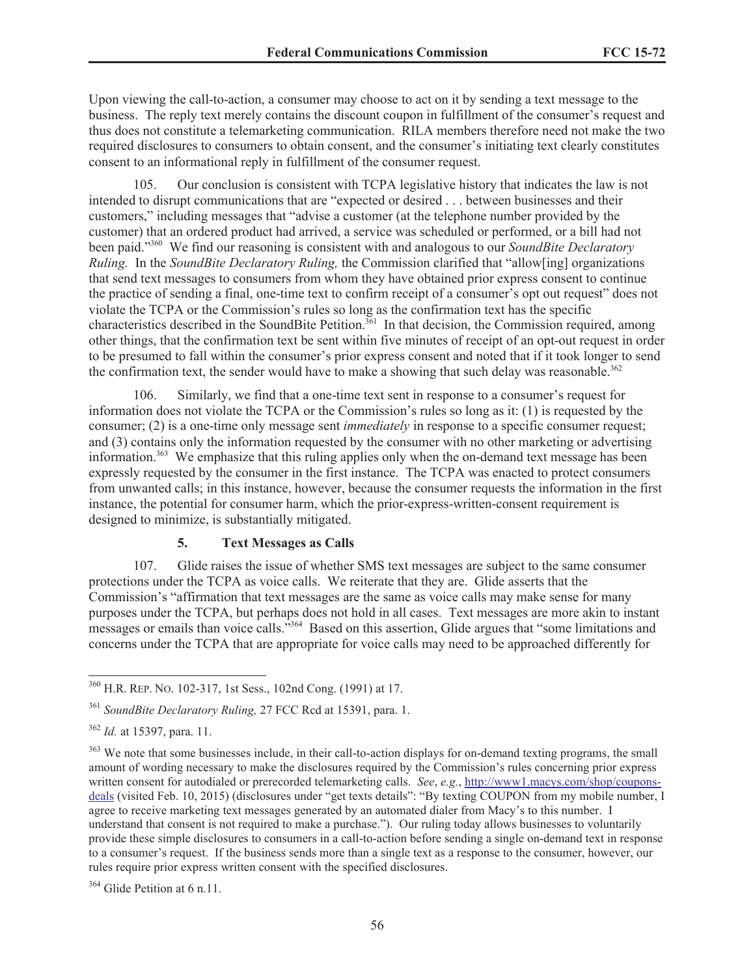Upon viewing the call-to-action, a consumer may choose to act on it by sending a text message to the business. The reply text merely contains the discount coupon in fulfillment of the consumer's request and thus does not constitute a telemarketing communication. RILA members therefore need not make the two required disclosures to consumers to obtain consent, and the consumer's initiating text clearly constitutes consent to an informational reply in fulfillment of the consumer request.

105. Our conclusion is consistent with TCPA legislative history that indicates the law is not intended to disrupt communications that are "expected or desired . . . between businesses and their customers," including messages that "advise a customer (at the telephone number provided by the customer) that an ordered product had arrived, a service was scheduled or performed, or a bill had not been paid."<sup>360</sup> We find our reasoning is consistent with and analogous to our *SoundBite Declaratory Ruling.* In the *SoundBite Declaratory Ruling,* the Commission clarified that "allow[ing] organizations that send text messages to consumers from whom they have obtained prior express consent to continue the practice of sending a final, one-time text to confirm receipt of a consumer's opt out request" does not violate the TCPA or the Commission's rules so long as the confirmation text has the specific characteristics described in the SoundBite Petition.<sup>361</sup> In that decision, the Commission required, among other things, that the confirmation text be sent within five minutes of receipt of an opt-out request in order to be presumed to fall within the consumer's prior express consent and noted that if it took longer to send the confirmation text, the sender would have to make a showing that such delay was reasonable.<sup>362</sup>

106. Similarly, we find that a one-time text sent in response to a consumer's request for information does not violate the TCPA or the Commission's rules so long as it: (1) is requested by the consumer; (2) is a one-time only message sent *immediately* in response to a specific consumer request; and (3) contains only the information requested by the consumer with no other marketing or advertising information.<sup>363</sup> We emphasize that this ruling applies only when the on-demand text message has been expressly requested by the consumer in the first instance. The TCPA was enacted to protect consumers from unwanted calls; in this instance, however, because the consumer requests the information in the first instance, the potential for consumer harm, which the prior-express-written-consent requirement is designed to minimize, is substantially mitigated.

## **5. Text Messages as Calls**

107. Glide raises the issue of whether SMS text messages are subject to the same consumer protections under the TCPA as voice calls. We reiterate that they are. Glide asserts that the Commission's "affirmation that text messages are the same as voice calls may make sense for many purposes under the TCPA, but perhaps does not hold in all cases. Text messages are more akin to instant messages or emails than voice calls.<sup>3364</sup> Based on this assertion, Glide argues that "some limitations and concerns under the TCPA that are appropriate for voice calls may need to be approached differently for

<sup>364</sup> Glide Petition at 6 n.11.

<sup>360</sup> H.R. REP. NO. 102-317, 1st Sess., 102nd Cong. (1991) at 17.

<sup>361</sup> *SoundBite Declaratory Ruling,* 27 FCC Rcd at 15391, para. 1.

<sup>362</sup> *Id.* at 15397, para. 11.

<sup>&</sup>lt;sup>363</sup> We note that some businesses include, in their call-to-action displays for on-demand texting programs, the small amount of wording necessary to make the disclosures required by the Commission's rules concerning prior express written consent for autodialed or prerecorded telemarketing calls. *See*, *e.g.*, http://www1.macys.com/shop/couponsdeals (visited Feb. 10, 2015) (disclosures under "get texts details": "By texting COUPON from my mobile number, I agree to receive marketing text messages generated by an automated dialer from Macy's to this number. I understand that consent is not required to make a purchase."). Our ruling today allows businesses to voluntarily provide these simple disclosures to consumers in a call-to-action before sending a single on-demand text in response to a consumer's request. If the business sends more than a single text as a response to the consumer, however, our rules require prior express written consent with the specified disclosures.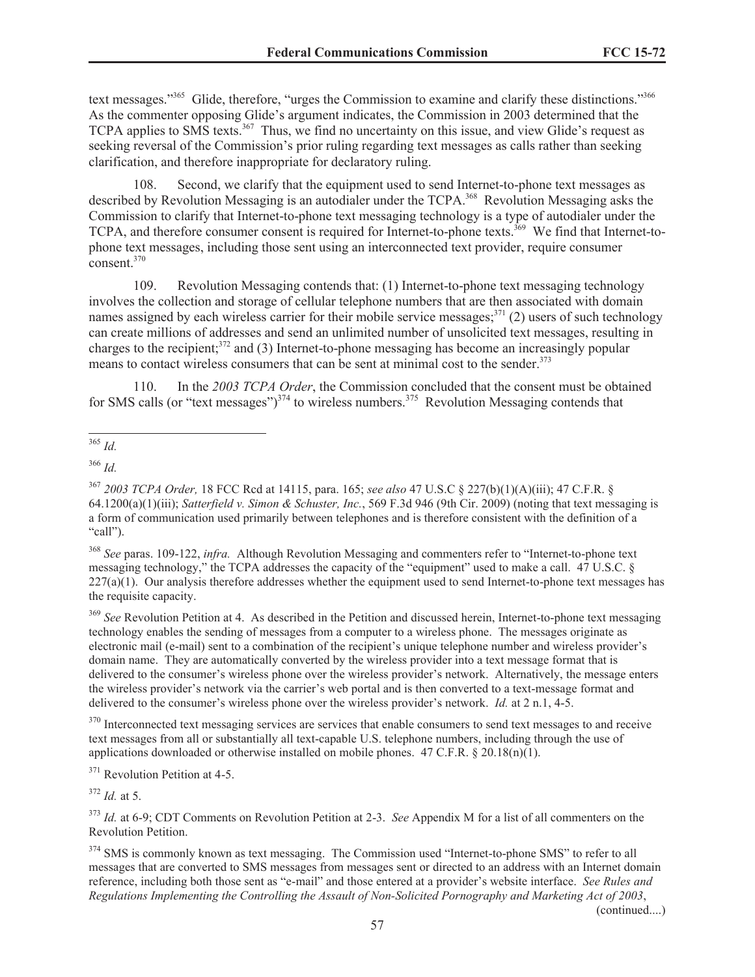text messages."<sup>365</sup> Glide, therefore, "urges the Commission to examine and clarify these distinctions."<sup>366</sup> As the commenter opposing Glide's argument indicates, the Commission in 2003 determined that the TCPA applies to SMS texts.<sup>367</sup> Thus, we find no uncertainty on this issue, and view Glide's request as seeking reversal of the Commission's prior ruling regarding text messages as calls rather than seeking clarification, and therefore inappropriate for declaratory ruling.

108. Second, we clarify that the equipment used to send Internet-to-phone text messages as described by Revolution Messaging is an autodialer under the TCPA.<sup>368</sup> Revolution Messaging asks the Commission to clarify that Internet-to-phone text messaging technology is a type of autodialer under the TCPA, and therefore consumer consent is required for Internet-to-phone texts.<sup>369</sup> We find that Internet-tophone text messages, including those sent using an interconnected text provider, require consumer consent.<sup>370</sup>

109. Revolution Messaging contends that: (1) Internet-to-phone text messaging technology involves the collection and storage of cellular telephone numbers that are then associated with domain names assigned by each wireless carrier for their mobile service messages; $371$  (2) users of such technology can create millions of addresses and send an unlimited number of unsolicited text messages, resulting in charges to the recipient;<sup>372</sup> and (3) Internet-to-phone messaging has become an increasingly popular means to contact wireless consumers that can be sent at minimal cost to the sender.<sup>373</sup>

110. In the *2003 TCPA Order*, the Commission concluded that the consent must be obtained for SMS calls (or "text messages") $^{374}$  to wireless numbers. $^{375}$  Revolution Messaging contends that

<sup>366</sup> *Id.*

<sup>369</sup> *See* Revolution Petition at 4. As described in the Petition and discussed herein, Internet-to-phone text messaging technology enables the sending of messages from a computer to a wireless phone. The messages originate as electronic mail (e-mail) sent to a combination of the recipient's unique telephone number and wireless provider's domain name. They are automatically converted by the wireless provider into a text message format that is delivered to the consumer's wireless phone over the wireless provider's network. Alternatively, the message enters the wireless provider's network via the carrier's web portal and is then converted to a text-message format and delivered to the consumer's wireless phone over the wireless provider's network. *Id.* at 2 n.1, 4-5.

<sup>370</sup> Interconnected text messaging services are services that enable consumers to send text messages to and receive text messages from all or substantially all text-capable U.S. telephone numbers, including through the use of applications downloaded or otherwise installed on mobile phones. 47 C.F.R. § 20.18(n)(1).

<sup>371</sup> Revolution Petition at 4-5.

<sup>372</sup> *Id.* at 5.

<sup>365</sup> *Id.*

<sup>367</sup> *2003 TCPA Order,* 18 FCC Rcd at 14115, para. 165; *see also* 47 U.S.C § 227(b)(1)(A)(iii); 47 C.F.R. § 64.1200(a)(1)(iii); *Satterfield v. Simon & Schuster, Inc.*, 569 F.3d 946 (9th Cir. 2009) (noting that text messaging is a form of communication used primarily between telephones and is therefore consistent with the definition of a "call").

<sup>368</sup> *See* paras. 109-122, *infra.* Although Revolution Messaging and commenters refer to "Internet-to-phone text messaging technology," the TCPA addresses the capacity of the "equipment" used to make a call. 47 U.S.C. §  $227(a)(1)$ . Our analysis therefore addresses whether the equipment used to send Internet-to-phone text messages has the requisite capacity.

<sup>373</sup> *Id.* at 6-9; CDT Comments on Revolution Petition at 2-3. *See* Appendix M for a list of all commenters on the Revolution Petition.

<sup>&</sup>lt;sup>374</sup> SMS is commonly known as text messaging. The Commission used "Internet-to-phone SMS" to refer to all messages that are converted to SMS messages from messages sent or directed to an address with an Internet domain reference, including both those sent as "e-mail" and those entered at a provider's website interface. *See Rules and Regulations Implementing the Controlling the Assault of Non-Solicited Pornography and Marketing Act of 2003*,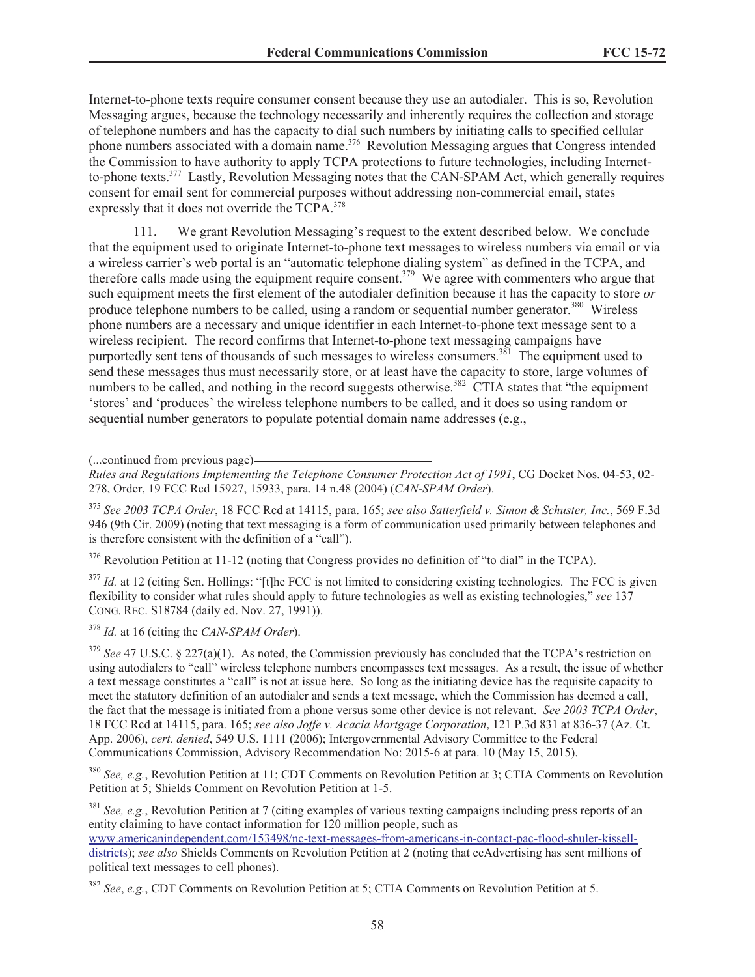Internet-to-phone texts require consumer consent because they use an autodialer. This is so, Revolution Messaging argues, because the technology necessarily and inherently requires the collection and storage of telephone numbers and has the capacity to dial such numbers by initiating calls to specified cellular phone numbers associated with a domain name.<sup>376</sup> Revolution Messaging argues that Congress intended the Commission to have authority to apply TCPA protections to future technologies, including Internetto-phone texts.<sup>377</sup> Lastly, Revolution Messaging notes that the CAN-SPAM Act, which generally requires consent for email sent for commercial purposes without addressing non-commercial email, states expressly that it does not override the TCPA.<sup>378</sup>

111. We grant Revolution Messaging's request to the extent described below. We conclude that the equipment used to originate Internet-to-phone text messages to wireless numbers via email or via a wireless carrier's web portal is an "automatic telephone dialing system" as defined in the TCPA, and therefore calls made using the equipment require consent.<sup>379</sup> We agree with commenters who argue that such equipment meets the first element of the autodialer definition because it has the capacity to store *or* produce telephone numbers to be called, using a random or sequential number generator.<sup>380</sup> Wireless phone numbers are a necessary and unique identifier in each Internet-to-phone text message sent to a wireless recipient. The record confirms that Internet-to-phone text messaging campaigns have purportedly sent tens of thousands of such messages to wireless consumers.<sup>381</sup> The equipment used to send these messages thus must necessarily store, or at least have the capacity to store, large volumes of numbers to be called, and nothing in the record suggests otherwise.<sup>382</sup> CTIA states that "the equipment" 'stores' and 'produces' the wireless telephone numbers to be called, and it does so using random or sequential number generators to populate potential domain name addresses (e.g.,

(...continued from previous page)

*Rules and Regulations Implementing the Telephone Consumer Protection Act of 1991*, CG Docket Nos. 04-53, 02- 278, Order, 19 FCC Rcd 15927, 15933, para. 14 n.48 (2004) (*CAN-SPAM Order*).

<sup>375</sup> *See 2003 TCPA Order*, 18 FCC Rcd at 14115, para. 165; *see also Satterfield v. Simon & Schuster, Inc.*, 569 F.3d 946 (9th Cir. 2009) (noting that text messaging is a form of communication used primarily between telephones and is therefore consistent with the definition of a "call").

<sup>376</sup> Revolution Petition at 11-12 (noting that Congress provides no definition of "to dial" in the TCPA).

<sup>377</sup> *Id.* at 12 (citing Sen. Hollings: "[t]he FCC is not limited to considering existing technologies. The FCC is given flexibility to consider what rules should apply to future technologies as well as existing technologies," *see* 137 CONG. REC. S18784 (daily ed. Nov. 27, 1991)).

<sup>378</sup> *Id.* at 16 (citing the *CAN-SPAM Order*).

<sup>379</sup> See 47 U.S.C. § 227(a)(1). As noted, the Commission previously has concluded that the TCPA's restriction on using autodialers to "call" wireless telephone numbers encompasses text messages. As a result, the issue of whether a text message constitutes a "call" is not at issue here. So long as the initiating device has the requisite capacity to meet the statutory definition of an autodialer and sends a text message, which the Commission has deemed a call, the fact that the message is initiated from a phone versus some other device is not relevant. *See 2003 TCPA Order*, 18 FCC Rcd at 14115, para. 165; *see also Joffe v. Acacia Mortgage Corporation*, 121 P.3d 831 at 836-37 (Az. Ct. App. 2006), *cert. denied*, 549 U.S. 1111 (2006); Intergovernmental Advisory Committee to the Federal Communications Commission, Advisory Recommendation No: 2015-6 at para. 10 (May 15, 2015).

<sup>380</sup> *See, e.g.*, Revolution Petition at 11; CDT Comments on Revolution Petition at 3; CTIA Comments on Revolution Petition at 5; Shields Comment on Revolution Petition at 1-5.

<sup>381</sup> *See, e.g.*, Revolution Petition at 7 (citing examples of various texting campaigns including press reports of an entity claiming to have contact information for 120 million people, such as www.americanindependent.com/153498/nc-text-messages-from-americans-in-contact-pac-flood-shuler-kisselldistricts); *see also* Shields Comments on Revolution Petition at 2 (noting that ccAdvertising has sent millions of political text messages to cell phones).

<sup>382</sup> *See*, *e.g.*, CDT Comments on Revolution Petition at 5; CTIA Comments on Revolution Petition at 5.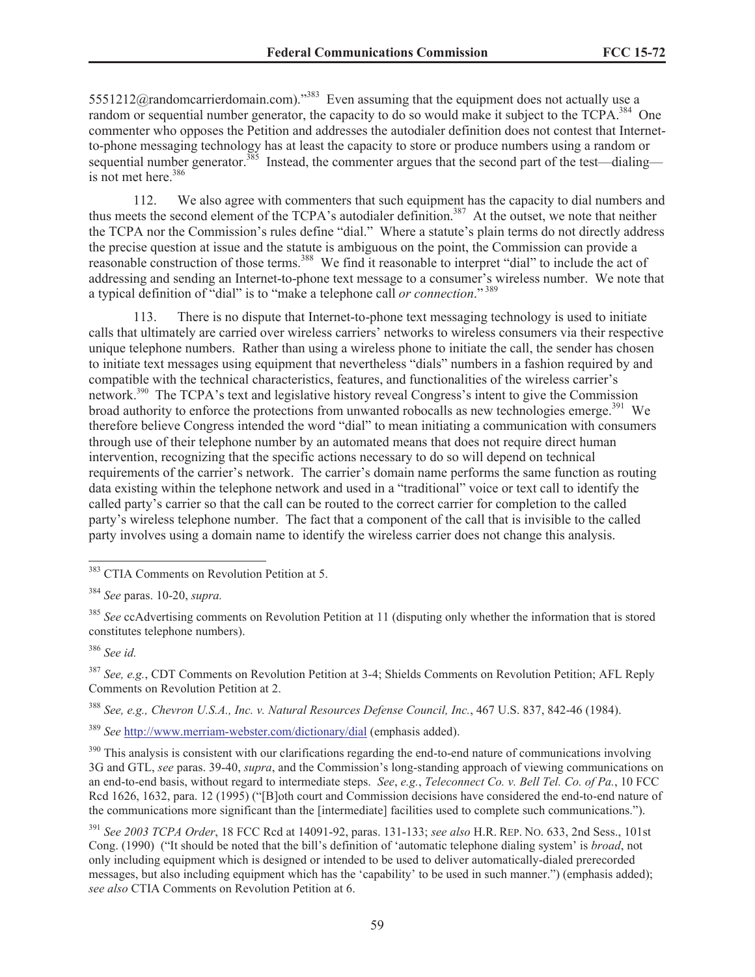5551212@randomcarrierdomain.com)."<sup>383</sup> Even assuming that the equipment does not actually use a random or sequential number generator, the capacity to do so would make it subject to the TCPA.<sup>384</sup> One commenter who opposes the Petition and addresses the autodialer definition does not contest that Internetto-phone messaging technology has at least the capacity to store or produce numbers using a random or sequential number generator.<sup>385</sup> Instead, the commenter argues that the second part of the test—dialing is not met here.<sup>386</sup>

112. We also agree with commenters that such equipment has the capacity to dial numbers and thus meets the second element of the TCPA's autodialer definition.<sup>387</sup> At the outset, we note that neither the TCPA nor the Commission's rules define "dial." Where a statute's plain terms do not directly address the precise question at issue and the statute is ambiguous on the point, the Commission can provide a reasonable construction of those terms.<sup>388</sup> We find it reasonable to interpret "dial" to include the act of addressing and sending an Internet-to-phone text message to a consumer's wireless number. We note that a typical definition of "dial" is to "make a telephone call *or connection*." <sup>389</sup>

113. There is no dispute that Internet-to-phone text messaging technology is used to initiate calls that ultimately are carried over wireless carriers' networks to wireless consumers via their respective unique telephone numbers. Rather than using a wireless phone to initiate the call, the sender has chosen to initiate text messages using equipment that nevertheless "dials" numbers in a fashion required by and compatible with the technical characteristics, features, and functionalities of the wireless carrier's network.<sup>390</sup> The TCPA's text and legislative history reveal Congress's intent to give the Commission broad authority to enforce the protections from unwanted robocalls as new technologies emerge.<sup>391</sup> We therefore believe Congress intended the word "dial" to mean initiating a communication with consumers through use of their telephone number by an automated means that does not require direct human intervention, recognizing that the specific actions necessary to do so will depend on technical requirements of the carrier's network. The carrier's domain name performs the same function as routing data existing within the telephone network and used in a "traditional" voice or text call to identify the called party's carrier so that the call can be routed to the correct carrier for completion to the called party's wireless telephone number. The fact that a component of the call that is invisible to the called party involves using a domain name to identify the wireless carrier does not change this analysis.

<sup>387</sup> *See, e.g.*, CDT Comments on Revolution Petition at 3-4; Shields Comments on Revolution Petition; AFL Reply Comments on Revolution Petition at 2.

<sup>388</sup> *See, e.g., Chevron U.S.A., Inc. v. Natural Resources Defense Council, Inc.*, 467 U.S. 837, 842-46 (1984).

<sup>389</sup> *See* http://www.merriam-webster.com/dictionary/dial (emphasis added).

<sup>390</sup> This analysis is consistent with our clarifications regarding the end-to-end nature of communications involving 3G and GTL, *see* paras. 39-40, *supra*, and the Commission's long-standing approach of viewing communications on an end-to-end basis, without regard to intermediate steps. *See*, *e.g.*, *Teleconnect Co. v. Bell Tel. Co. of Pa.*, 10 FCC Rcd 1626, 1632, para. 12 (1995) ("[B]oth court and Commission decisions have considered the end-to-end nature of the communications more significant than the [intermediate] facilities used to complete such communications.").

<sup>391</sup> *See 2003 TCPA Order*, 18 FCC Rcd at 14091-92, paras. 131-133; *see also* H.R. REP. NO. 633, 2nd Sess., 101st Cong. (1990) ("It should be noted that the bill's definition of 'automatic telephone dialing system' is *broad*, not only including equipment which is designed or intended to be used to deliver automatically-dialed prerecorded messages, but also including equipment which has the 'capability' to be used in such manner.") (emphasis added); *see also* CTIA Comments on Revolution Petition at 6.

<sup>383</sup> CTIA Comments on Revolution Petition at 5.

<sup>384</sup> *See* paras. 10-20, *supra.* 

<sup>&</sup>lt;sup>385</sup> See ccAdvertising comments on Revolution Petition at 11 (disputing only whether the information that is stored constitutes telephone numbers).

<sup>386</sup> *See id.*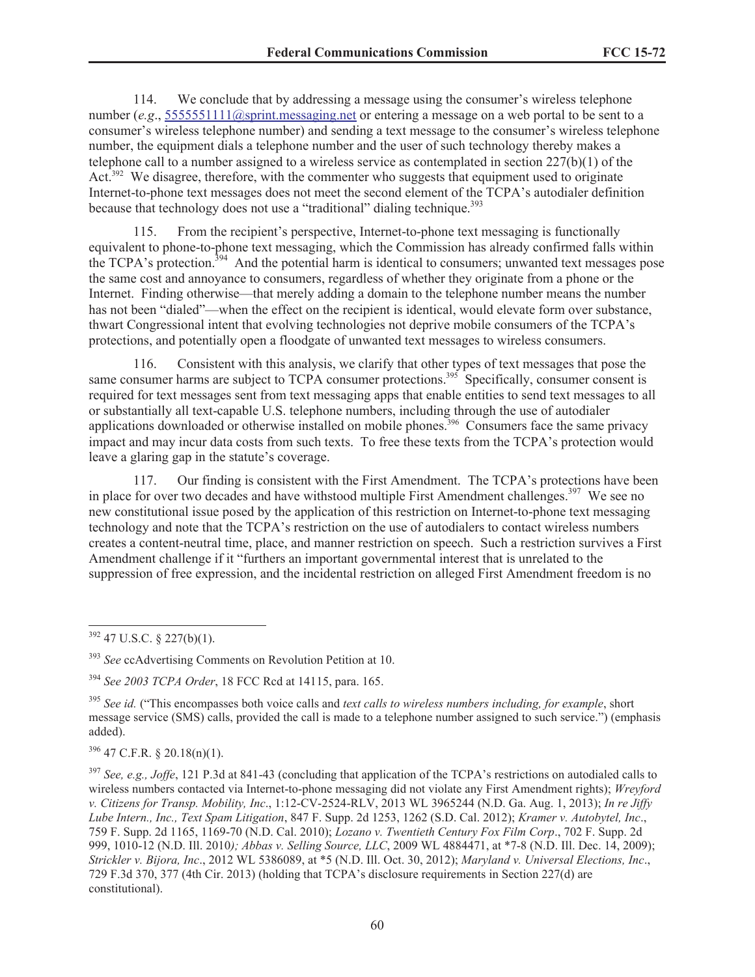114. We conclude that by addressing a message using the consumer's wireless telephone number (*e.g*., 5555551111@sprint.messaging.net or entering a message on a web portal to be sent to a consumer's wireless telephone number) and sending a text message to the consumer's wireless telephone number, the equipment dials a telephone number and the user of such technology thereby makes a telephone call to a number assigned to a wireless service as contemplated in section  $227(b)(1)$  of the Act.<sup>392</sup> We disagree, therefore, with the commenter who suggests that equipment used to originate Internet-to-phone text messages does not meet the second element of the TCPA's autodialer definition because that technology does not use a "traditional" dialing technique.<sup>393</sup>

From the recipient's perspective, Internet-to-phone text messaging is functionally equivalent to phone-to-phone text messaging, which the Commission has already confirmed falls within the TCPA's protection.<sup>394</sup> And the potential harm is identical to consumers; unwanted text messages pose the same cost and annoyance to consumers, regardless of whether they originate from a phone or the Internet. Finding otherwise—that merely adding a domain to the telephone number means the number has not been "dialed"—when the effect on the recipient is identical, would elevate form over substance, thwart Congressional intent that evolving technologies not deprive mobile consumers of the TCPA's protections, and potentially open a floodgate of unwanted text messages to wireless consumers.

116. Consistent with this analysis, we clarify that other types of text messages that pose the same consumer harms are subject to TCPA consumer protections.<sup>395</sup> Specifically, consumer consent is required for text messages sent from text messaging apps that enable entities to send text messages to all or substantially all text-capable U.S. telephone numbers, including through the use of autodialer applications downloaded or otherwise installed on mobile phones.<sup>396</sup> Consumers face the same privacy impact and may incur data costs from such texts. To free these texts from the TCPA's protection would leave a glaring gap in the statute's coverage.

117. Our finding is consistent with the First Amendment. The TCPA's protections have been in place for over two decades and have withstood multiple First Amendment challenges.<sup>397</sup> We see no new constitutional issue posed by the application of this restriction on Internet-to-phone text messaging technology and note that the TCPA's restriction on the use of autodialers to contact wireless numbers creates a content-neutral time, place, and manner restriction on speech. Such a restriction survives a First Amendment challenge if it "furthers an important governmental interest that is unrelated to the suppression of free expression, and the incidental restriction on alleged First Amendment freedom is no

 $396$  47 C.F.R. § 20.18(n)(1).

 $392$  47 U.S.C. § 227(b)(1).

<sup>393</sup> *See* ccAdvertising Comments on Revolution Petition at 10.

<sup>394</sup> *See 2003 TCPA Order*, 18 FCC Rcd at 14115, para. 165.

<sup>395</sup> *See id.* ("This encompasses both voice calls and *text calls to wireless numbers including, for example*, short message service (SMS) calls, provided the call is made to a telephone number assigned to such service.") (emphasis added).

<sup>397</sup> *See, e.g., Joffe*, 121 P.3d at 841-43 (concluding that application of the TCPA's restrictions on autodialed calls to wireless numbers contacted via Internet-to-phone messaging did not violate any First Amendment rights); *Wreyford v. Citizens for Transp. Mobility, Inc*., 1:12-CV-2524-RLV, 2013 WL 3965244 (N.D. Ga. Aug. 1, 2013); *In re Jiffy Lube Intern., Inc., Text Spam Litigation*, 847 F. Supp. 2d 1253, 1262 (S.D. Cal. 2012); *Kramer v. Autobytel, Inc*., 759 F. Supp. 2d 1165, 1169-70 (N.D. Cal. 2010); *Lozano v. Twentieth Century Fox Film Corp*., 702 F. Supp. 2d 999, 1010-12 (N.D. Ill. 2010*); Abbas v. Selling Source, LLC*, 2009 WL 4884471, at \*7-8 (N.D. Ill. Dec. 14, 2009); *Strickler v. Bijora, Inc*., 2012 WL 5386089, at \*5 (N.D. Ill. Oct. 30, 2012); *Maryland v. Universal Elections, Inc*., 729 F.3d 370, 377 (4th Cir. 2013) (holding that TCPA's disclosure requirements in Section 227(d) are constitutional).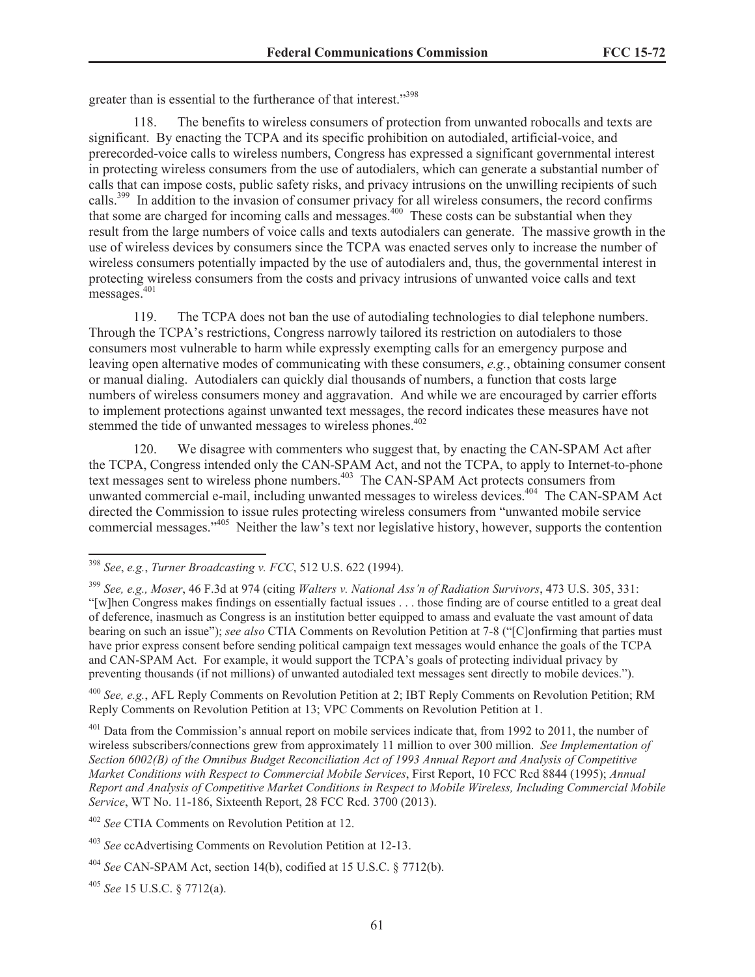greater than is essential to the furtherance of that interest."<sup>398</sup>

118. The benefits to wireless consumers of protection from unwanted robocalls and texts are significant. By enacting the TCPA and its specific prohibition on autodialed, artificial-voice, and prerecorded-voice calls to wireless numbers, Congress has expressed a significant governmental interest in protecting wireless consumers from the use of autodialers, which can generate a substantial number of calls that can impose costs, public safety risks, and privacy intrusions on the unwilling recipients of such calls.<sup>399</sup> In addition to the invasion of consumer privacy for all wireless consumers, the record confirms that some are charged for incoming calls and messages.<sup>400</sup> These costs can be substantial when they result from the large numbers of voice calls and texts autodialers can generate. The massive growth in the use of wireless devices by consumers since the TCPA was enacted serves only to increase the number of wireless consumers potentially impacted by the use of autodialers and, thus, the governmental interest in protecting wireless consumers from the costs and privacy intrusions of unwanted voice calls and text messages.<sup>401</sup>

119. The TCPA does not ban the use of autodialing technologies to dial telephone numbers. Through the TCPA's restrictions, Congress narrowly tailored its restriction on autodialers to those consumers most vulnerable to harm while expressly exempting calls for an emergency purpose and leaving open alternative modes of communicating with these consumers, *e.g.*, obtaining consumer consent or manual dialing. Autodialers can quickly dial thousands of numbers, a function that costs large numbers of wireless consumers money and aggravation. And while we are encouraged by carrier efforts to implement protections against unwanted text messages, the record indicates these measures have not stemmed the tide of unwanted messages to wireless phones.<sup>402</sup>

120. We disagree with commenters who suggest that, by enacting the CAN-SPAM Act after the TCPA, Congress intended only the CAN-SPAM Act, and not the TCPA, to apply to Internet-to-phone text messages sent to wireless phone numbers.<sup>403</sup> The CAN-SPAM Act protects consumers from unwanted commercial e-mail, including unwanted messages to wireless devices.<sup>404</sup> The CAN-SPAM Act directed the Commission to issue rules protecting wireless consumers from "unwanted mobile service commercial messages."<sup>405</sup> Neither the law's text nor legislative history, however, supports the contention

<sup>400</sup> *See, e.g.*, AFL Reply Comments on Revolution Petition at 2; IBT Reply Comments on Revolution Petition; RM Reply Comments on Revolution Petition at 13; VPC Comments on Revolution Petition at 1.

 $401$  Data from the Commission's annual report on mobile services indicate that, from 1992 to 2011, the number of wireless subscribers/connections grew from approximately 11 million to over 300 million. *See Implementation of Section 6002(B) of the Omnibus Budget Reconciliation Act of 1993 Annual Report and Analysis of Competitive Market Conditions with Respect to Commercial Mobile Services*, First Report, 10 FCC Rcd 8844 (1995); *Annual Report and Analysis of Competitive Market Conditions in Respect to Mobile Wireless, Including Commercial Mobile Service*, WT No. 11-186, Sixteenth Report, 28 FCC Rcd. 3700 (2013).

<sup>402</sup> *See* CTIA Comments on Revolution Petition at 12.

<sup>405</sup> *See* 15 U.S.C. § 7712(a).

<sup>398</sup> *See*, *e.g.*, *Turner Broadcasting v. FCC*, 512 U.S. 622 (1994).

<sup>399</sup> *See, e.g., Moser*, 46 F.3d at 974 (citing *Walters v. National Ass'n of Radiation Survivors*, 473 U.S. 305, 331: "[w]hen Congress makes findings on essentially factual issues . . . those finding are of course entitled to a great deal of deference, inasmuch as Congress is an institution better equipped to amass and evaluate the vast amount of data bearing on such an issue"); *see also* CTIA Comments on Revolution Petition at 7-8 ("[C]onfirming that parties must have prior express consent before sending political campaign text messages would enhance the goals of the TCPA and CAN-SPAM Act. For example, it would support the TCPA's goals of protecting individual privacy by preventing thousands (if not millions) of unwanted autodialed text messages sent directly to mobile devices.").

<sup>403</sup> *See* ccAdvertising Comments on Revolution Petition at 12-13.

<sup>404</sup> *See* CAN-SPAM Act, section 14(b), codified at 15 U.S.C. § 7712(b).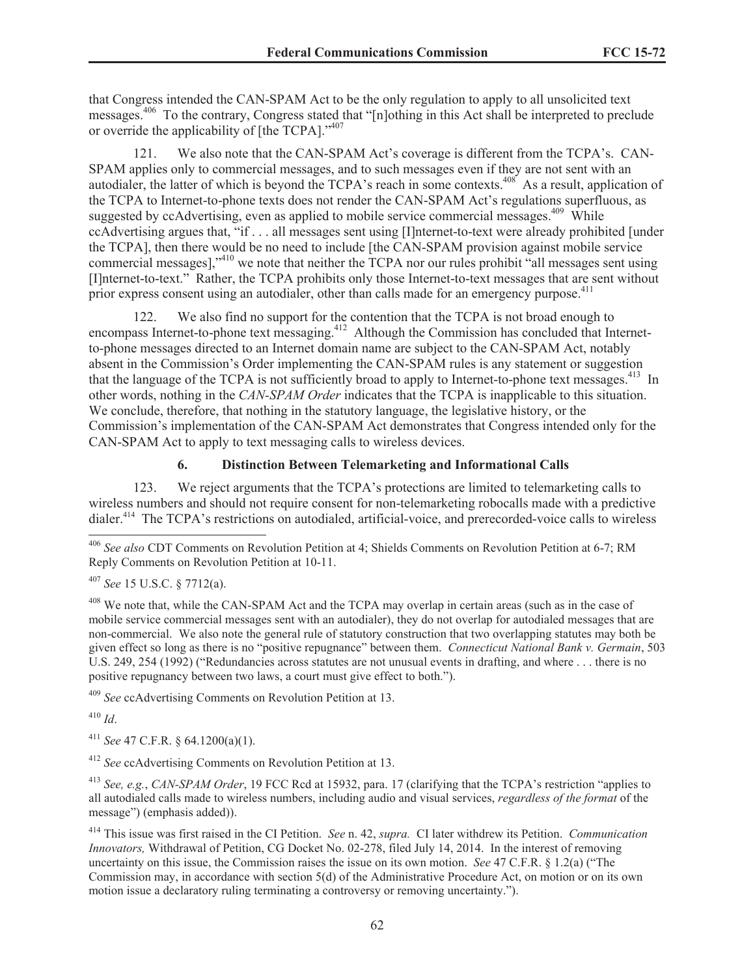that Congress intended the CAN-SPAM Act to be the only regulation to apply to all unsolicited text messages.<sup>406</sup> To the contrary, Congress stated that "[n]othing in this Act shall be interpreted to preclude or override the applicability of [the TCPA]."<sup>407</sup>

121. We also note that the CAN-SPAM Act's coverage is different from the TCPA's. CAN-SPAM applies only to commercial messages, and to such messages even if they are not sent with an autodialer, the latter of which is beyond the TCPA's reach in some contexts.<sup>408</sup> As a result, application of the TCPA to Internet-to-phone texts does not render the CAN-SPAM Act's regulations superfluous, as suggested by ccAdvertising, even as applied to mobile service commercial messages.<sup>409</sup> While ccAdvertising argues that, "if . . . all messages sent using [I]nternet-to-text were already prohibited [under the TCPA], then there would be no need to include [the CAN-SPAM provision against mobile service commercial messages],"<sup>410</sup> we note that neither the TCPA nor our rules prohibit "all messages sent using [I]nternet-to-text." Rather, the TCPA prohibits only those Internet-to-text messages that are sent without prior express consent using an autodialer, other than calls made for an emergency purpose.<sup>411</sup>

122. We also find no support for the contention that the TCPA is not broad enough to encompass Internet-to-phone text messaging.<sup>412</sup> Although the Commission has concluded that Internetto-phone messages directed to an Internet domain name are subject to the CAN-SPAM Act, notably absent in the Commission's Order implementing the CAN-SPAM rules is any statement or suggestion that the language of the TCPA is not sufficiently broad to apply to Internet-to-phone text messages.<sup>413</sup> In other words, nothing in the *CAN-SPAM Order* indicates that the TCPA is inapplicable to this situation. We conclude, therefore, that nothing in the statutory language, the legislative history, or the Commission's implementation of the CAN-SPAM Act demonstrates that Congress intended only for the CAN-SPAM Act to apply to text messaging calls to wireless devices.

# **6. Distinction Between Telemarketing and Informational Calls**

123. We reject arguments that the TCPA's protections are limited to telemarketing calls to wireless numbers and should not require consent for non-telemarketing robocalls made with a predictive dialer.<sup>414</sup> The TCPA's restrictions on autodialed, artificial-voice, and prerecorded-voice calls to wireless

<sup>407</sup> *See* 15 U.S.C. § 7712(a).

<sup>408</sup> We note that, while the CAN-SPAM Act and the TCPA may overlap in certain areas (such as in the case of mobile service commercial messages sent with an autodialer), they do not overlap for autodialed messages that are non-commercial. We also note the general rule of statutory construction that two overlapping statutes may both be given effect so long as there is no "positive repugnance" between them. *Connecticut National Bank v. Germain*, 503 U.S. 249, 254 (1992) ("Redundancies across statutes are not unusual events in drafting, and where . . . there is no positive repugnancy between two laws, a court must give effect to both.").

<sup>409</sup> *See* ccAdvertising Comments on Revolution Petition at 13.

<sup>410</sup> *Id*.

<sup>411</sup> *See* 47 C.F.R. § 64.1200(a)(1).

<sup>412</sup> *See* ccAdvertising Comments on Revolution Petition at 13.

<sup>413</sup> *See, e.g.*, *CAN-SPAM Order*, 19 FCC Rcd at 15932, para. 17 (clarifying that the TCPA's restriction "applies to all autodialed calls made to wireless numbers, including audio and visual services, *regardless of the format* of the message") (emphasis added)).

<sup>414</sup> This issue was first raised in the CI Petition. *See* n. 42, *supra.* CI later withdrew its Petition. *Communication Innovators,* Withdrawal of Petition, CG Docket No. 02-278, filed July 14, 2014. In the interest of removing uncertainty on this issue, the Commission raises the issue on its own motion. *See* 47 C.F.R. § 1.2(a) ("The Commission may, in accordance with section 5(d) of the Administrative Procedure Act, on motion or on its own motion issue a declaratory ruling terminating a controversy or removing uncertainty.").

<sup>406</sup> *See also* CDT Comments on Revolution Petition at 4; Shields Comments on Revolution Petition at 6-7; RM Reply Comments on Revolution Petition at 10-11.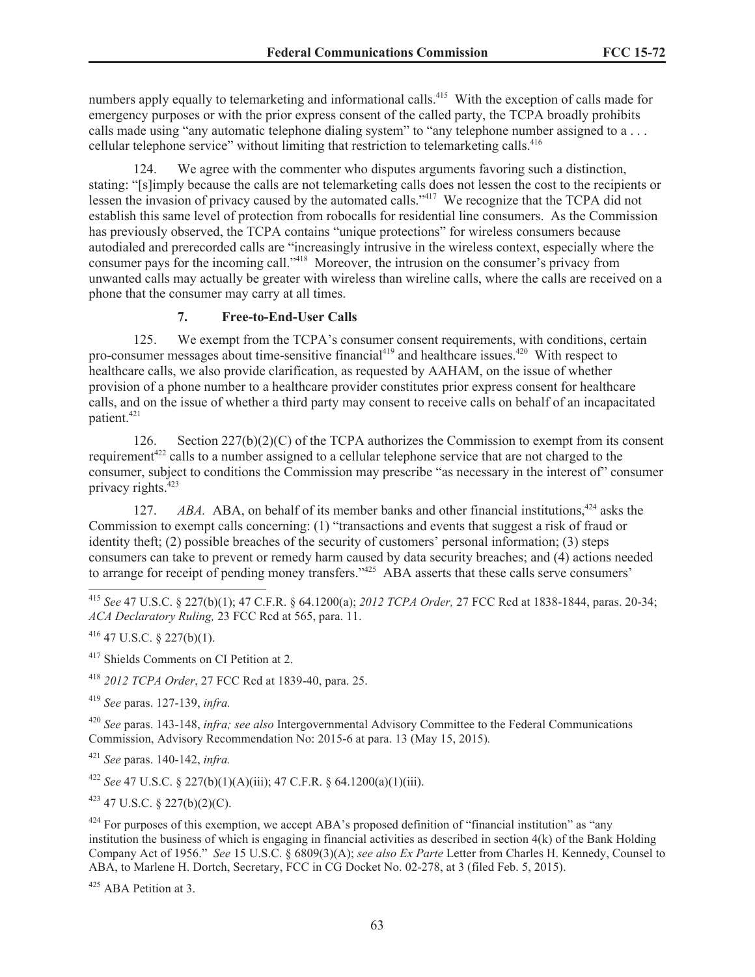numbers apply equally to telemarketing and informational calls.<sup>415</sup> With the exception of calls made for emergency purposes or with the prior express consent of the called party, the TCPA broadly prohibits calls made using "any automatic telephone dialing system" to "any telephone number assigned to a ... cellular telephone service" without limiting that restriction to telemarketing calls.<sup>416</sup>

124. We agree with the commenter who disputes arguments favoring such a distinction, stating: "[s]imply because the calls are not telemarketing calls does not lessen the cost to the recipients or lessen the invasion of privacy caused by the automated calls."<sup>417</sup> We recognize that the TCPA did not establish this same level of protection from robocalls for residential line consumers. As the Commission has previously observed, the TCPA contains "unique protections" for wireless consumers because autodialed and prerecorded calls are "increasingly intrusive in the wireless context, especially where the consumer pays for the incoming call."<sup>418</sup> Moreover, the intrusion on the consumer's privacy from unwanted calls may actually be greater with wireless than wireline calls, where the calls are received on a phone that the consumer may carry at all times.

# **7. Free-to-End-User Calls**

125. We exempt from the TCPA's consumer consent requirements, with conditions, certain pro-consumer messages about time-sensitive financial<sup>419</sup> and healthcare issues.<sup>420</sup> With respect to healthcare calls, we also provide clarification, as requested by AAHAM, on the issue of whether provision of a phone number to a healthcare provider constitutes prior express consent for healthcare calls, and on the issue of whether a third party may consent to receive calls on behalf of an incapacitated patient.<sup>421</sup>

126. Section 227(b)(2)(C) of the TCPA authorizes the Commission to exempt from its consent requirement<sup>422</sup> calls to a number assigned to a cellular telephone service that are not charged to the consumer, subject to conditions the Commission may prescribe "as necessary in the interest of" consumer privacy rights.<sup>423</sup>

127. *ABA.* ABA, on behalf of its member banks and other financial institutions.<sup>424</sup> asks the Commission to exempt calls concerning: (1) "transactions and events that suggest a risk of fraud or identity theft; (2) possible breaches of the security of customers' personal information; (3) steps consumers can take to prevent or remedy harm caused by data security breaches; and (4) actions needed to arrange for receipt of pending money transfers.<sup>"425</sup> ABA asserts that these calls serve consumers'

 $416$  47 U.S.C. § 227(b)(1).

<sup>417</sup> Shields Comments on CI Petition at 2.

<sup>418</sup> *2012 TCPA Order*, 27 FCC Rcd at 1839-40, para. 25.

<sup>419</sup> *See* paras. 127-139, *infra.*

<sup>420</sup> *See* paras. 143-148, *infra; see also* Intergovernmental Advisory Committee to the Federal Communications Commission, Advisory Recommendation No: 2015-6 at para. 13 (May 15, 2015)*.*

<sup>421</sup> *See* paras. 140-142, *infra.*

<sup>422</sup> *See* 47 U.S.C. § 227(b)(1)(A)(iii); 47 C.F.R. § 64.1200(a)(1)(iii).

 $423$  47 U.S.C. § 227(b)(2)(C).

 $424$  For purposes of this exemption, we accept ABA's proposed definition of "financial institution" as "any institution the business of which is engaging in financial activities as described in section 4(k) of the Bank Holding Company Act of 1956." *See* 15 U.S.C. § 6809(3)(A); *see also Ex Parte* Letter from Charles H. Kennedy, Counsel to ABA, to Marlene H. Dortch, Secretary, FCC in CG Docket No. 02-278, at 3 (filed Feb. 5, 2015).

 $425$  ABA Petition at 3.

<sup>415</sup> *See* 47 U.S.C. § 227(b)(1); 47 C.F.R. § 64.1200(a); *2012 TCPA Order,* 27 FCC Rcd at 1838-1844, paras. 20-34; *ACA Declaratory Ruling,* 23 FCC Rcd at 565, para. 11.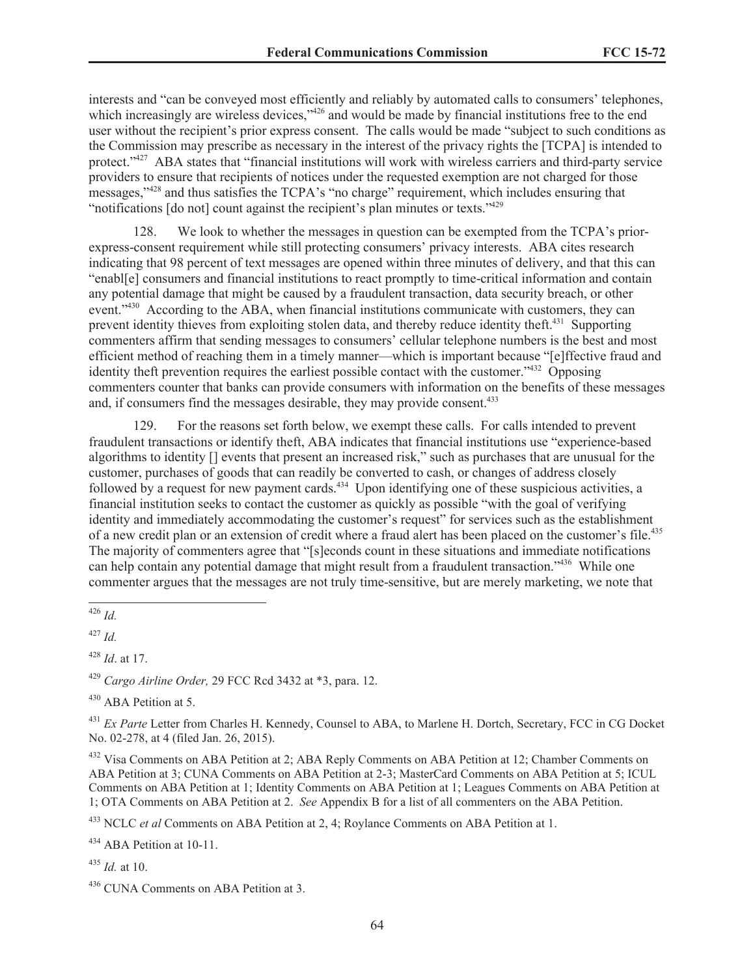interests and "can be conveyed most efficiently and reliably by automated calls to consumers' telephones, which increasingly are wireless devices,"<sup>426</sup> and would be made by financial institutions free to the end user without the recipient's prior express consent. The calls would be made "subject to such conditions as the Commission may prescribe as necessary in the interest of the privacy rights the [TCPA] is intended to protect."<sup>427</sup> ABA states that "financial institutions will work with wireless carriers and third-party service providers to ensure that recipients of notices under the requested exemption are not charged for those messages,"<sup>428</sup> and thus satisfies the TCPA's "no charge" requirement, which includes ensuring that "notifications [do not] count against the recipient's plan minutes or texts."<sup>429</sup>

128. We look to whether the messages in question can be exempted from the TCPA's priorexpress-consent requirement while still protecting consumers' privacy interests. ABA cites research indicating that 98 percent of text messages are opened within three minutes of delivery, and that this can "enabl[e] consumers and financial institutions to react promptly to time-critical information and contain any potential damage that might be caused by a fraudulent transaction, data security breach, or other event."<sup>430</sup> According to the ABA, when financial institutions communicate with customers, they can prevent identity thieves from exploiting stolen data, and thereby reduce identity theft.<sup>431</sup> Supporting commenters affirm that sending messages to consumers' cellular telephone numbers is the best and most efficient method of reaching them in a timely manner—which is important because "[e]ffective fraud and identity theft prevention requires the earliest possible contact with the customer."<sup>432</sup> Opposing commenters counter that banks can provide consumers with information on the benefits of these messages and, if consumers find the messages desirable, they may provide consent.<sup>433</sup>

129. For the reasons set forth below, we exempt these calls. For calls intended to prevent fraudulent transactions or identify theft, ABA indicates that financial institutions use "experience-based algorithms to identity [] events that present an increased risk," such as purchases that are unusual for the customer, purchases of goods that can readily be converted to cash, or changes of address closely followed by a request for new payment cards.<sup>434</sup> Upon identifying one of these suspicious activities, a financial institution seeks to contact the customer as quickly as possible "with the goal of verifying identity and immediately accommodating the customer's request" for services such as the establishment of a new credit plan or an extension of credit where a fraud alert has been placed on the customer's file.<sup>435</sup> The majority of commenters agree that "[s]econds count in these situations and immediate notifications can help contain any potential damage that might result from a fraudulent transaction."<sup>436</sup> While one commenter argues that the messages are not truly time-sensitive, but are merely marketing, we note that

<sup>427</sup> *Id.*

<sup>428</sup> *Id*. at 17.

<sup>429</sup> *Cargo Airline Order,* 29 FCC Rcd 3432 at \*3, para. 12.

<sup>430</sup> ABA Petition at 5.

<sup>431</sup> *Ex Parte* Letter from Charles H. Kennedy, Counsel to ABA, to Marlene H. Dortch, Secretary, FCC in CG Docket No. 02-278, at 4 (filed Jan. 26, 2015).

<sup>432</sup> Visa Comments on ABA Petition at 2; ABA Reply Comments on ABA Petition at 12; Chamber Comments on ABA Petition at 3; CUNA Comments on ABA Petition at 2-3; MasterCard Comments on ABA Petition at 5; ICUL Comments on ABA Petition at 1; Identity Comments on ABA Petition at 1; Leagues Comments on ABA Petition at 1; OTA Comments on ABA Petition at 2. *See* Appendix B for a list of all commenters on the ABA Petition.

<sup>433</sup> NCLC *et al* Comments on ABA Petition at 2, 4; Roylance Comments on ABA Petition at 1.

<sup>434</sup> ABA Petition at 10-11.

<sup>435</sup> *Id.* at 10.

<sup>426</sup> *Id.*

<sup>436</sup> CUNA Comments on ABA Petition at 3.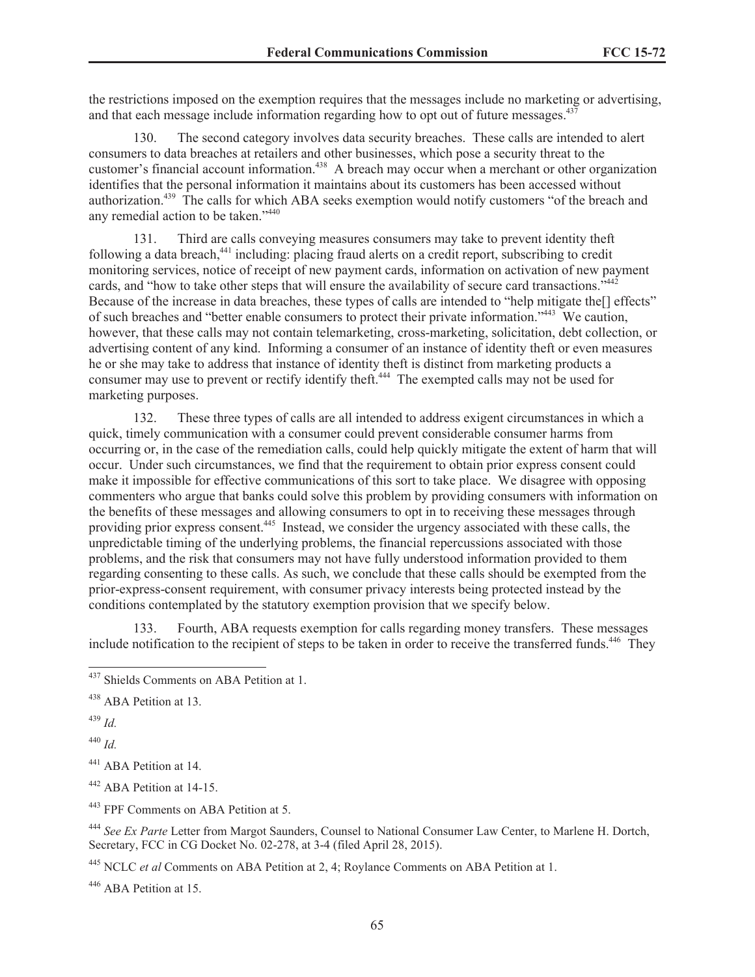the restrictions imposed on the exemption requires that the messages include no marketing or advertising, and that each message include information regarding how to opt out of future messages. $437$ 

130. The second category involves data security breaches. These calls are intended to alert consumers to data breaches at retailers and other businesses, which pose a security threat to the customer's financial account information.<sup>438</sup> A breach may occur when a merchant or other organization identifies that the personal information it maintains about its customers has been accessed without authorization.<sup>439</sup> The calls for which ABA seeks exemption would notify customers "of the breach and any remedial action to be taken."<sup>440</sup>

131. Third are calls conveying measures consumers may take to prevent identity theft following a data breach,<sup>441</sup> including: placing fraud alerts on a credit report, subscribing to credit monitoring services, notice of receipt of new payment cards, information on activation of new payment cards, and "how to take other steps that will ensure the availability of secure card transactions."<sup>442</sup> Because of the increase in data breaches, these types of calls are intended to "help mitigate the[] effects" of such breaches and "better enable consumers to protect their private information."<sup>443</sup> We caution, however, that these calls may not contain telemarketing, cross-marketing, solicitation, debt collection, or advertising content of any kind. Informing a consumer of an instance of identity theft or even measures he or she may take to address that instance of identity theft is distinct from marketing products a consumer may use to prevent or rectify identify theft.<sup>444</sup> The exempted calls may not be used for marketing purposes.

132. These three types of calls are all intended to address exigent circumstances in which a quick, timely communication with a consumer could prevent considerable consumer harms from occurring or, in the case of the remediation calls, could help quickly mitigate the extent of harm that will occur. Under such circumstances, we find that the requirement to obtain prior express consent could make it impossible for effective communications of this sort to take place. We disagree with opposing commenters who argue that banks could solve this problem by providing consumers with information on the benefits of these messages and allowing consumers to opt in to receiving these messages through providing prior express consent.<sup>445</sup> Instead, we consider the urgency associated with these calls, the unpredictable timing of the underlying problems, the financial repercussions associated with those problems, and the risk that consumers may not have fully understood information provided to them regarding consenting to these calls. As such, we conclude that these calls should be exempted from the prior-express-consent requirement, with consumer privacy interests being protected instead by the conditions contemplated by the statutory exemption provision that we specify below.

133. Fourth, ABA requests exemption for calls regarding money transfers. These messages include notification to the recipient of steps to be taken in order to receive the transferred funds.<sup>446</sup> They

<sup>439</sup> *Id.*

<sup>440</sup> *Id.*

<sup>441</sup> ABA Petition at 14.

<sup>442</sup> ABA Petition at 14-15.

<sup>443</sup> FPF Comments on ABA Petition at 5.

<sup>444</sup> *See Ex Parte* Letter from Margot Saunders, Counsel to National Consumer Law Center, to Marlene H. Dortch, Secretary, FCC in CG Docket No. 02-278, at 3-4 (filed April 28, 2015).

<sup>445</sup> NCLC *et al* Comments on ABA Petition at 2, 4; Roylance Comments on ABA Petition at 1.

<sup>446</sup> ABA Petition at 15.

<sup>&</sup>lt;sup>437</sup> Shields Comments on ABA Petition at 1.

<sup>&</sup>lt;sup>438</sup> ABA Petition at 13.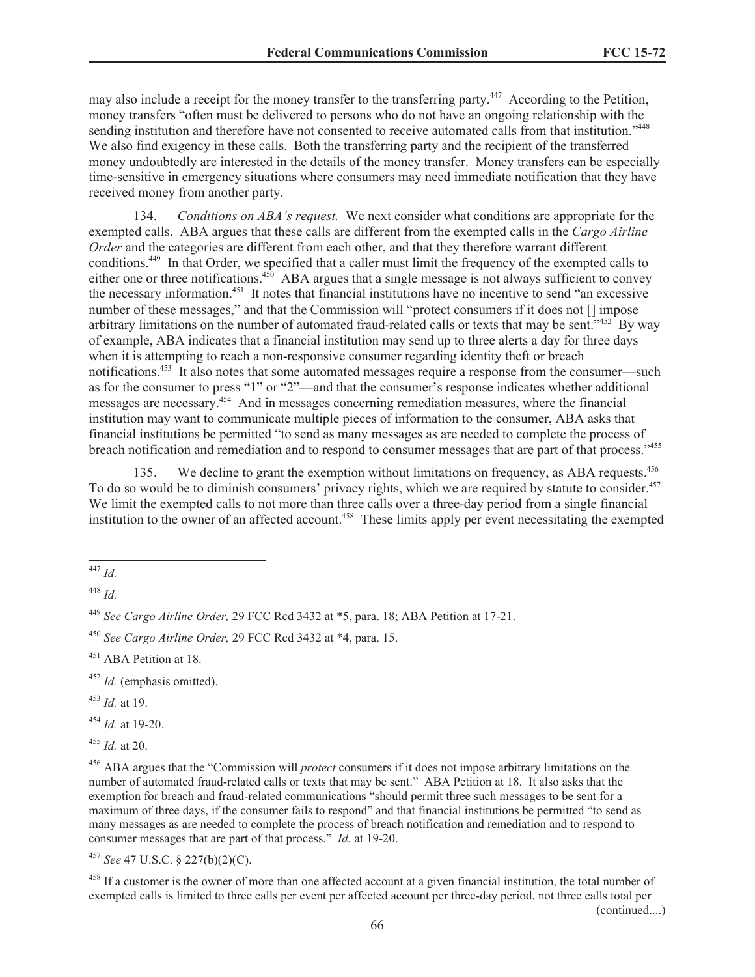may also include a receipt for the money transfer to the transferring party.<sup>447</sup> According to the Petition, money transfers "often must be delivered to persons who do not have an ongoing relationship with the sending institution and therefore have not consented to receive automated calls from that institution."<sup>448</sup> We also find exigency in these calls. Both the transferring party and the recipient of the transferred money undoubtedly are interested in the details of the money transfer. Money transfers can be especially time-sensitive in emergency situations where consumers may need immediate notification that they have received money from another party.

134. *Conditions on ABA's request.* We next consider what conditions are appropriate for the exempted calls. ABA argues that these calls are different from the exempted calls in the *Cargo Airline Order* and the categories are different from each other, and that they therefore warrant different conditions.<sup>449</sup> In that Order, we specified that a caller must limit the frequency of the exempted calls to either one or three notifications.<sup>450</sup> ABA argues that a single message is not always sufficient to convey the necessary information.<sup>451</sup> It notes that financial institutions have no incentive to send "an excessive number of these messages," and that the Commission will "protect consumers if it does not [] impose arbitrary limitations on the number of automated fraud-related calls or texts that may be sent.<sup>7452</sup> By way of example, ABA indicates that a financial institution may send up to three alerts a day for three days when it is attempting to reach a non-responsive consumer regarding identity theft or breach notifications.<sup>453</sup> It also notes that some automated messages require a response from the consumer—such as for the consumer to press "1" or "2"—and that the consumer's response indicates whether additional messages are necessary.<sup>454</sup> And in messages concerning remediation measures, where the financial institution may want to communicate multiple pieces of information to the consumer, ABA asks that financial institutions be permitted "to send as many messages as are needed to complete the process of breach notification and remediation and to respond to consumer messages that are part of that process."455

135. We decline to grant the exemption without limitations on frequency, as ABA requests.<sup>456</sup> To do so would be to diminish consumers' privacy rights, which we are required by statute to consider.<sup>457</sup> We limit the exempted calls to not more than three calls over a three-day period from a single financial institution to the owner of an affected account.<sup>458</sup> These limits apply per event necessitating the exempted

<sup>454</sup> *Id.* at 19-20.

<sup>455</sup> *Id.* at 20.

<sup>457</sup> *See* 47 U.S.C. § 227(b)(2)(C).

 $458$  If a customer is the owner of more than one affected account at a given financial institution, the total number of exempted calls is limited to three calls per event per affected account per three-day period, not three calls total per

<sup>447</sup> *Id.*

<sup>448</sup> *Id.*

<sup>449</sup> *See Cargo Airline Order,* 29 FCC Rcd 3432 at \*5, para. 18; ABA Petition at 17-21.

<sup>450</sup> *See Cargo Airline Order,* 29 FCC Rcd 3432 at \*4, para. 15.

<sup>&</sup>lt;sup>451</sup> ABA Petition at 18.

<sup>452</sup> *Id.* (emphasis omitted).

<sup>453</sup> *Id.* at 19.

<sup>456</sup> ABA argues that the "Commission will *protect* consumers if it does not impose arbitrary limitations on the number of automated fraud-related calls or texts that may be sent." ABA Petition at 18. It also asks that the exemption for breach and fraud-related communications "should permit three such messages to be sent for a maximum of three days, if the consumer fails to respond" and that financial institutions be permitted "to send as many messages as are needed to complete the process of breach notification and remediation and to respond to consumer messages that are part of that process." *Id.* at 19-20.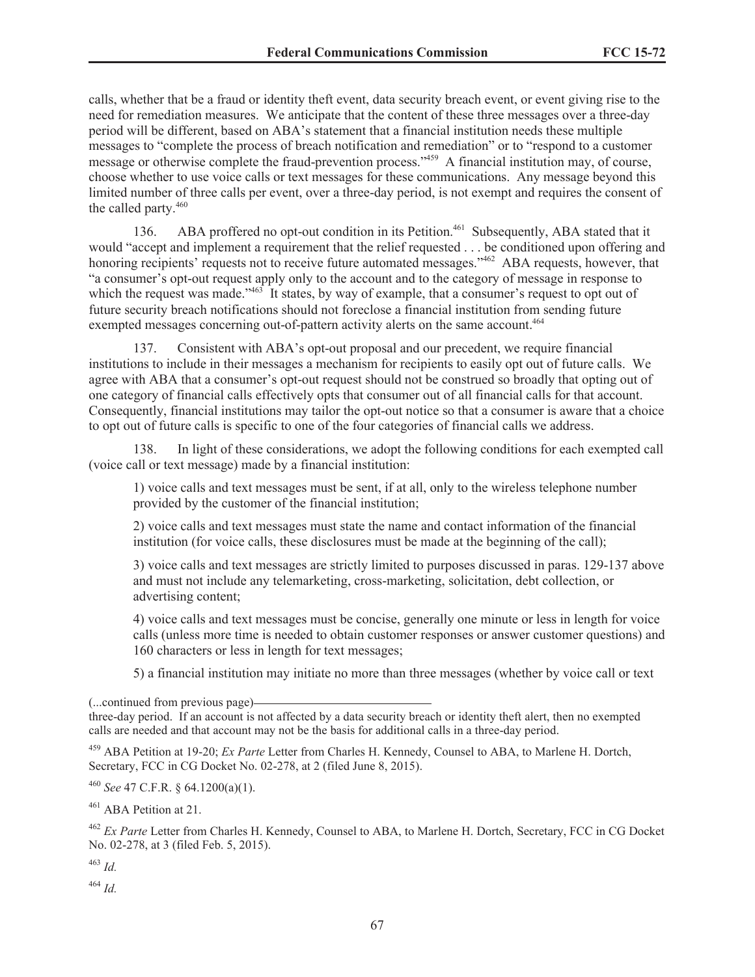calls, whether that be a fraud or identity theft event, data security breach event, or event giving rise to the need for remediation measures. We anticipate that the content of these three messages over a three-day period will be different, based on ABA's statement that a financial institution needs these multiple messages to "complete the process of breach notification and remediation" or to "respond to a customer message or otherwise complete the fraud-prevention process."<sup>459</sup> A financial institution may, of course, choose whether to use voice calls or text messages for these communications. Any message beyond this limited number of three calls per event, over a three-day period, is not exempt and requires the consent of the called party.<sup>460</sup>

136. ABA proffered no opt-out condition in its Petition.<sup>461</sup> Subsequently, ABA stated that it would "accept and implement a requirement that the relief requested . . . be conditioned upon offering and honoring recipients' requests not to receive future automated messages."<sup>462</sup> ABA requests, however, that "a consumer's opt-out request apply only to the account and to the category of message in response to which the request was made.<sup>2463</sup> It states, by way of example, that a consumer's request to opt out of future security breach notifications should not foreclose a financial institution from sending future exempted messages concerning out-of-pattern activity alerts on the same account.<sup>464</sup>

137. Consistent with ABA's opt-out proposal and our precedent, we require financial institutions to include in their messages a mechanism for recipients to easily opt out of future calls. We agree with ABA that a consumer's opt-out request should not be construed so broadly that opting out of one category of financial calls effectively opts that consumer out of all financial calls for that account. Consequently, financial institutions may tailor the opt-out notice so that a consumer is aware that a choice to opt out of future calls is specific to one of the four categories of financial calls we address.

138. In light of these considerations, we adopt the following conditions for each exempted call (voice call or text message) made by a financial institution:

1) voice calls and text messages must be sent, if at all, only to the wireless telephone number provided by the customer of the financial institution;

2) voice calls and text messages must state the name and contact information of the financial institution (for voice calls, these disclosures must be made at the beginning of the call);

3) voice calls and text messages are strictly limited to purposes discussed in paras. 129-137 above and must not include any telemarketing, cross-marketing, solicitation, debt collection, or advertising content;

4) voice calls and text messages must be concise, generally one minute or less in length for voice calls (unless more time is needed to obtain customer responses or answer customer questions) and 160 characters or less in length for text messages;

5) a financial institution may initiate no more than three messages (whether by voice call or text

<sup>459</sup> ABA Petition at 19-20; *Ex Parte* Letter from Charles H. Kennedy, Counsel to ABA, to Marlene H. Dortch, Secretary, FCC in CG Docket No. 02-278, at 2 (filed June 8, 2015).

<sup>460</sup> *See* 47 C.F.R. § 64.1200(a)(1).

<sup>461</sup> ABA Petition at 21.

<sup>462</sup> *Ex Parte* Letter from Charles H. Kennedy, Counsel to ABA, to Marlene H. Dortch, Secretary, FCC in CG Docket No. 02-278, at 3 (filed Feb. 5, 2015).

<sup>463</sup> *Id.*

<sup>464</sup> *Id.*

<sup>(...</sup>continued from previous page)

three-day period. If an account is not affected by a data security breach or identity theft alert, then no exempted calls are needed and that account may not be the basis for additional calls in a three-day period.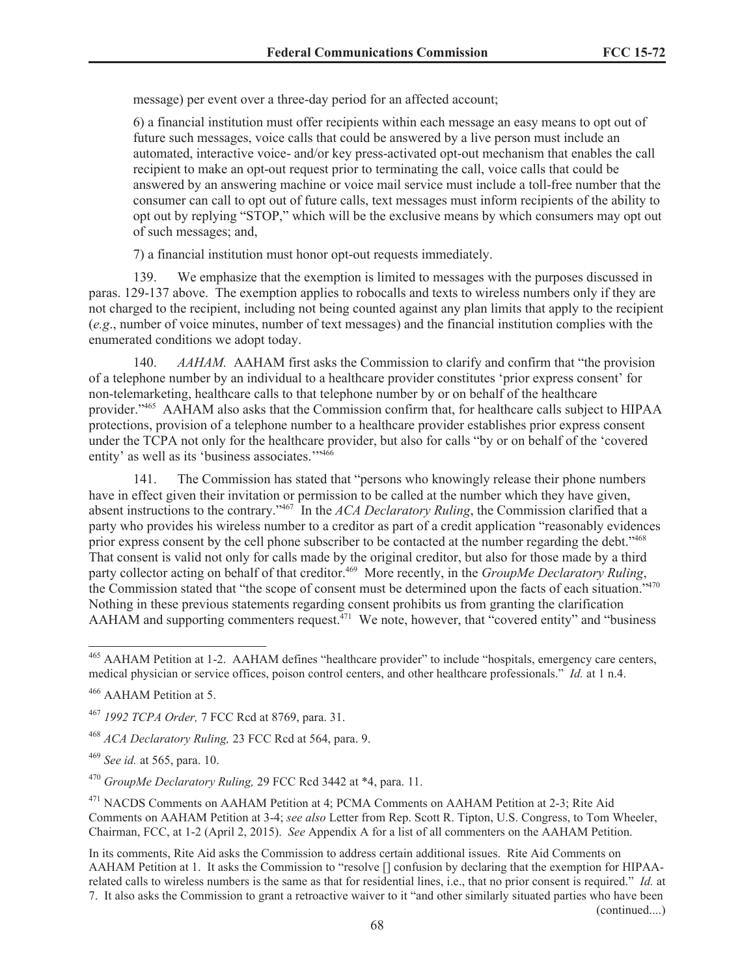message) per event over a three-day period for an affected account;

6) a financial institution must offer recipients within each message an easy means to opt out of future such messages, voice calls that could be answered by a live person must include an automated, interactive voice- and/or key press-activated opt-out mechanism that enables the call recipient to make an opt-out request prior to terminating the call, voice calls that could be answered by an answering machine or voice mail service must include a toll-free number that the consumer can call to opt out of future calls, text messages must inform recipients of the ability to opt out by replying "STOP," which will be the exclusive means by which consumers may opt out of such messages; and,

7) a financial institution must honor opt-out requests immediately.

139. We emphasize that the exemption is limited to messages with the purposes discussed in paras. 129-137 above. The exemption applies to robocalls and texts to wireless numbers only if they are not charged to the recipient, including not being counted against any plan limits that apply to the recipient (*e.g*., number of voice minutes, number of text messages) and the financial institution complies with the enumerated conditions we adopt today.

140. *AAHAM*. AAHAM first asks the Commission to clarify and confirm that "the provision" of a telephone number by an individual to a healthcare provider constitutes 'prior express consent' for non-telemarketing, healthcare calls to that telephone number by or on behalf of the healthcare provider."<sup>465</sup> AAHAM also asks that the Commission confirm that, for healthcare calls subject to HIPAA protections, provision of a telephone number to a healthcare provider establishes prior express consent under the TCPA not only for the healthcare provider, but also for calls "by or on behalf of the 'covered entity' as well as its 'business associates.'"<sup>466</sup>

141. The Commission has stated that "persons who knowingly release their phone numbers have in effect given their invitation or permission to be called at the number which they have given, absent instructions to the contrary."<sup>467</sup> In the *ACA Declaratory Ruling*, the Commission clarified that a party who provides his wireless number to a creditor as part of a credit application "reasonably evidences prior express consent by the cell phone subscriber to be contacted at the number regarding the debt."<sup>468</sup> That consent is valid not only for calls made by the original creditor, but also for those made by a third party collector acting on behalf of that creditor.<sup>469</sup> More recently, in the *GroupMe Declaratory Ruling*, the Commission stated that "the scope of consent must be determined upon the facts of each situation."<sup>470</sup> Nothing in these previous statements regarding consent prohibits us from granting the clarification AAHAM and supporting commenters request.<sup>471</sup> We note, however, that "covered entity" and "business"

<sup>465</sup> AAHAM Petition at 1-2. AAHAM defines "healthcare provider" to include "hospitals, emergency care centers, medical physician or service offices, poison control centers, and other healthcare professionals." *Id.* at 1 n.4.

<sup>466</sup> AAHAM Petition at 5.

<sup>467</sup> *1992 TCPA Order,* 7 FCC Rcd at 8769, para. 31.

<sup>468</sup> *ACA Declaratory Ruling,* 23 FCC Rcd at 564, para. 9.

<sup>469</sup> *See id.* at 565, para. 10.

<sup>470</sup> *GroupMe Declaratory Ruling,* 29 FCC Rcd 3442 at \*4, para. 11.

<sup>&</sup>lt;sup>471</sup> NACDS Comments on AAHAM Petition at 4; PCMA Comments on AAHAM Petition at 2-3; Rite Aid Comments on AAHAM Petition at 3-4; *see also* Letter from Rep. Scott R. Tipton, U.S. Congress, to Tom Wheeler, Chairman, FCC, at 1-2 (April 2, 2015). *See* Appendix A for a list of all commenters on the AAHAM Petition.

In its comments, Rite Aid asks the Commission to address certain additional issues. Rite Aid Comments on AAHAM Petition at 1. It asks the Commission to "resolve [] confusion by declaring that the exemption for HIPAArelated calls to wireless numbers is the same as that for residential lines, i.e., that no prior consent is required." *Id.* at 7. It also asks the Commission to grant a retroactive waiver to it "and other similarly situated parties who have been (continued....)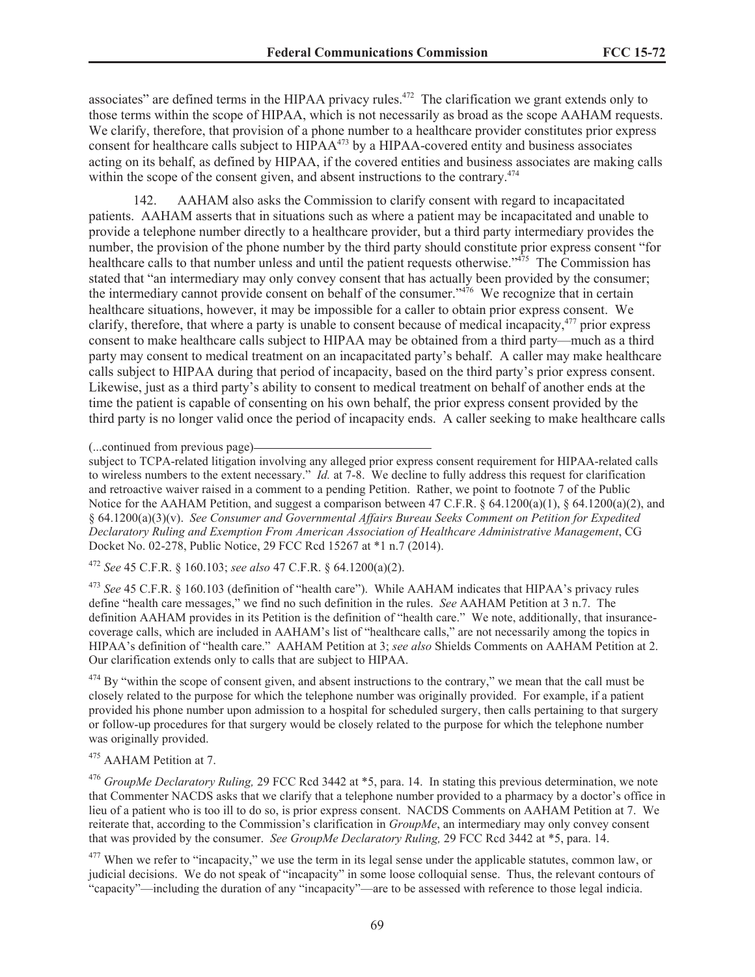associates" are defined terms in the HIPAA privacy rules.<sup>472</sup> The clarification we grant extends only to those terms within the scope of HIPAA, which is not necessarily as broad as the scope AAHAM requests. We clarify, therefore, that provision of a phone number to a healthcare provider constitutes prior express consent for healthcare calls subject to HIPAA<sup>473</sup> by a HIPAA-covered entity and business associates acting on its behalf, as defined by HIPAA, if the covered entities and business associates are making calls within the scope of the consent given, and absent instructions to the contrary.<sup>474</sup>

142. AAHAM also asks the Commission to clarify consent with regard to incapacitated patients. AAHAM asserts that in situations such as where a patient may be incapacitated and unable to provide a telephone number directly to a healthcare provider, but a third party intermediary provides the number, the provision of the phone number by the third party should constitute prior express consent "for healthcare calls to that number unless and until the patient requests otherwise."<sup>475</sup> The Commission has stated that "an intermediary may only convey consent that has actually been provided by the consumer; the intermediary cannot provide consent on behalf of the consumer."<sup>476</sup> We recognize that in certain healthcare situations, however, it may be impossible for a caller to obtain prior express consent. We clarify, therefore, that where a party is unable to consent because of medical incapacity,<sup>477</sup> prior express consent to make healthcare calls subject to HIPAA may be obtained from a third party—much as a third party may consent to medical treatment on an incapacitated party's behalf. A caller may make healthcare calls subject to HIPAA during that period of incapacity, based on the third party's prior express consent. Likewise, just as a third party's ability to consent to medical treatment on behalf of another ends at the time the patient is capable of consenting on his own behalf, the prior express consent provided by the third party is no longer valid once the period of incapacity ends. A caller seeking to make healthcare calls

(...continued from previous page)

subject to TCPA-related litigation involving any alleged prior express consent requirement for HIPAA-related calls to wireless numbers to the extent necessary." *Id.* at 7-8. We decline to fully address this request for clarification and retroactive waiver raised in a comment to a pending Petition. Rather, we point to footnote 7 of the Public Notice for the AAHAM Petition, and suggest a comparison between 47 C.F.R. § 64.1200(a)(1), § 64.1200(a)(2), and § 64.1200(a)(3)(v). *See Consumer and Governmental Affairs Bureau Seeks Comment on Petition for Expedited Declaratory Ruling and Exemption From American Association of Healthcare Administrative Management*, CG Docket No. 02-278, Public Notice, 29 FCC Rcd 15267 at \*1 n.7 (2014).

<sup>472</sup> *See* 45 C.F.R. § 160.103; *see also* 47 C.F.R. § 64.1200(a)(2).

<sup>473</sup> *See* 45 C.F.R. § 160.103 (definition of "health care"). While AAHAM indicates that HIPAA's privacy rules define "health care messages," we find no such definition in the rules. *See* AAHAM Petition at 3 n.7. The definition AAHAM provides in its Petition is the definition of "health care." We note, additionally, that insurancecoverage calls, which are included in AAHAM's list of "healthcare calls," are not necessarily among the topics in HIPAA's definition of "health care." AAHAM Petition at 3; *see also* Shields Comments on AAHAM Petition at 2. Our clarification extends only to calls that are subject to HIPAA.

 $474$  By "within the scope of consent given, and absent instructions to the contrary," we mean that the call must be closely related to the purpose for which the telephone number was originally provided. For example, if a patient provided his phone number upon admission to a hospital for scheduled surgery, then calls pertaining to that surgery or follow-up procedures for that surgery would be closely related to the purpose for which the telephone number was originally provided.

# <sup>475</sup> AAHAM Petition at 7.

<sup>476</sup> *GroupMe Declaratory Ruling,* 29 FCC Rcd 3442 at \*5, para. 14. In stating this previous determination, we note that Commenter NACDS asks that we clarify that a telephone number provided to a pharmacy by a doctor's office in lieu of a patient who is too ill to do so, is prior express consent. NACDS Comments on AAHAM Petition at 7. We reiterate that, according to the Commission's clarification in *GroupMe*, an intermediary may only convey consent that was provided by the consumer. *See GroupMe Declaratory Ruling,* 29 FCC Rcd 3442 at \*5, para. 14.

 $477$  When we refer to "incapacity," we use the term in its legal sense under the applicable statutes, common law, or judicial decisions. We do not speak of "incapacity" in some loose colloquial sense. Thus, the relevant contours of "capacity"—including the duration of any "incapacity"—are to be assessed with reference to those legal indicia.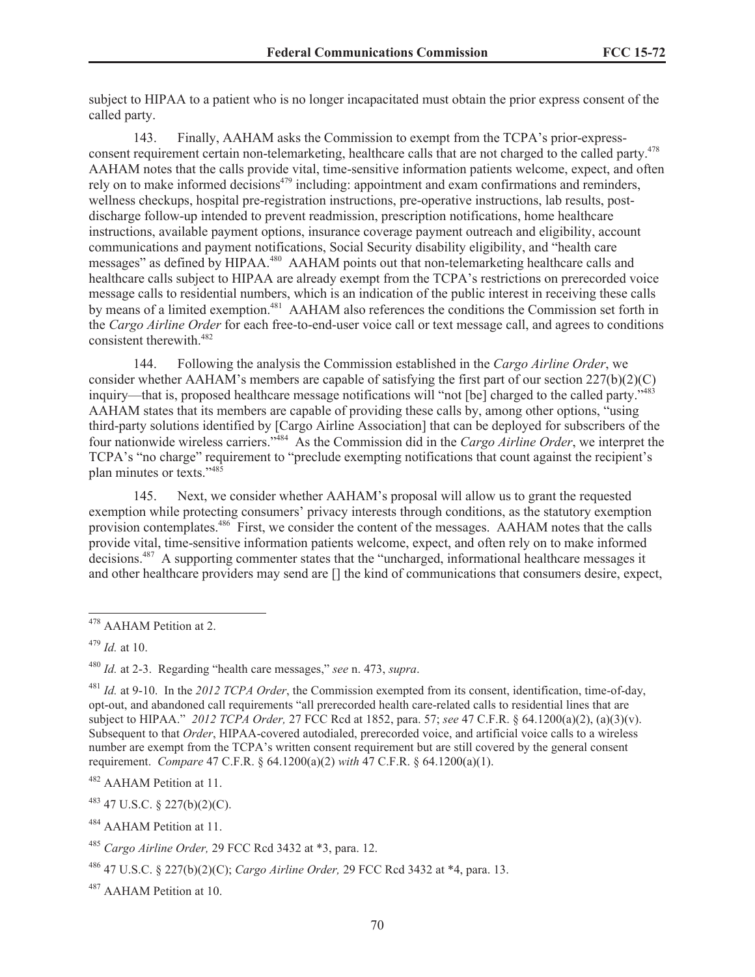subject to HIPAA to a patient who is no longer incapacitated must obtain the prior express consent of the called party.

143. Finally, AAHAM asks the Commission to exempt from the TCPA's prior-expressconsent requirement certain non-telemarketing, healthcare calls that are not charged to the called party.<sup>478</sup> AAHAM notes that the calls provide vital, time-sensitive information patients welcome, expect, and often rely on to make informed decisions<sup> $479$ </sup> including: appointment and exam confirmations and reminders, wellness checkups, hospital pre-registration instructions, pre-operative instructions, lab results, postdischarge follow-up intended to prevent readmission, prescription notifications, home healthcare instructions, available payment options, insurance coverage payment outreach and eligibility, account communications and payment notifications, Social Security disability eligibility, and "health care messages" as defined by HIPAA.<sup>480</sup> AAHAM points out that non-telemarketing healthcare calls and healthcare calls subject to HIPAA are already exempt from the TCPA's restrictions on prerecorded voice message calls to residential numbers, which is an indication of the public interest in receiving these calls by means of a limited exemption.<sup>481</sup> AAHAM also references the conditions the Commission set forth in the *Cargo Airline Order* for each free-to-end-user voice call or text message call, and agrees to conditions consistent therewith.<sup>482</sup>

144. Following the analysis the Commission established in the *Cargo Airline Order*, we consider whether AAHAM's members are capable of satisfying the first part of our section 227(b)(2)(C) inquiry—that is, proposed healthcare message notifications will "not [be] charged to the called party."<sup>483</sup> AAHAM states that its members are capable of providing these calls by, among other options, "using third-party solutions identified by [Cargo Airline Association] that can be deployed for subscribers of the four nationwide wireless carriers."<sup>484</sup> As the Commission did in the *Cargo Airline Order*, we interpret the TCPA's "no charge" requirement to "preclude exempting notifications that count against the recipient's plan minutes or texts."<sup>485</sup>

145. Next, we consider whether AAHAM's proposal will allow us to grant the requested exemption while protecting consumers' privacy interests through conditions, as the statutory exemption provision contemplates.<sup>486</sup> First, we consider the content of the messages. AAHAM notes that the calls provide vital, time-sensitive information patients welcome, expect, and often rely on to make informed decisions.<sup>487</sup> A supporting commenter states that the "uncharged, informational healthcare messages it and other healthcare providers may send are [] the kind of communications that consumers desire, expect,

<sup>480</sup> *Id.* at 2-3. Regarding "health care messages," *see* n. 473, *supra*.

<sup>482</sup> AAHAM Petition at 11.

 $483$  47 U.S.C. § 227(b)(2)(C).

<sup>484</sup> AAHAM Petition at 11.

<sup>487</sup> AAHAM Petition at 10.

<sup>478</sup> AAHAM Petition at 2.

<sup>479</sup> *Id.* at 10.

<sup>481</sup> *Id.* at 9-10. In the *2012 TCPA Order*, the Commission exempted from its consent, identification, time-of-day, opt-out, and abandoned call requirements "all prerecorded health care-related calls to residential lines that are subject to HIPAA." *2012 TCPA Order,* 27 FCC Rcd at 1852, para. 57; *see* 47 C.F.R. § 64.1200(a)(2), (a)(3)(v). Subsequent to that *Order*, HIPAA-covered autodialed, prerecorded voice, and artificial voice calls to a wireless number are exempt from the TCPA's written consent requirement but are still covered by the general consent requirement. *Compare* 47 C.F.R. § 64.1200(a)(2) *with* 47 C.F.R. § 64.1200(a)(1).

<sup>485</sup> *Cargo Airline Order,* 29 FCC Rcd 3432 at \*3, para. 12.

<sup>486</sup> 47 U.S.C. § 227(b)(2)(C); *Cargo Airline Order,* 29 FCC Rcd 3432 at \*4, para. 13.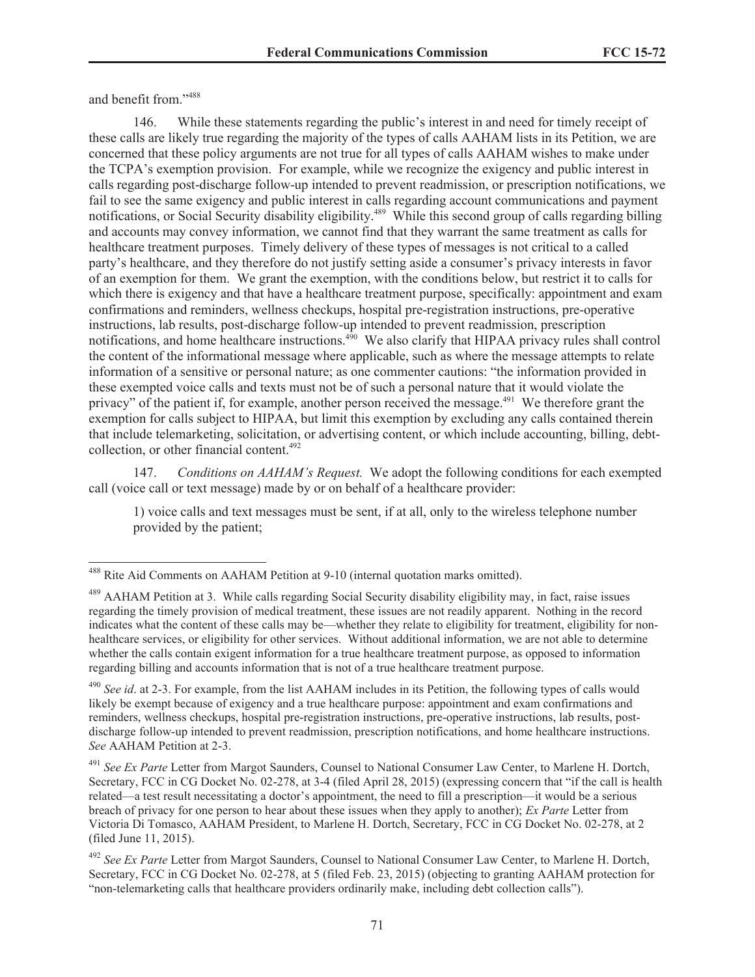and benefit from."<sup>488</sup>

146. While these statements regarding the public's interest in and need for timely receipt of these calls are likely true regarding the majority of the types of calls AAHAM lists in its Petition, we are concerned that these policy arguments are not true for all types of calls AAHAM wishes to make under the TCPA's exemption provision. For example, while we recognize the exigency and public interest in calls regarding post-discharge follow-up intended to prevent readmission, or prescription notifications, we fail to see the same exigency and public interest in calls regarding account communications and payment notifications, or Social Security disability eligibility.<sup>489</sup> While this second group of calls regarding billing and accounts may convey information, we cannot find that they warrant the same treatment as calls for healthcare treatment purposes. Timely delivery of these types of messages is not critical to a called party's healthcare, and they therefore do not justify setting aside a consumer's privacy interests in favor of an exemption for them. We grant the exemption, with the conditions below, but restrict it to calls for which there is exigency and that have a healthcare treatment purpose, specifically: appointment and exam confirmations and reminders, wellness checkups, hospital pre-registration instructions, pre-operative instructions, lab results, post-discharge follow-up intended to prevent readmission, prescription notifications, and home healthcare instructions.<sup>490</sup> We also clarify that HIPAA privacy rules shall control the content of the informational message where applicable, such as where the message attempts to relate information of a sensitive or personal nature; as one commenter cautions: "the information provided in these exempted voice calls and texts must not be of such a personal nature that it would violate the privacy" of the patient if, for example, another person received the message.<sup>491</sup> We therefore grant the exemption for calls subject to HIPAA, but limit this exemption by excluding any calls contained therein that include telemarketing, solicitation, or advertising content, or which include accounting, billing, debtcollection, or other financial content.<sup>492</sup>

147. *Conditions on AAHAM's Request.* We adopt the following conditions for each exempted call (voice call or text message) made by or on behalf of a healthcare provider:

1) voice calls and text messages must be sent, if at all, only to the wireless telephone number provided by the patient;

<sup>488</sup> Rite Aid Comments on AAHAM Petition at 9-10 (internal quotation marks omitted).

<sup>&</sup>lt;sup>489</sup> AAHAM Petition at 3. While calls regarding Social Security disability eligibility may, in fact, raise issues regarding the timely provision of medical treatment, these issues are not readily apparent. Nothing in the record indicates what the content of these calls may be—whether they relate to eligibility for treatment, eligibility for nonhealthcare services, or eligibility for other services. Without additional information, we are not able to determine whether the calls contain exigent information for a true healthcare treatment purpose, as opposed to information regarding billing and accounts information that is not of a true healthcare treatment purpose.

<sup>490</sup> *See id*. at 2-3. For example, from the list AAHAM includes in its Petition, the following types of calls would likely be exempt because of exigency and a true healthcare purpose: appointment and exam confirmations and reminders, wellness checkups, hospital pre-registration instructions, pre-operative instructions, lab results, postdischarge follow-up intended to prevent readmission, prescription notifications, and home healthcare instructions. *See* AAHAM Petition at 2-3.

<sup>491</sup> *See Ex Parte* Letter from Margot Saunders, Counsel to National Consumer Law Center, to Marlene H. Dortch, Secretary, FCC in CG Docket No. 02-278, at 3-4 (filed April 28, 2015) (expressing concern that "if the call is health related—a test result necessitating a doctor's appointment, the need to fill a prescription—it would be a serious breach of privacy for one person to hear about these issues when they apply to another); *Ex Parte* Letter from Victoria Di Tomasco, AAHAM President, to Marlene H. Dortch, Secretary, FCC in CG Docket No. 02-278, at 2 (filed June 11, 2015).

<sup>492</sup> *See Ex Parte* Letter from Margot Saunders, Counsel to National Consumer Law Center, to Marlene H. Dortch, Secretary, FCC in CG Docket No. 02-278, at 5 (filed Feb. 23, 2015) (objecting to granting AAHAM protection for "non-telemarketing calls that healthcare providers ordinarily make, including debt collection calls").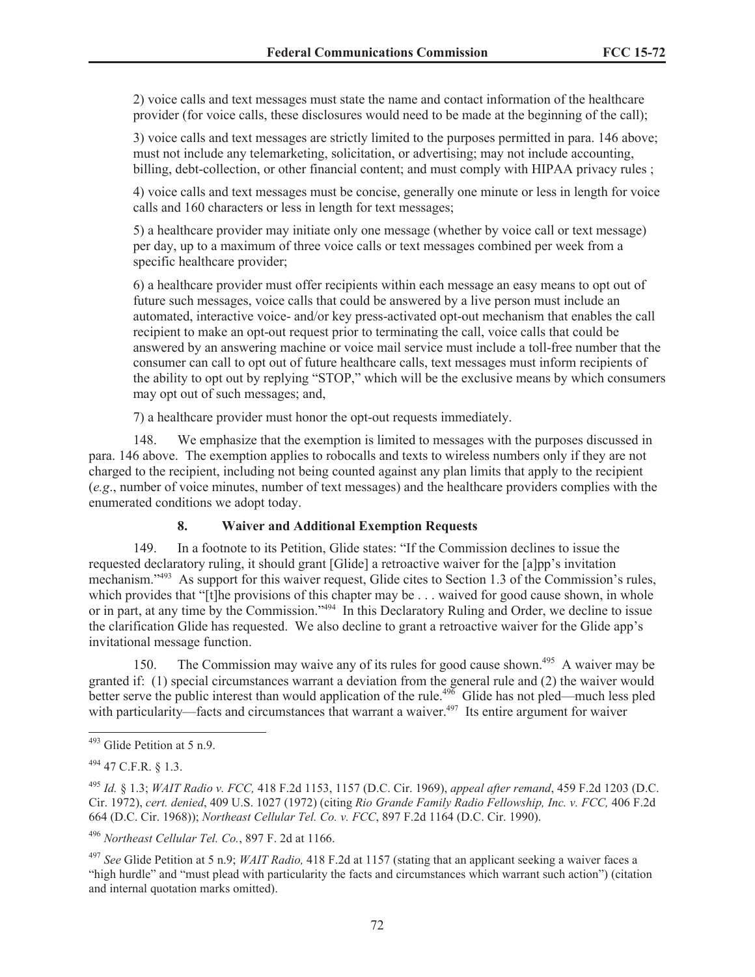2) voice calls and text messages must state the name and contact information of the healthcare provider (for voice calls, these disclosures would need to be made at the beginning of the call);

3) voice calls and text messages are strictly limited to the purposes permitted in para. 146 above; must not include any telemarketing, solicitation, or advertising; may not include accounting, billing, debt-collection, or other financial content; and must comply with HIPAA privacy rules ;

4) voice calls and text messages must be concise, generally one minute or less in length for voice calls and 160 characters or less in length for text messages;

5) a healthcare provider may initiate only one message (whether by voice call or text message) per day, up to a maximum of three voice calls or text messages combined per week from a specific healthcare provider;

6) a healthcare provider must offer recipients within each message an easy means to opt out of future such messages, voice calls that could be answered by a live person must include an automated, interactive voice- and/or key press-activated opt-out mechanism that enables the call recipient to make an opt-out request prior to terminating the call, voice calls that could be answered by an answering machine or voice mail service must include a toll-free number that the consumer can call to opt out of future healthcare calls, text messages must inform recipients of the ability to opt out by replying "STOP," which will be the exclusive means by which consumers may opt out of such messages; and,

7) a healthcare provider must honor the opt-out requests immediately.

148. We emphasize that the exemption is limited to messages with the purposes discussed in para. 146 above. The exemption applies to robocalls and texts to wireless numbers only if they are not charged to the recipient, including not being counted against any plan limits that apply to the recipient (*e.g*., number of voice minutes, number of text messages) and the healthcare providers complies with the enumerated conditions we adopt today.

#### **8. Waiver and Additional Exemption Requests**

149. In a footnote to its Petition, Glide states: "If the Commission declines to issue the requested declaratory ruling, it should grant [Glide] a retroactive waiver for the [a]pp's invitation mechanism."<sup>493</sup> As support for this waiver request, Glide cites to Section 1.3 of the Commission's rules, which provides that "[t]he provisions of this chapter may be . . . waived for good cause shown, in whole or in part, at any time by the Commission."<sup>494</sup> In this Declaratory Ruling and Order, we decline to issue the clarification Glide has requested. We also decline to grant a retroactive waiver for the Glide app's invitational message function.

150. The Commission may waive any of its rules for good cause shown.<sup>495</sup> A waiver may be granted if: (1) special circumstances warrant a deviation from the general rule and (2) the waiver would better serve the public interest than would application of the rule.<sup> $49\overline{6}$ </sup> Glide has not pled—much less pled with particularity—facts and circumstances that warrant a waiver.<sup>497</sup> Its entire argument for waiver

<sup>493</sup> Glide Petition at 5 n.9.

 $^{494}$  47 C.F.R.  $8$  1.3.

<sup>495</sup> *Id.* § 1.3; *WAIT Radio v. FCC,* 418 F.2d 1153, 1157 (D.C. Cir. 1969), *appeal after remand*, 459 F.2d 1203 (D.C. Cir. 1972), *cert. denied*, 409 U.S. 1027 (1972) (citing *Rio Grande Family Radio Fellowship, Inc. v. FCC,* 406 F.2d 664 (D.C. Cir. 1968)); *Northeast Cellular Tel. Co. v. FCC*, 897 F.2d 1164 (D.C. Cir. 1990).

<sup>496</sup> *Northeast Cellular Tel. Co.*, 897 F. 2d at 1166.

<sup>497</sup> *See* Glide Petition at 5 n.9; *WAIT Radio,* 418 F.2d at 1157 (stating that an applicant seeking a waiver faces a "high hurdle" and "must plead with particularity the facts and circumstances which warrant such action") (citation and internal quotation marks omitted).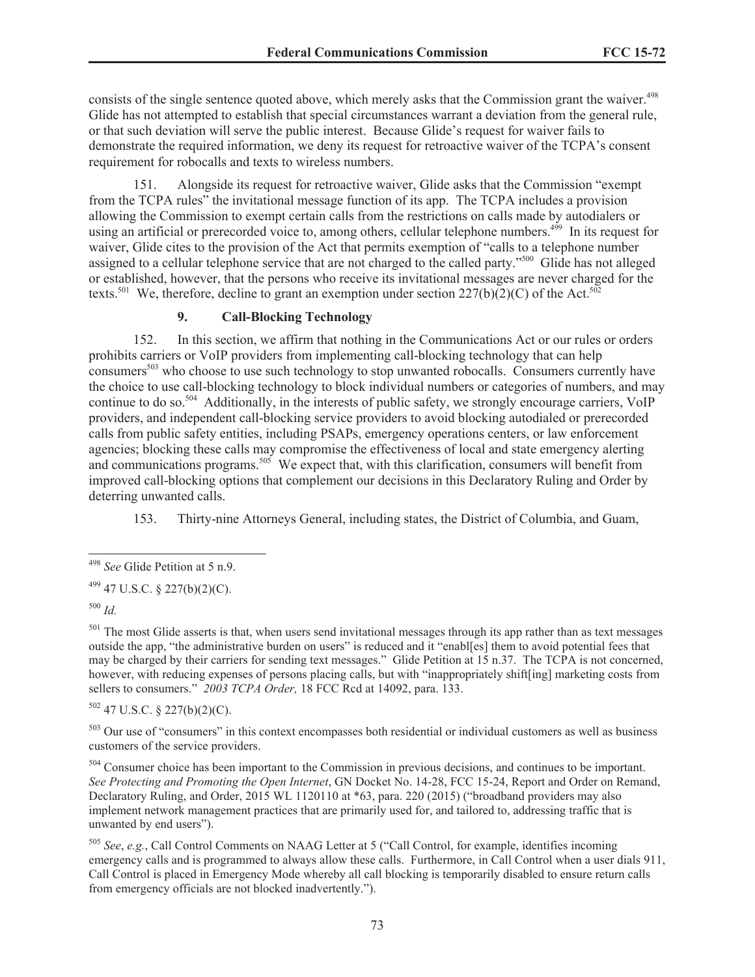consists of the single sentence quoted above, which merely asks that the Commission grant the waiver.<sup>498</sup> Glide has not attempted to establish that special circumstances warrant a deviation from the general rule, or that such deviation will serve the public interest. Because Glide's request for waiver fails to demonstrate the required information, we deny its request for retroactive waiver of the TCPA's consent requirement for robocalls and texts to wireless numbers.

151. Alongside its request for retroactive waiver, Glide asks that the Commission "exempt from the TCPA rules" the invitational message function of its app. The TCPA includes a provision allowing the Commission to exempt certain calls from the restrictions on calls made by autodialers or using an artificial or prerecorded voice to, among others, cellular telephone numbers.<sup>499</sup> In its request for waiver, Glide cites to the provision of the Act that permits exemption of "calls to a telephone number assigned to a cellular telephone service that are not charged to the called party."<sup>500</sup> Glide has not alleged or established, however, that the persons who receive its invitational messages are never charged for the texts.<sup>501</sup> We, therefore, decline to grant an exemption under section  $227(b)(2)(C)$  of the Act.<sup>502</sup>

### **9. Call-Blocking Technology**

152. In this section, we affirm that nothing in the Communications Act or our rules or orders prohibits carriers or VoIP providers from implementing call-blocking technology that can help consumers<sup>503</sup> who choose to use such technology to stop unwanted robocalls. Consumers currently have the choice to use call-blocking technology to block individual numbers or categories of numbers, and may continue to do so.<sup>504</sup> Additionally, in the interests of public safety, we strongly encourage carriers, VoIP providers, and independent call-blocking service providers to avoid blocking autodialed or prerecorded calls from public safety entities, including PSAPs, emergency operations centers, or law enforcement agencies; blocking these calls may compromise the effectiveness of local and state emergency alerting and communications programs.<sup>505</sup> We expect that, with this clarification, consumers will benefit from improved call-blocking options that complement our decisions in this Declaratory Ruling and Order by deterring unwanted calls.

153. Thirty-nine Attorneys General, including states, the District of Columbia, and Guam,

<sup>500</sup> *Id.*

 $501$  The most Glide asserts is that, when users send invitational messages through its app rather than as text messages outside the app, "the administrative burden on users" is reduced and it "enabl[es] them to avoid potential fees that may be charged by their carriers for sending text messages." Glide Petition at 15 n.37. The TCPA is not concerned, however, with reducing expenses of persons placing calls, but with "inappropriately shift[ing] marketing costs from sellers to consumers." *2003 TCPA Order,* 18 FCC Rcd at 14092, para. 133.

 $502$  47 U.S.C. § 227(b)(2)(C).

<sup>503</sup> Our use of "consumers" in this context encompasses both residential or individual customers as well as business customers of the service providers.

<sup>504</sup> Consumer choice has been important to the Commission in previous decisions, and continues to be important. *See Protecting and Promoting the Open Internet*, GN Docket No. 14-28, FCC 15-24, Report and Order on Remand, Declaratory Ruling, and Order, 2015 WL 1120110 at \*63, para. 220 (2015) ("broadband providers may also implement network management practices that are primarily used for, and tailored to, addressing traffic that is unwanted by end users").

<sup>505</sup> *See*, *e.g.*, Call Control Comments on NAAG Letter at 5 ("Call Control, for example, identifies incoming emergency calls and is programmed to always allow these calls. Furthermore, in Call Control when a user dials 911, Call Control is placed in Emergency Mode whereby all call blocking is temporarily disabled to ensure return calls from emergency officials are not blocked inadvertently.").

<sup>498</sup> *See* Glide Petition at 5 n.9.

 $^{499}$  47 U.S.C. § 227(b)(2)(C).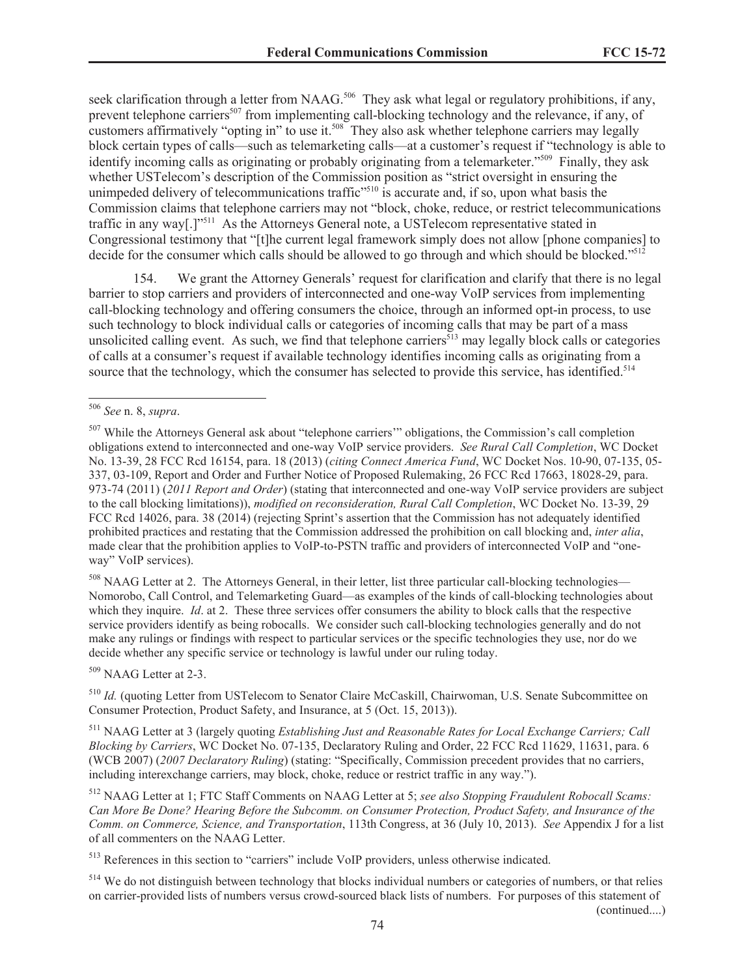seek clarification through a letter from NAAG.<sup>506</sup> They ask what legal or regulatory prohibitions, if any, prevent telephone carriers<sup>507</sup> from implementing call-blocking technology and the relevance, if any, of customers affirmatively "opting in" to use it.<sup>508</sup> They also ask whether telephone carriers may legally block certain types of calls—such as telemarketing calls—at a customer's request if "technology is able to identify incoming calls as originating or probably originating from a telemarketer."<sup>509</sup> Finally, they ask whether USTelecom's description of the Commission position as "strict oversight in ensuring the unimpeded delivery of telecommunications traffic<sup> $\frac{510}{15}$ </sup> is accurate and, if so, upon what basis the Commission claims that telephone carriers may not "block, choke, reduce, or restrict telecommunications traffic in any way[.]"<sup>511</sup> As the Attorneys General note, a USTelecom representative stated in Congressional testimony that "[t]he current legal framework simply does not allow [phone companies] to decide for the consumer which calls should be allowed to go through and which should be blocked."<sup>512</sup>

154. We grant the Attorney Generals' request for clarification and clarify that there is no legal barrier to stop carriers and providers of interconnected and one-way VoIP services from implementing call-blocking technology and offering consumers the choice, through an informed opt-in process, to use such technology to block individual calls or categories of incoming calls that may be part of a mass unsolicited calling event. As such, we find that telephone carriers<sup> $513$ </sup> may legally block calls or categories of calls at a consumer's request if available technology identifies incoming calls as originating from a source that the technology, which the consumer has selected to provide this service, has identified.<sup>514</sup>

<sup>508</sup> NAAG Letter at 2. The Attorneys General, in their letter, list three particular call-blocking technologies— Nomorobo, Call Control, and Telemarketing Guard—as examples of the kinds of call-blocking technologies about which they inquire. *Id.* at 2. These three services offer consumers the ability to block calls that the respective service providers identify as being robocalls. We consider such call-blocking technologies generally and do not make any rulings or findings with respect to particular services or the specific technologies they use, nor do we decide whether any specific service or technology is lawful under our ruling today.

<sup>509</sup> NAAG Letter at 2-3.

<sup>510</sup> *Id.* (quoting Letter from USTelecom to Senator Claire McCaskill, Chairwoman, U.S. Senate Subcommittee on Consumer Protection, Product Safety, and Insurance, at 5 (Oct. 15, 2013)).

<sup>511</sup> NAAG Letter at 3 (largely quoting *Establishing Just and Reasonable Rates for Local Exchange Carriers; Call Blocking by Carriers*, WC Docket No. 07-135, Declaratory Ruling and Order, 22 FCC Rcd 11629, 11631, para. 6 (WCB 2007) (*2007 Declaratory Ruling*) (stating: "Specifically, Commission precedent provides that no carriers, including interexchange carriers, may block, choke, reduce or restrict traffic in any way.").

<sup>512</sup> NAAG Letter at 1; FTC Staff Comments on NAAG Letter at 5; *see also Stopping Fraudulent Robocall Scams: Can More Be Done? Hearing Before the Subcomm. on Consumer Protection, Product Safety, and Insurance of the Comm. on Commerce, Science, and Transportation*, 113th Congress, at 36 (July 10, 2013). *See* Appendix J for a list of all commenters on the NAAG Letter.

<sup>513</sup> References in this section to "carriers" include VoIP providers, unless otherwise indicated.

<sup>514</sup> We do not distinguish between technology that blocks individual numbers or categories of numbers, or that relies on carrier-provided lists of numbers versus crowd-sourced black lists of numbers. For purposes of this statement of (continued....)

<sup>506</sup> *See* n. 8, *supra*.

<sup>&</sup>lt;sup>507</sup> While the Attorneys General ask about "telephone carriers" obligations, the Commission's call completion obligations extend to interconnected and one-way VoIP service providers. *See Rural Call Completion*, WC Docket No. 13-39, 28 FCC Rcd 16154, para. 18 (2013) (*citing Connect America Fund*, WC Docket Nos. 10-90, 07-135, 05- 337, 03-109, Report and Order and Further Notice of Proposed Rulemaking, 26 FCC Rcd 17663, 18028-29, para. 973-74 (2011) (*2011 Report and Order*) (stating that interconnected and one-way VoIP service providers are subject to the call blocking limitations)), *modified on reconsideration, Rural Call Completion*, WC Docket No. 13-39, 29 FCC Rcd 14026, para. 38 (2014) (rejecting Sprint's assertion that the Commission has not adequately identified prohibited practices and restating that the Commission addressed the prohibition on call blocking and, *inter alia*, made clear that the prohibition applies to VoIP-to-PSTN traffic and providers of interconnected VoIP and "oneway" VoIP services).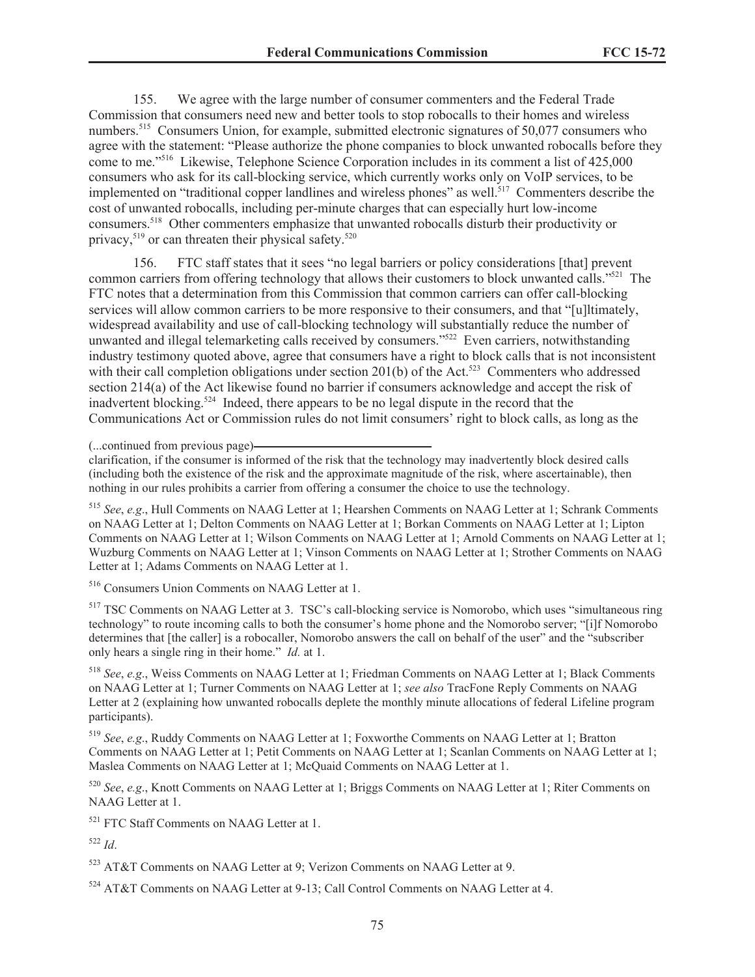155. We agree with the large number of consumer commenters and the Federal Trade Commission that consumers need new and better tools to stop robocalls to their homes and wireless numbers.<sup>515</sup> Consumers Union, for example, submitted electronic signatures of 50,077 consumers who agree with the statement: "Please authorize the phone companies to block unwanted robocalls before they come to me."<sup>516</sup> Likewise, Telephone Science Corporation includes in its comment a list of 425,000 consumers who ask for its call-blocking service, which currently works only on VoIP services, to be implemented on "traditional copper landlines and wireless phones" as well.<sup>517</sup> Commenters describe the cost of unwanted robocalls, including per-minute charges that can especially hurt low-income consumers.<sup>518</sup> Other commenters emphasize that unwanted robocalls disturb their productivity or privacy,  $519$  or can threaten their physical safety.<sup>520</sup>

156. FTC staff states that it sees "no legal barriers or policy considerations [that] prevent common carriers from offering technology that allows their customers to block unwanted calls."<sup>521</sup> The FTC notes that a determination from this Commission that common carriers can offer call-blocking services will allow common carriers to be more responsive to their consumers, and that "[u]ltimately, widespread availability and use of call-blocking technology will substantially reduce the number of unwanted and illegal telemarketing calls received by consumers."<sup>522</sup> Even carriers, notwithstanding industry testimony quoted above, agree that consumers have a right to block calls that is not inconsistent with their call completion obligations under section 201(b) of the Act.<sup>523</sup> Commenters who addressed section 214(a) of the Act likewise found no barrier if consumers acknowledge and accept the risk of inadvertent blocking.<sup>524</sup> Indeed, there appears to be no legal dispute in the record that the Communications Act or Commission rules do not limit consumers' right to block calls, as long as the

clarification, if the consumer is informed of the risk that the technology may inadvertently block desired calls (including both the existence of the risk and the approximate magnitude of the risk, where ascertainable), then nothing in our rules prohibits a carrier from offering a consumer the choice to use the technology.

<sup>515</sup> *See*, *e.g*., Hull Comments on NAAG Letter at 1; Hearshen Comments on NAAG Letter at 1; Schrank Comments on NAAG Letter at 1; Delton Comments on NAAG Letter at 1; Borkan Comments on NAAG Letter at 1; Lipton Comments on NAAG Letter at 1; Wilson Comments on NAAG Letter at 1; Arnold Comments on NAAG Letter at 1; Wuzburg Comments on NAAG Letter at 1; Vinson Comments on NAAG Letter at 1; Strother Comments on NAAG Letter at 1; Adams Comments on NAAG Letter at 1.

<sup>516</sup> Consumers Union Comments on NAAG Letter at 1.

<sup>517</sup> TSC Comments on NAAG Letter at 3. TSC's call-blocking service is Nomorobo, which uses "simultaneous ring technology" to route incoming calls to both the consumer's home phone and the Nomorobo server; "[i]f Nomorobo determines that [the caller] is a robocaller, Nomorobo answers the call on behalf of the user" and the "subscriber only hears a single ring in their home." *Id.* at 1.

<sup>518</sup> *See*, *e.g*., Weiss Comments on NAAG Letter at 1; Friedman Comments on NAAG Letter at 1; Black Comments on NAAG Letter at 1; Turner Comments on NAAG Letter at 1; *see also* TracFone Reply Comments on NAAG Letter at 2 (explaining how unwanted robocalls deplete the monthly minute allocations of federal Lifeline program participants).

<sup>519</sup> *See*, *e.g*., Ruddy Comments on NAAG Letter at 1; Foxworthe Comments on NAAG Letter at 1; Bratton Comments on NAAG Letter at 1; Petit Comments on NAAG Letter at 1; Scanlan Comments on NAAG Letter at 1; Maslea Comments on NAAG Letter at 1; McQuaid Comments on NAAG Letter at 1.

<sup>520</sup> *See*, *e.g*., Knott Comments on NAAG Letter at 1; Briggs Comments on NAAG Letter at 1; Riter Comments on NAAG Letter at 1.

<sup>521</sup> FTC Staff Comments on NAAG Letter at 1.

<sup>522</sup> *Id*.

<sup>523</sup> AT&T Comments on NAAG Letter at 9; Verizon Comments on NAAG Letter at 9.

<sup>524</sup> AT&T Comments on NAAG Letter at 9-13; Call Control Comments on NAAG Letter at 4.

<sup>(...</sup>continued from previous page)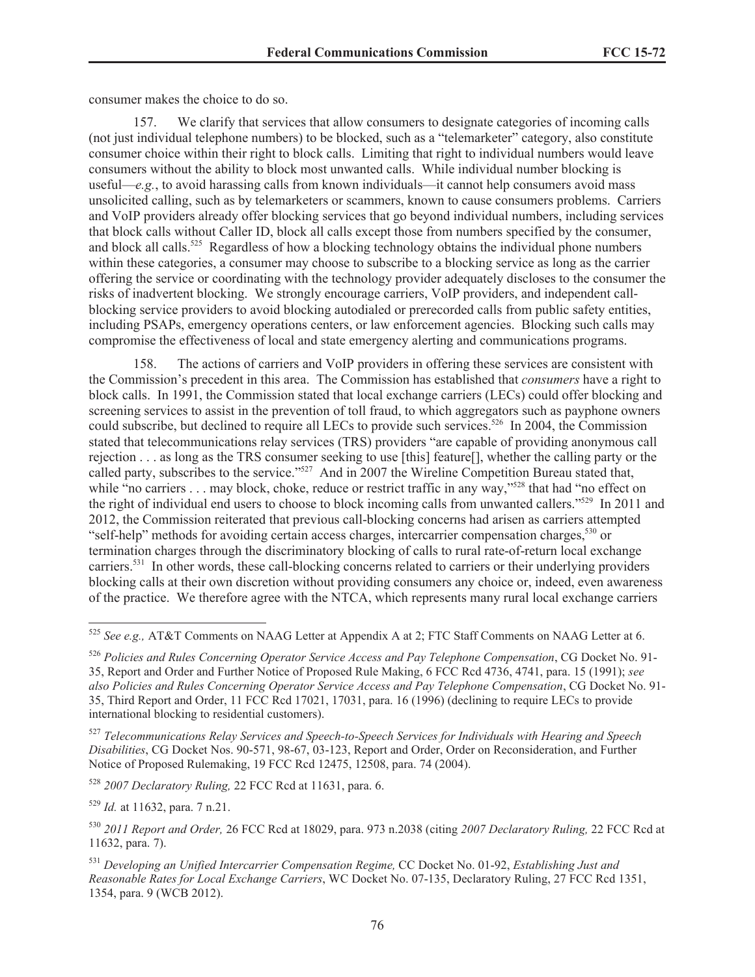consumer makes the choice to do so.

157. We clarify that services that allow consumers to designate categories of incoming calls (not just individual telephone numbers) to be blocked, such as a "telemarketer" category, also constitute consumer choice within their right to block calls. Limiting that right to individual numbers would leave consumers without the ability to block most unwanted calls. While individual number blocking is useful—*e.g.*, to avoid harassing calls from known individuals—it cannot help consumers avoid mass unsolicited calling, such as by telemarketers or scammers, known to cause consumers problems. Carriers and VoIP providers already offer blocking services that go beyond individual numbers, including services that block calls without Caller ID, block all calls except those from numbers specified by the consumer, and block all calls.<sup>525</sup> Regardless of how a blocking technology obtains the individual phone numbers within these categories, a consumer may choose to subscribe to a blocking service as long as the carrier offering the service or coordinating with the technology provider adequately discloses to the consumer the risks of inadvertent blocking. We strongly encourage carriers, VoIP providers, and independent callblocking service providers to avoid blocking autodialed or prerecorded calls from public safety entities, including PSAPs, emergency operations centers, or law enforcement agencies. Blocking such calls may compromise the effectiveness of local and state emergency alerting and communications programs.

158. The actions of carriers and VoIP providers in offering these services are consistent with the Commission's precedent in this area. The Commission has established that *consumers* have a right to block calls. In 1991, the Commission stated that local exchange carriers (LECs) could offer blocking and screening services to assist in the prevention of toll fraud, to which aggregators such as payphone owners could subscribe, but declined to require all LECs to provide such services.<sup>526</sup> In 2004, the Commission stated that telecommunications relay services (TRS) providers "are capable of providing anonymous call rejection . . . as long as the TRS consumer seeking to use [this] feature[], whether the calling party or the called party, subscribes to the service."<sup>527</sup> And in 2007 the Wireline Competition Bureau stated that, while "no carriers . . . may block, choke, reduce or restrict traffic in any way,"<sup>528</sup> that had "no effect on the right of individual end users to choose to block incoming calls from unwanted callers."<sup>529</sup> In 2011 and 2012, the Commission reiterated that previous call-blocking concerns had arisen as carriers attempted "self-help" methods for avoiding certain access charges, intercarrier compensation charges,<sup>530</sup> or termination charges through the discriminatory blocking of calls to rural rate-of-return local exchange carriers.<sup>531</sup> In other words, these call-blocking concerns related to carriers or their underlying providers blocking calls at their own discretion without providing consumers any choice or, indeed, even awareness of the practice. We therefore agree with the NTCA, which represents many rural local exchange carriers

<sup>527</sup> *Telecommunications Relay Services and Speech-to-Speech Services for Individuals with Hearing and Speech Disabilities*, CG Docket Nos. 90-571, 98-67, 03-123, Report and Order, Order on Reconsideration, and Further Notice of Proposed Rulemaking, 19 FCC Rcd 12475, 12508, para. 74 (2004).

<sup>528</sup> *2007 Declaratory Ruling,* 22 FCC Rcd at 11631, para. 6.

<sup>529</sup> *Id.* at 11632, para. 7 n.21.

<sup>525</sup> *See e.g.,* AT&T Comments on NAAG Letter at Appendix A at 2; FTC Staff Comments on NAAG Letter at 6.

<sup>526</sup> *Policies and Rules Concerning Operator Service Access and Pay Telephone Compensation*, CG Docket No. 91- 35, Report and Order and Further Notice of Proposed Rule Making, 6 FCC Rcd 4736, 4741, para. 15 (1991); *see also Policies and Rules Concerning Operator Service Access and Pay Telephone Compensation*, CG Docket No. 91- 35, Third Report and Order, 11 FCC Rcd 17021, 17031, para. 16 (1996) (declining to require LECs to provide international blocking to residential customers).

<sup>530</sup> *2011 Report and Order,* 26 FCC Rcd at 18029, para. 973 n.2038 (citing *2007 Declaratory Ruling,* 22 FCC Rcd at 11632, para. 7).

<sup>531</sup> *Developing an Unified Intercarrier Compensation Regime,* CC Docket No. 01-92, *Establishing Just and Reasonable Rates for Local Exchange Carriers*, WC Docket No. 07-135, Declaratory Ruling, 27 FCC Rcd 1351, 1354, para. 9 (WCB 2012).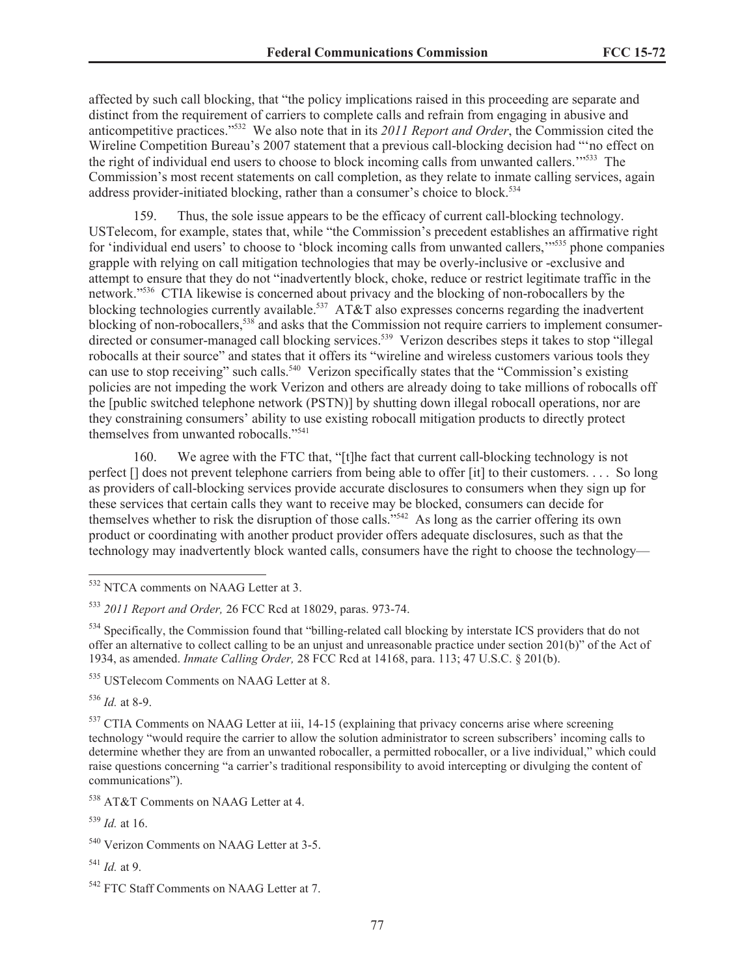affected by such call blocking, that "the policy implications raised in this proceeding are separate and distinct from the requirement of carriers to complete calls and refrain from engaging in abusive and anticompetitive practices."<sup>532</sup> We also note that in its *2011 Report and Order*, the Commission cited the Wireline Competition Bureau's 2007 statement that a previous call-blocking decision had "'no effect on the right of individual end users to choose to block incoming calls from unwanted callers.'"<sup>533</sup> The Commission's most recent statements on call completion, as they relate to inmate calling services, again address provider-initiated blocking, rather than a consumer's choice to block.<sup>534</sup>

159. Thus, the sole issue appears to be the efficacy of current call-blocking technology. USTelecom, for example, states that, while "the Commission's precedent establishes an affirmative right for 'individual end users' to choose to 'block incoming calls from unwanted callers,'"<sup>535</sup> phone companies grapple with relying on call mitigation technologies that may be overly-inclusive or -exclusive and attempt to ensure that they do not "inadvertently block, choke, reduce or restrict legitimate traffic in the network."<sup>536</sup> CTIA likewise is concerned about privacy and the blocking of non-robocallers by the blocking technologies currently available.<sup>537</sup> AT&T also expresses concerns regarding the inadvertent blocking of non-robocallers,<sup>538</sup> and asks that the Commission not require carriers to implement consumerdirected or consumer-managed call blocking services.<sup>539</sup> Verizon describes steps it takes to stop "illegal" robocalls at their source" and states that it offers its "wireline and wireless customers various tools they can use to stop receiving" such calls.<sup>540</sup> Verizon specifically states that the "Commission's existing policies are not impeding the work Verizon and others are already doing to take millions of robocalls off the [public switched telephone network (PSTN)] by shutting down illegal robocall operations, nor are they constraining consumers' ability to use existing robocall mitigation products to directly protect themselves from unwanted robocalls."<sup>541</sup>

160. We agree with the FTC that, "[t]he fact that current call-blocking technology is not perfect [] does not prevent telephone carriers from being able to offer [it] to their customers. . . . So long as providers of call-blocking services provide accurate disclosures to consumers when they sign up for these services that certain calls they want to receive may be blocked, consumers can decide for themselves whether to risk the disruption of those calls."<sup>542</sup> As long as the carrier offering its own product or coordinating with another product provider offers adequate disclosures, such as that the technology may inadvertently block wanted calls, consumers have the right to choose the technology—

<sup>534</sup> Specifically, the Commission found that "billing-related call blocking by interstate ICS providers that do not offer an alternative to collect calling to be an unjust and unreasonable practice under section 201(b)" of the Act of 1934, as amended. *Inmate Calling Order,* 28 FCC Rcd at 14168, para. 113; 47 U.S.C. § 201(b).

<sup>536</sup> *Id.* at 8-9.

<sup>537</sup> CTIA Comments on NAAG Letter at iii, 14-15 (explaining that privacy concerns arise where screening technology "would require the carrier to allow the solution administrator to screen subscribers' incoming calls to determine whether they are from an unwanted robocaller, a permitted robocaller, or a live individual," which could raise questions concerning "a carrier's traditional responsibility to avoid intercepting or divulging the content of communications").

<sup>538</sup> AT&T Comments on NAAG Letter at 4.

<sup>539</sup> *Id.* at 16.

<sup>541</sup> *Id.* at 9.

<sup>532</sup> NTCA comments on NAAG Letter at 3.

<sup>533</sup> *2011 Report and Order,* 26 FCC Rcd at 18029, paras. 973-74.

<sup>535</sup> USTelecom Comments on NAAG Letter at 8.

<sup>540</sup> Verizon Comments on NAAG Letter at 3-5.

<sup>542</sup> FTC Staff Comments on NAAG Letter at 7.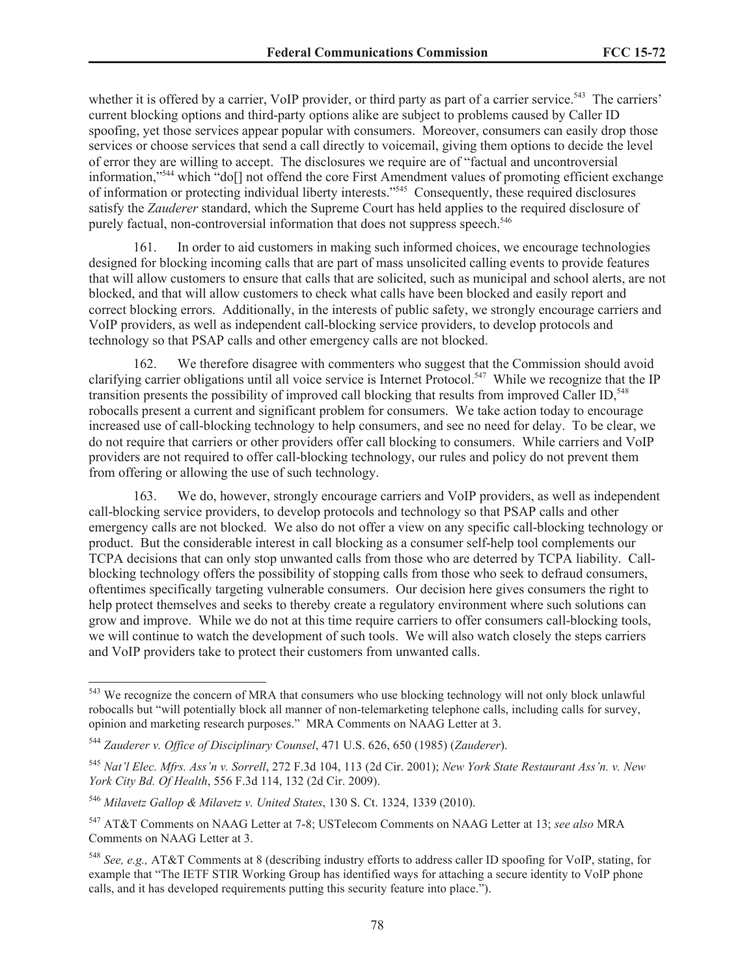whether it is offered by a carrier, VoIP provider, or third party as part of a carrier service.<sup>543</sup> The carriers' current blocking options and third-party options alike are subject to problems caused by Caller ID spoofing, yet those services appear popular with consumers. Moreover, consumers can easily drop those services or choose services that send a call directly to voicemail, giving them options to decide the level of error they are willing to accept. The disclosures we require are of "factual and uncontroversial information,"<sup>544</sup> which "do[] not offend the core First Amendment values of promoting efficient exchange of information or protecting individual liberty interests."<sup>545</sup> Consequently, these required disclosures satisfy the *Zauderer* standard, which the Supreme Court has held applies to the required disclosure of purely factual, non-controversial information that does not suppress speech.<sup>546</sup>

161. In order to aid customers in making such informed choices, we encourage technologies designed for blocking incoming calls that are part of mass unsolicited calling events to provide features that will allow customers to ensure that calls that are solicited, such as municipal and school alerts, are not blocked, and that will allow customers to check what calls have been blocked and easily report and correct blocking errors. Additionally, in the interests of public safety, we strongly encourage carriers and VoIP providers, as well as independent call-blocking service providers, to develop protocols and technology so that PSAP calls and other emergency calls are not blocked.

162. We therefore disagree with commenters who suggest that the Commission should avoid clarifying carrier obligations until all voice service is Internet Protocol.<sup>547</sup> While we recognize that the IP transition presents the possibility of improved call blocking that results from improved Caller ID,<sup>548</sup> robocalls present a current and significant problem for consumers. We take action today to encourage increased use of call-blocking technology to help consumers, and see no need for delay. To be clear, we do not require that carriers or other providers offer call blocking to consumers. While carriers and VoIP providers are not required to offer call-blocking technology, our rules and policy do not prevent them from offering or allowing the use of such technology.

163. We do, however, strongly encourage carriers and VoIP providers, as well as independent call-blocking service providers, to develop protocols and technology so that PSAP calls and other emergency calls are not blocked. We also do not offer a view on any specific call-blocking technology or product. But the considerable interest in call blocking as a consumer self-help tool complements our TCPA decisions that can only stop unwanted calls from those who are deterred by TCPA liability. Callblocking technology offers the possibility of stopping calls from those who seek to defraud consumers, oftentimes specifically targeting vulnerable consumers. Our decision here gives consumers the right to help protect themselves and seeks to thereby create a regulatory environment where such solutions can grow and improve. While we do not at this time require carriers to offer consumers call-blocking tools, we will continue to watch the development of such tools. We will also watch closely the steps carriers and VoIP providers take to protect their customers from unwanted calls.

<sup>543</sup> We recognize the concern of MRA that consumers who use blocking technology will not only block unlawful robocalls but "will potentially block all manner of non-telemarketing telephone calls, including calls for survey, opinion and marketing research purposes." MRA Comments on NAAG Letter at 3.

<sup>544</sup> *Zauderer v. Office of Disciplinary Counsel*, 471 U.S. 626, 650 (1985) (*Zauderer*).

<sup>545</sup> *Nat'l Elec. Mfrs. Ass'n v. Sorrell*, 272 F.3d 104, 113 (2d Cir. 2001); *New York State Restaurant Ass'n. v. New York City Bd. Of Health*, 556 F.3d 114, 132 (2d Cir. 2009).

<sup>546</sup> *Milavetz Gallop & Milavetz v. United States*, 130 S. Ct. 1324, 1339 (2010).

<sup>547</sup> AT&T Comments on NAAG Letter at 7-8; USTelecom Comments on NAAG Letter at 13; *see also* MRA Comments on NAAG Letter at 3.

<sup>548</sup> *See, e.g.,* AT&T Comments at 8 (describing industry efforts to address caller ID spoofing for VoIP, stating, for example that "The IETF STIR Working Group has identified ways for attaching a secure identity to VoIP phone calls, and it has developed requirements putting this security feature into place.").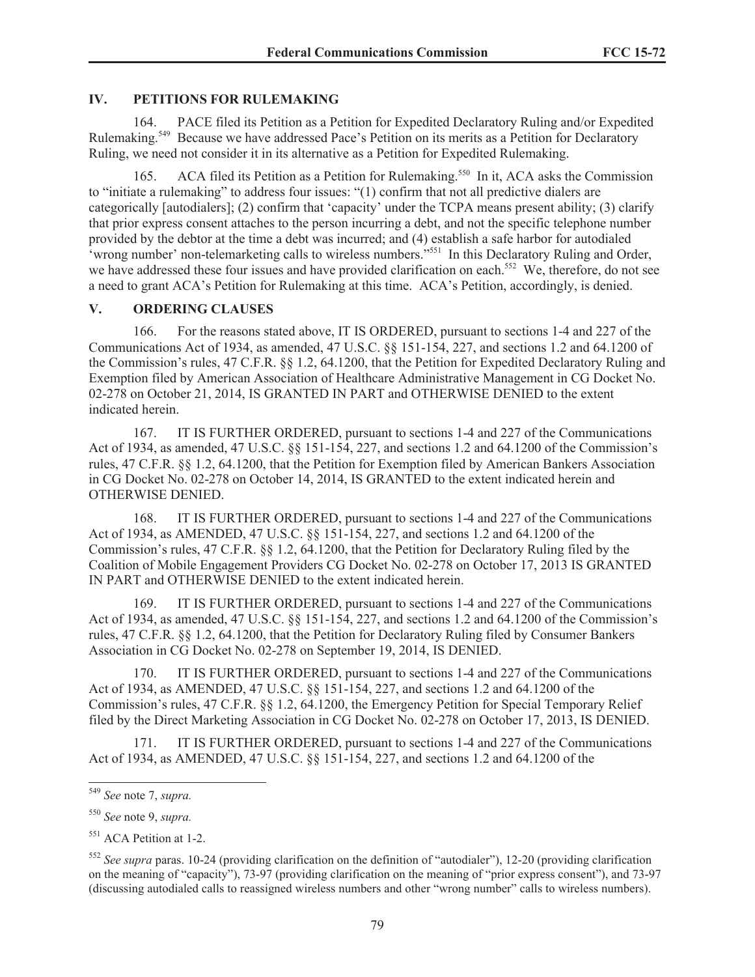### **IV. PETITIONS FOR RULEMAKING**

164. PACE filed its Petition as a Petition for Expedited Declaratory Ruling and/or Expedited Rulemaking.<sup>549</sup> Because we have addressed Pace's Petition on its merits as a Petition for Declaratory Ruling, we need not consider it in its alternative as a Petition for Expedited Rulemaking.

165. ACA filed its Petition as a Petition for Rulemaking.<sup>550</sup> In it, ACA asks the Commission to "initiate a rulemaking" to address four issues: "(1) confirm that not all predictive dialers are categorically [autodialers]; (2) confirm that 'capacity' under the TCPA means present ability; (3) clarify that prior express consent attaches to the person incurring a debt, and not the specific telephone number provided by the debtor at the time a debt was incurred; and (4) establish a safe harbor for autodialed 'wrong number' non-telemarketing calls to wireless numbers."<sup>551</sup> In this Declaratory Ruling and Order, we have addressed these four issues and have provided clarification on each.<sup>552</sup> We, therefore, do not see a need to grant ACA's Petition for Rulemaking at this time. ACA's Petition, accordingly, is denied.

#### **V. ORDERING CLAUSES**

166. For the reasons stated above, IT IS ORDERED, pursuant to sections 1-4 and 227 of the Communications Act of 1934, as amended, 47 U.S.C. §§ 151-154, 227, and sections 1.2 and 64.1200 of the Commission's rules, 47 C.F.R. §§ 1.2, 64.1200, that the Petition for Expedited Declaratory Ruling and Exemption filed by American Association of Healthcare Administrative Management in CG Docket No. 02-278 on October 21, 2014, IS GRANTED IN PART and OTHERWISE DENIED to the extent indicated herein.

167. IT IS FURTHER ORDERED, pursuant to sections 1-4 and 227 of the Communications Act of 1934, as amended, 47 U.S.C. §§ 151-154, 227, and sections 1.2 and 64.1200 of the Commission's rules, 47 C.F.R. §§ 1.2, 64.1200, that the Petition for Exemption filed by American Bankers Association in CG Docket No. 02-278 on October 14, 2014, IS GRANTED to the extent indicated herein and OTHERWISE DENIED.

168. IT IS FURTHER ORDERED, pursuant to sections 1-4 and 227 of the Communications Act of 1934, as AMENDED, 47 U.S.C. §§ 151-154, 227, and sections 1.2 and 64.1200 of the Commission's rules, 47 C.F.R. §§ 1.2, 64.1200, that the Petition for Declaratory Ruling filed by the Coalition of Mobile Engagement Providers CG Docket No. 02-278 on October 17, 2013 IS GRANTED IN PART and OTHERWISE DENIED to the extent indicated herein.

169. IT IS FURTHER ORDERED, pursuant to sections 1-4 and 227 of the Communications Act of 1934, as amended, 47 U.S.C. §§ 151-154, 227, and sections 1.2 and 64.1200 of the Commission's rules, 47 C.F.R. §§ 1.2, 64.1200, that the Petition for Declaratory Ruling filed by Consumer Bankers Association in CG Docket No. 02-278 on September 19, 2014, IS DENIED.

170. IT IS FURTHER ORDERED, pursuant to sections 1-4 and 227 of the Communications Act of 1934, as AMENDED, 47 U.S.C. §§ 151-154, 227, and sections 1.2 and 64.1200 of the Commission's rules, 47 C.F.R. §§ 1.2, 64.1200, the Emergency Petition for Special Temporary Relief filed by the Direct Marketing Association in CG Docket No. 02-278 on October 17, 2013, IS DENIED.

171. IT IS FURTHER ORDERED, pursuant to sections 1-4 and 227 of the Communications Act of 1934, as AMENDED, 47 U.S.C. §§ 151-154, 227, and sections 1.2 and 64.1200 of the

<sup>549</sup> *See* note 7, *supra.*

<sup>550</sup> *See* note 9, *supra.*

<sup>&</sup>lt;sup>551</sup> ACA Petition at 1-2.

<sup>552</sup> *See supra* paras. 10-24 (providing clarification on the definition of "autodialer"), 12-20 (providing clarification on the meaning of "capacity"), 73-97 (providing clarification on the meaning of "prior express consent"), and 73-97 (discussing autodialed calls to reassigned wireless numbers and other "wrong number" calls to wireless numbers).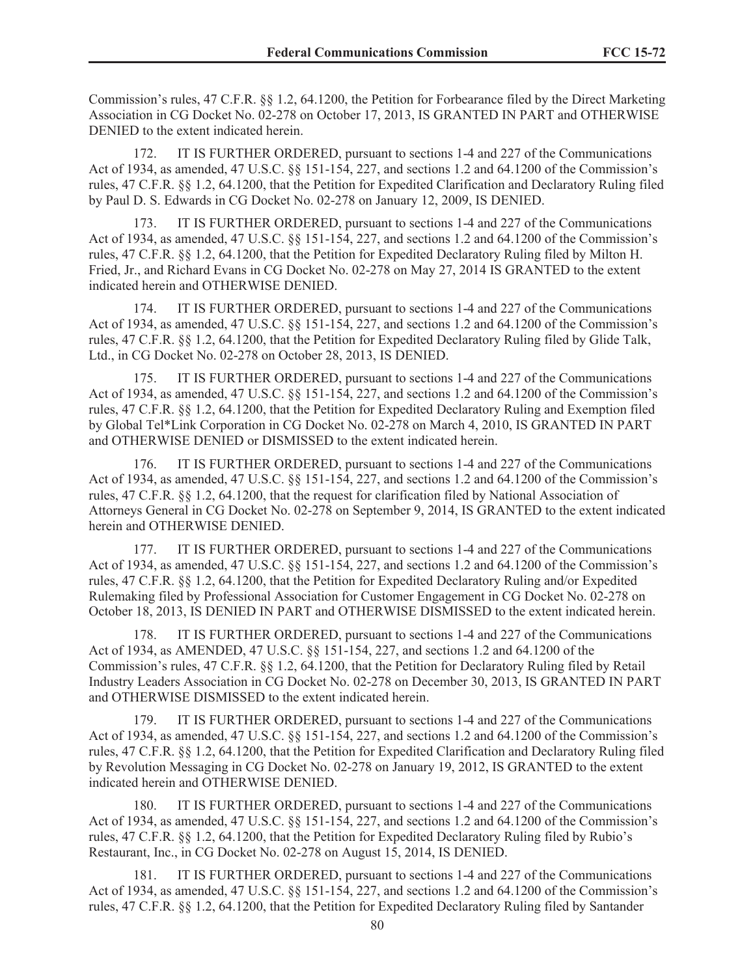Commission's rules, 47 C.F.R. §§ 1.2, 64.1200, the Petition for Forbearance filed by the Direct Marketing Association in CG Docket No. 02-278 on October 17, 2013, IS GRANTED IN PART and OTHERWISE DENIED to the extent indicated herein.

172. IT IS FURTHER ORDERED, pursuant to sections 1-4 and 227 of the Communications Act of 1934, as amended, 47 U.S.C. §§ 151-154, 227, and sections 1.2 and 64.1200 of the Commission's rules, 47 C.F.R. §§ 1.2, 64.1200, that the Petition for Expedited Clarification and Declaratory Ruling filed by Paul D. S. Edwards in CG Docket No. 02-278 on January 12, 2009, IS DENIED.

173. IT IS FURTHER ORDERED, pursuant to sections 1-4 and 227 of the Communications Act of 1934, as amended, 47 U.S.C. §§ 151-154, 227, and sections 1.2 and 64.1200 of the Commission's rules, 47 C.F.R. §§ 1.2, 64.1200, that the Petition for Expedited Declaratory Ruling filed by Milton H. Fried, Jr., and Richard Evans in CG Docket No. 02-278 on May 27, 2014 IS GRANTED to the extent indicated herein and OTHERWISE DENIED.

174. IT IS FURTHER ORDERED, pursuant to sections 1-4 and 227 of the Communications Act of 1934, as amended, 47 U.S.C. §§ 151-154, 227, and sections 1.2 and 64.1200 of the Commission's rules, 47 C.F.R. §§ 1.2, 64.1200, that the Petition for Expedited Declaratory Ruling filed by Glide Talk, Ltd., in CG Docket No. 02-278 on October 28, 2013, IS DENIED.

175. IT IS FURTHER ORDERED, pursuant to sections 1-4 and 227 of the Communications Act of 1934, as amended, 47 U.S.C. §§ 151-154, 227, and sections 1.2 and 64.1200 of the Commission's rules, 47 C.F.R. §§ 1.2, 64.1200, that the Petition for Expedited Declaratory Ruling and Exemption filed by Global Tel\*Link Corporation in CG Docket No. 02-278 on March 4, 2010, IS GRANTED IN PART and OTHERWISE DENIED or DISMISSED to the extent indicated herein.

176. IT IS FURTHER ORDERED, pursuant to sections 1-4 and 227 of the Communications Act of 1934, as amended, 47 U.S.C. §§ 151-154, 227, and sections 1.2 and 64.1200 of the Commission's rules, 47 C.F.R. §§ 1.2, 64.1200, that the request for clarification filed by National Association of Attorneys General in CG Docket No. 02-278 on September 9, 2014, IS GRANTED to the extent indicated herein and OTHERWISE DENIED.

177. IT IS FURTHER ORDERED, pursuant to sections 1-4 and 227 of the Communications Act of 1934, as amended, 47 U.S.C. §§ 151-154, 227, and sections 1.2 and 64.1200 of the Commission's rules, 47 C.F.R. §§ 1.2, 64.1200, that the Petition for Expedited Declaratory Ruling and/or Expedited Rulemaking filed by Professional Association for Customer Engagement in CG Docket No. 02-278 on October 18, 2013, IS DENIED IN PART and OTHERWISE DISMISSED to the extent indicated herein.

178. IT IS FURTHER ORDERED, pursuant to sections 1-4 and 227 of the Communications Act of 1934, as AMENDED, 47 U.S.C. §§ 151-154, 227, and sections 1.2 and 64.1200 of the Commission's rules, 47 C.F.R. §§ 1.2, 64.1200, that the Petition for Declaratory Ruling filed by Retail Industry Leaders Association in CG Docket No. 02-278 on December 30, 2013, IS GRANTED IN PART and OTHERWISE DISMISSED to the extent indicated herein.

179. IT IS FURTHER ORDERED, pursuant to sections 1-4 and 227 of the Communications Act of 1934, as amended, 47 U.S.C. §§ 151-154, 227, and sections 1.2 and 64.1200 of the Commission's rules, 47 C.F.R. §§ 1.2, 64.1200, that the Petition for Expedited Clarification and Declaratory Ruling filed by Revolution Messaging in CG Docket No. 02-278 on January 19, 2012, IS GRANTED to the extent indicated herein and OTHERWISE DENIED.

180. IT IS FURTHER ORDERED, pursuant to sections 1-4 and 227 of the Communications Act of 1934, as amended, 47 U.S.C. §§ 151-154, 227, and sections 1.2 and 64.1200 of the Commission's rules, 47 C.F.R. §§ 1.2, 64.1200, that the Petition for Expedited Declaratory Ruling filed by Rubio's Restaurant, Inc., in CG Docket No. 02-278 on August 15, 2014, IS DENIED.

181. IT IS FURTHER ORDERED, pursuant to sections 1-4 and 227 of the Communications Act of 1934, as amended, 47 U.S.C. §§ 151-154, 227, and sections 1.2 and 64.1200 of the Commission's rules, 47 C.F.R. §§ 1.2, 64.1200, that the Petition for Expedited Declaratory Ruling filed by Santander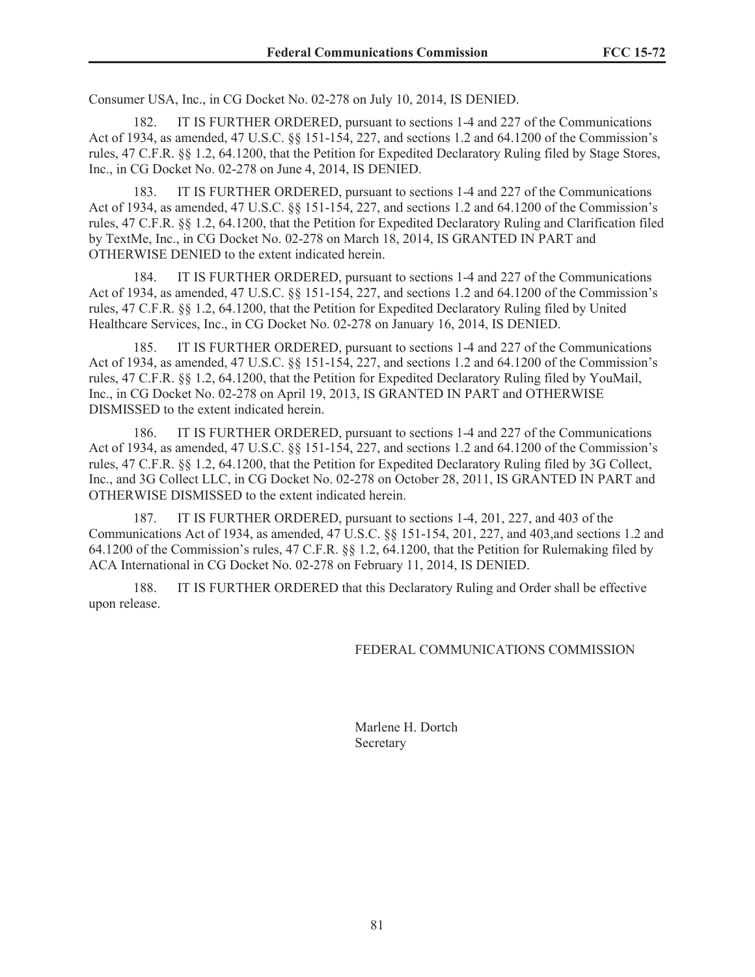Consumer USA, Inc., in CG Docket No. 02-278 on July 10, 2014, IS DENIED.

182. IT IS FURTHER ORDERED, pursuant to sections 1-4 and 227 of the Communications Act of 1934, as amended, 47 U.S.C. §§ 151-154, 227, and sections 1.2 and 64.1200 of the Commission's rules, 47 C.F.R. §§ 1.2, 64.1200, that the Petition for Expedited Declaratory Ruling filed by Stage Stores, Inc., in CG Docket No. 02-278 on June 4, 2014, IS DENIED.

183. IT IS FURTHER ORDERED, pursuant to sections 1-4 and 227 of the Communications Act of 1934, as amended, 47 U.S.C. §§ 151-154, 227, and sections 1.2 and 64.1200 of the Commission's rules, 47 C.F.R. §§ 1.2, 64.1200, that the Petition for Expedited Declaratory Ruling and Clarification filed by TextMe, Inc., in CG Docket No. 02-278 on March 18, 2014, IS GRANTED IN PART and OTHERWISE DENIED to the extent indicated herein.

184. IT IS FURTHER ORDERED, pursuant to sections 1-4 and 227 of the Communications Act of 1934, as amended, 47 U.S.C. §§ 151-154, 227, and sections 1.2 and 64.1200 of the Commission's rules, 47 C.F.R. §§ 1.2, 64.1200, that the Petition for Expedited Declaratory Ruling filed by United Healthcare Services, Inc., in CG Docket No. 02-278 on January 16, 2014, IS DENIED.

185. IT IS FURTHER ORDERED, pursuant to sections 1-4 and 227 of the Communications Act of 1934, as amended, 47 U.S.C. §§ 151-154, 227, and sections 1.2 and 64.1200 of the Commission's rules, 47 C.F.R. §§ 1.2, 64.1200, that the Petition for Expedited Declaratory Ruling filed by YouMail, Inc., in CG Docket No. 02-278 on April 19, 2013, IS GRANTED IN PART and OTHERWISE DISMISSED to the extent indicated herein.

186. IT IS FURTHER ORDERED, pursuant to sections 1-4 and 227 of the Communications Act of 1934, as amended, 47 U.S.C. §§ 151-154, 227, and sections 1.2 and 64.1200 of the Commission's rules, 47 C.F.R. §§ 1.2, 64.1200, that the Petition for Expedited Declaratory Ruling filed by 3G Collect, Inc., and 3G Collect LLC, in CG Docket No. 02-278 on October 28, 2011, IS GRANTED IN PART and OTHERWISE DISMISSED to the extent indicated herein.

187. IT IS FURTHER ORDERED, pursuant to sections 1-4, 201, 227, and 403 of the Communications Act of 1934, as amended, 47 U.S.C. §§ 151-154, 201, 227, and 403,and sections 1.2 and 64.1200 of the Commission's rules, 47 C.F.R. §§ 1.2, 64.1200, that the Petition for Rulemaking filed by ACA International in CG Docket No. 02-278 on February 11, 2014, IS DENIED.

188. IT IS FURTHER ORDERED that this Declaratory Ruling and Order shall be effective upon release.

#### FEDERAL COMMUNICATIONS COMMISSION

Marlene H. Dortch Secretary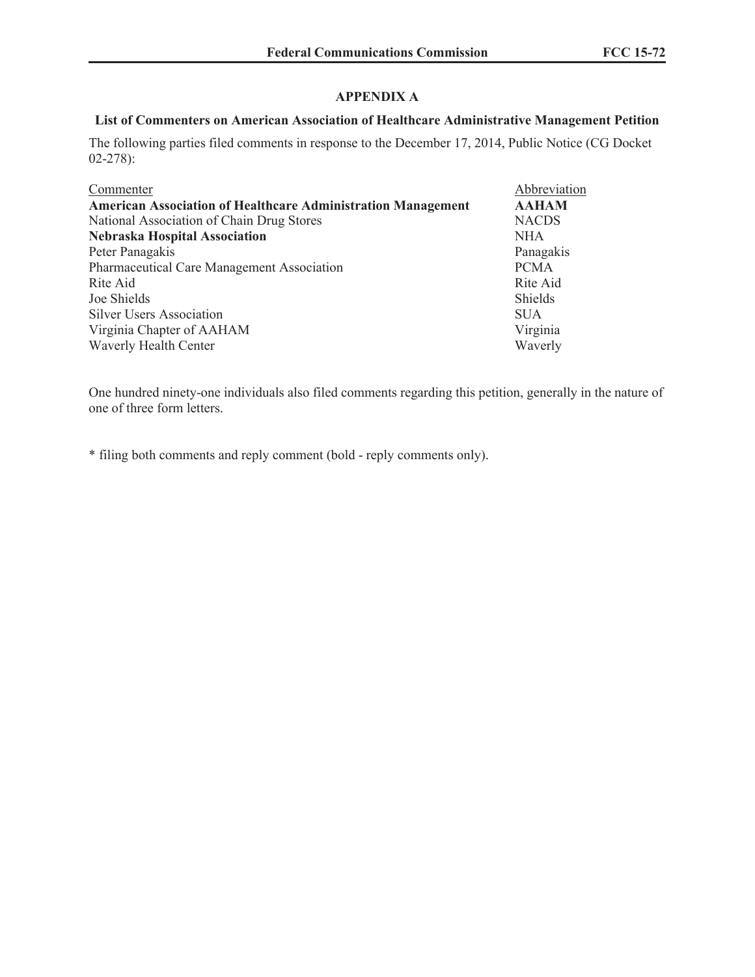## **APPENDIX A**

### **List of Commenters on American Association of Healthcare Administrative Management Petition**

The following parties filed comments in response to the December 17, 2014, Public Notice (CG Docket 02-278):

| <b>American Association of Healthcare Administration Management</b><br>National Association of Chain Drug Stores<br><b>NACDS</b> | <b>AAHAM</b> |
|----------------------------------------------------------------------------------------------------------------------------------|--------------|
|                                                                                                                                  |              |
|                                                                                                                                  |              |
| <b>Nebraska Hospital Association</b><br><b>NHA</b>                                                                               |              |
| Peter Panagakis                                                                                                                  | Panagakis    |
| <b>Pharmaceutical Care Management Association</b><br><b>PCMA</b>                                                                 |              |
| Rite Aid<br>Rite Aid                                                                                                             |              |
| Joe Shields<br>Shields                                                                                                           |              |
| <b>Silver Users Association</b><br><b>SUA</b>                                                                                    |              |
| Virginia<br>Virginia Chapter of AAHAM                                                                                            |              |
| Waverly Health Center<br>Waverly                                                                                                 |              |

One hundred ninety-one individuals also filed comments regarding this petition, generally in the nature of one of three form letters.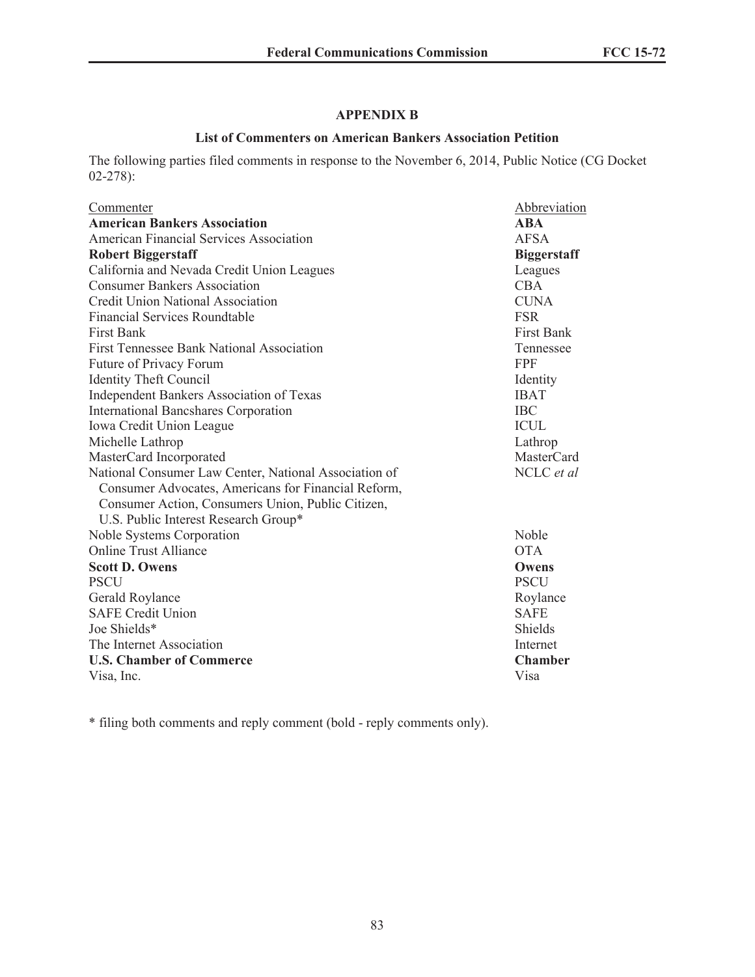## **APPENDIX B**

### **List of Commenters on American Bankers Association Petition**

The following parties filed comments in response to the November 6, 2014, Public Notice (CG Docket 02-278):

| Commenter                                             | Abbreviation       |
|-------------------------------------------------------|--------------------|
| <b>American Bankers Association</b>                   | $\bf{ABA}$         |
| American Financial Services Association               | <b>AFSA</b>        |
| <b>Robert Biggerstaff</b>                             | <b>Biggerstaff</b> |
| California and Nevada Credit Union Leagues            | Leagues            |
| <b>Consumer Bankers Association</b>                   | <b>CBA</b>         |
| <b>Credit Union National Association</b>              | <b>CUNA</b>        |
| <b>Financial Services Roundtable</b>                  | <b>FSR</b>         |
| <b>First Bank</b>                                     | <b>First Bank</b>  |
| <b>First Tennessee Bank National Association</b>      | Tennessee          |
| Future of Privacy Forum                               | <b>FPF</b>         |
| <b>Identity Theft Council</b>                         | Identity           |
| <b>Independent Bankers Association of Texas</b>       | <b>IBAT</b>        |
| <b>International Bancshares Corporation</b>           | <b>IBC</b>         |
| Iowa Credit Union League                              | <b>ICUL</b>        |
| Michelle Lathrop                                      | Lathrop            |
| MasterCard Incorporated                               | MasterCard         |
| National Consumer Law Center, National Association of | NCLC et al         |
| Consumer Advocates, Americans for Financial Reform,   |                    |
| Consumer Action, Consumers Union, Public Citizen,     |                    |
| U.S. Public Interest Research Group*                  |                    |
| Noble Systems Corporation                             | Noble              |
| <b>Online Trust Alliance</b>                          | <b>OTA</b>         |
| <b>Scott D. Owens</b>                                 | Owens              |
| <b>PSCU</b>                                           | <b>PSCU</b>        |
| Gerald Roylance                                       | Roylance           |
| <b>SAFE Credit Union</b>                              | <b>SAFE</b>        |
| Joe Shields*                                          | Shields            |
| The Internet Association                              | Internet           |
| <b>U.S. Chamber of Commerce</b>                       | <b>Chamber</b>     |
| Visa, Inc.                                            | Visa               |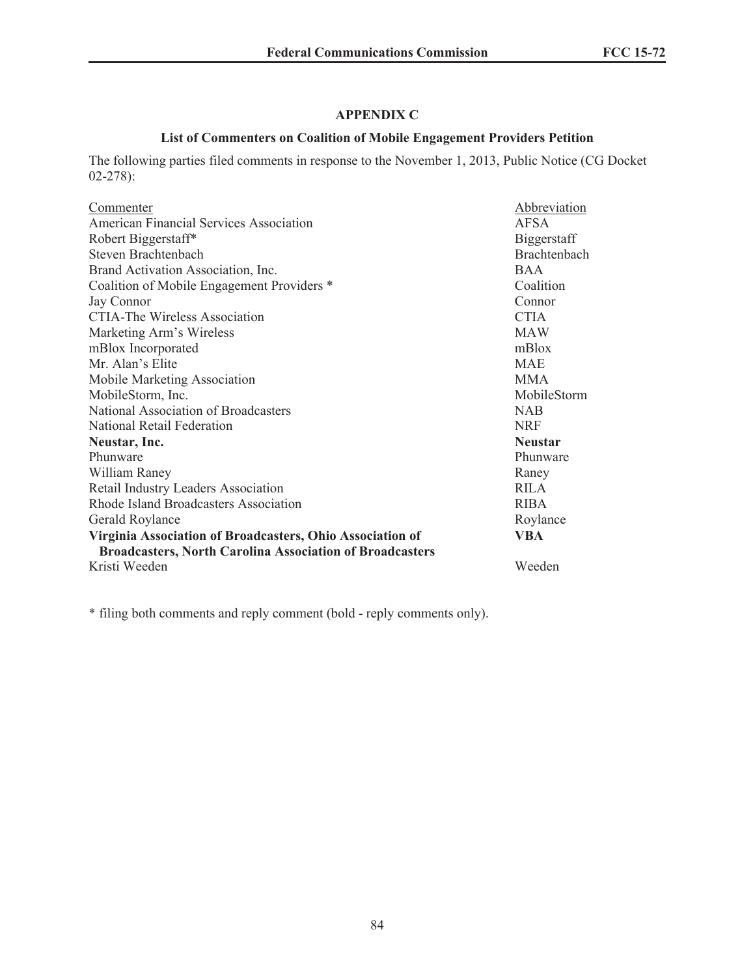# **APPENDIX C**

## **List of Commenters on Coalition of Mobile Engagement Providers Petition**

The following parties filed comments in response to the November 1, 2013, Public Notice (CG Docket 02-278):

| Commenter                                                       | Abbreviation        |
|-----------------------------------------------------------------|---------------------|
| American Financial Services Association                         | AFSA                |
| Robert Biggerstaff*                                             | Biggerstaff         |
| Steven Brachtenbach                                             | <b>Brachtenbach</b> |
| Brand Activation Association, Inc.                              | <b>BAA</b>          |
| Coalition of Mobile Engagement Providers *                      | Coalition           |
| Jay Connor                                                      | Connor              |
| <b>CTIA-The Wireless Association</b>                            | <b>CTIA</b>         |
| Marketing Arm's Wireless                                        | <b>MAW</b>          |
| mBlox Incorporated                                              | mBlox               |
| Mr. Alan's Elite                                                | <b>MAE</b>          |
| Mobile Marketing Association                                    | <b>MMA</b>          |
| MobileStorm, Inc.                                               | MobileStorm         |
| National Association of Broadcasters                            | <b>NAB</b>          |
| National Retail Federation                                      | <b>NRF</b>          |
| Neustar, Inc.                                                   | <b>Neustar</b>      |
| Phunware                                                        | Phunware            |
| William Raney                                                   | Raney               |
| Retail Industry Leaders Association                             | <b>RILA</b>         |
| Rhode Island Broadcasters Association                           | <b>RIBA</b>         |
| Gerald Roylance                                                 | Roylance            |
| Virginia Association of Broadcasters, Ohio Association of       | VBA                 |
| <b>Broadcasters, North Carolina Association of Broadcasters</b> |                     |
| Kristi Weeden                                                   | Weeden              |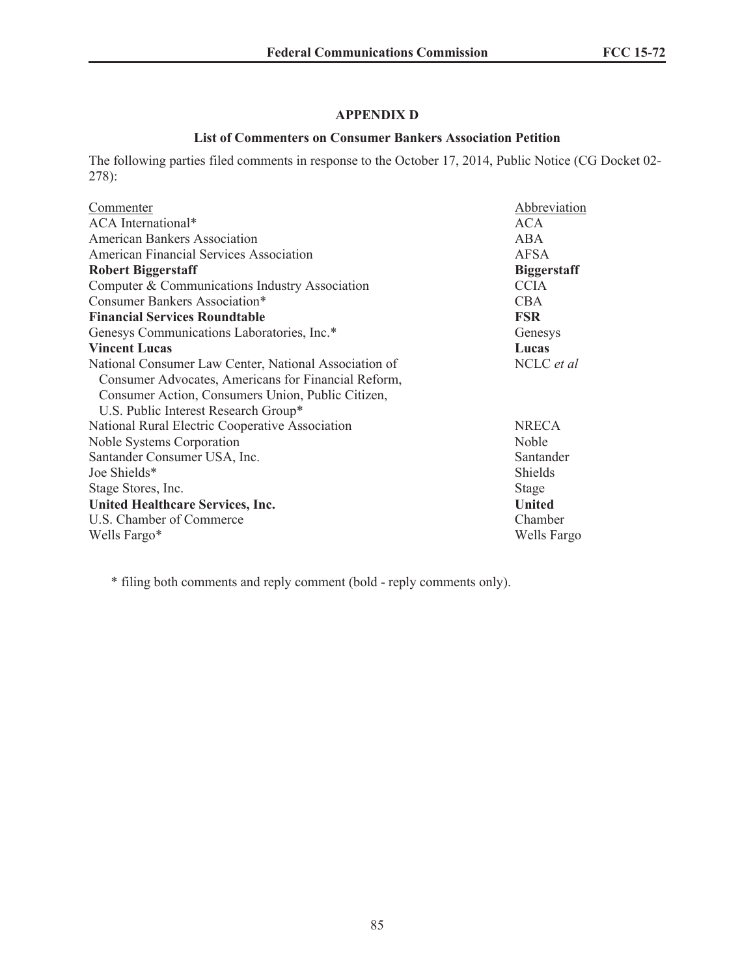## **APPENDIX D**

### **List of Commenters on Consumer Bankers Association Petition**

The following parties filed comments in response to the October 17, 2014, Public Notice (CG Docket 02- 278):

| Commenter                                             | Abbreviation       |
|-------------------------------------------------------|--------------------|
| ACA International*                                    | <b>ACA</b>         |
| <b>American Bankers Association</b>                   | <b>ABA</b>         |
| American Financial Services Association               | <b>AFSA</b>        |
| <b>Robert Biggerstaff</b>                             | <b>Biggerstaff</b> |
| Computer & Communications Industry Association        | <b>CCIA</b>        |
| Consumer Bankers Association*                         | <b>CBA</b>         |
| <b>Financial Services Roundtable</b>                  | <b>FSR</b>         |
| Genesys Communications Laboratories, Inc.*            | Genesys            |
| <b>Vincent Lucas</b>                                  | Lucas              |
| National Consumer Law Center, National Association of | NCLC et al         |
| Consumer Advocates, Americans for Financial Reform,   |                    |
| Consumer Action, Consumers Union, Public Citizen,     |                    |
| U.S. Public Interest Research Group*                  |                    |
| National Rural Electric Cooperative Association       | <b>NRECA</b>       |
| Noble Systems Corporation                             | <b>Noble</b>       |
| Santander Consumer USA, Inc.                          | Santander          |
| Joe Shields*                                          | <b>Shields</b>     |
| Stage Stores, Inc.                                    | <b>Stage</b>       |
| <b>United Healthcare Services, Inc.</b>               | <b>United</b>      |
| U.S. Chamber of Commerce                              | Chamber            |
| Wells Fargo*                                          | Wells Fargo        |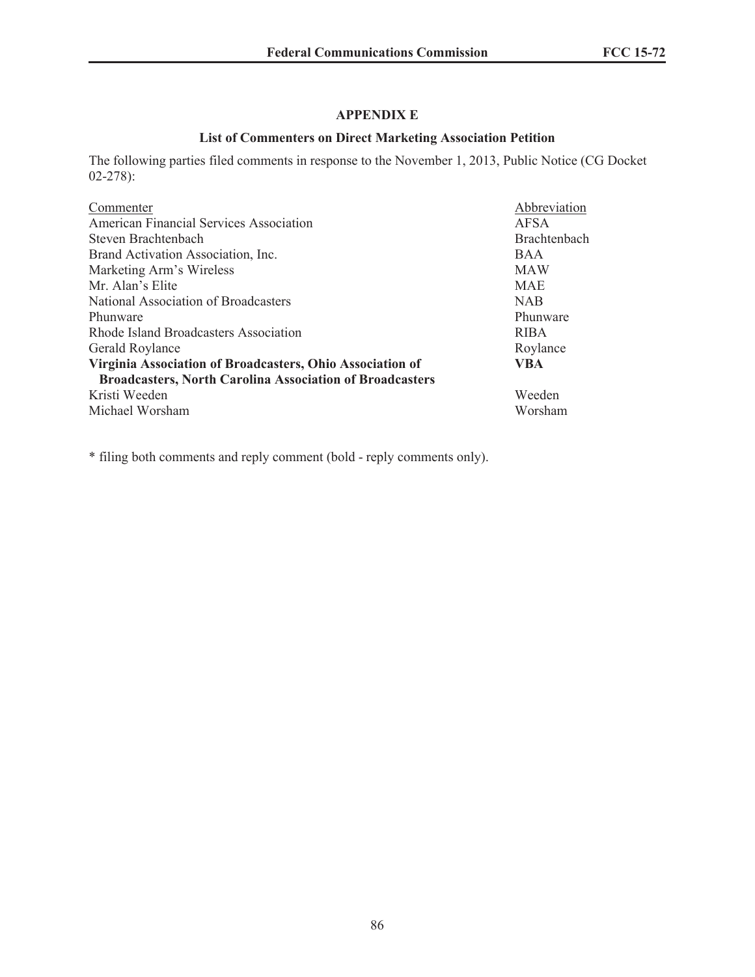# **APPENDIX E**

## **List of Commenters on Direct Marketing Association Petition**

The following parties filed comments in response to the November 1, 2013, Public Notice (CG Docket 02-278):

| Commenter                                                       | Abbreviation |
|-----------------------------------------------------------------|--------------|
| American Financial Services Association                         | AFSA         |
| Steven Brachtenbach                                             | Brachtenbach |
| Brand Activation Association, Inc.                              | <b>BAA</b>   |
| Marketing Arm's Wireless                                        | <b>MAW</b>   |
| Mr. Alan's Elite                                                | <b>MAE</b>   |
| National Association of Broadcasters                            | <b>NAB</b>   |
| Phunware                                                        | Phunware     |
| Rhode Island Broadcasters Association                           | <b>RIBA</b>  |
| Gerald Roylance                                                 | Roylance     |
| Virginia Association of Broadcasters, Ohio Association of       | VBA          |
| <b>Broadcasters, North Carolina Association of Broadcasters</b> |              |
| Kristi Weeden                                                   | Weeden       |
| Michael Worsham                                                 | Worsham      |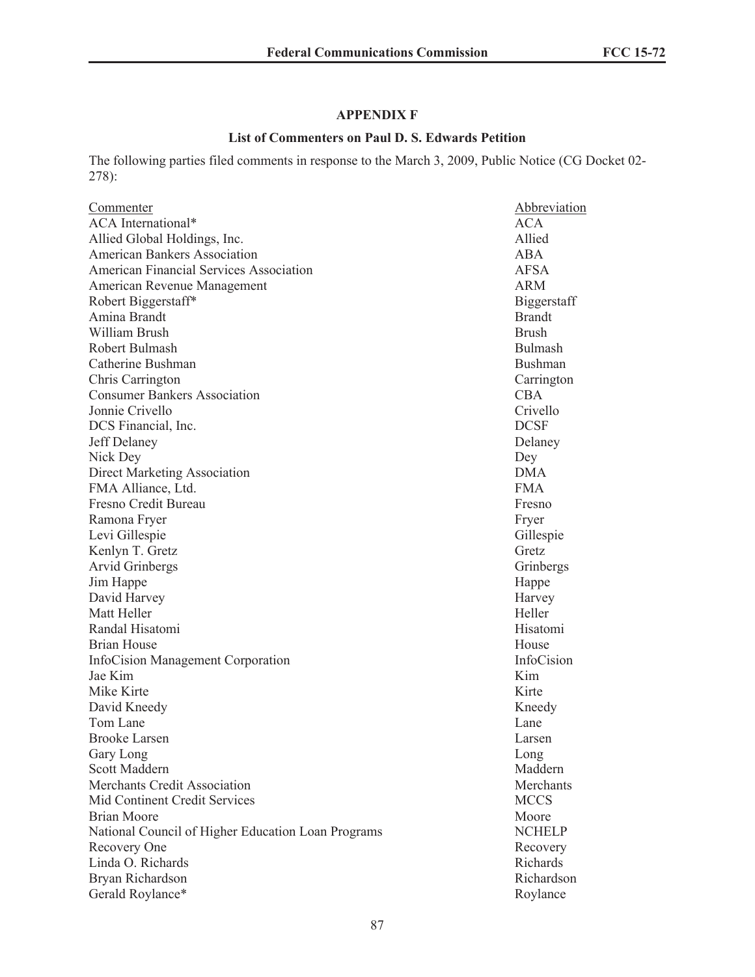# **APPENDIX F**

## **List of Commenters on Paul D. S. Edwards Petition**

The following parties filed comments in response to the March 3, 2009, Public Notice (CG Docket 02- 278):

| Commenter                                          | Abbreviation   |
|----------------------------------------------------|----------------|
| <b>ACA</b> International*                          | ACA            |
| Allied Global Holdings, Inc.                       | Allied         |
| <b>American Bankers Association</b>                | ABA            |
| <b>American Financial Services Association</b>     | <b>AFSA</b>    |
| American Revenue Management                        | <b>ARM</b>     |
| Robert Biggerstaff*                                | Biggerstaff    |
| Amina Brandt                                       | <b>Brandt</b>  |
| William Brush                                      | <b>Brush</b>   |
| Robert Bulmash                                     | <b>Bulmash</b> |
| Catherine Bushman                                  | <b>Bushman</b> |
| Chris Carrington                                   | Carrington     |
| <b>Consumer Bankers Association</b>                | <b>CBA</b>     |
| Jonnie Crivello                                    | Crivello       |
| DCS Financial, Inc.                                | <b>DCSF</b>    |
| Jeff Delaney                                       | Delaney        |
| Nick Dey                                           | Dey            |
| <b>Direct Marketing Association</b>                | <b>DMA</b>     |
| FMA Alliance, Ltd.                                 | <b>FMA</b>     |
| Fresno Credit Bureau                               | Fresno         |
| Ramona Fryer                                       | Fryer          |
| Levi Gillespie                                     | Gillespie      |
| Kenlyn T. Gretz                                    | Gretz          |
| Arvid Grinbergs                                    | Grinbergs      |
| Jim Happe                                          | Happe          |
| David Harvey                                       | Harvey         |
| Matt Heller                                        | Heller         |
| Randal Hisatomi                                    | Hisatomi       |
| <b>Brian House</b>                                 | House          |
| InfoCision Management Corporation                  | InfoCision     |
| Jae Kim                                            | Kim            |
| Mike Kirte                                         | Kirte          |
| David Kneedy                                       | Kneedy         |
| Tom Lane                                           | Lane           |
| <b>Brooke Larsen</b>                               | Larsen         |
| Gary Long                                          | Long           |
| Scott Maddern                                      | Maddern        |
| Merchants Credit Association                       | Merchants      |
| Mid Continent Credit Services                      | <b>MCCS</b>    |
| <b>Brian Moore</b>                                 | Moore          |
| National Council of Higher Education Loan Programs | <b>NCHELP</b>  |
| Recovery One                                       | Recovery       |
| Linda O. Richards                                  | Richards       |
| Bryan Richardson                                   | Richardson     |
| Gerald Roylance*                                   | Roylance       |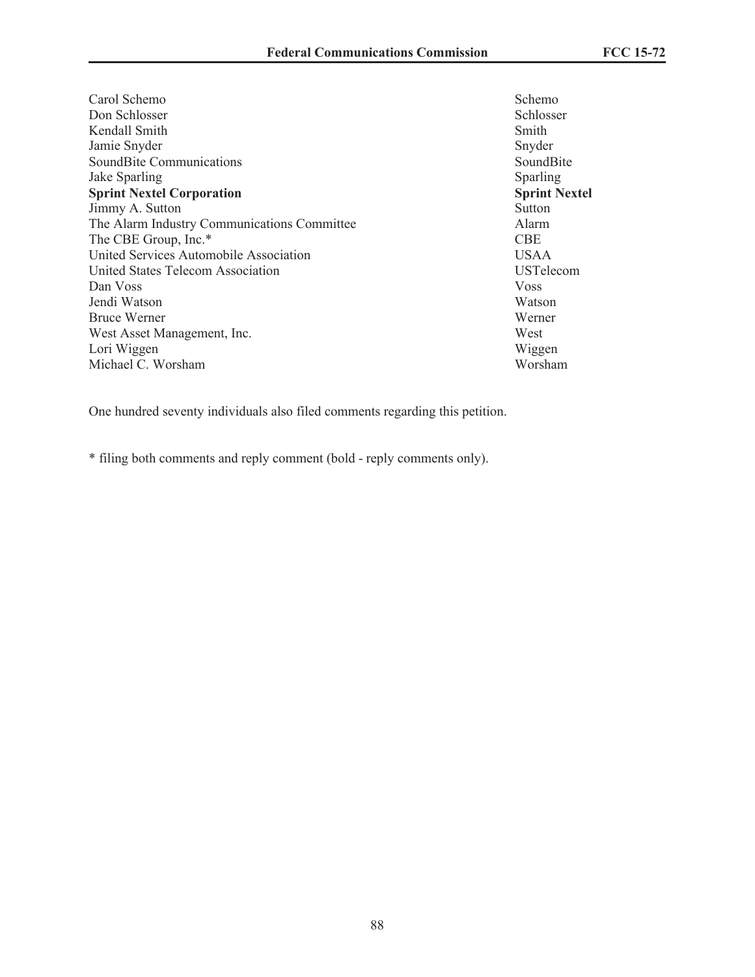Carol Schemo Schemo Schemo Schemo Schemo Schemo Schemo Schemo Schemo Schemo Schemo Schemo Schemo Schemo Schemo Don Schlosser Schlosser Kendall Smith Smith Jamie Snyder Snyder SoundBite Communications SoundBite Jake Sparling Sparling Sparling **Sprint Nextel Corporation Sprint Nextel** Jimmy A. Sutton Sutton Sutton Sutton Sutton Sutton Sutton Sutton Sutton Sutton Sutton Sutton Sutton Sutton Sutton Sutton Sutton Sutton Sutton Sutton Sutton Sutton Sutton Sutton Sutton Sutton Sutton Sutton Sutton Sutton Sut The Alarm Industry Communications Committee The CBE Group, Inc.\* CBE United Services Automobile Association USAA United States Telecom Association USTelecom Dan Voss Voss Jendi Watson Watson Bruce Werner Werner West Asset Management, Inc. West Lori Wiggen Wiggen Michael C. Worsham Worsham Worsham

One hundred seventy individuals also filed comments regarding this petition.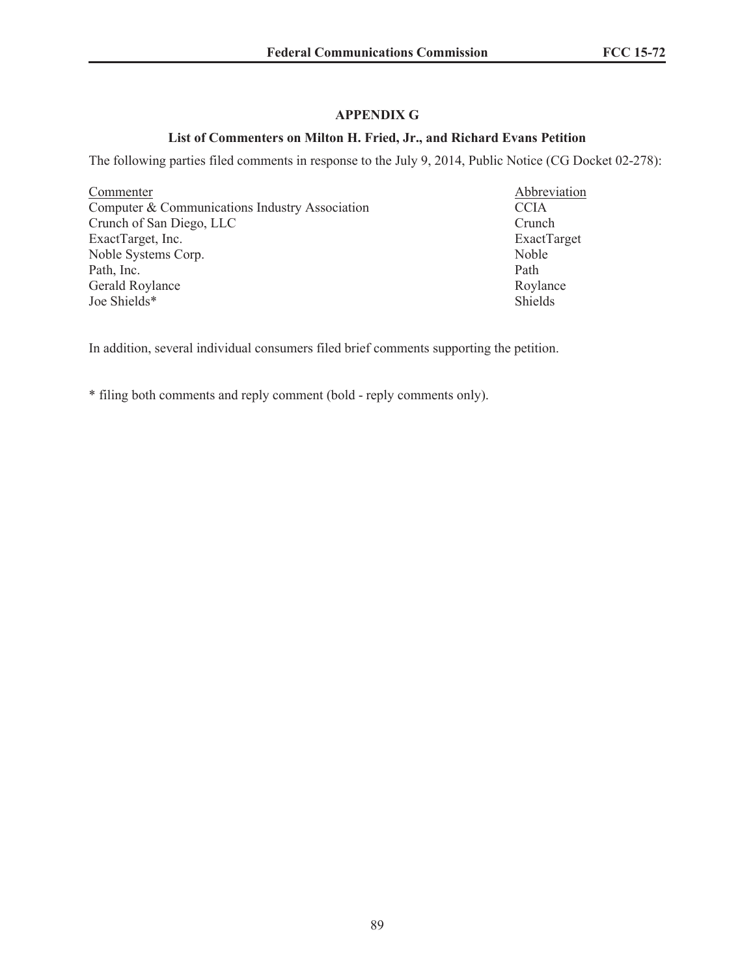## **APPENDIX G**

### **List of Commenters on Milton H. Fried, Jr., and Richard Evans Petition**

The following parties filed comments in response to the July 9, 2014, Public Notice (CG Docket 02-278):

Commenter<br>
Computer & Communications Industry Association<br>
CCIA<br>
CCIA Computer  $&$  Communications Industry Association Crunch of San Diego, LLC Crunch ExactTarget, Inc. ExactTarget Noble Systems Corp. Noble Path, Inc. Path Gerald Roylance Roylance Joe Shields\* Shields

In addition, several individual consumers filed brief comments supporting the petition.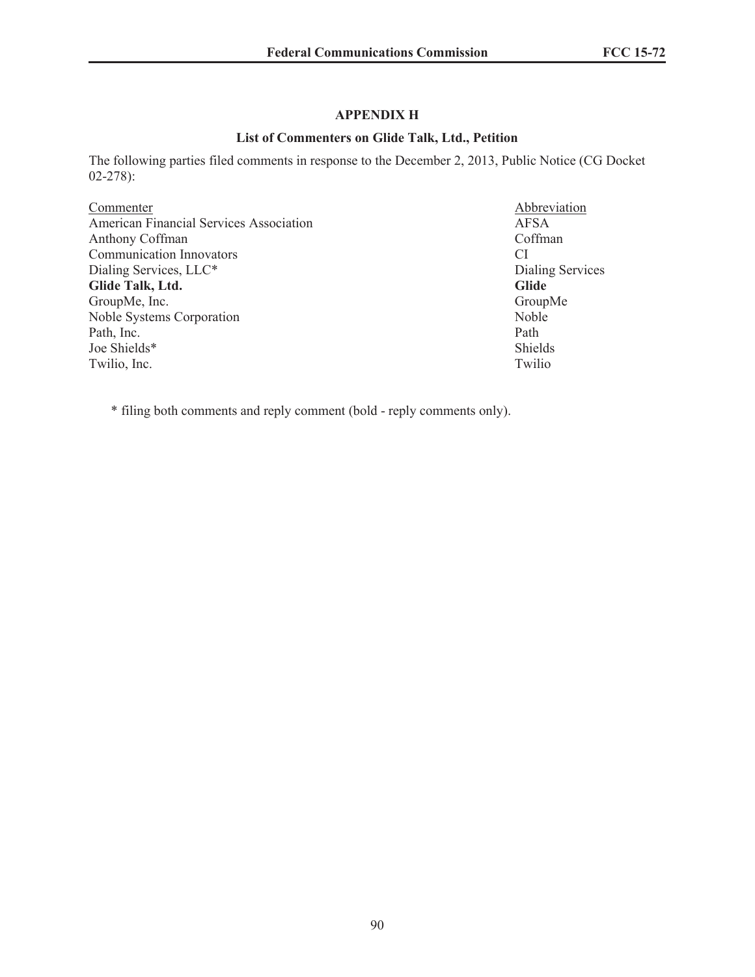## **APPENDIX H**

## **List of Commenters on Glide Talk, Ltd., Petition**

The following parties filed comments in response to the December 2, 2013, Public Notice (CG Docket 02-278):

| Commenter                                      | Abbrevia     |
|------------------------------------------------|--------------|
| <b>American Financial Services Association</b> | <b>AFSA</b>  |
| Anthony Coffman                                | Coffman      |
| <b>Communication Innovators</b>                | СI           |
| Dialing Services, LLC*                         | Dialing S    |
| Glide Talk, Ltd.                               | <b>Glide</b> |
| GroupMe, Inc.                                  | GroupM       |
| <b>Noble Systems Corporation</b>               | Noble        |
| Path, Inc.                                     | Path         |
| Joe Shields*                                   | Shields      |
| Twilio, Inc.                                   | Twilio       |

Abbreviation Dialing Services GroupMe<br>Noble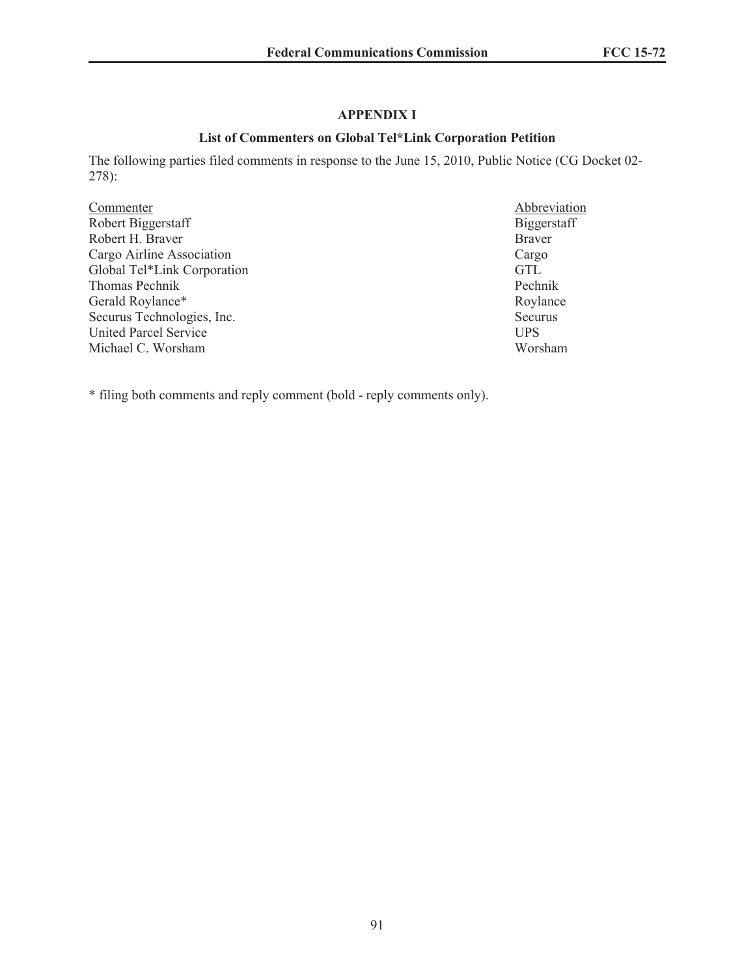## **APPENDIX I**

### **List of Commenters on Global Tel\*Link Corporation Petition**

The following parties filed comments in response to the June 15, 2010, Public Notice (CG Docket 02- 278):

Commenter Abbreviation Robert Biggerstaff Biggerstaff Robert H. Braver Cargo Airline Association Cargo Global Tel\*Link Corporation GTL Thomas Pechnik Pechnik Gerald Roylance\* Roylance Securus Technologies, Inc.<br>
United Parcel Service<br>
UPS United Parcel Service<br>
Michael C. Worsham<br>
Worsham<br>
Worsham<br>
Worsham Michael C. Worsham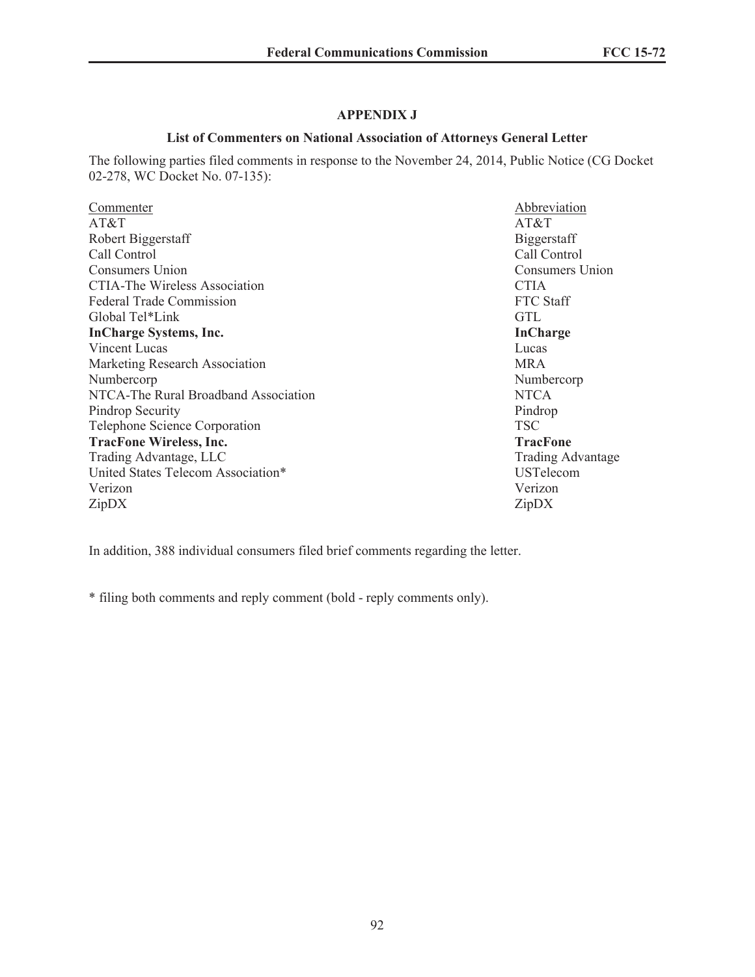## **APPENDIX J**

## **List of Commenters on National Association of Attorneys General Letter**

The following parties filed comments in response to the November 24, 2014, Public Notice (CG Docket 02-278, WC Docket No. 07-135):

| Commenter                            | Abbreviation             |
|--------------------------------------|--------------------------|
| AT&T                                 | AT&T                     |
| Robert Biggerstaff                   | Biggerstaff              |
| Call Control                         | Call Control             |
| Consumers Union                      | Consumers Union          |
| <b>CTIA-The Wireless Association</b> | <b>CTIA</b>              |
| <b>Federal Trade Commission</b>      | FTC Staff                |
| Global Tel*Link                      | <b>GTL</b>               |
| <b>InCharge Systems, Inc.</b>        | <b>InCharge</b>          |
| Vincent Lucas                        | Lucas                    |
| Marketing Research Association       | <b>MRA</b>               |
| Numbercorp                           | Numbercorp               |
| NTCA-The Rural Broadband Association | <b>NTCA</b>              |
| Pindrop Security                     | Pindrop                  |
| Telephone Science Corporation        | <b>TSC</b>               |
| <b>TracFone Wireless, Inc.</b>       | <b>TracFone</b>          |
| Trading Advantage, LLC               | <b>Trading Advantage</b> |
| United States Telecom Association*   | <b>USTelecom</b>         |
| Verizon                              | Verizon                  |
| ZipDX                                | ZipDX                    |
|                                      |                          |

In addition, 388 individual consumers filed brief comments regarding the letter.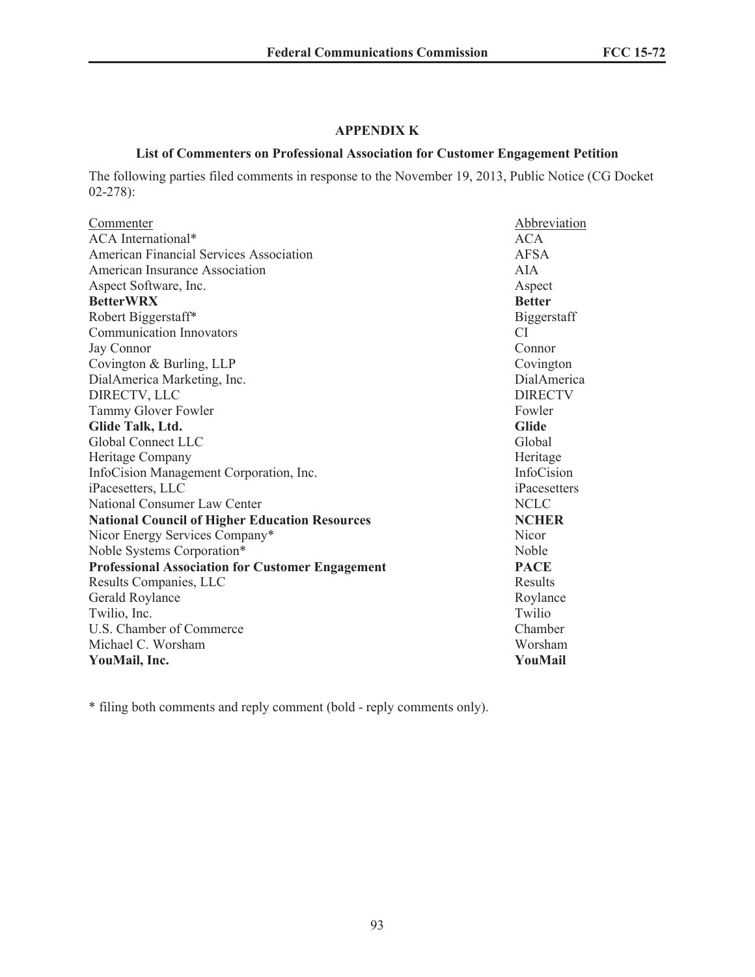## **APPENDIX K**

#### **List of Commenters on Professional Association for Customer Engagement Petition**

The following parties filed comments in response to the November 19, 2013, Public Notice (CG Docket 02-278):

| Abbreviation   |
|----------------|
| <b>ACA</b>     |
| <b>AFSA</b>    |
| AIA            |
| Aspect         |
| <b>Better</b>  |
| Biggerstaff    |
| CI.            |
| Connor         |
| Covington      |
| DialAmerica    |
| <b>DIRECTV</b> |
| Fowler         |
| <b>Glide</b>   |
| Global         |
| Heritage       |
| InfoCision     |
| iPacesetters   |
| <b>NCLC</b>    |
| <b>NCHER</b>   |
| <b>Nicor</b>   |
| Noble          |
| <b>PACE</b>    |
| Results        |
| Roylance       |
| Twilio         |
| Chamber        |
| Worsham        |
| YouMail        |
|                |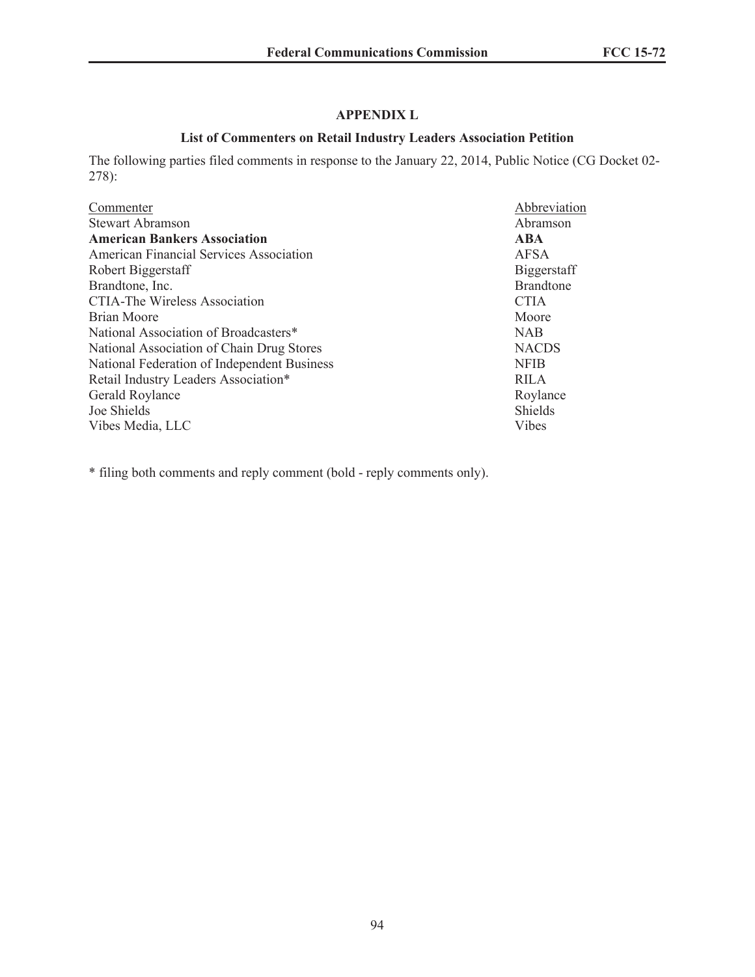# **APPENDIX L**

## **List of Commenters on Retail Industry Leaders Association Petition**

The following parties filed comments in response to the January 22, 2014, Public Notice (CG Docket 02- 278):

| Commenter                                   | Abbreviation       |
|---------------------------------------------|--------------------|
| <b>Stewart Abramson</b>                     | Abramson           |
| <b>American Bankers Association</b>         | <b>ABA</b>         |
| American Financial Services Association     | <b>AFSA</b>        |
| Robert Biggerstaff                          | <b>Biggerstaff</b> |
| Brandtone, Inc.                             | <b>Brandtone</b>   |
| <b>CTIA-The Wireless Association</b>        | <b>CTIA</b>        |
| Brian Moore                                 | Moore              |
| National Association of Broadcasters*       | <b>NAB</b>         |
| National Association of Chain Drug Stores   | <b>NACDS</b>       |
| National Federation of Independent Business | <b>NFIB</b>        |
| Retail Industry Leaders Association*        | <b>RILA</b>        |
| Gerald Roylance                             | Roylance           |
| Joe Shields                                 | <b>Shields</b>     |
| Vibes Media, LLC                            | Vibes              |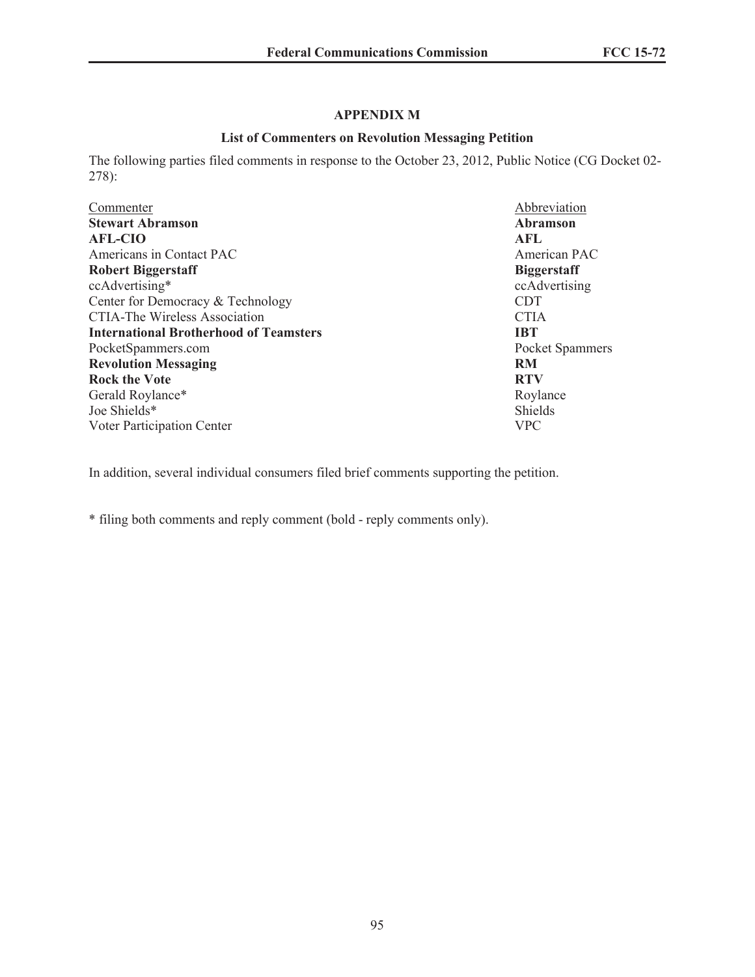## **APPENDIX M**

### **List of Commenters on Revolution Messaging Petition**

The following parties filed comments in response to the October 23, 2012, Public Notice (CG Docket 02- 278):

| Commenter                                     | Abbreviation       |
|-----------------------------------------------|--------------------|
| <b>Stewart Abramson</b>                       | Abramson           |
| <b>AFL-CIO</b>                                | <b>AFL</b>         |
| Americans in Contact PAC                      | American PAC       |
| <b>Robert Biggerstaff</b>                     | <b>Biggerstaff</b> |
| ccAdvertising*                                | ccAdvertising      |
| Center for Democracy & Technology             | <b>CDT</b>         |
| <b>CTIA-The Wireless Association</b>          | <b>CTIA</b>        |
| <b>International Brotherhood of Teamsters</b> | <b>IBT</b>         |
| PocketSpammers.com                            | Pocket Spammers    |
| <b>Revolution Messaging</b>                   | <b>RM</b>          |
| <b>Rock the Vote</b>                          | <b>RTV</b>         |
| Gerald Roylance*                              | Roylance           |
| Joe Shields*                                  | Shields            |
| Voter Participation Center                    | <b>VPC</b>         |

In addition, several individual consumers filed brief comments supporting the petition.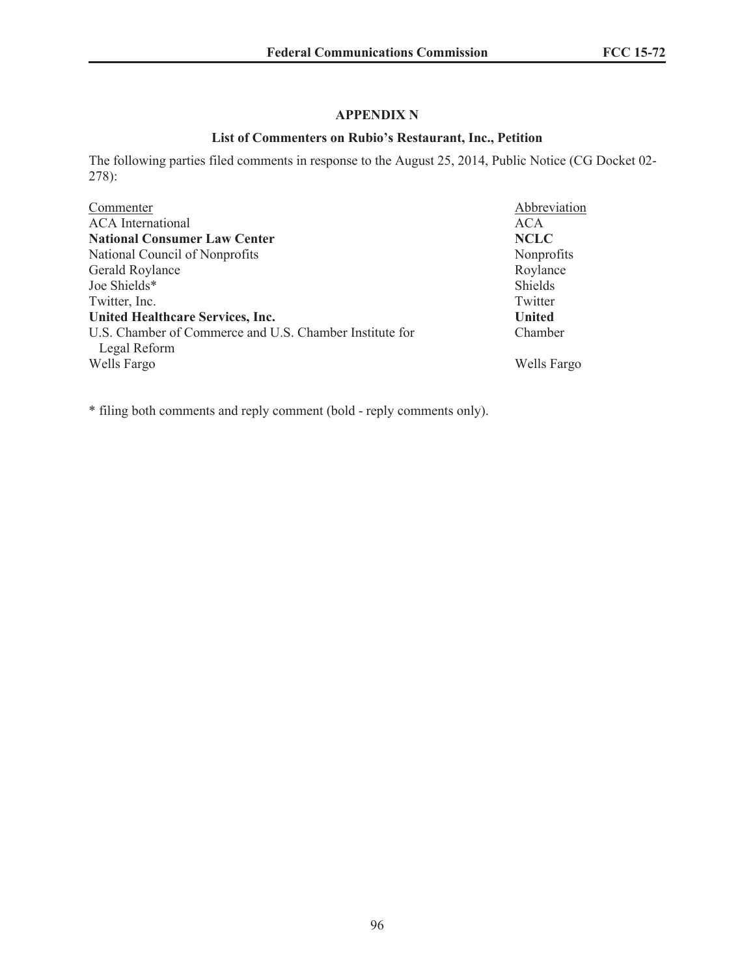# **APPENDIX N**

## **List of Commenters on Rubio's Restaurant, Inc., Petition**

The following parties filed comments in response to the August 25, 2014, Public Notice (CG Docket 02- 278):

| Commenter                                               | Abbreviation  |
|---------------------------------------------------------|---------------|
| <b>ACA</b> International                                | <b>ACA</b>    |
| <b>National Consumer Law Center</b>                     | <b>NCLC</b>   |
| National Council of Nonprofits                          | Nonprofits    |
| Gerald Roylance                                         | Roylance      |
| Joe Shields*                                            | Shields       |
| Twitter, Inc.                                           | Twitter       |
| <b>United Healthcare Services, Inc.</b>                 | <b>United</b> |
| U.S. Chamber of Commerce and U.S. Chamber Institute for | Chamber       |
| Legal Reform                                            |               |
| Wells Fargo                                             | Wells Fargo   |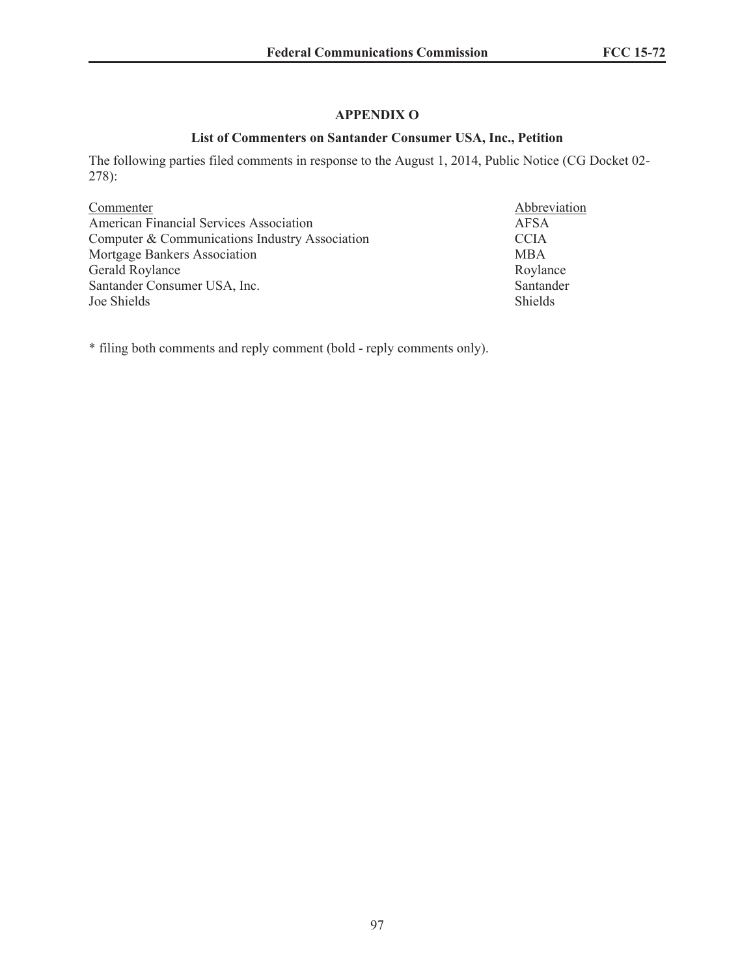## **APPENDIX O**

## **List of Commenters on Santander Consumer USA, Inc., Petition**

The following parties filed comments in response to the August 1, 2014, Public Notice (CG Docket 02- 278):

| Commenter                                      | Abbrev      |
|------------------------------------------------|-------------|
| American Financial Services Association        | AFSA        |
| Computer & Communications Industry Association | <b>CCIA</b> |
| Mortgage Bankers Association                   | <b>MBA</b>  |
| Gerald Roylance                                | Roylan      |
| Santander Consumer USA, Inc.                   | Santano     |
| Joe Shields                                    | Shields     |

Abbreviation Roylance Santander<br>Shields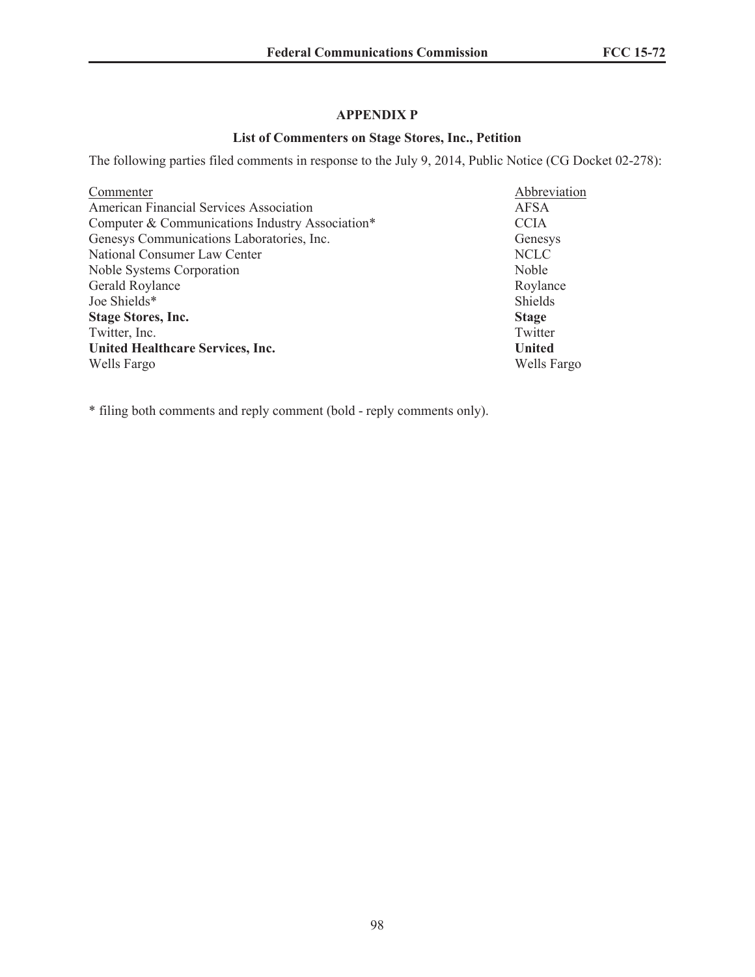# **APPENDIX P**

## **List of Commenters on Stage Stores, Inc., Petition**

The following parties filed comments in response to the July 9, 2014, Public Notice (CG Docket 02-278):

| Commenter                                       | Abbreviation  |
|-------------------------------------------------|---------------|
| American Financial Services Association         | <b>AFSA</b>   |
| Computer & Communications Industry Association* | <b>CCIA</b>   |
| Genesys Communications Laboratories, Inc.       | Genesys       |
| National Consumer Law Center                    | <b>NCLC</b>   |
| Noble Systems Corporation                       | Noble         |
| Gerald Roylance                                 | Roylance      |
| Joe Shields*                                    | Shields       |
| <b>Stage Stores, Inc.</b>                       | <b>Stage</b>  |
| Twitter, Inc.                                   | Twitter       |
| <b>United Healthcare Services, Inc.</b>         | <b>United</b> |
| Wells Fargo                                     | Wells Fargo   |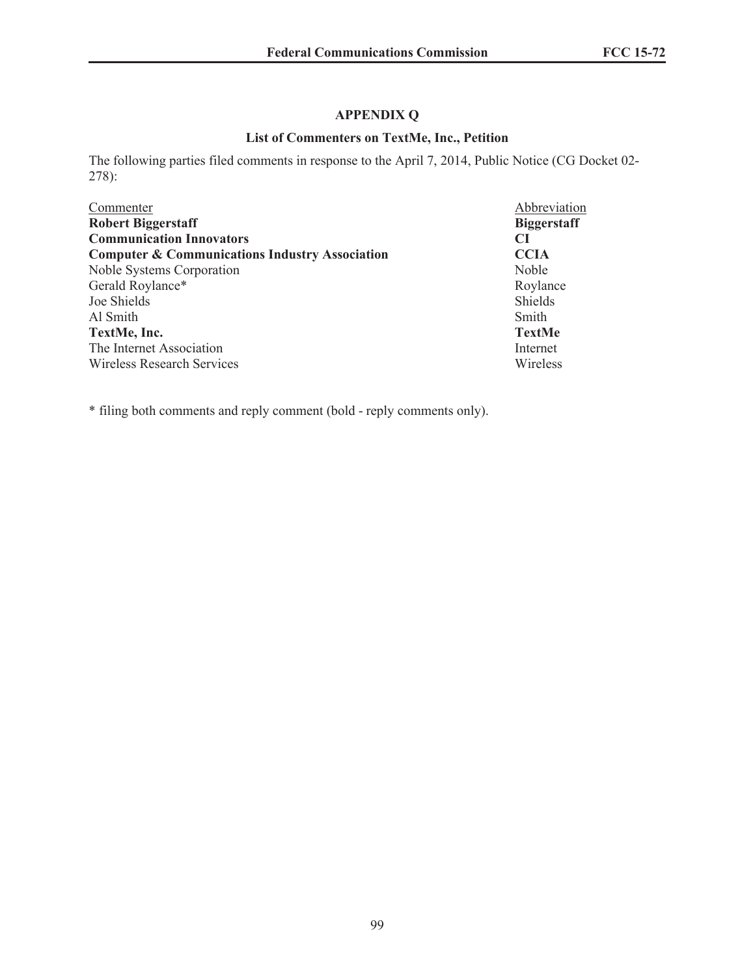# **APPENDIX Q**

## **List of Commenters on TextMe, Inc., Petition**

The following parties filed comments in response to the April 7, 2014, Public Notice (CG Docket 02- 278):

| Commenter                                                 | Abbreviation       |
|-----------------------------------------------------------|--------------------|
| <b>Robert Biggerstaff</b>                                 | <b>Biggerstaff</b> |
| <b>Communication Innovators</b>                           | CI                 |
| <b>Computer &amp; Communications Industry Association</b> | <b>CCIA</b>        |
| Noble Systems Corporation                                 | Noble              |
| Gerald Roylance*                                          | Roylance           |
| Joe Shields                                               | <b>Shields</b>     |
| Al Smith                                                  | Smith              |
| TextMe, Inc.                                              | <b>TextMe</b>      |
| The Internet Association                                  | Internet           |
| <b>Wireless Research Services</b>                         | Wireless           |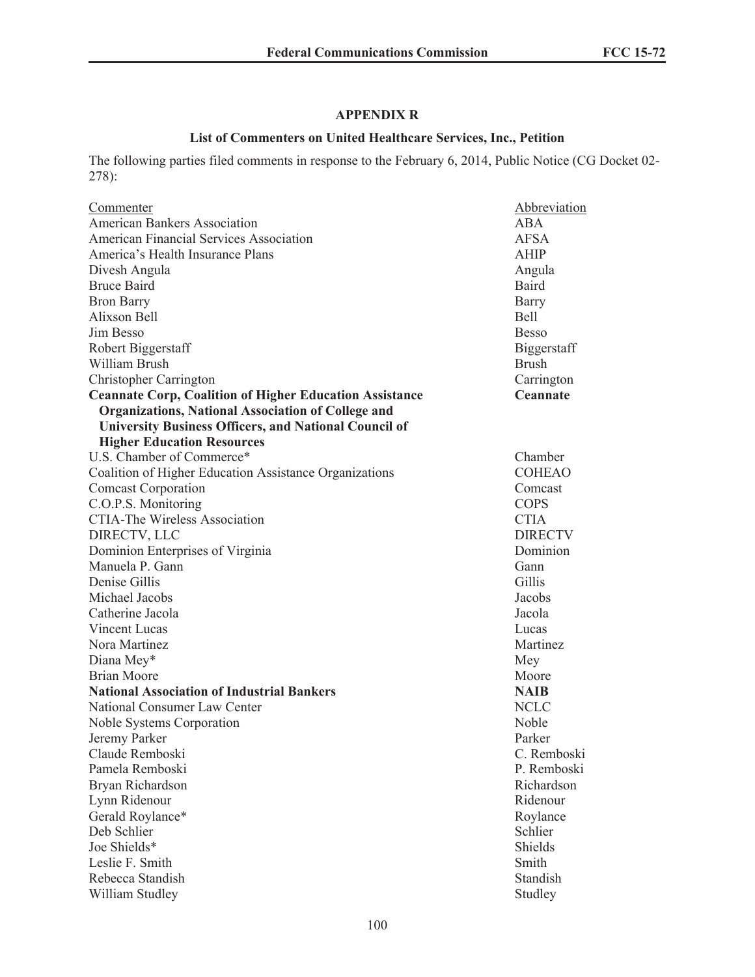# **APPENDIX R**

## **List of Commenters on United Healthcare Services, Inc., Petition**

The following parties filed comments in response to the February 6, 2014, Public Notice (CG Docket 02- 278):

| Commenter                                                      | Abbreviation   |
|----------------------------------------------------------------|----------------|
| <b>American Bankers Association</b>                            | ABA            |
| <b>American Financial Services Association</b>                 | <b>AFSA</b>    |
| America's Health Insurance Plans                               | <b>AHIP</b>    |
| Divesh Angula                                                  | Angula         |
| <b>Bruce Baird</b>                                             | Baird          |
| <b>Bron Barry</b>                                              | Barry          |
| Alixson Bell                                                   | <b>Bell</b>    |
| Jim Besso                                                      | <b>Besso</b>   |
| Robert Biggerstaff                                             | Biggerstaff    |
| William Brush                                                  | <b>Brush</b>   |
| Christopher Carrington                                         | Carrington     |
| <b>Ceannate Corp, Coalition of Higher Education Assistance</b> | Ceannate       |
| <b>Organizations, National Association of College and</b>      |                |
| <b>University Business Officers, and National Council of</b>   |                |
| <b>Higher Education Resources</b>                              |                |
| U.S. Chamber of Commerce*                                      | Chamber        |
| Coalition of Higher Education Assistance Organizations         | <b>COHEAO</b>  |
| <b>Comcast Corporation</b>                                     | Comcast        |
| C.O.P.S. Monitoring                                            | <b>COPS</b>    |
| <b>CTIA-The Wireless Association</b>                           | <b>CTIA</b>    |
| DIRECTV, LLC                                                   | <b>DIRECTV</b> |
| Dominion Enterprises of Virginia                               | Dominion       |
| Manuela P. Gann                                                | Gann           |
| Denise Gillis                                                  | Gillis         |
| Michael Jacobs                                                 | Jacobs         |
| Catherine Jacola                                               | Jacola         |
| Vincent Lucas                                                  | Lucas          |
| Nora Martinez                                                  | Martinez       |
| Diana Mey*                                                     | Mey            |
| <b>Brian Moore</b>                                             | Moore          |
| <b>National Association of Industrial Bankers</b>              | <b>NAIB</b>    |
| National Consumer Law Center                                   | <b>NCLC</b>    |
| Noble Systems Corporation                                      | Noble          |
| Jeremy Parker                                                  | Parker         |
| Claude Remboski                                                | C. Remboski    |
| Pamela Remboski                                                | P. Remboski    |
| Bryan Richardson                                               | Richardson     |
| Lynn Ridenour                                                  | Ridenour       |
| Gerald Roylance*                                               | Roylance       |
| Deb Schlier                                                    | Schlier        |
| Joe Shields*                                                   | Shields        |
| Leslie F. Smith                                                | Smith          |
| Rebecca Standish                                               | Standish       |
| William Studley                                                | Studley        |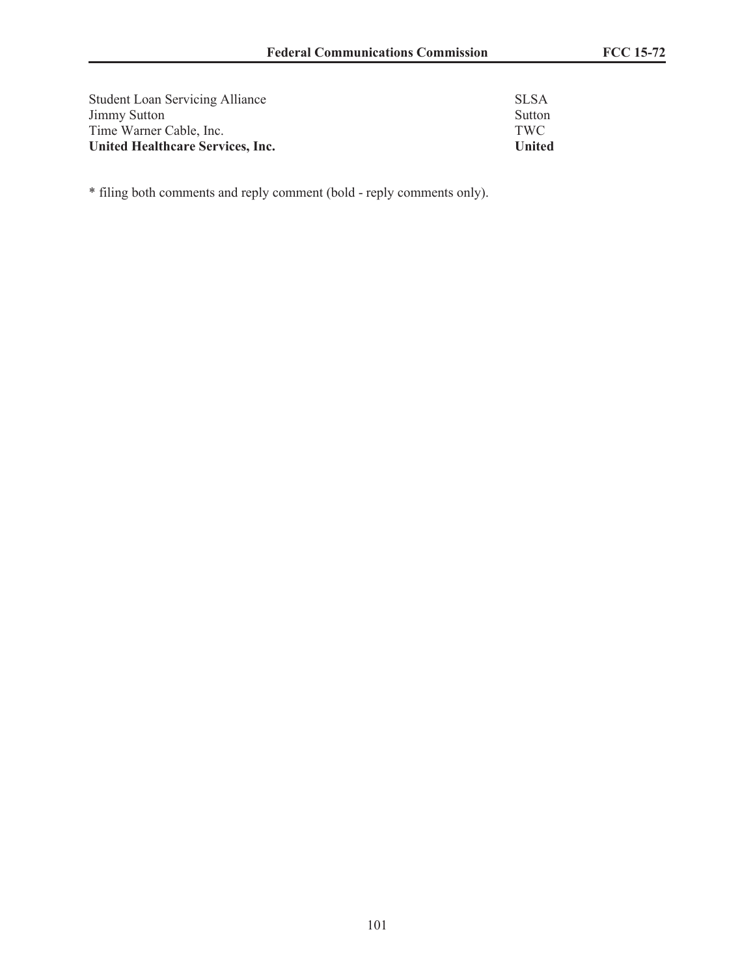| <b>Student Loan Servicing Alliance</b>  | SLSA   |
|-----------------------------------------|--------|
| <b>Jimmy Sutton</b>                     | Sutton |
| Time Warner Cable, Inc.                 | TWC.   |
| <b>United Healthcare Services, Inc.</b> | United |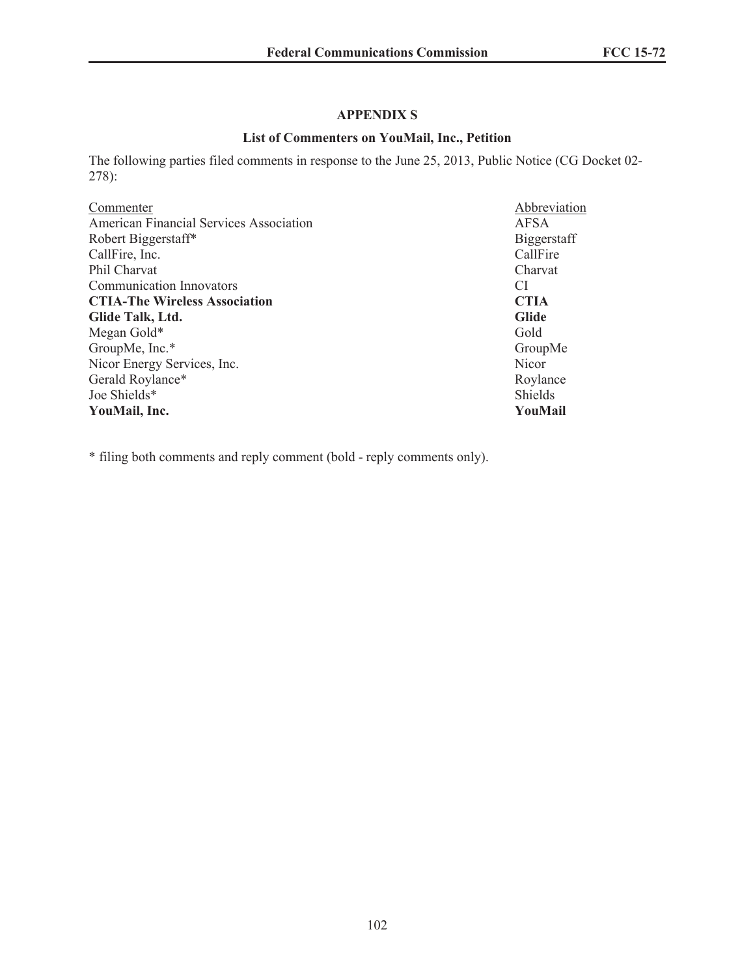# **APPENDIX S**

## **List of Commenters on YouMail, Inc., Petition**

The following parties filed comments in response to the June 25, 2013, Public Notice (CG Docket 02- 278):

| Abbreviation |
|--------------|
| <b>AFSA</b>  |
| Biggerstaff  |
| CallFire     |
| Charvat      |
| CI           |
| <b>CTIA</b>  |
| <b>Glide</b> |
| Gold         |
| GroupMe      |
| <b>Nicor</b> |
| Roylance     |
| Shields      |
| YouMail      |
|              |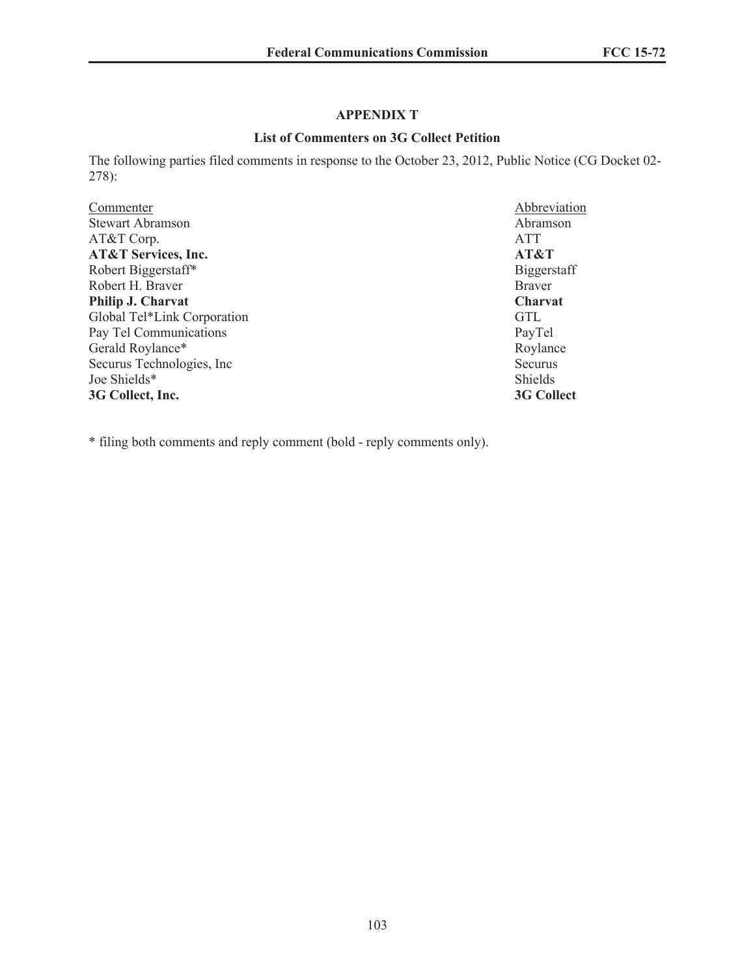# **APPENDIX T**

### **List of Commenters on 3G Collect Petition**

The following parties filed comments in response to the October 23, 2012, Public Notice (CG Docket 02- 278):

| Commenter                      | Abbreviation       |
|--------------------------------|--------------------|
| <b>Stewart Abramson</b>        | Abramson           |
| AT&T Corp.                     | <b>ATT</b>         |
| <b>AT&amp;T Services, Inc.</b> | AT&T               |
| Robert Biggerstaff*            | <b>Biggerstaff</b> |
| Robert H. Braver               | <b>Braver</b>      |
| Philip J. Charvat              | <b>Charvat</b>     |
| Global Tel*Link Corporation    | <b>GTL</b>         |
| Pay Tel Communications         | PayTel             |
| Gerald Roylance*               | Roylance           |
| Securus Technologies, Inc.     | Securus            |
| Joe Shields*                   | <b>Shields</b>     |
| 3G Collect, Inc.               | 3G Collect         |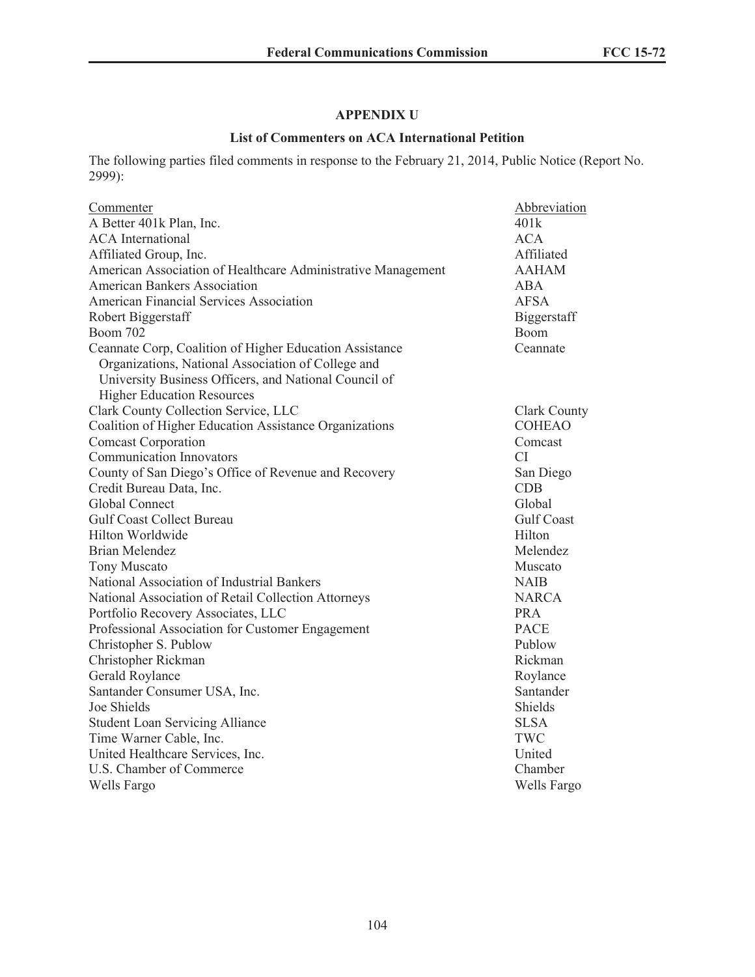# **APPENDIX U**

### **List of Commenters on ACA International Petition**

The following parties filed comments in response to the February 21, 2014, Public Notice (Report No. 2999):

| Commenter                                                    | Abbreviation        |
|--------------------------------------------------------------|---------------------|
| A Better 401k Plan, Inc.                                     | 401k                |
| <b>ACA</b> International                                     | <b>ACA</b>          |
| Affiliated Group, Inc.                                       | Affiliated          |
| American Association of Healthcare Administrative Management | <b>AAHAM</b>        |
| <b>American Bankers Association</b>                          | <b>ABA</b>          |
| American Financial Services Association                      | <b>AFSA</b>         |
| Robert Biggerstaff                                           | Biggerstaff         |
| <b>Boom 702</b>                                              | Boom                |
| Ceannate Corp, Coalition of Higher Education Assistance      | Ceannate            |
| Organizations, National Association of College and           |                     |
| University Business Officers, and National Council of        |                     |
| <b>Higher Education Resources</b>                            |                     |
| Clark County Collection Service, LLC                         | <b>Clark County</b> |
| Coalition of Higher Education Assistance Organizations       | <b>COHEAO</b>       |
| <b>Comcast Corporation</b>                                   | Comcast             |
| <b>Communication Innovators</b>                              | CI.                 |
| County of San Diego's Office of Revenue and Recovery         | San Diego           |
| Credit Bureau Data, Inc.                                     | <b>CDB</b>          |
| Global Connect                                               | Global              |
| <b>Gulf Coast Collect Bureau</b>                             | <b>Gulf Coast</b>   |
| Hilton Worldwide                                             | Hilton              |
| <b>Brian Melendez</b>                                        | Melendez            |
| <b>Tony Muscato</b>                                          | Muscato             |
| National Association of Industrial Bankers                   | <b>NAIB</b>         |
| National Association of Retail Collection Attorneys          | <b>NARCA</b>        |
| Portfolio Recovery Associates, LLC                           | <b>PRA</b>          |
| Professional Association for Customer Engagement             | <b>PACE</b>         |
| Christopher S. Publow                                        | Publow              |
| Christopher Rickman                                          | Rickman             |
| Gerald Roylance                                              | Roylance            |
| Santander Consumer USA, Inc.                                 | Santander           |
| Joe Shields                                                  | <b>Shields</b>      |
| <b>Student Loan Servicing Alliance</b>                       | <b>SLSA</b>         |
| Time Warner Cable, Inc.                                      | TWC                 |
| United Healthcare Services, Inc.                             | United              |
| U.S. Chamber of Commerce                                     | Chamber             |
| Wells Fargo                                                  | Wells Fargo         |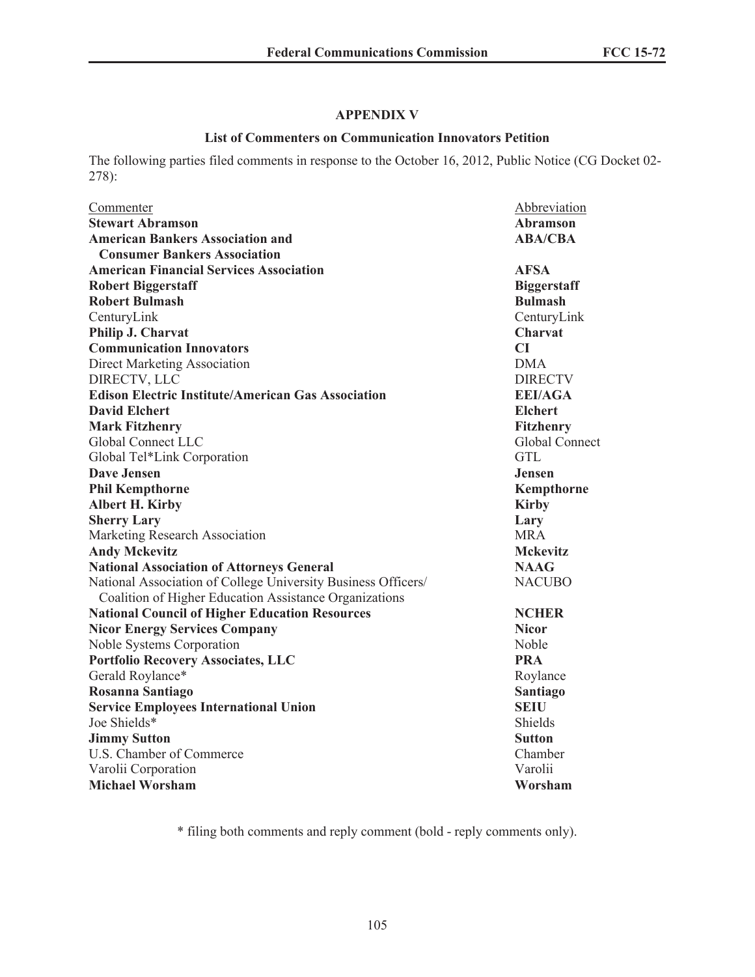### **APPENDIX V**

#### **List of Commenters on Communication Innovators Petition**

The following parties filed comments in response to the October 16, 2012, Public Notice (CG Docket 02- 278):

| Commenter<br><b>Stewart Abramson</b>                          | Abbreviation                      |
|---------------------------------------------------------------|-----------------------------------|
| <b>American Bankers Association and</b>                       | <b>Abramson</b><br><b>ABA/CBA</b> |
| <b>Consumer Bankers Association</b>                           |                                   |
| <b>American Financial Services Association</b>                | <b>AFSA</b>                       |
| <b>Robert Biggerstaff</b>                                     | <b>Biggerstaff</b>                |
| <b>Robert Bulmash</b>                                         | <b>Bulmash</b>                    |
| CenturyLink                                                   | CenturyLink                       |
| Philip J. Charvat                                             | Charvat                           |
| <b>Communication Innovators</b>                               | CI                                |
| <b>Direct Marketing Association</b>                           | <b>DMA</b>                        |
| DIRECTV, LLC                                                  | <b>DIRECTV</b>                    |
| <b>Edison Electric Institute/American Gas Association</b>     | <b>EEI/AGA</b>                    |
| <b>David Elchert</b>                                          | <b>Elchert</b>                    |
| <b>Mark Fitzhenry</b>                                         | <b>Fitzhenry</b>                  |
| Global Connect LLC                                            | Global Connect                    |
| Global Tel*Link Corporation                                   | <b>GTL</b>                        |
| <b>Dave Jensen</b>                                            | Jensen                            |
| <b>Phil Kempthorne</b>                                        | Kempthorne                        |
| <b>Albert H. Kirby</b>                                        | <b>Kirby</b>                      |
| <b>Sherry Lary</b>                                            | Lary                              |
| Marketing Research Association                                | <b>MRA</b>                        |
| <b>Andy Mckevitz</b>                                          | <b>Mckevitz</b>                   |
| <b>National Association of Attorneys General</b>              | <b>NAAG</b>                       |
| National Association of College University Business Officers/ | <b>NACUBO</b>                     |
| Coalition of Higher Education Assistance Organizations        |                                   |
| <b>National Council of Higher Education Resources</b>         | <b>NCHER</b>                      |
| <b>Nicor Energy Services Company</b>                          | <b>Nicor</b>                      |
| Noble Systems Corporation                                     | Noble                             |
| <b>Portfolio Recovery Associates, LLC</b>                     | <b>PRA</b>                        |
| Gerald Roylance*                                              | Roylance                          |
| Rosanna Santiago                                              | <b>Santiago</b>                   |
| <b>Service Employees International Union</b>                  | <b>SEIU</b>                       |
| Joe Shields*                                                  | <b>Shields</b>                    |
| <b>Jimmy Sutton</b>                                           | <b>Sutton</b>                     |
| U.S. Chamber of Commerce                                      | Chamber                           |
| Varolii Corporation                                           | Varolii                           |
| <b>Michael Worsham</b>                                        | Worsham                           |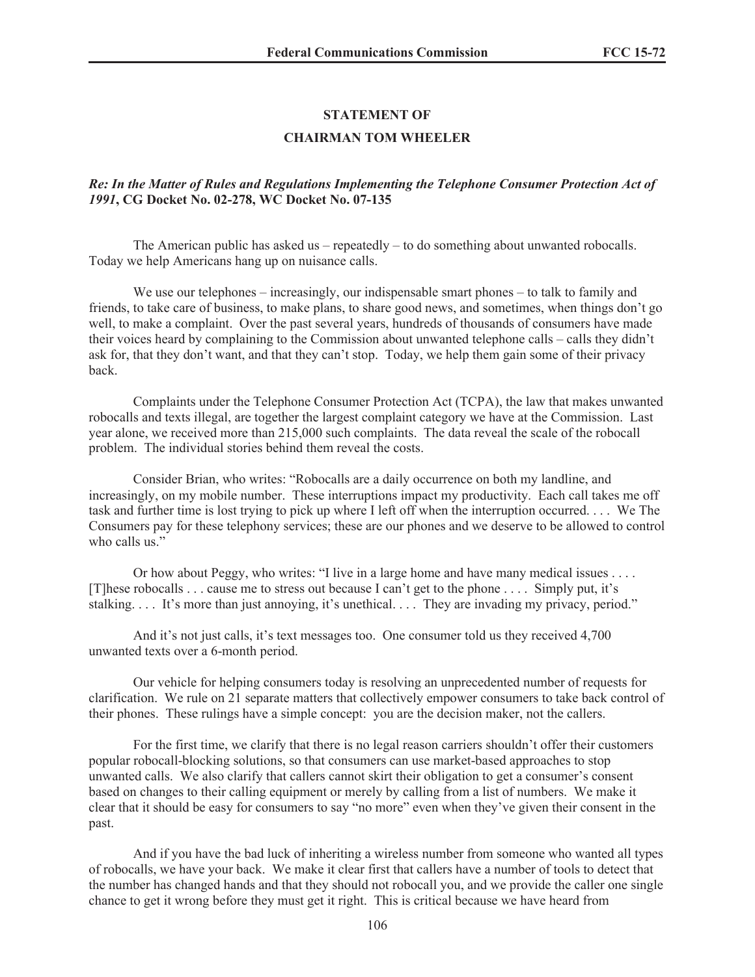#### **STATEMENT OF**

#### **CHAIRMAN TOM WHEELER**

### *Re: In the Matter of Rules and Regulations Implementing the Telephone Consumer Protection Act of 1991***, CG Docket No. 02-278, WC Docket No. 07-135**

The American public has asked us  $-$  repeatedly  $-$  to do something about unwanted robocalls. Today we help Americans hang up on nuisance calls.

We use our telephones – increasingly, our indispensable smart phones – to talk to family and friends, to take care of business, to make plans, to share good news, and sometimes, when things don't go well, to make a complaint. Over the past several years, hundreds of thousands of consumers have made their voices heard by complaining to the Commission about unwanted telephone calls – calls they didn't ask for, that they don't want, and that they can't stop. Today, we help them gain some of their privacy back.

Complaints under the Telephone Consumer Protection Act (TCPA), the law that makes unwanted robocalls and texts illegal, are together the largest complaint category we have at the Commission. Last year alone, we received more than 215,000 such complaints. The data reveal the scale of the robocall problem. The individual stories behind them reveal the costs.

Consider Brian, who writes: "Robocalls are a daily occurrence on both my landline, and increasingly, on my mobile number. These interruptions impact my productivity. Each call takes me off task and further time is lost trying to pick up where I left off when the interruption occurred. . . . We The Consumers pay for these telephony services; these are our phones and we deserve to be allowed to control who calls us."

Or how about Peggy, who writes: "I live in a large home and have many medical issues . . . . [T]hese robocalls . . . cause me to stress out because I can't get to the phone . . . . Simply put, it's stalking. . . . It's more than just annoying, it's unethical. . . . They are invading my privacy, period."

And it's not just calls, it's text messages too. One consumer told us they received 4,700 unwanted texts over a 6-month period.

Our vehicle for helping consumers today is resolving an unprecedented number of requests for clarification. We rule on 21 separate matters that collectively empower consumers to take back control of their phones. These rulings have a simple concept: you are the decision maker, not the callers.

For the first time, we clarify that there is no legal reason carriers shouldn't offer their customers popular robocall-blocking solutions, so that consumers can use market-based approaches to stop unwanted calls. We also clarify that callers cannot skirt their obligation to get a consumer's consent based on changes to their calling equipment or merely by calling from a list of numbers. We make it clear that it should be easy for consumers to say "no more" even when they've given their consent in the past.

And if you have the bad luck of inheriting a wireless number from someone who wanted all types of robocalls, we have your back. We make it clear first that callers have a number of tools to detect that the number has changed hands and that they should not robocall you, and we provide the caller one single chance to get it wrong before they must get it right. This is critical because we have heard from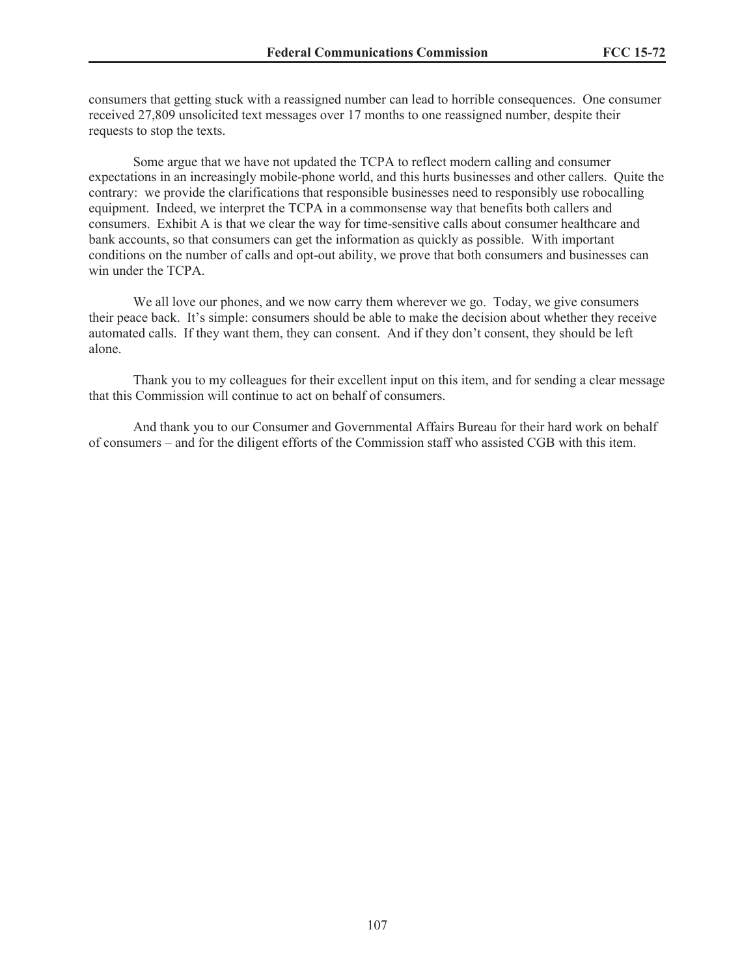consumers that getting stuck with a reassigned number can lead to horrible consequences. One consumer received 27,809 unsolicited text messages over 17 months to one reassigned number, despite their requests to stop the texts.

Some argue that we have not updated the TCPA to reflect modern calling and consumer expectations in an increasingly mobile-phone world, and this hurts businesses and other callers. Quite the contrary: we provide the clarifications that responsible businesses need to responsibly use robocalling equipment. Indeed, we interpret the TCPA in a commonsense way that benefits both callers and consumers. Exhibit A is that we clear the way for time-sensitive calls about consumer healthcare and bank accounts, so that consumers can get the information as quickly as possible. With important conditions on the number of calls and opt-out ability, we prove that both consumers and businesses can win under the TCPA.

We all love our phones, and we now carry them wherever we go. Today, we give consumers their peace back. It's simple: consumers should be able to make the decision about whether they receive automated calls. If they want them, they can consent. And if they don't consent, they should be left alone.

Thank you to my colleagues for their excellent input on this item, and for sending a clear message that this Commission will continue to act on behalf of consumers.

And thank you to our Consumer and Governmental Affairs Bureau for their hard work on behalf of consumers – and for the diligent efforts of the Commission staff who assisted CGB with this item.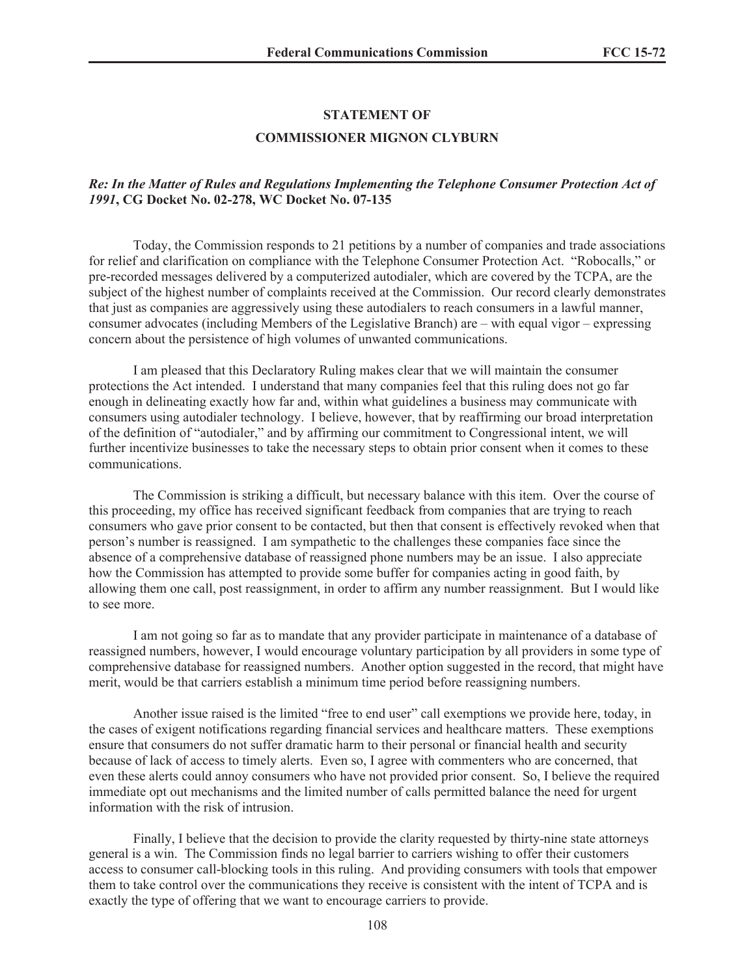#### **STATEMENT OF**

#### **COMMISSIONER MIGNON CLYBURN**

### *Re: In the Matter of Rules and Regulations Implementing the Telephone Consumer Protection Act of 1991***, CG Docket No. 02-278, WC Docket No. 07-135**

Today, the Commission responds to 21 petitions by a number of companies and trade associations for relief and clarification on compliance with the Telephone Consumer Protection Act. "Robocalls," or pre-recorded messages delivered by a computerized autodialer, which are covered by the TCPA, are the subject of the highest number of complaints received at the Commission. Our record clearly demonstrates that just as companies are aggressively using these autodialers to reach consumers in a lawful manner, consumer advocates (including Members of the Legislative Branch) are – with equal vigor – expressing concern about the persistence of high volumes of unwanted communications.

I am pleased that this Declaratory Ruling makes clear that we will maintain the consumer protections the Act intended. I understand that many companies feel that this ruling does not go far enough in delineating exactly how far and, within what guidelines a business may communicate with consumers using autodialer technology. I believe, however, that by reaffirming our broad interpretation of the definition of "autodialer," and by affirming our commitment to Congressional intent, we will further incentivize businesses to take the necessary steps to obtain prior consent when it comes to these communications.

The Commission is striking a difficult, but necessary balance with this item. Over the course of this proceeding, my office has received significant feedback from companies that are trying to reach consumers who gave prior consent to be contacted, but then that consent is effectively revoked when that person's number is reassigned. I am sympathetic to the challenges these companies face since the absence of a comprehensive database of reassigned phone numbers may be an issue. I also appreciate how the Commission has attempted to provide some buffer for companies acting in good faith, by allowing them one call, post reassignment, in order to affirm any number reassignment. But I would like to see more.

I am not going so far as to mandate that any provider participate in maintenance of a database of reassigned numbers, however, I would encourage voluntary participation by all providers in some type of comprehensive database for reassigned numbers. Another option suggested in the record, that might have merit, would be that carriers establish a minimum time period before reassigning numbers.

Another issue raised is the limited "free to end user" call exemptions we provide here, today, in the cases of exigent notifications regarding financial services and healthcare matters. These exemptions ensure that consumers do not suffer dramatic harm to their personal or financial health and security because of lack of access to timely alerts. Even so, I agree with commenters who are concerned, that even these alerts could annoy consumers who have not provided prior consent. So, I believe the required immediate opt out mechanisms and the limited number of calls permitted balance the need for urgent information with the risk of intrusion.

Finally, I believe that the decision to provide the clarity requested by thirty-nine state attorneys general is a win. The Commission finds no legal barrier to carriers wishing to offer their customers access to consumer call-blocking tools in this ruling. And providing consumers with tools that empower them to take control over the communications they receive is consistent with the intent of TCPA and is exactly the type of offering that we want to encourage carriers to provide.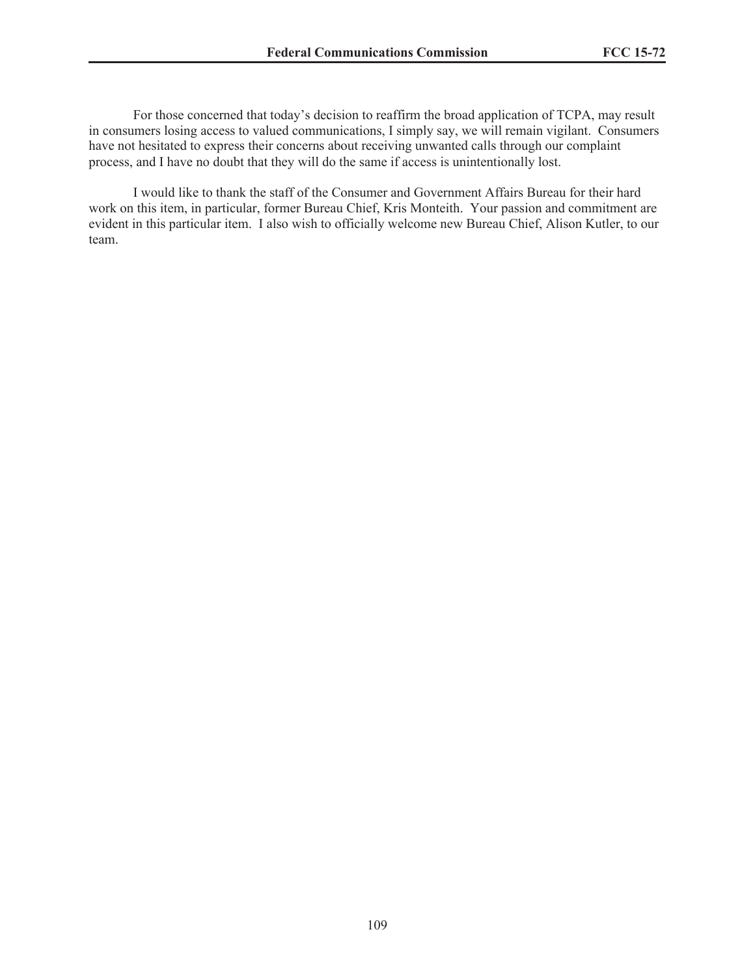For those concerned that today's decision to reaffirm the broad application of TCPA, may result in consumers losing access to valued communications, I simply say, we will remain vigilant. Consumers have not hesitated to express their concerns about receiving unwanted calls through our complaint process, and I have no doubt that they will do the same if access is unintentionally lost.

I would like to thank the staff of the Consumer and Government Affairs Bureau for their hard work on this item, in particular, former Bureau Chief, Kris Monteith. Your passion and commitment are evident in this particular item. I also wish to officially welcome new Bureau Chief, Alison Kutler, to our team.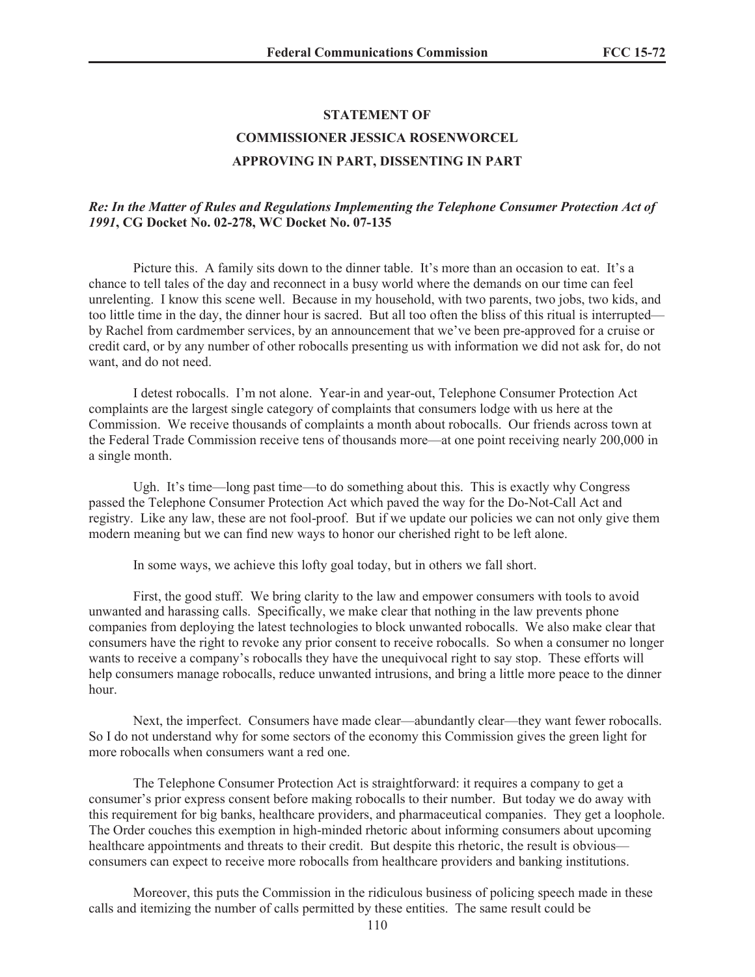#### **STATEMENT OF**

# **COMMISSIONER JESSICA ROSENWORCEL**

#### **APPROVING IN PART, DISSENTING IN PART**

#### *Re: In the Matter of Rules and Regulations Implementing the Telephone Consumer Protection Act of 1991***, CG Docket No. 02-278, WC Docket No. 07-135**

Picture this. A family sits down to the dinner table. It's more than an occasion to eat. It's a chance to tell tales of the day and reconnect in a busy world where the demands on our time can feel unrelenting. I know this scene well. Because in my household, with two parents, two jobs, two kids, and too little time in the day, the dinner hour is sacred. But all too often the bliss of this ritual is interrupted by Rachel from cardmember services, by an announcement that we've been pre-approved for a cruise or credit card, or by any number of other robocalls presenting us with information we did not ask for, do not want, and do not need.

I detest robocalls. I'm not alone. Year-in and year-out, Telephone Consumer Protection Act complaints are the largest single category of complaints that consumers lodge with us here at the Commission. We receive thousands of complaints a month about robocalls. Our friends across town at the Federal Trade Commission receive tens of thousands more—at one point receiving nearly 200,000 in a single month.

Ugh. It's time—long past time—to do something about this. This is exactly why Congress passed the Telephone Consumer Protection Act which paved the way for the Do-Not-Call Act and registry. Like any law, these are not fool-proof. But if we update our policies we can not only give them modern meaning but we can find new ways to honor our cherished right to be left alone.

In some ways, we achieve this lofty goal today, but in others we fall short.

First, the good stuff. We bring clarity to the law and empower consumers with tools to avoid unwanted and harassing calls. Specifically, we make clear that nothing in the law prevents phone companies from deploying the latest technologies to block unwanted robocalls. We also make clear that consumers have the right to revoke any prior consent to receive robocalls. So when a consumer no longer wants to receive a company's robocalls they have the unequivocal right to say stop. These efforts will help consumers manage robocalls, reduce unwanted intrusions, and bring a little more peace to the dinner hour.

Next, the imperfect. Consumers have made clear—abundantly clear—they want fewer robocalls. So I do not understand why for some sectors of the economy this Commission gives the green light for more robocalls when consumers want a red one.

The Telephone Consumer Protection Act is straightforward: it requires a company to get a consumer's prior express consent before making robocalls to their number. But today we do away with this requirement for big banks, healthcare providers, and pharmaceutical companies. They get a loophole. The Order couches this exemption in high-minded rhetoric about informing consumers about upcoming healthcare appointments and threats to their credit. But despite this rhetoric, the result is obvious consumers can expect to receive more robocalls from healthcare providers and banking institutions.

Moreover, this puts the Commission in the ridiculous business of policing speech made in these calls and itemizing the number of calls permitted by these entities. The same result could be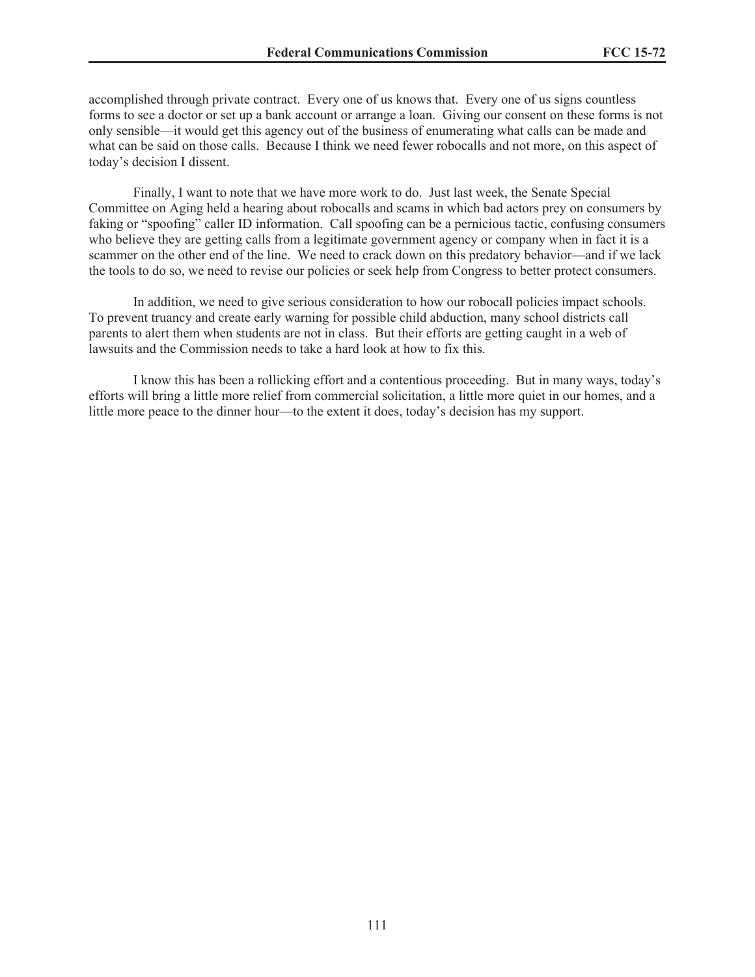accomplished through private contract. Every one of us knows that. Every one of us signs countless forms to see a doctor or set up a bank account or arrange a loan. Giving our consent on these forms is not only sensible—it would get this agency out of the business of enumerating what calls can be made and what can be said on those calls. Because I think we need fewer robocalls and not more, on this aspect of today's decision I dissent.

Finally, I want to note that we have more work to do. Just last week, the Senate Special Committee on Aging held a hearing about robocalls and scams in which bad actors prey on consumers by faking or "spoofing" caller ID information. Call spoofing can be a pernicious tactic, confusing consumers who believe they are getting calls from a legitimate government agency or company when in fact it is a scammer on the other end of the line. We need to crack down on this predatory behavior—and if we lack the tools to do so, we need to revise our policies or seek help from Congress to better protect consumers.

In addition, we need to give serious consideration to how our robocall policies impact schools. To prevent truancy and create early warning for possible child abduction, many school districts call parents to alert them when students are not in class. But their efforts are getting caught in a web of lawsuits and the Commission needs to take a hard look at how to fix this.

I know this has been a rollicking effort and a contentious proceeding. But in many ways, today's efforts will bring a little more relief from commercial solicitation, a little more quiet in our homes, and a little more peace to the dinner hour—to the extent it does, today's decision has my support.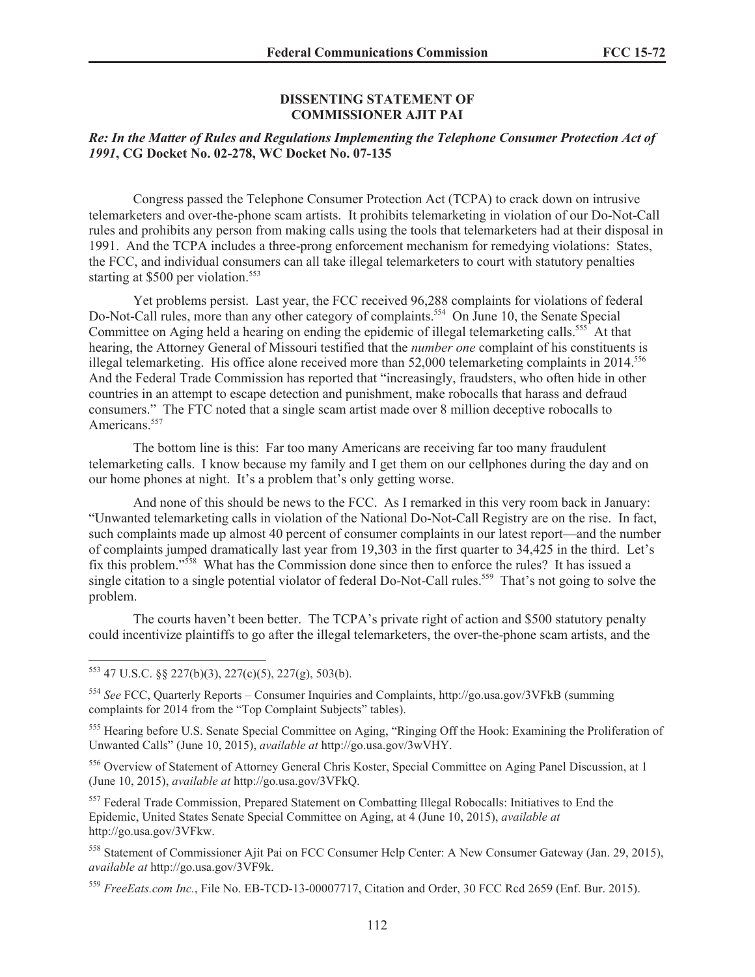#### **DISSENTING STATEMENT OF COMMISSIONER AJIT PAI**

# *Re: In the Matter of Rules and Regulations Implementing the Telephone Consumer Protection Act of 1991***, CG Docket No. 02-278, WC Docket No. 07-135**

Congress passed the Telephone Consumer Protection Act (TCPA) to crack down on intrusive telemarketers and over-the-phone scam artists. It prohibits telemarketing in violation of our Do-Not-Call rules and prohibits any person from making calls using the tools that telemarketers had at their disposal in 1991. And the TCPA includes a three-prong enforcement mechanism for remedying violations: States, the FCC, and individual consumers can all take illegal telemarketers to court with statutory penalties starting at \$500 per violation.<sup>553</sup>

Yet problems persist. Last year, the FCC received 96,288 complaints for violations of federal Do-Not-Call rules, more than any other category of complaints.<sup>554</sup> On June 10, the Senate Special Committee on Aging held a hearing on ending the epidemic of illegal telemarketing calls.<sup>555</sup> At that hearing, the Attorney General of Missouri testified that the *number one* complaint of his constituents is illegal telemarketing. His office alone received more than  $52,000$  telemarketing complaints in  $2014$ .<sup>556</sup> And the Federal Trade Commission has reported that "increasingly, fraudsters, who often hide in other countries in an attempt to escape detection and punishment, make robocalls that harass and defraud consumers." The FTC noted that a single scam artist made over 8 million deceptive robocalls to Americans.<sup>557</sup>

The bottom line is this: Far too many Americans are receiving far too many fraudulent telemarketing calls. I know because my family and I get them on our cellphones during the day and on our home phones at night. It's a problem that's only getting worse.

And none of this should be news to the FCC. As I remarked in this very room back in January: "Unwanted telemarketing calls in violation of the National Do-Not-Call Registry are on the rise. In fact, such complaints made up almost 40 percent of consumer complaints in our latest report—and the number of complaints jumped dramatically last year from 19,303 in the first quarter to 34,425 in the third. Let's fix this problem."<sup>558</sup> What has the Commission done since then to enforce the rules? It has issued a single citation to a single potential violator of federal Do-Not-Call rules.<sup>559</sup> That's not going to solve the problem.

The courts haven't been better. The TCPA's private right of action and \$500 statutory penalty could incentivize plaintiffs to go after the illegal telemarketers, the over-the-phone scam artists, and the

<sup>558</sup> Statement of Commissioner Ajit Pai on FCC Consumer Help Center: A New Consumer Gateway (Jan. 29, 2015), *available at* http://go.usa.gov/3VF9k.

<sup>559</sup> *FreeEats.com Inc.*, File No. EB-TCD-13-00007717, Citation and Order, 30 FCC Rcd 2659 (Enf. Bur. 2015).

 $553$  47 U.S.C.  $\frac{88}{227(b)(3)}$ ,  $227(c)(5)$ ,  $227(g)$ ,  $503(b)$ .

<sup>554</sup> *See* FCC, Quarterly Reports – Consumer Inquiries and Complaints, http://go.usa.gov/3VFkB (summing complaints for 2014 from the "Top Complaint Subjects" tables).

<sup>555</sup> Hearing before U.S. Senate Special Committee on Aging, "Ringing Off the Hook: Examining the Proliferation of Unwanted Calls" (June 10, 2015), *available at* http://go.usa.gov/3wVHY.

<sup>556</sup> Overview of Statement of Attorney General Chris Koster, Special Committee on Aging Panel Discussion, at 1 (June 10, 2015), *available at* http://go.usa.gov/3VFkQ.

<sup>557</sup> Federal Trade Commission, Prepared Statement on Combatting Illegal Robocalls: Initiatives to End the Epidemic, United States Senate Special Committee on Aging, at 4 (June 10, 2015), *available at* http://go.usa.gov/3VFkw.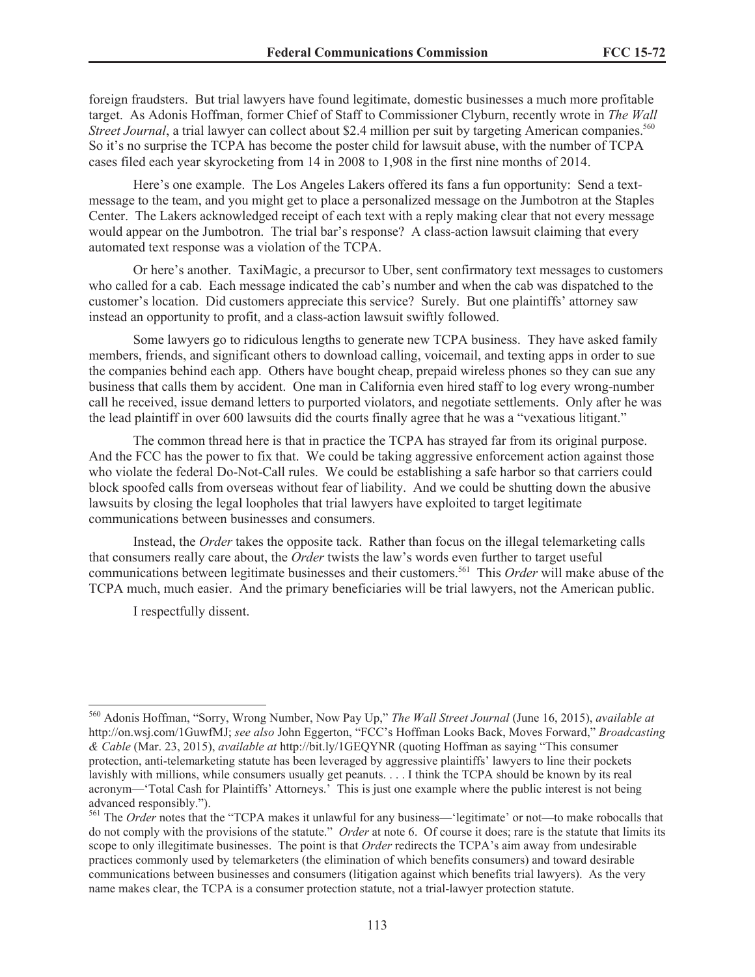foreign fraudsters. But trial lawyers have found legitimate, domestic businesses a much more profitable target. As Adonis Hoffman, former Chief of Staff to Commissioner Clyburn, recently wrote in *The Wall Street Journal*, a trial lawyer can collect about \$2.4 million per suit by targeting American companies.<sup>560</sup> So it's no surprise the TCPA has become the poster child for lawsuit abuse, with the number of TCPA cases filed each year skyrocketing from 14 in 2008 to 1,908 in the first nine months of 2014.

Here's one example. The Los Angeles Lakers offered its fans a fun opportunity: Send a textmessage to the team, and you might get to place a personalized message on the Jumbotron at the Staples Center. The Lakers acknowledged receipt of each text with a reply making clear that not every message would appear on the Jumbotron. The trial bar's response? A class-action lawsuit claiming that every automated text response was a violation of the TCPA.

Or here's another. TaxiMagic, a precursor to Uber, sent confirmatory text messages to customers who called for a cab. Each message indicated the cab's number and when the cab was dispatched to the customer's location. Did customers appreciate this service? Surely. But one plaintiffs' attorney saw instead an opportunity to profit, and a class-action lawsuit swiftly followed.

Some lawyers go to ridiculous lengths to generate new TCPA business. They have asked family members, friends, and significant others to download calling, voicemail, and texting apps in order to sue the companies behind each app. Others have bought cheap, prepaid wireless phones so they can sue any business that calls them by accident. One man in California even hired staff to log every wrong-number call he received, issue demand letters to purported violators, and negotiate settlements. Only after he was the lead plaintiff in over 600 lawsuits did the courts finally agree that he was a "vexatious litigant."

The common thread here is that in practice the TCPA has strayed far from its original purpose. And the FCC has the power to fix that. We could be taking aggressive enforcement action against those who violate the federal Do-Not-Call rules. We could be establishing a safe harbor so that carriers could block spoofed calls from overseas without fear of liability. And we could be shutting down the abusive lawsuits by closing the legal loopholes that trial lawyers have exploited to target legitimate communications between businesses and consumers.

Instead, the *Order* takes the opposite tack. Rather than focus on the illegal telemarketing calls that consumers really care about, the *Order* twists the law's words even further to target useful communications between legitimate businesses and their customers.<sup>561</sup> This *Order* will make abuse of the TCPA much, much easier. And the primary beneficiaries will be trial lawyers, not the American public.

I respectfully dissent.

<sup>560</sup> Adonis Hoffman, "Sorry, Wrong Number, Now Pay Up," *The Wall Street Journal* (June 16, 2015), *available at* http://on.wsj.com/1GuwfMJ; *see also* John Eggerton, "FCC's Hoffman Looks Back, Moves Forward," *Broadcasting & Cable* (Mar. 23, 2015), *available at* http://bit.ly/1GEQYNR (quoting Hoffman as saying "This consumer protection, anti-telemarketing statute has been leveraged by aggressive plaintiffs' lawyers to line their pockets lavishly with millions, while consumers usually get peanuts. . . . I think the TCPA should be known by its real acronym—'Total Cash for Plaintiffs' Attorneys.' This is just one example where the public interest is not being advanced responsibly.").

<sup>561</sup> The *Order* notes that the "TCPA makes it unlawful for any business—'legitimate' or not—to make robocalls that do not comply with the provisions of the statute." *Order* at note 6. Of course it does; rare is the statute that limits its scope to only illegitimate businesses. The point is that *Order* redirects the TCPA's aim away from undesirable practices commonly used by telemarketers (the elimination of which benefits consumers) and toward desirable communications between businesses and consumers (litigation against which benefits trial lawyers). As the very name makes clear, the TCPA is a consumer protection statute, not a trial-lawyer protection statute.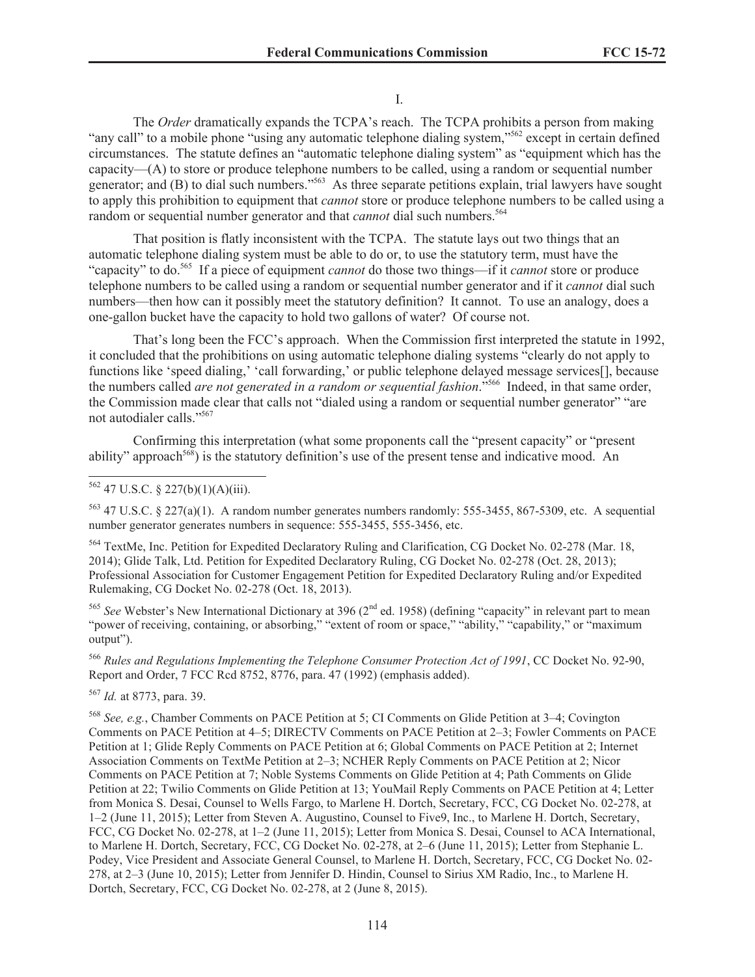I.

The *Order* dramatically expands the TCPA's reach. The TCPA prohibits a person from making "any call" to a mobile phone "using any automatic telephone dialing system,"<sup>562</sup> except in certain defined circumstances. The statute defines an "automatic telephone dialing system" as "equipment which has the capacity—(A) to store or produce telephone numbers to be called, using a random or sequential number generator; and (B) to dial such numbers."<sup>563</sup> As three separate petitions explain, trial lawyers have sought to apply this prohibition to equipment that *cannot* store or produce telephone numbers to be called using a random or sequential number generator and that *cannot* dial such numbers.<sup>564</sup>

That position is flatly inconsistent with the TCPA. The statute lays out two things that an automatic telephone dialing system must be able to do or, to use the statutory term, must have the "capacity" to do.<sup>565</sup> If a piece of equipment *cannot* do those two things—if it *cannot* store or produce telephone numbers to be called using a random or sequential number generator and if it *cannot* dial such numbers—then how can it possibly meet the statutory definition? It cannot. To use an analogy, does a one-gallon bucket have the capacity to hold two gallons of water? Of course not.

That's long been the FCC's approach. When the Commission first interpreted the statute in 1992, it concluded that the prohibitions on using automatic telephone dialing systems "clearly do not apply to functions like 'speed dialing,' 'call forwarding,' or public telephone delayed message services[], because the numbers called *are not generated in a random or sequential fashion*."<sup>566</sup> Indeed, in that same order, the Commission made clear that calls not "dialed using a random or sequential number generator" "are not autodialer calls."<sup>567</sup>

Confirming this interpretation (what some proponents call the "present capacity" or "present ability" approach<sup>568</sup>) is the statutory definition's use of the present tense and indicative mood. An

<sup>563</sup> 47 U.S.C. § 227(a)(1). A random number generates numbers randomly: 555-3455, 867-5309, etc. A sequential number generator generates numbers in sequence: 555-3455, 555-3456, etc.

<sup>564</sup> TextMe, Inc. Petition for Expedited Declaratory Ruling and Clarification, CG Docket No. 02-278 (Mar. 18, 2014); Glide Talk, Ltd. Petition for Expedited Declaratory Ruling, CG Docket No. 02-278 (Oct. 28, 2013); Professional Association for Customer Engagement Petition for Expedited Declaratory Ruling and/or Expedited Rulemaking, CG Docket No. 02-278 (Oct. 18, 2013).

<sup>565</sup> See Webster's New International Dictionary at 396 (2<sup>nd</sup> ed. 1958) (defining "capacity" in relevant part to mean "power of receiving, containing, or absorbing," "extent of room or space," "ability," "capability," or "maximum output").

<sup>566</sup> *Rules and Regulations Implementing the Telephone Consumer Protection Act of 1991*, CC Docket No. 92-90, Report and Order, 7 FCC Rcd 8752, 8776, para. 47 (1992) (emphasis added).

<sup>567</sup> *Id.* at 8773, para. 39.

<sup>568</sup> *See, e.g.*, Chamber Comments on PACE Petition at 5; CI Comments on Glide Petition at 3–4; Covington Comments on PACE Petition at 4–5; DIRECTV Comments on PACE Petition at 2–3; Fowler Comments on PACE Petition at 1; Glide Reply Comments on PACE Petition at 6; Global Comments on PACE Petition at 2; Internet Association Comments on TextMe Petition at 2–3; NCHER Reply Comments on PACE Petition at 2; Nicor Comments on PACE Petition at 7; Noble Systems Comments on Glide Petition at 4; Path Comments on Glide Petition at 22; Twilio Comments on Glide Petition at 13; YouMail Reply Comments on PACE Petition at 4; Letter from Monica S. Desai, Counsel to Wells Fargo, to Marlene H. Dortch, Secretary, FCC, CG Docket No. 02-278, at 1–2 (June 11, 2015); Letter from Steven A. Augustino, Counsel to Five9, Inc., to Marlene H. Dortch, Secretary, FCC, CG Docket No. 02-278, at 1–2 (June 11, 2015); Letter from Monica S. Desai, Counsel to ACA International, to Marlene H. Dortch, Secretary, FCC, CG Docket No. 02-278, at 2–6 (June 11, 2015); Letter from Stephanie L. Podey, Vice President and Associate General Counsel, to Marlene H. Dortch, Secretary, FCC, CG Docket No. 02- 278, at 2–3 (June 10, 2015); Letter from Jennifer D. Hindin, Counsel to Sirius XM Radio, Inc., to Marlene H. Dortch, Secretary, FCC, CG Docket No. 02-278, at 2 (June 8, 2015).

 $562$  47 U.S.C. § 227(b)(1)(A)(iii).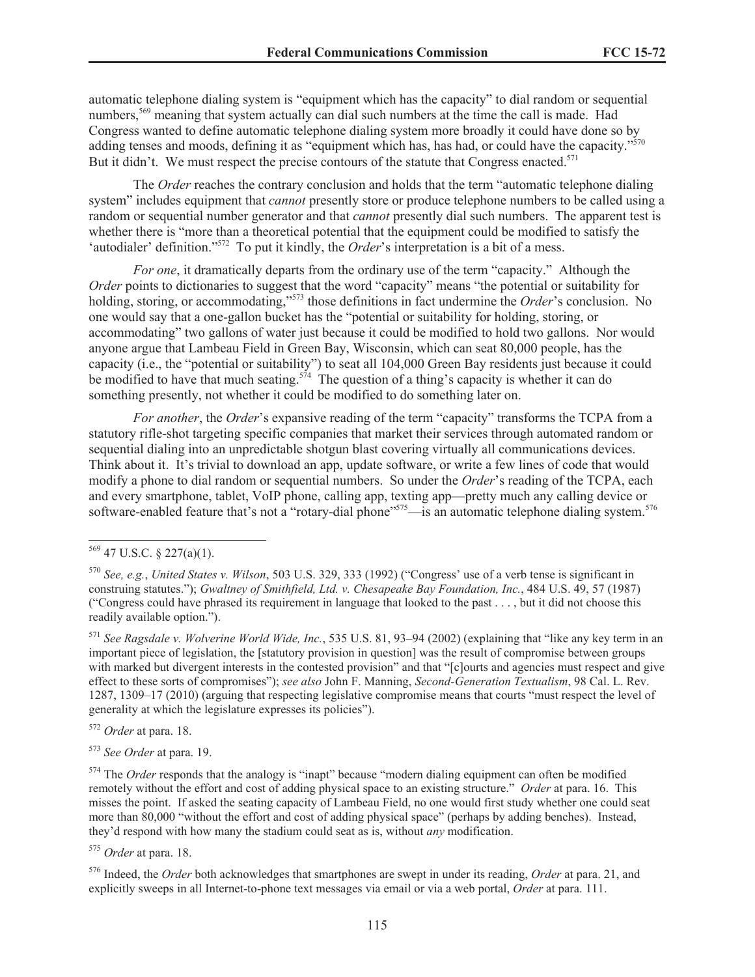automatic telephone dialing system is "equipment which has the capacity" to dial random or sequential numbers,<sup>569</sup> meaning that system actually can dial such numbers at the time the call is made. Had Congress wanted to define automatic telephone dialing system more broadly it could have done so by adding tenses and moods, defining it as "equipment which has, has had, or could have the capacity."<sup>570</sup> But it didn't. We must respect the precise contours of the statute that Congress enacted.<sup>571</sup>

The *Order* reaches the contrary conclusion and holds that the term "automatic telephone dialing system" includes equipment that *cannot* presently store or produce telephone numbers to be called using a random or sequential number generator and that *cannot* presently dial such numbers. The apparent test is whether there is "more than a theoretical potential that the equipment could be modified to satisfy the 'autodialer' definition."<sup>572</sup> To put it kindly, the *Order'*s interpretation is a bit of a mess.

*For one*, it dramatically departs from the ordinary use of the term "capacity." Although the *Order* points to dictionaries to suggest that the word "capacity" means "the potential or suitability for holding, storing, or accommodating,"<sup>573</sup> those definitions in fact undermine the *Order*'s conclusion. No one would say that a one-gallon bucket has the "potential or suitability for holding, storing, or accommodating" two gallons of water just because it could be modified to hold two gallons. Nor would anyone argue that Lambeau Field in Green Bay, Wisconsin, which can seat 80,000 people, has the capacity (i.e., the "potential or suitability") to seat all 104,000 Green Bay residents just because it could be modified to have that much seating.<sup>574</sup> The question of a thing's capacity is whether it can do something presently, not whether it could be modified to do something later on.

*For another*, the *Order*'s expansive reading of the term "capacity" transforms the TCPA from a statutory rifle-shot targeting specific companies that market their services through automated random or sequential dialing into an unpredictable shotgun blast covering virtually all communications devices. Think about it. It's trivial to download an app, update software, or write a few lines of code that would modify a phone to dial random or sequential numbers. So under the *Order*'s reading of the TCPA, each and every smartphone, tablet, VoIP phone, calling app, texting app—pretty much any calling device or software-enabled feature that's not a "rotary-dial phone"<sup>575</sup>—is an automatic telephone dialing system.<sup>576</sup>

<sup>571</sup> *See Ragsdale v. Wolverine World Wide, Inc.*, 535 U.S. 81, 93–94 (2002) (explaining that "like any key term in an important piece of legislation, the [statutory provision in question] was the result of compromise between groups with marked but divergent interests in the contested provision" and that "[c]ourts and agencies must respect and give effect to these sorts of compromises"); *see also* John F. Manning, *Second-Generation Textualism*, 98 Cal. L. Rev. 1287, 1309–17 (2010) (arguing that respecting legislative compromise means that courts "must respect the level of generality at which the legislature expresses its policies").

<sup>572</sup> *Order* at para. 18.

<sup>573</sup> *See Order* at para. 19.

<sup>574</sup> The *Order* responds that the analogy is "inapt" because "modern dialing equipment can often be modified remotely without the effort and cost of adding physical space to an existing structure." *Order* at para. 16. This misses the point. If asked the seating capacity of Lambeau Field, no one would first study whether one could seat more than 80,000 "without the effort and cost of adding physical space" (perhaps by adding benches). Instead, they'd respond with how many the stadium could seat as is, without *any* modification.

<sup>575</sup> *Order* at para. 18.

<sup>576</sup> Indeed, the *Order* both acknowledges that smartphones are swept in under its reading, *Order* at para. 21, and explicitly sweeps in all Internet-to-phone text messages via email or via a web portal, *Order* at para. 111.

 $569$  47 U.S.C. § 227(a)(1).

<sup>570</sup> *See, e.g.*, *United States v. Wilson*, 503 U.S. 329, 333 (1992) ("Congress' use of a verb tense is significant in construing statutes."); *Gwaltney of Smithfield, Ltd. v. Chesapeake Bay Foundation, Inc.*, 484 U.S. 49, 57 (1987) ("Congress could have phrased its requirement in language that looked to the past . . . , but it did not choose this readily available option.").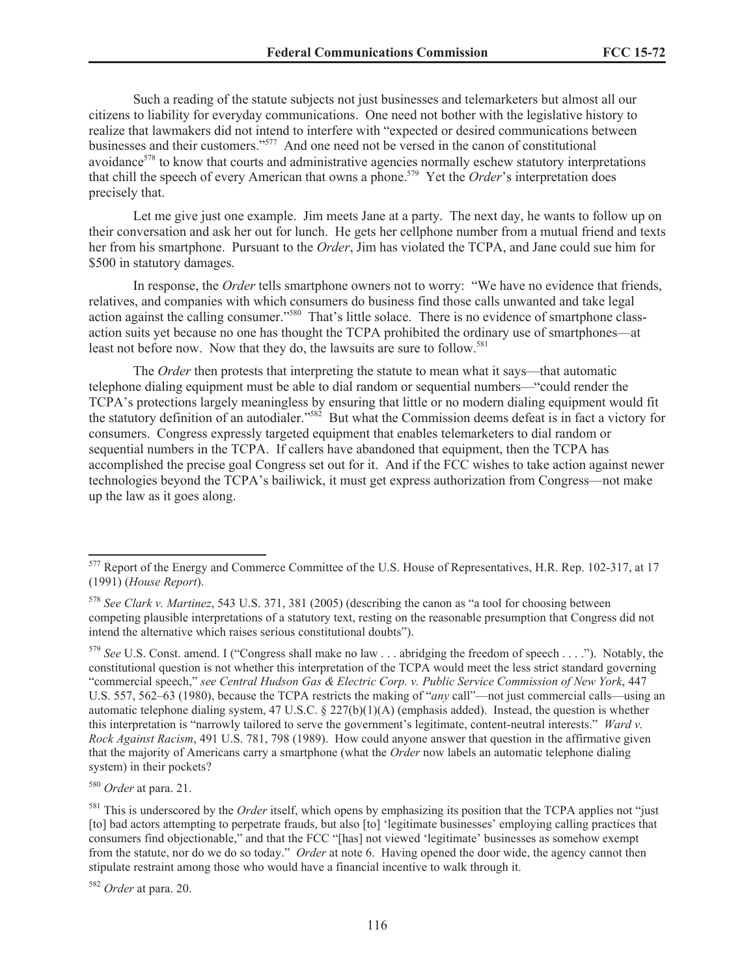Such a reading of the statute subjects not just businesses and telemarketers but almost all our citizens to liability for everyday communications. One need not bother with the legislative history to realize that lawmakers did not intend to interfere with "expected or desired communications between businesses and their customers."<sup>577</sup> And one need not be versed in the canon of constitutional avoidance<sup>578</sup> to know that courts and administrative agencies normally eschew statutory interpretations that chill the speech of every American that owns a phone.<sup>579</sup> Yet the *Order*'s interpretation does precisely that.

Let me give just one example. Jim meets Jane at a party. The next day, he wants to follow up on their conversation and ask her out for lunch. He gets her cellphone number from a mutual friend and texts her from his smartphone. Pursuant to the *Order*, Jim has violated the TCPA, and Jane could sue him for \$500 in statutory damages.

In response, the *Order* tells smartphone owners not to worry: "We have no evidence that friends, relatives, and companies with which consumers do business find those calls unwanted and take legal action against the calling consumer."<sup>580</sup> That's little solace. There is no evidence of smartphone classaction suits yet because no one has thought the TCPA prohibited the ordinary use of smartphones—at least not before now. Now that they do, the lawsuits are sure to follow.<sup>581</sup>

The *Order* then protests that interpreting the statute to mean what it says—that automatic telephone dialing equipment must be able to dial random or sequential numbers—"could render the TCPA's protections largely meaningless by ensuring that little or no modern dialing equipment would fit the statutory definition of an autodialer."<sup>582</sup> But what the Commission deems defeat is in fact a victory for consumers. Congress expressly targeted equipment that enables telemarketers to dial random or sequential numbers in the TCPA. If callers have abandoned that equipment, then the TCPA has accomplished the precise goal Congress set out for it. And if the FCC wishes to take action against newer technologies beyond the TCPA's bailiwick, it must get express authorization from Congress—not make up the law as it goes along.

<sup>579</sup> *See* U.S. Const. amend. I ("Congress shall make no law . . . abridging the freedom of speech . . . ."). Notably, the constitutional question is not whether this interpretation of the TCPA would meet the less strict standard governing "commercial speech," *see Central Hudson Gas & Electric Corp. v. Public Service Commission of New York*, 447 U.S. 557, 562–63 (1980), because the TCPA restricts the making of "*any* call"—not just commercial calls—using an automatic telephone dialing system, 47 U.S.C. § 227(b)(1)(A) (emphasis added). Instead, the question is whether this interpretation is "narrowly tailored to serve the government's legitimate, content-neutral interests." *Ward v. Rock Against Racism*, 491 U.S. 781, 798 (1989). How could anyone answer that question in the affirmative given that the majority of Americans carry a smartphone (what the *Order* now labels an automatic telephone dialing system) in their pockets?

<sup>580</sup> *Order* at para. 21.

<sup>582</sup> *Order* at para. 20.

<sup>&</sup>lt;sup>577</sup> Report of the Energy and Commerce Committee of the U.S. House of Representatives, H.R. Rep. 102-317, at 17 (1991) (*House Report*).

<sup>578</sup> *See Clark v. Martinez*, 543 U.S. 371, 381 (2005) (describing the canon as "a tool for choosing between competing plausible interpretations of a statutory text, resting on the reasonable presumption that Congress did not intend the alternative which raises serious constitutional doubts").

<sup>&</sup>lt;sup>581</sup> This is underscored by the *Order* itself, which opens by emphasizing its position that the TCPA applies not "just" [to] bad actors attempting to perpetrate frauds, but also [to] 'legitimate businesses' employing calling practices that consumers find objectionable," and that the FCC "[has] not viewed 'legitimate' businesses as somehow exempt from the statute, nor do we do so today." *Order* at note 6. Having opened the door wide, the agency cannot then stipulate restraint among those who would have a financial incentive to walk through it.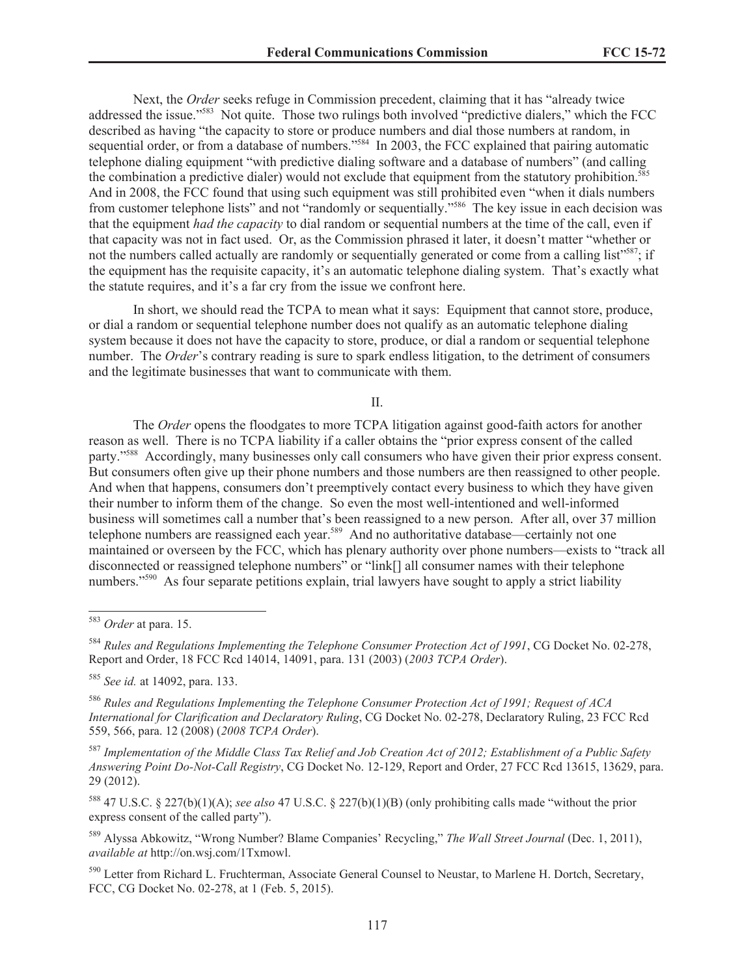Next, the *Order* seeks refuge in Commission precedent, claiming that it has "already twice addressed the issue."<sup>583</sup> Not quite. Those two rulings both involved "predictive dialers," which the FCC described as having "the capacity to store or produce numbers and dial those numbers at random, in sequential order, or from a database of numbers."<sup>584</sup> In 2003, the FCC explained that pairing automatic telephone dialing equipment "with predictive dialing software and a database of numbers" (and calling the combination a predictive dialer) would not exclude that equipment from the statutory prohibition.<sup>585</sup> And in 2008, the FCC found that using such equipment was still prohibited even "when it dials numbers from customer telephone lists" and not "randomly or sequentially."<sup>586</sup> The key issue in each decision was that the equipment *had the capacity* to dial random or sequential numbers at the time of the call, even if that capacity was not in fact used. Or, as the Commission phrased it later, it doesn't matter "whether or not the numbers called actually are randomly or sequentially generated or come from a calling list"<sup>587</sup>; if the equipment has the requisite capacity, it's an automatic telephone dialing system. That's exactly what the statute requires, and it's a far cry from the issue we confront here.

In short, we should read the TCPA to mean what it says: Equipment that cannot store, produce, or dial a random or sequential telephone number does not qualify as an automatic telephone dialing system because it does not have the capacity to store, produce, or dial a random or sequential telephone number. The *Order*'s contrary reading is sure to spark endless litigation, to the detriment of consumers and the legitimate businesses that want to communicate with them.

II.

The *Order* opens the floodgates to more TCPA litigation against good-faith actors for another reason as well. There is no TCPA liability if a caller obtains the "prior express consent of the called party."<sup>588</sup> Accordingly, many businesses only call consumers who have given their prior express consent. But consumers often give up their phone numbers and those numbers are then reassigned to other people. And when that happens, consumers don't preemptively contact every business to which they have given their number to inform them of the change. So even the most well-intentioned and well-informed business will sometimes call a number that's been reassigned to a new person. After all, over 37 million telephone numbers are reassigned each year.<sup>589</sup> And no authoritative database—certainly not one maintained or overseen by the FCC, which has plenary authority over phone numbers—exists to "track all disconnected or reassigned telephone numbers" or "link[] all consumer names with their telephone numbers."<sup>590</sup> As four separate petitions explain, trial lawyers have sought to apply a strict liability

<sup>587</sup> *Implementation of the Middle Class Tax Relief and Job Creation Act of 2012; Establishment of a Public Safety Answering Point Do-Not-Call Registry*, CG Docket No. 12-129, Report and Order, 27 FCC Rcd 13615, 13629, para. 29 (2012).

<sup>588</sup> 47 U.S.C. § 227(b)(1)(A); *see also* 47 U.S.C. § 227(b)(1)(B) (only prohibiting calls made "without the prior express consent of the called party").

<sup>589</sup> Alyssa Abkowitz, "Wrong Number? Blame Companies' Recycling," *The Wall Street Journal* (Dec. 1, 2011), *available at* http://on.wsj.com/1Txmowl.

<sup>590</sup> Letter from Richard L. Fruchterman, Associate General Counsel to Neustar, to Marlene H. Dortch, Secretary, FCC, CG Docket No. 02-278, at 1 (Feb. 5, 2015).

<sup>583</sup> *Order* at para. 15.

<sup>584</sup> *Rules and Regulations Implementing the Telephone Consumer Protection Act of 1991*, CG Docket No. 02-278, Report and Order, 18 FCC Rcd 14014, 14091, para. 131 (2003) (*2003 TCPA Order*).

<sup>585</sup> *See id.* at 14092, para. 133.

<sup>586</sup> *Rules and Regulations Implementing the Telephone Consumer Protection Act of 1991; Request of ACA International for Clarification and Declaratory Ruling*, CG Docket No. 02-278, Declaratory Ruling, 23 FCC Rcd 559, 566, para. 12 (2008) (*2008 TCPA Order*).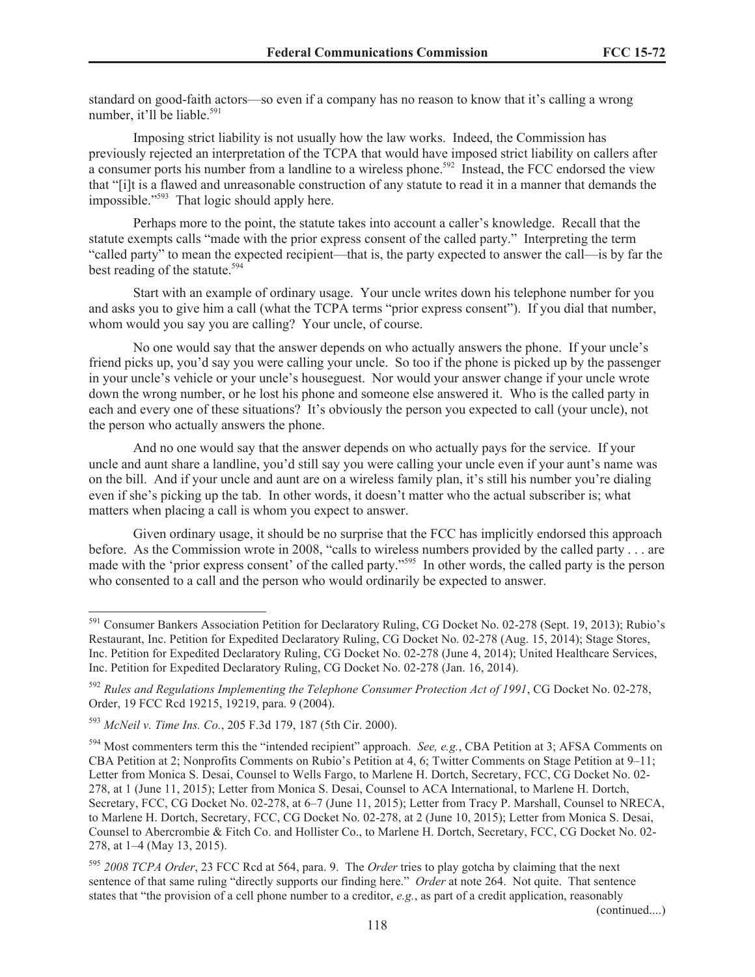standard on good-faith actors—so even if a company has no reason to know that it's calling a wrong number, it'll be liable.<sup>591</sup>

Imposing strict liability is not usually how the law works. Indeed, the Commission has previously rejected an interpretation of the TCPA that would have imposed strict liability on callers after a consumer ports his number from a landline to a wireless phone.<sup>592</sup> Instead, the FCC endorsed the view that "[i]t is a flawed and unreasonable construction of any statute to read it in a manner that demands the impossible."<sup>593</sup> That logic should apply here.

Perhaps more to the point, the statute takes into account a caller's knowledge. Recall that the statute exempts calls "made with the prior express consent of the called party." Interpreting the term "called party" to mean the expected recipient—that is, the party expected to answer the call—is by far the best reading of the statute.<sup>594</sup>

Start with an example of ordinary usage. Your uncle writes down his telephone number for you and asks you to give him a call (what the TCPA terms "prior express consent"). If you dial that number, whom would you say you are calling? Your uncle, of course.

No one would say that the answer depends on who actually answers the phone. If your uncle's friend picks up, you'd say you were calling your uncle. So too if the phone is picked up by the passenger in your uncle's vehicle or your uncle's houseguest. Nor would your answer change if your uncle wrote down the wrong number, or he lost his phone and someone else answered it. Who is the called party in each and every one of these situations? It's obviously the person you expected to call (your uncle), not the person who actually answers the phone.

And no one would say that the answer depends on who actually pays for the service. If your uncle and aunt share a landline, you'd still say you were calling your uncle even if your aunt's name was on the bill. And if your uncle and aunt are on a wireless family plan, it's still his number you're dialing even if she's picking up the tab. In other words, it doesn't matter who the actual subscriber is; what matters when placing a call is whom you expect to answer.

Given ordinary usage, it should be no surprise that the FCC has implicitly endorsed this approach before. As the Commission wrote in 2008, "calls to wireless numbers provided by the called party . . . are made with the 'prior express consent' of the called party."<sup>595</sup> In other words, the called party is the person who consented to a call and the person who would ordinarily be expected to answer.

(continued....)

<sup>591</sup> Consumer Bankers Association Petition for Declaratory Ruling, CG Docket No. 02-278 (Sept. 19, 2013); Rubio's Restaurant, Inc. Petition for Expedited Declaratory Ruling, CG Docket No. 02-278 (Aug. 15, 2014); Stage Stores, Inc. Petition for Expedited Declaratory Ruling, CG Docket No. 02-278 (June 4, 2014); United Healthcare Services, Inc. Petition for Expedited Declaratory Ruling, CG Docket No. 02-278 (Jan. 16, 2014).

<sup>592</sup> *Rules and Regulations Implementing the Telephone Consumer Protection Act of 1991*, CG Docket No. 02-278, Order, 19 FCC Rcd 19215, 19219, para. 9 (2004).

<sup>593</sup> *McNeil v. Time Ins. Co.*, 205 F.3d 179, 187 (5th Cir. 2000).

<sup>594</sup> Most commenters term this the "intended recipient" approach. *See, e.g.*, CBA Petition at 3; AFSA Comments on CBA Petition at 2; Nonprofits Comments on Rubio's Petition at 4, 6; Twitter Comments on Stage Petition at 9–11; Letter from Monica S. Desai, Counsel to Wells Fargo, to Marlene H. Dortch, Secretary, FCC, CG Docket No. 02- 278, at 1 (June 11, 2015); Letter from Monica S. Desai, Counsel to ACA International, to Marlene H. Dortch, Secretary, FCC, CG Docket No. 02-278, at 6–7 (June 11, 2015); Letter from Tracy P. Marshall, Counsel to NRECA, to Marlene H. Dortch, Secretary, FCC, CG Docket No. 02-278, at 2 (June 10, 2015); Letter from Monica S. Desai, Counsel to Abercrombie & Fitch Co. and Hollister Co., to Marlene H. Dortch, Secretary, FCC, CG Docket No. 02- 278, at 1–4 (May 13, 2015).

<sup>595</sup> *2008 TCPA Order*, 23 FCC Rcd at 564, para. 9. The *Order* tries to play gotcha by claiming that the next sentence of that same ruling "directly supports our finding here." *Order* at note 264. Not quite. That sentence states that "the provision of a cell phone number to a creditor, *e.g.*, as part of a credit application, reasonably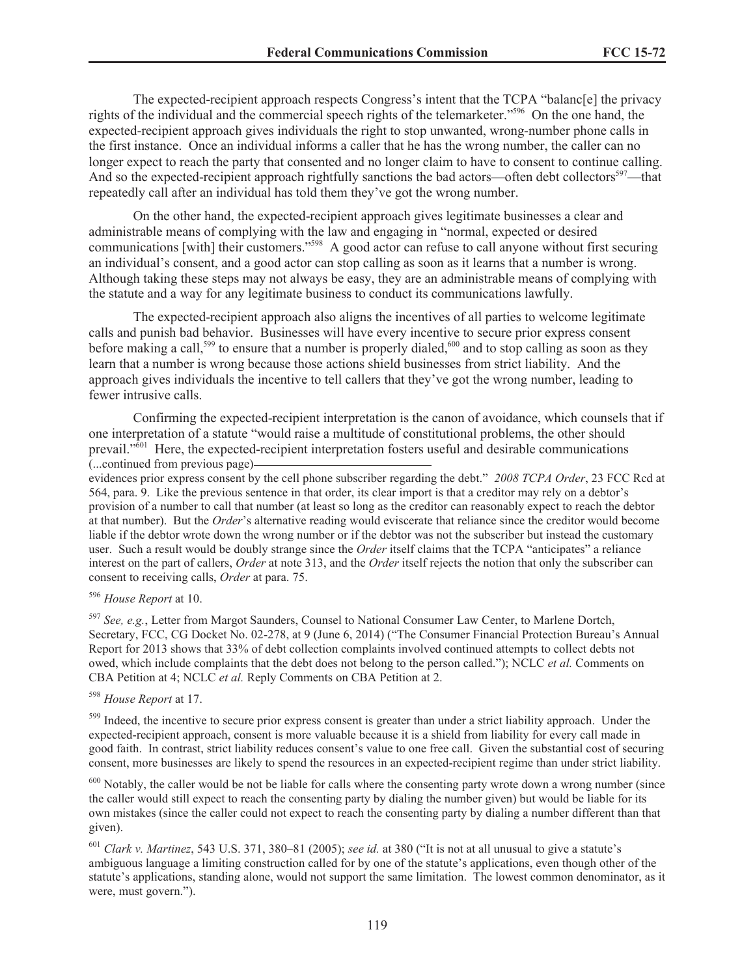The expected-recipient approach respects Congress's intent that the TCPA "balanc[e] the privacy rights of the individual and the commercial speech rights of the telemarketer."<sup>596</sup> On the one hand, the expected-recipient approach gives individuals the right to stop unwanted, wrong-number phone calls in the first instance. Once an individual informs a caller that he has the wrong number, the caller can no longer expect to reach the party that consented and no longer claim to have to consent to continue calling. And so the expected-recipient approach rightfully sanctions the bad actors—often debt collectors<sup>597</sup>—that repeatedly call after an individual has told them they've got the wrong number.

On the other hand, the expected-recipient approach gives legitimate businesses a clear and administrable means of complying with the law and engaging in "normal, expected or desired communications [with] their customers."<sup>598</sup> A good actor can refuse to call anyone without first securing an individual's consent, and a good actor can stop calling as soon as it learns that a number is wrong. Although taking these steps may not always be easy, they are an administrable means of complying with the statute and a way for any legitimate business to conduct its communications lawfully.

The expected-recipient approach also aligns the incentives of all parties to welcome legitimate calls and punish bad behavior. Businesses will have every incentive to secure prior express consent before making a call,<sup>599</sup> to ensure that a number is properly dialed,<sup>600</sup> and to stop calling as soon as they learn that a number is wrong because those actions shield businesses from strict liability. And the approach gives individuals the incentive to tell callers that they've got the wrong number, leading to fewer intrusive calls.

Confirming the expected-recipient interpretation is the canon of avoidance, which counsels that if one interpretation of a statute "would raise a multitude of constitutional problems, the other should prevail."<sup>601</sup> Here, the expected-recipient interpretation fosters useful and desirable communications (...continued from previous page)

evidences prior express consent by the cell phone subscriber regarding the debt." *2008 TCPA Order*, 23 FCC Rcd at 564, para. 9. Like the previous sentence in that order, its clear import is that a creditor may rely on a debtor's provision of a number to call that number (at least so long as the creditor can reasonably expect to reach the debtor at that number). But the *Order*'s alternative reading would eviscerate that reliance since the creditor would become liable if the debtor wrote down the wrong number or if the debtor was not the subscriber but instead the customary user. Such a result would be doubly strange since the *Order* itself claims that the TCPA "anticipates" a reliance interest on the part of callers, *Order* at note 313, and the *Order* itself rejects the notion that only the subscriber can consent to receiving calls, *Order* at para. 75.

# <sup>596</sup> *House Report* at 10.

<sup>597</sup> *See, e.g.*, Letter from Margot Saunders, Counsel to National Consumer Law Center, to Marlene Dortch, Secretary, FCC, CG Docket No. 02-278, at 9 (June 6, 2014) ("The Consumer Financial Protection Bureau's Annual Report for 2013 shows that 33% of debt collection complaints involved continued attempts to collect debts not owed, which include complaints that the debt does not belong to the person called."); NCLC *et al.* Comments on CBA Petition at 4; NCLC *et al.* Reply Comments on CBA Petition at 2.

#### <sup>598</sup> *House Report* at 17.

<sup>599</sup> Indeed, the incentive to secure prior express consent is greater than under a strict liability approach. Under the expected-recipient approach, consent is more valuable because it is a shield from liability for every call made in good faith. In contrast, strict liability reduces consent's value to one free call. Given the substantial cost of securing consent, more businesses are likely to spend the resources in an expected-recipient regime than under strict liability.

 $600$  Notably, the caller would be not be liable for calls where the consenting party wrote down a wrong number (since the caller would still expect to reach the consenting party by dialing the number given) but would be liable for its own mistakes (since the caller could not expect to reach the consenting party by dialing a number different than that given).

<sup>601</sup> *Clark v. Martinez*, 543 U.S. 371, 380–81 (2005); *see id.* at 380 ("It is not at all unusual to give a statute's ambiguous language a limiting construction called for by one of the statute's applications, even though other of the statute's applications, standing alone, would not support the same limitation. The lowest common denominator, as it were, must govern.").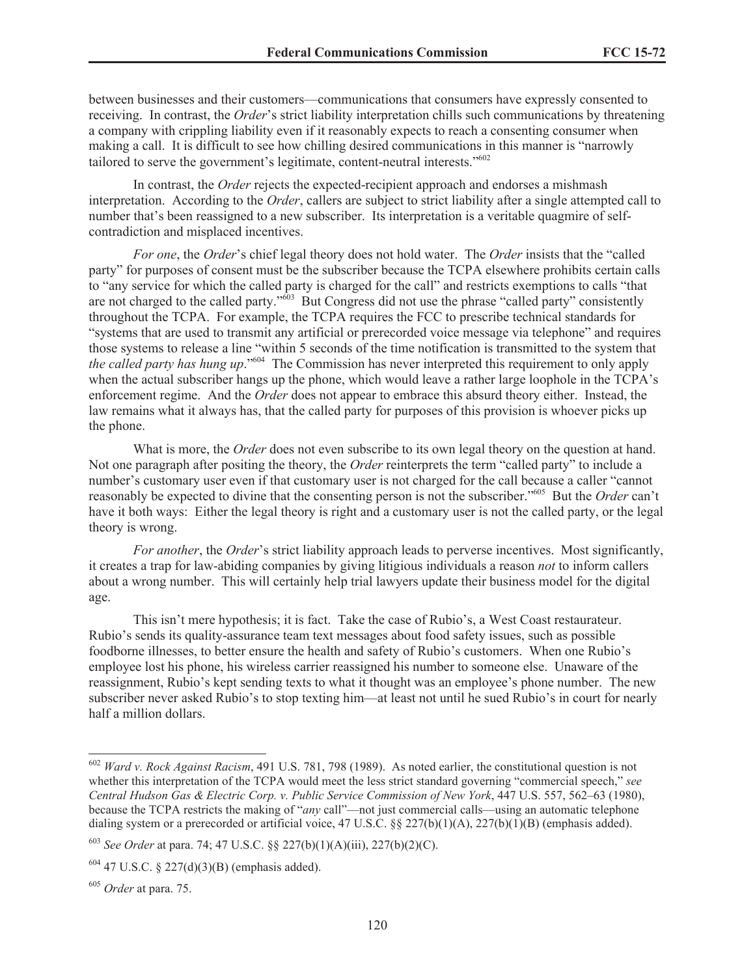between businesses and their customers—communications that consumers have expressly consented to receiving. In contrast, the *Order*'s strict liability interpretation chills such communications by threatening a company with crippling liability even if it reasonably expects to reach a consenting consumer when making a call. It is difficult to see how chilling desired communications in this manner is "narrowly tailored to serve the government's legitimate, content-neutral interests."<sup>602</sup>

In contrast, the *Order* rejects the expected-recipient approach and endorses a mishmash interpretation. According to the *Order*, callers are subject to strict liability after a single attempted call to number that's been reassigned to a new subscriber. Its interpretation is a veritable quagmire of selfcontradiction and misplaced incentives.

*For one*, the *Order*'s chief legal theory does not hold water. The *Order* insists that the "called party" for purposes of consent must be the subscriber because the TCPA elsewhere prohibits certain calls to "any service for which the called party is charged for the call" and restricts exemptions to calls "that are not charged to the called party."<sup>603</sup> But Congress did not use the phrase "called party" consistently throughout the TCPA. For example, the TCPA requires the FCC to prescribe technical standards for "systems that are used to transmit any artificial or prerecorded voice message via telephone" and requires those systems to release a line "within 5 seconds of the time notification is transmitted to the system that *the called party has hung up*."<sup>604</sup> The Commission has never interpreted this requirement to only apply when the actual subscriber hangs up the phone, which would leave a rather large loophole in the TCPA's enforcement regime. And the *Order* does not appear to embrace this absurd theory either. Instead, the law remains what it always has, that the called party for purposes of this provision is whoever picks up the phone.

What is more, the *Order* does not even subscribe to its own legal theory on the question at hand. Not one paragraph after positing the theory, the *Order* reinterprets the term "called party" to include a number's customary user even if that customary user is not charged for the call because a caller "cannot reasonably be expected to divine that the consenting person is not the subscriber."<sup>605</sup> But the *Order* can't have it both ways: Either the legal theory is right and a customary user is not the called party, or the legal theory is wrong.

*For another*, the *Order*'s strict liability approach leads to perverse incentives. Most significantly, it creates a trap for law-abiding companies by giving litigious individuals a reason *not* to inform callers about a wrong number. This will certainly help trial lawyers update their business model for the digital age.

This isn't mere hypothesis; it is fact. Take the case of Rubio's, a West Coast restaurateur. Rubio's sends its quality-assurance team text messages about food safety issues, such as possible foodborne illnesses, to better ensure the health and safety of Rubio's customers. When one Rubio's employee lost his phone, his wireless carrier reassigned his number to someone else. Unaware of the reassignment, Rubio's kept sending texts to what it thought was an employee's phone number. The new subscriber never asked Rubio's to stop texting him—at least not until he sued Rubio's in court for nearly half a million dollars.

<sup>602</sup> *Ward v. Rock Against Racism*, 491 U.S. 781, 798 (1989). As noted earlier, the constitutional question is not whether this interpretation of the TCPA would meet the less strict standard governing "commercial speech," see *Central Hudson Gas & Electric Corp. v. Public Service Commission of New York*, 447 U.S. 557, 562–63 (1980), because the TCPA restricts the making of "*any* call"—not just commercial calls—using an automatic telephone dialing system or a prerecorded or artificial voice, 47 U.S.C. §§ 227(b)(1)(A), 227(b)(1)(B) (emphasis added).

<sup>603</sup> *See Order* at para. 74; 47 U.S.C. §§ 227(b)(1)(A)(iii), 227(b)(2)(C).

 $604$  47 U.S.C. § 227(d)(3)(B) (emphasis added).

<sup>605</sup> *Order* at para. 75.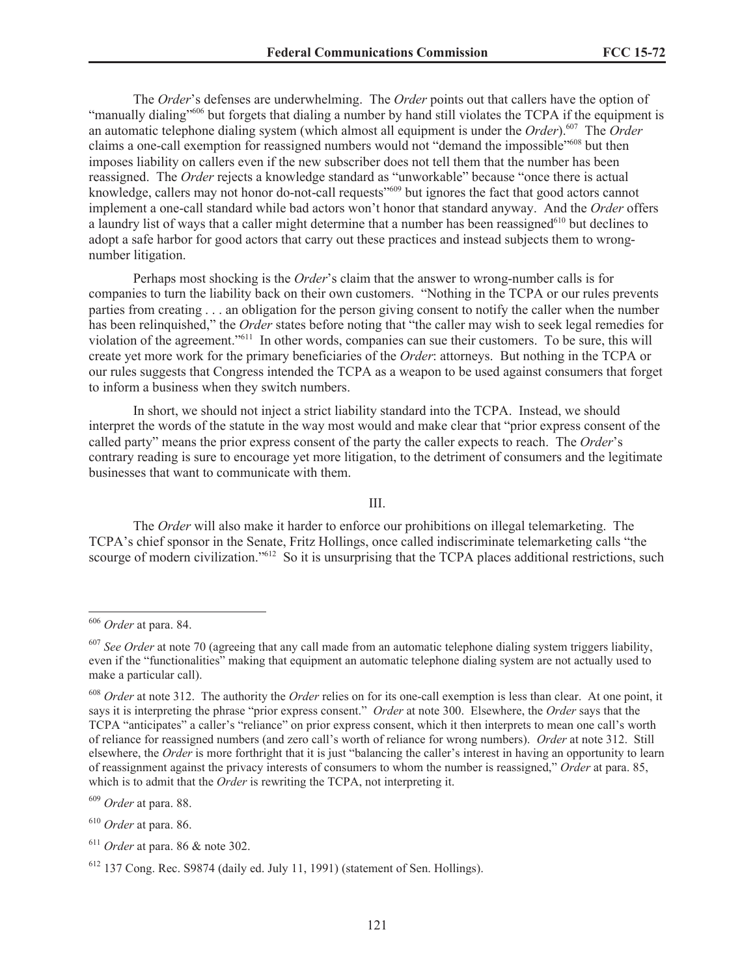The *Order*'s defenses are underwhelming. The *Order* points out that callers have the option of "manually dialing"<sup>606</sup> but forgets that dialing a number by hand still violates the TCPA if the equipment is an automatic telephone dialing system (which almost all equipment is under the *Order*).<sup>607</sup> The *Order* claims a one-call exemption for reassigned numbers would not "demand the impossible"<sup>608</sup> but then imposes liability on callers even if the new subscriber does not tell them that the number has been reassigned. The *Order* rejects a knowledge standard as "unworkable" because "once there is actual knowledge, callers may not honor do-not-call requests"<sup>609</sup> but ignores the fact that good actors cannot implement a one-call standard while bad actors won't honor that standard anyway. And the *Order* offers a laundry list of ways that a caller might determine that a number has been reassigned<sup>610</sup> but declines to adopt a safe harbor for good actors that carry out these practices and instead subjects them to wrongnumber litigation.

Perhaps most shocking is the *Order*'s claim that the answer to wrong-number calls is for companies to turn the liability back on their own customers. "Nothing in the TCPA or our rules prevents parties from creating . . . an obligation for the person giving consent to notify the caller when the number has been relinquished," the *Order* states before noting that "the caller may wish to seek legal remedies for violation of the agreement."<sup>611</sup> In other words, companies can sue their customers. To be sure, this will create yet more work for the primary beneficiaries of the *Order*: attorneys. But nothing in the TCPA or our rules suggests that Congress intended the TCPA as a weapon to be used against consumers that forget to inform a business when they switch numbers.

In short, we should not inject a strict liability standard into the TCPA. Instead, we should interpret the words of the statute in the way most would and make clear that "prior express consent of the called party" means the prior express consent of the party the caller expects to reach. The *Order*'s contrary reading is sure to encourage yet more litigation, to the detriment of consumers and the legitimate businesses that want to communicate with them.

III.

The *Order* will also make it harder to enforce our prohibitions on illegal telemarketing. The TCPA's chief sponsor in the Senate, Fritz Hollings, once called indiscriminate telemarketing calls "the scourge of modern civilization."<sup>612</sup> So it is unsurprising that the TCPA places additional restrictions, such

<sup>606</sup> *Order* at para. 84.

<sup>607</sup> *See Order* at note 70 (agreeing that any call made from an automatic telephone dialing system triggers liability, even if the "functionalities" making that equipment an automatic telephone dialing system are not actually used to make a particular call).

<sup>608</sup> *Order* at note 312. The authority the *Order* relies on for its one-call exemption is less than clear. At one point, it says it is interpreting the phrase "prior express consent." *Order* at note 300. Elsewhere, the *Order* says that the TCPA "anticipates" a caller's "reliance" on prior express consent, which it then interprets to mean one call's worth of reliance for reassigned numbers (and zero call's worth of reliance for wrong numbers). *Order* at note 312. Still elsewhere, the *Order* is more forthright that it is just "balancing the caller's interest in having an opportunity to learn of reassignment against the privacy interests of consumers to whom the number is reassigned," *Order* at para. 85, which is to admit that the *Order* is rewriting the TCPA, not interpreting it.

<sup>609</sup> *Order* at para. 88.

<sup>610</sup> *Order* at para. 86.

<sup>611</sup> *Order* at para. 86 & note 302.

<sup>612</sup> 137 Cong. Rec. S9874 (daily ed. July 11, 1991) (statement of Sen. Hollings).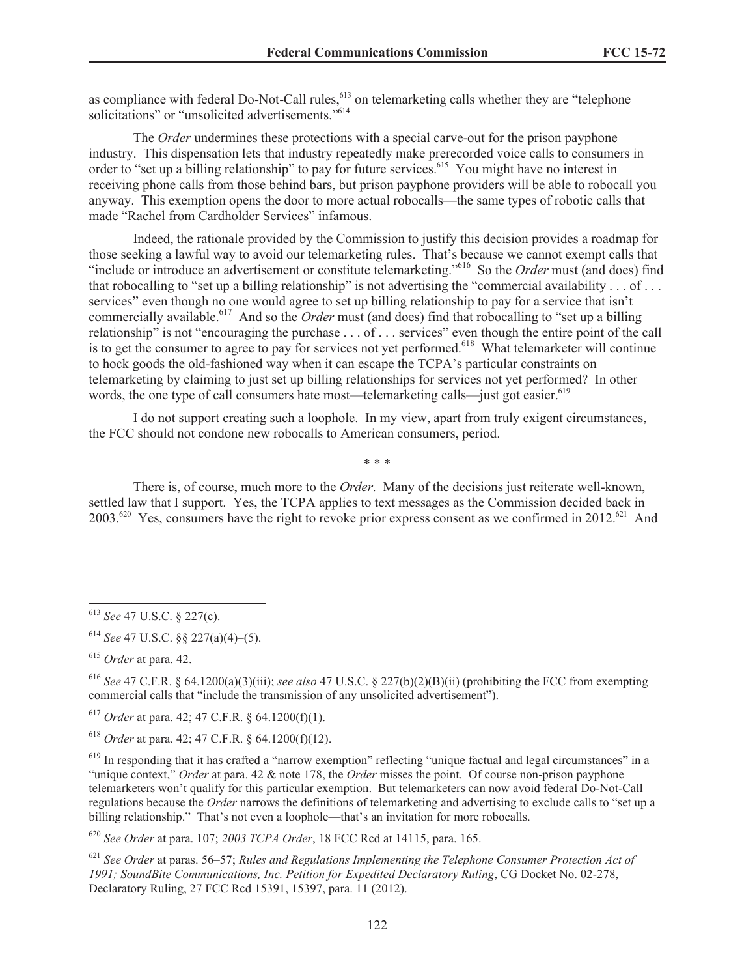as compliance with federal Do-Not-Call rules,<sup>613</sup> on telemarketing calls whether they are "telephone" solicitations" or "unsolicited advertisements."<sup>614</sup>

The *Order* undermines these protections with a special carve-out for the prison payphone industry. This dispensation lets that industry repeatedly make prerecorded voice calls to consumers in order to "set up a billing relationship" to pay for future services.<sup>615</sup> You might have no interest in receiving phone calls from those behind bars, but prison payphone providers will be able to robocall you anyway. This exemption opens the door to more actual robocalls—the same types of robotic calls that made "Rachel from Cardholder Services" infamous.

Indeed, the rationale provided by the Commission to justify this decision provides a roadmap for those seeking a lawful way to avoid our telemarketing rules. That's because we cannot exempt calls that "include or introduce an advertisement or constitute telemarketing."<sup>616</sup> So the *Order* must (and does) find that robocalling to "set up a billing relationship" is not advertising the "commercial availability . . . of . . . services" even though no one would agree to set up billing relationship to pay for a service that isn't commercially available.<sup>617</sup> And so the *Order* must (and does) find that robocalling to "set up a billing relationship" is not "encouraging the purchase . . . of . . . services" even though the entire point of the call is to get the consumer to agree to pay for services not yet performed.<sup>618</sup> What telemarketer will continue to hock goods the old-fashioned way when it can escape the TCPA's particular constraints on telemarketing by claiming to just set up billing relationships for services not yet performed? In other words, the one type of call consumers hate most—telemarketing calls—just got easier.<sup>619</sup>

I do not support creating such a loophole. In my view, apart from truly exigent circumstances, the FCC should not condone new robocalls to American consumers, period.

\* \* \*

There is, of course, much more to the *Order*. Many of the decisions just reiterate well-known, settled law that I support. Yes, the TCPA applies to text messages as the Commission decided back in 2003.<sup>620</sup> Yes, consumers have the right to revoke prior express consent as we confirmed in 2012.<sup>621</sup> And

<sup>620</sup> *See Order* at para. 107; *2003 TCPA Order*, 18 FCC Rcd at 14115, para. 165.

<sup>621</sup> *See Order* at paras. 56–57; *Rules and Regulations Implementing the Telephone Consumer Protection Act of 1991; SoundBite Communications, Inc. Petition for Expedited Declaratory Ruling*, CG Docket No. 02-278, Declaratory Ruling, 27 FCC Rcd 15391, 15397, para. 11 (2012).

<sup>613</sup> *See* 47 U.S.C. § 227(c).

<sup>614</sup> *See* 47 U.S.C. §§ 227(a)(4)–(5).

<sup>615</sup> *Order* at para. 42.

<sup>616</sup> *See* 47 C.F.R. § 64.1200(a)(3)(iii); *see also* 47 U.S.C. § 227(b)(2)(B)(ii) (prohibiting the FCC from exempting commercial calls that "include the transmission of any unsolicited advertisement").

<sup>617</sup> *Order* at para. 42; 47 C.F.R. § 64.1200(f)(1).

<sup>618</sup> *Order* at para. 42; 47 C.F.R. § 64.1200(f)(12).

<sup>&</sup>lt;sup>619</sup> In responding that it has crafted a "narrow exemption" reflecting "unique factual and legal circumstances" in a "unique context," *Order* at para. 42 & note 178, the *Order* misses the point. Of course non-prison payphone telemarketers won't qualify for this particular exemption. But telemarketers can now avoid federal Do-Not-Call regulations because the *Order* narrows the definitions of telemarketing and advertising to exclude calls to "set up a billing relationship." That's not even a loophole—that's an invitation for more robocalls.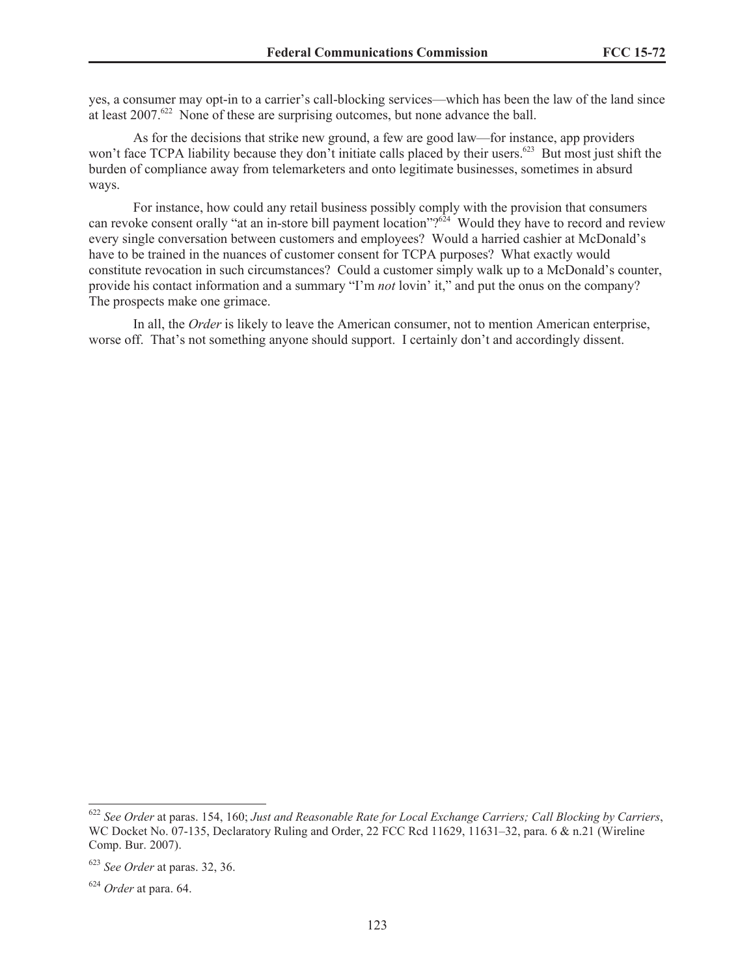yes, a consumer may opt-in to a carrier's call-blocking services—which has been the law of the land since at least  $2007.^{622}$  None of these are surprising outcomes, but none advance the ball.

As for the decisions that strike new ground, a few are good law—for instance, app providers won't face TCPA liability because they don't initiate calls placed by their users.<sup>623</sup> But most just shift the burden of compliance away from telemarketers and onto legitimate businesses, sometimes in absurd ways.

For instance, how could any retail business possibly comply with the provision that consumers can revoke consent orally "at an in-store bill payment location"?<sup>624</sup> Would they have to record and review every single conversation between customers and employees? Would a harried cashier at McDonald's have to be trained in the nuances of customer consent for TCPA purposes? What exactly would constitute revocation in such circumstances? Could a customer simply walk up to a McDonald's counter, provide his contact information and a summary "I'm *not* lovin' it," and put the onus on the company? The prospects make one grimace.

In all, the *Order* is likely to leave the American consumer, not to mention American enterprise, worse off. That's not something anyone should support. I certainly don't and accordingly dissent.

<sup>622</sup> *See Order* at paras. 154, 160; *Just and Reasonable Rate for Local Exchange Carriers; Call Blocking by Carriers*, WC Docket No. 07-135, Declaratory Ruling and Order, 22 FCC Rcd 11629, 11631–32, para. 6 & n.21 (Wireline Comp. Bur. 2007).

<sup>623</sup> *See Order* at paras. 32, 36.

<sup>624</sup> *Order* at para. 64.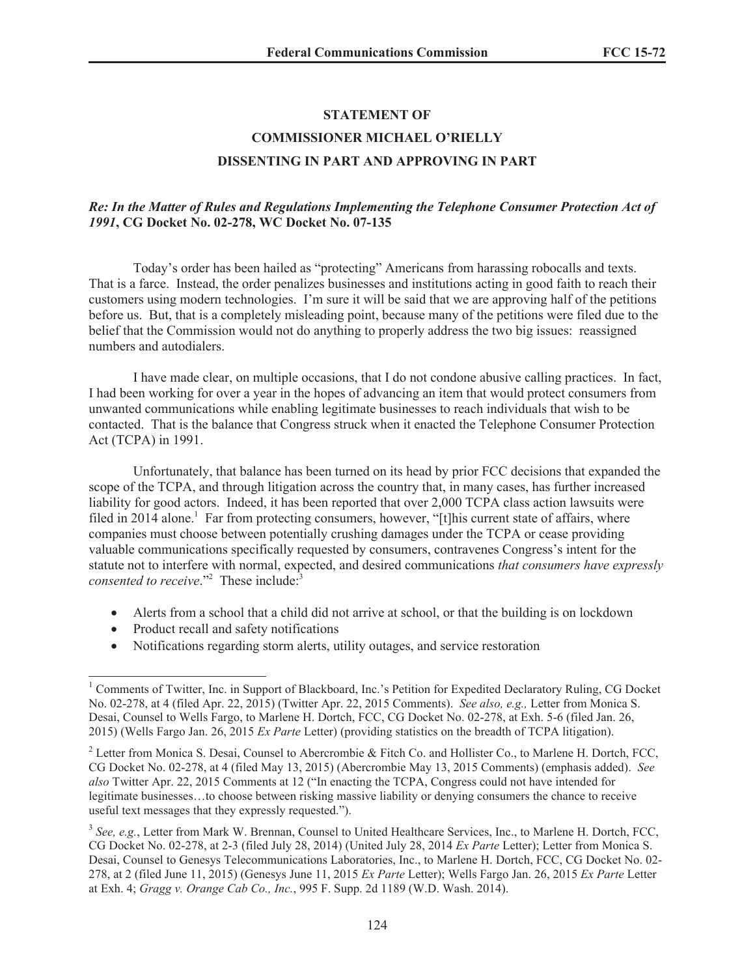# **STATEMENT OF**

# **COMMISSIONER MICHAEL O'RIELLY DISSENTING IN PART AND APPROVING IN PART**

# *Re: In the Matter of Rules and Regulations Implementing the Telephone Consumer Protection Act of 1991***, CG Docket No. 02-278, WC Docket No. 07-135**

Today's order has been hailed as "protecting" Americans from harassing robocalls and texts. That is a farce. Instead, the order penalizes businesses and institutions acting in good faith to reach their customers using modern technologies. I'm sure it will be said that we are approving half of the petitions before us. But, that is a completely misleading point, because many of the petitions were filed due to the belief that the Commission would not do anything to properly address the two big issues: reassigned numbers and autodialers.

I have made clear, on multiple occasions, that I do not condone abusive calling practices. In fact, I had been working for over a year in the hopes of advancing an item that would protect consumers from unwanted communications while enabling legitimate businesses to reach individuals that wish to be contacted. That is the balance that Congress struck when it enacted the Telephone Consumer Protection Act (TCPA) in 1991.

Unfortunately, that balance has been turned on its head by prior FCC decisions that expanded the scope of the TCPA, and through litigation across the country that, in many cases, has further increased liability for good actors. Indeed, it has been reported that over 2,000 TCPA class action lawsuits were filed in 2014 alone.<sup>1</sup> Far from protecting consumers, however, "[t]his current state of affairs, where companies must choose between potentially crushing damages under the TCPA or cease providing valuable communications specifically requested by consumers, contravenes Congress's intent for the statute not to interfere with normal, expected, and desired communications *that consumers have expressly consented to receive*."<sup>2</sup> These include:<sup>3</sup>

- Alerts from a school that a child did not arrive at school, or that the building is on lockdown
- Product recall and safety notifications
- · Notifications regarding storm alerts, utility outages, and service restoration

<sup>&</sup>lt;sup>1</sup> Comments of Twitter, Inc. in Support of Blackboard, Inc.'s Petition for Expedited Declaratory Ruling, CG Docket No. 02-278, at 4 (filed Apr. 22, 2015) (Twitter Apr. 22, 2015 Comments). *See also, e.g.,* Letter from Monica S. Desai, Counsel to Wells Fargo, to Marlene H. Dortch, FCC, CG Docket No. 02-278, at Exh. 5-6 (filed Jan. 26, 2015) (Wells Fargo Jan. 26, 2015 *Ex Parte* Letter) (providing statistics on the breadth of TCPA litigation).

<sup>&</sup>lt;sup>2</sup> Letter from Monica S. Desai, Counsel to Abercrombie & Fitch Co. and Hollister Co., to Marlene H. Dortch, FCC, CG Docket No. 02-278, at 4 (filed May 13, 2015) (Abercrombie May 13, 2015 Comments) (emphasis added). *See also* Twitter Apr. 22, 2015 Comments at 12 ("In enacting the TCPA, Congress could not have intended for legitimate businesses…to choose between risking massive liability or denying consumers the chance to receive useful text messages that they expressly requested.").

<sup>&</sup>lt;sup>3</sup> See, e.g., Letter from Mark W. Brennan, Counsel to United Healthcare Services, Inc., to Marlene H. Dortch, FCC, CG Docket No. 02-278, at 2-3 (filed July 28, 2014) (United July 28, 2014 *Ex Parte* Letter); Letter from Monica S. Desai, Counsel to Genesys Telecommunications Laboratories, Inc., to Marlene H. Dortch, FCC, CG Docket No. 02- 278, at 2 (filed June 11, 2015) (Genesys June 11, 2015 *Ex Parte* Letter); Wells Fargo Jan. 26, 2015 *Ex Parte* Letter at Exh. 4; *Gragg v. Orange Cab Co., Inc.*, 995 F. Supp. 2d 1189 (W.D. Wash. 2014).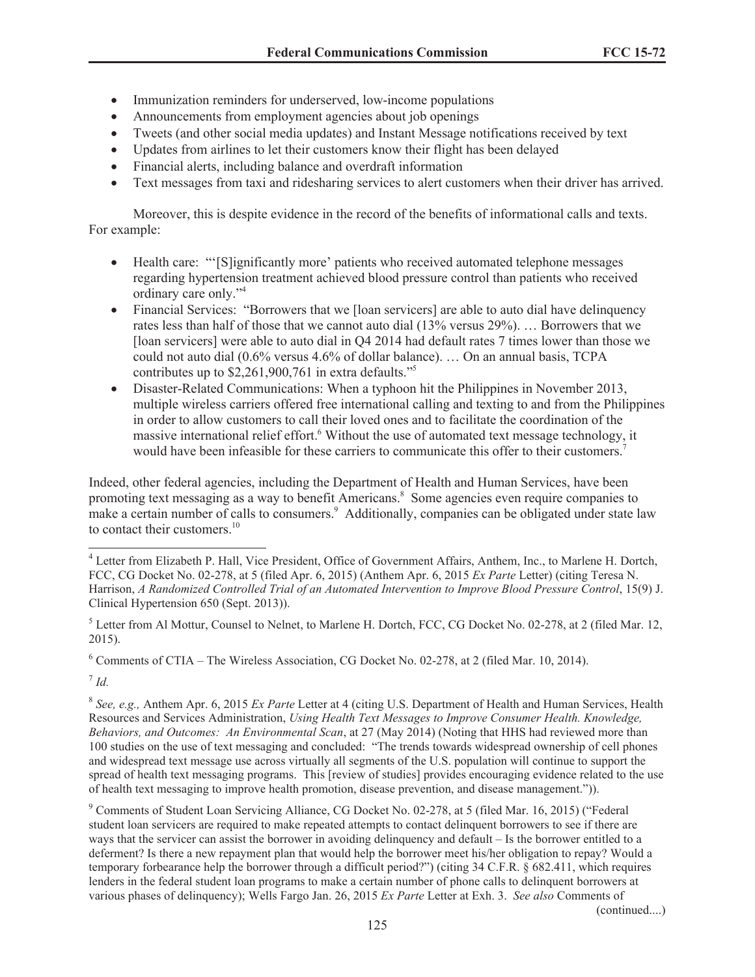- Immunization reminders for underserved, low-income populations
- Announcements from employment agencies about job openings
- · Tweets (and other social media updates) and Instant Message notifications received by text
- · Updates from airlines to let their customers know their flight has been delayed
- Financial alerts, including balance and overdraft information
- · Text messages from taxi and ridesharing services to alert customers when their driver has arrived.

Moreover, this is despite evidence in the record of the benefits of informational calls and texts. For example:

- Health care: "'[S]ignificantly more' patients who received automated telephone messages regarding hypertension treatment achieved blood pressure control than patients who received ordinary care only."<sup>4</sup>
- Financial Services: "Borrowers that we [loan servicers] are able to auto dial have delinquency rates less than half of those that we cannot auto dial (13% versus 29%). … Borrowers that we [loan servicers] were able to auto dial in Q4 2014 had default rates 7 times lower than those we could not auto dial (0.6% versus 4.6% of dollar balance). … On an annual basis, TCPA contributes up to \$2,261,900,761 in extra defaults."<sup>5</sup>
- Disaster-Related Communications: When a typhoon hit the Philippines in November 2013, multiple wireless carriers offered free international calling and texting to and from the Philippines in order to allow customers to call their loved ones and to facilitate the coordination of the massive international relief effort.<sup>6</sup> Without the use of automated text message technology, it would have been infeasible for these carriers to communicate this offer to their customers.<sup>7</sup>

Indeed, other federal agencies, including the Department of Health and Human Services, have been promoting text messaging as a way to benefit Americans.<sup>8</sup> Some agencies even require companies to make a certain number of calls to consumers.<sup>9</sup> Additionally, companies can be obligated under state law to contact their customers $10$ 

<sup>6</sup> Comments of CTIA – The Wireless Association, CG Docket No. 02-278, at 2 (filed Mar. 10, 2014).

7 *Id.*

8 *See, e.g.,* Anthem Apr. 6, 2015 *Ex Parte* Letter at 4 (citing U.S. Department of Health and Human Services, Health Resources and Services Administration, *Using Health Text Messages to Improve Consumer Health. Knowledge, Behaviors, and Outcomes: An Environmental Scan*, at 27 (May 2014) (Noting that HHS had reviewed more than 100 studies on the use of text messaging and concluded: "The trends towards widespread ownership of cell phones and widespread text message use across virtually all segments of the U.S. population will continue to support the spread of health text messaging programs. This [review of studies] provides encouraging evidence related to the use of health text messaging to improve health promotion, disease prevention, and disease management.")).

<sup>9</sup> Comments of Student Loan Servicing Alliance, CG Docket No. 02-278, at 5 (filed Mar. 16, 2015) ("Federal student loan servicers are required to make repeated attempts to contact delinquent borrowers to see if there are ways that the servicer can assist the borrower in avoiding delinquency and default – Is the borrower entitled to a deferment? Is there a new repayment plan that would help the borrower meet his/her obligation to repay? Would a temporary forbearance help the borrower through a difficult period?") (citing 34 C.F.R. § 682.411, which requires lenders in the federal student loan programs to make a certain number of phone calls to delinquent borrowers at various phases of delinquency); Wells Fargo Jan. 26, 2015 *Ex Parte* Letter at Exh. 3. *See also* Comments of

(continued....)

<sup>&</sup>lt;sup>4</sup> Letter from Elizabeth P. Hall, Vice President, Office of Government Affairs, Anthem, Inc., to Marlene H. Dortch, FCC, CG Docket No. 02-278, at 5 (filed Apr. 6, 2015) (Anthem Apr. 6, 2015 *Ex Parte* Letter) (citing Teresa N. Harrison, *A Randomized Controlled Trial of an Automated Intervention to Improve Blood Pressure Control*, 15(9) J. Clinical Hypertension 650 (Sept. 2013)).

<sup>&</sup>lt;sup>5</sup> Letter from Al Mottur, Counsel to Nelnet, to Marlene H. Dortch, FCC, CG Docket No. 02-278, at 2 (filed Mar. 12, 2015).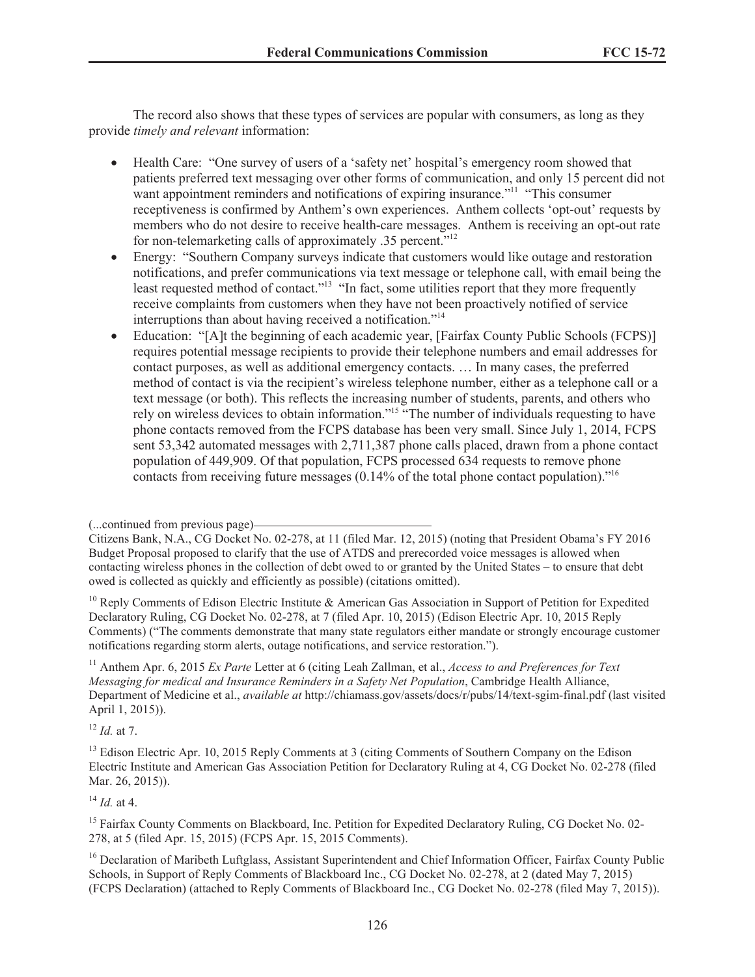The record also shows that these types of services are popular with consumers, as long as they provide *timely and relevant* information:

- · Health Care: "One survey of users of a 'safety net' hospital's emergency room showed that patients preferred text messaging over other forms of communication, and only 15 percent did not want appointment reminders and notifications of expiring insurance."<sup>11</sup> "This consumer receptiveness is confirmed by Anthem's own experiences. Anthem collects 'opt-out' requests by members who do not desire to receive health-care messages. Anthem is receiving an opt-out rate for non-telemarketing calls of approximately .35 percent."<sup>12</sup>
- Energy: "Southern Company surveys indicate that customers would like outage and restoration notifications, and prefer communications via text message or telephone call, with email being the least requested method of contact."<sup>13</sup> "In fact, some utilities report that they more frequently receive complaints from customers when they have not been proactively notified of service interruptions than about having received a notification."<sup>14</sup>
- Education: "[A]t the beginning of each academic year, [Fairfax County Public Schools (FCPS)] requires potential message recipients to provide their telephone numbers and email addresses for contact purposes, as well as additional emergency contacts. … In many cases, the preferred method of contact is via the recipient's wireless telephone number, either as a telephone call or a text message (or both). This reflects the increasing number of students, parents, and others who rely on wireless devices to obtain information."<sup>15</sup> "The number of individuals requesting to have phone contacts removed from the FCPS database has been very small. Since July 1, 2014, FCPS sent 53,342 automated messages with 2,711,387 phone calls placed, drawn from a phone contact population of 449,909. Of that population, FCPS processed 634 requests to remove phone contacts from receiving future messages  $(0.14\%$  of the total phone contact population).<sup>"16</sup>

<sup>10</sup> Reply Comments of Edison Electric Institute & American Gas Association in Support of Petition for Expedited Declaratory Ruling, CG Docket No. 02-278, at 7 (filed Apr. 10, 2015) (Edison Electric Apr. 10, 2015 Reply Comments) ("The comments demonstrate that many state regulators either mandate or strongly encourage customer notifications regarding storm alerts, outage notifications, and service restoration.").

<sup>11</sup> Anthem Apr. 6, 2015 *Ex Parte* Letter at 6 (citing Leah Zallman, et al., *Access to and Preferences for Text Messaging for medical and Insurance Reminders in a Safety Net Population*, Cambridge Health Alliance, Department of Medicine et al., *available at* http://chiamass.gov/assets/docs/r/pubs/14/text-sgim-final.pdf (last visited April 1, 2015)).

<sup>12</sup> *Id.* at 7.

 $^{14}$  *Id.* at 4.

<sup>(...</sup>continued from previous page)

Citizens Bank, N.A., CG Docket No. 02-278, at 11 (filed Mar. 12, 2015) (noting that President Obama's FY 2016 Budget Proposal proposed to clarify that the use of ATDS and prerecorded voice messages is allowed when contacting wireless phones in the collection of debt owed to or granted by the United States – to ensure that debt owed is collected as quickly and efficiently as possible) (citations omitted).

<sup>&</sup>lt;sup>13</sup> Edison Electric Apr. 10, 2015 Reply Comments at 3 (citing Comments of Southern Company on the Edison Electric Institute and American Gas Association Petition for Declaratory Ruling at 4, CG Docket No. 02-278 (filed Mar. 26, 2015)).

<sup>&</sup>lt;sup>15</sup> Fairfax County Comments on Blackboard, Inc. Petition for Expedited Declaratory Ruling, CG Docket No. 02-278, at 5 (filed Apr. 15, 2015) (FCPS Apr. 15, 2015 Comments).

<sup>&</sup>lt;sup>16</sup> Declaration of Maribeth Luftglass, Assistant Superintendent and Chief Information Officer, Fairfax County Public Schools, in Support of Reply Comments of Blackboard Inc., CG Docket No. 02-278, at 2 (dated May 7, 2015) (FCPS Declaration) (attached to Reply Comments of Blackboard Inc., CG Docket No. 02-278 (filed May 7, 2015)).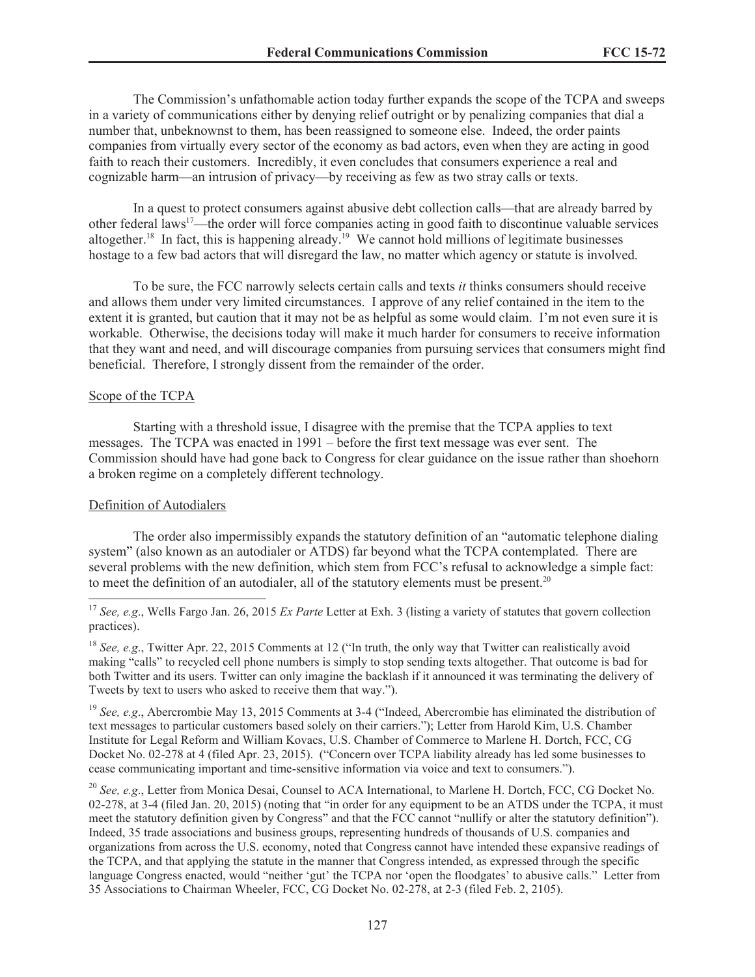The Commission's unfathomable action today further expands the scope of the TCPA and sweeps in a variety of communications either by denying relief outright or by penalizing companies that dial a number that, unbeknownst to them, has been reassigned to someone else. Indeed, the order paints companies from virtually every sector of the economy as bad actors, even when they are acting in good faith to reach their customers. Incredibly, it even concludes that consumers experience a real and cognizable harm—an intrusion of privacy—by receiving as few as two stray calls or texts.

In a quest to protect consumers against abusive debt collection calls—that are already barred by other federal laws<sup>17</sup>—the order will force companies acting in good faith to discontinue valuable services altogether.<sup>18</sup> In fact, this is happening already.<sup>19</sup> We cannot hold millions of legitimate businesses hostage to a few bad actors that will disregard the law, no matter which agency or statute is involved.

To be sure, the FCC narrowly selects certain calls and texts *it* thinks consumers should receive and allows them under very limited circumstances. I approve of any relief contained in the item to the extent it is granted, but caution that it may not be as helpful as some would claim. I'm not even sure it is workable. Otherwise, the decisions today will make it much harder for consumers to receive information that they want and need, and will discourage companies from pursuing services that consumers might find beneficial. Therefore, I strongly dissent from the remainder of the order.

# Scope of the TCPA

Starting with a threshold issue, I disagree with the premise that the TCPA applies to text messages. The TCPA was enacted in 1991 – before the first text message was ever sent. The Commission should have had gone back to Congress for clear guidance on the issue rather than shoehorn a broken regime on a completely different technology.

# Definition of Autodialers

The order also impermissibly expands the statutory definition of an "automatic telephone dialing system" (also known as an autodialer or ATDS) far beyond what the TCPA contemplated. There are several problems with the new definition, which stem from FCC's refusal to acknowledge a simple fact: to meet the definition of an autodialer, all of the statutory elements must be present.<sup>20</sup>

<sup>18</sup> *See, e.g.*, Twitter Apr. 22, 2015 Comments at 12 ("In truth, the only way that Twitter can realistically avoid making "calls" to recycled cell phone numbers is simply to stop sending texts altogether. That outcome is bad for both Twitter and its users. Twitter can only imagine the backlash if it announced it was terminating the delivery of Tweets by text to users who asked to receive them that way.").

<sup>19</sup> *See, e.g.*, Abercrombie May 13, 2015 Comments at 3-4 ("Indeed, Abercrombie has eliminated the distribution of text messages to particular customers based solely on their carriers."); Letter from Harold Kim, U.S. Chamber Institute for Legal Reform and William Kovacs, U.S. Chamber of Commerce to Marlene H. Dortch, FCC, CG Docket No. 02-278 at 4 (filed Apr. 23, 2015). ("Concern over TCPA liability already has led some businesses to cease communicating important and time-sensitive information via voice and text to consumers.").

<sup>20</sup> *See, e.g.*, Letter from Monica Desai, Counsel to ACA International, to Marlene H. Dortch, FCC, CG Docket No. 02-278, at 3-4 (filed Jan. 20, 2015) (noting that "in order for any equipment to be an ATDS under the TCPA, it must meet the statutory definition given by Congress" and that the FCC cannot "nullify or alter the statutory definition"). Indeed, 35 trade associations and business groups, representing hundreds of thousands of U.S. companies and organizations from across the U.S. economy, noted that Congress cannot have intended these expansive readings of the TCPA, and that applying the statute in the manner that Congress intended, as expressed through the specific language Congress enacted, would "neither 'gut' the TCPA nor 'open the floodgates' to abusive calls." Letter from 35 Associations to Chairman Wheeler, FCC, CG Docket No. 02-278, at 2-3 (filed Feb. 2, 2105).

<sup>&</sup>lt;sup>17</sup> *See, e.g.*, Wells Fargo Jan. 26, 2015 *Ex Parte* Letter at Exh. 3 (listing a variety of statutes that govern collection practices).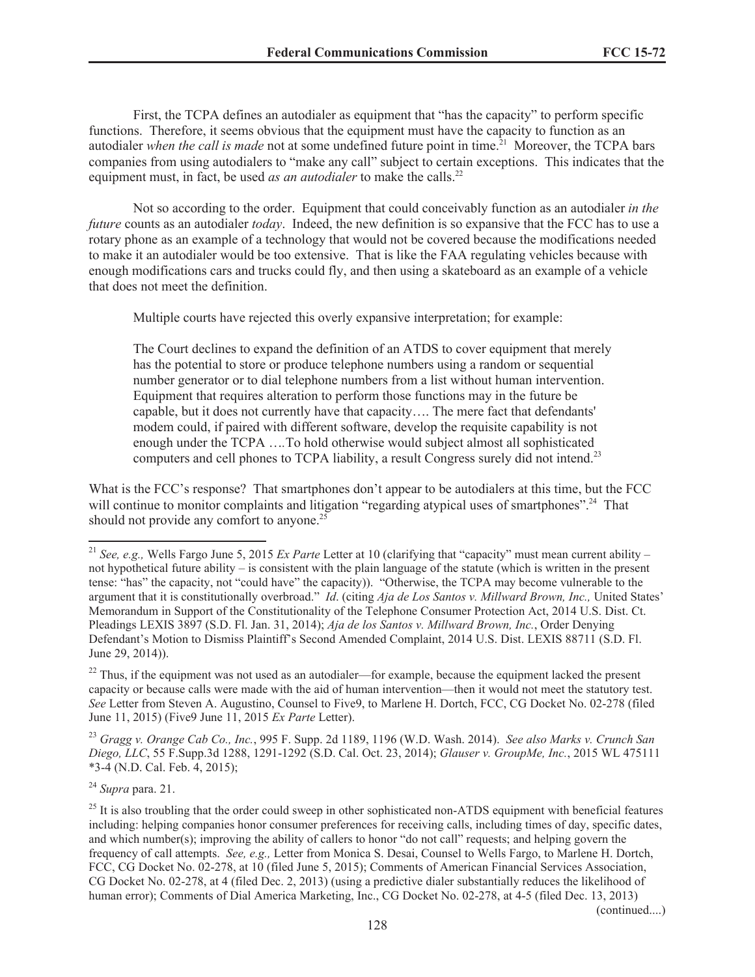First, the TCPA defines an autodialer as equipment that "has the capacity" to perform specific functions. Therefore, it seems obvious that the equipment must have the capacity to function as an autodialer *when the call is made* not at some undefined future point in time.<sup>21</sup> Moreover, the TCPA bars companies from using autodialers to "make any call" subject to certain exceptions. This indicates that the equipment must, in fact, be used *as an autodialer* to make the calls.<sup>22</sup>

Not so according to the order. Equipment that could conceivably function as an autodialer *in the future* counts as an autodialer *today*. Indeed, the new definition is so expansive that the FCC has to use a rotary phone as an example of a technology that would not be covered because the modifications needed to make it an autodialer would be too extensive. That is like the FAA regulating vehicles because with enough modifications cars and trucks could fly, and then using a skateboard as an example of a vehicle that does not meet the definition.

Multiple courts have rejected this overly expansive interpretation; for example:

The Court declines to expand the definition of an ATDS to cover equipment that merely has the potential to store or produce telephone numbers using a random or sequential number generator or to dial telephone numbers from a list without human intervention. Equipment that requires alteration to perform those functions may in the future be capable, but it does not currently have that capacity…. The mere fact that defendants' modem could, if paired with different software, develop the requisite capability is not enough under the TCPA …*.*To hold otherwise would subject almost all sophisticated computers and cell phones to TCPA liability, a result Congress surely did not intend.<sup>23</sup>

What is the FCC's response? That smartphones don't appear to be autodialers at this time, but the FCC will continue to monitor complaints and litigation "regarding atypical uses of smartphones".<sup>24</sup> That should not provide any comfort to anyone.<sup>25</sup>

 $22$  Thus, if the equipment was not used as an autodialer—for example, because the equipment lacked the present capacity or because calls were made with the aid of human intervention—then it would not meet the statutory test. *See* Letter from Steven A. Augustino, Counsel to Five9, to Marlene H. Dortch, FCC, CG Docket No. 02-278 (filed June 11, 2015) (Five9 June 11, 2015 *Ex Parte* Letter).

<sup>23</sup> *Gragg v. Orange Cab Co., Inc.*, 995 F. Supp. 2d 1189, 1196 (W.D. Wash. 2014). *See also Marks v. Crunch San Diego, LLC*, 55 F.Supp.3d 1288, 1291-1292 (S.D. Cal. Oct. 23, 2014); *Glauser v. GroupMe, Inc.*, 2015 WL 475111 \*3-4 (N.D. Cal. Feb. 4, 2015);

<sup>24</sup> *Supra* para. 21.

(continued....)

<sup>21</sup> *See, e.g.,* Wells Fargo June 5, 2015 *Ex Parte* Letter at 10 (clarifying that "capacity" must mean current ability – not hypothetical future ability – is consistent with the plain language of the statute (which is written in the present tense: "has" the capacity, not "could have" the capacity)). "Otherwise, the TCPA may become vulnerable to the argument that it is constitutionally overbroad." *Id*. (citing *Aja de Los Santos v. Millward Brown, Inc.,* United States' Memorandum in Support of the Constitutionality of the Telephone Consumer Protection Act, 2014 U.S. Dist. Ct. Pleadings LEXIS 3897 (S.D. Fl. Jan. 31, 2014); *Aja de los Santos v. Millward Brown, Inc.*, Order Denying Defendant's Motion to Dismiss Plaintiff's Second Amended Complaint, 2014 U.S. Dist. LEXIS 88711 (S.D. Fl. June 29, 2014)).

 $^{25}$  It is also troubling that the order could sweep in other sophisticated non-ATDS equipment with beneficial features including: helping companies honor consumer preferences for receiving calls, including times of day, specific dates, and which number(s); improving the ability of callers to honor "do not call" requests; and helping govern the frequency of call attempts. *See, e.g.,* Letter from Monica S. Desai, Counsel to Wells Fargo, to Marlene H. Dortch, FCC, CG Docket No. 02-278, at 10 (filed June 5, 2015); Comments of American Financial Services Association, CG Docket No. 02-278, at 4 (filed Dec. 2, 2013) (using a predictive dialer substantially reduces the likelihood of human error); Comments of Dial America Marketing, Inc., CG Docket No. 02-278, at 4-5 (filed Dec. 13, 2013)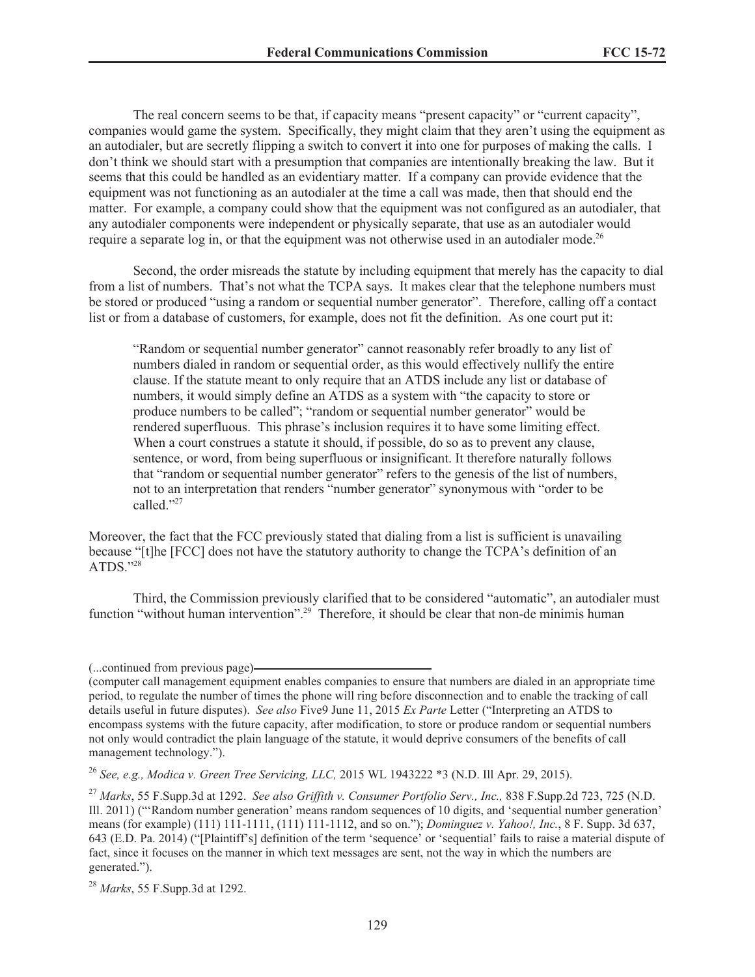The real concern seems to be that, if capacity means "present capacity" or "current capacity", companies would game the system. Specifically, they might claim that they aren't using the equipment as an autodialer, but are secretly flipping a switch to convert it into one for purposes of making the calls. I don't think we should start with a presumption that companies are intentionally breaking the law. But it seems that this could be handled as an evidentiary matter. If a company can provide evidence that the equipment was not functioning as an autodialer at the time a call was made, then that should end the matter. For example, a company could show that the equipment was not configured as an autodialer, that any autodialer components were independent or physically separate, that use as an autodialer would require a separate log in, or that the equipment was not otherwise used in an autodialer mode.<sup>26</sup>

Second, the order misreads the statute by including equipment that merely has the capacity to dial from a list of numbers. That's not what the TCPA says. It makes clear that the telephone numbers must be stored or produced "using a random or sequential number generator". Therefore, calling off a contact list or from a database of customers, for example, does not fit the definition. As one court put it:

"Random or sequential number generator" cannot reasonably refer broadly to any list of numbers dialed in random or sequential order, as this would effectively nullify the entire clause. If the statute meant to only require that an ATDS include any list or database of numbers, it would simply define an ATDS as a system with "the capacity to store or produce numbers to be called"; "random or sequential number generator" would be rendered superfluous. This phrase's inclusion requires it to have some limiting effect. When a court construes a statute it should, if possible, do so as to prevent any clause, sentence, or word, from being superfluous or insignificant. It therefore naturally follows that "random or sequential number generator" refers to the genesis of the list of numbers, not to an interpretation that renders "number generator" synonymous with "order to be called."27

Moreover, the fact that the FCC previously stated that dialing from a list is sufficient is unavailing because "[t]he [FCC] does not have the statutory authority to change the TCPA's definition of an ATDS<sup>"28</sup>

Third, the Commission previously clarified that to be considered "automatic", an autodialer must function "without human intervention".<sup>29</sup> Therefore, it should be clear that non-de minimis human

<sup>(...</sup>continued from previous page)

<sup>(</sup>computer call management equipment enables companies to ensure that numbers are dialed in an appropriate time period, to regulate the number of times the phone will ring before disconnection and to enable the tracking of call details useful in future disputes). *See also* Five9 June 11, 2015 *Ex Parte* Letter ("Interpreting an ATDS to encompass systems with the future capacity, after modification, to store or produce random or sequential numbers not only would contradict the plain language of the statute, it would deprive consumers of the benefits of call management technology.").

<sup>26</sup> *See, e.g., Modica v. Green Tree Servicing, LLC,* 2015 WL 1943222 \*3 (N.D. Ill Apr. 29, 2015).

<sup>27</sup> *Marks*, 55 F.Supp.3d at 1292. *See also Griffith v. Consumer Portfolio Serv., Inc.,* 838 F.Supp.2d 723, 725 (N.D. Ill. 2011) ("'Random number generation' means random sequences of 10 digits, and 'sequential number generation' means (for example) (111) 111-1111, (111) 111-1112, and so on."); *Dominguez v. Yahoo!, Inc.*, 8 F. Supp. 3d 637, 643 (E.D. Pa. 2014) ("[Plaintiff's] definition of the term 'sequence' or 'sequential' fails to raise a material dispute of fact, since it focuses on the manner in which text messages are sent, not the way in which the numbers are generated.").

<sup>28</sup> *Marks*, 55 F.Supp.3d at 1292.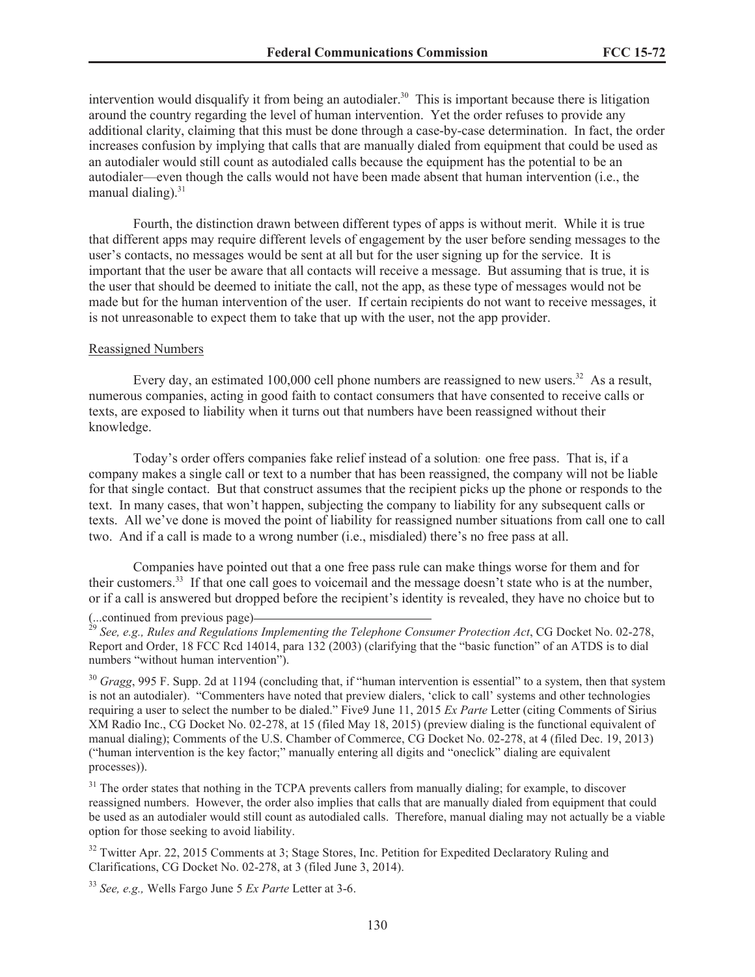intervention would disqualify it from being an autodialer.<sup>30</sup> This is important because there is litigation around the country regarding the level of human intervention. Yet the order refuses to provide any additional clarity, claiming that this must be done through a case-by-case determination. In fact, the order increases confusion by implying that calls that are manually dialed from equipment that could be used as an autodialer would still count as autodialed calls because the equipment has the potential to be an autodialer—even though the calls would not have been made absent that human intervention (i.e., the manual dialing) $^{31}$ 

Fourth, the distinction drawn between different types of apps is without merit. While it is true that different apps may require different levels of engagement by the user before sending messages to the user's contacts, no messages would be sent at all but for the user signing up for the service. It is important that the user be aware that all contacts will receive a message. But assuming that is true, it is the user that should be deemed to initiate the call, not the app, as these type of messages would not be made but for the human intervention of the user. If certain recipients do not want to receive messages, it is not unreasonable to expect them to take that up with the user, not the app provider.

#### Reassigned Numbers

Every day, an estimated 100,000 cell phone numbers are reassigned to new users.<sup>32</sup> As a result, numerous companies, acting in good faith to contact consumers that have consented to receive calls or texts, are exposed to liability when it turns out that numbers have been reassigned without their knowledge.

Today's order offers companies fake relief instead of a solution: one free pass. That is, if a company makes a single call or text to a number that has been reassigned, the company will not be liable for that single contact. But that construct assumes that the recipient picks up the phone or responds to the text. In many cases, that won't happen, subjecting the company to liability for any subsequent calls or texts. All we've done is moved the point of liability for reassigned number situations from call one to call two. And if a call is made to a wrong number (i.e., misdialed) there's no free pass at all.

Companies have pointed out that a one free pass rule can make things worse for them and for their customers.<sup>33</sup> If that one call goes to voicemail and the message doesn't state who is at the number, or if a call is answered but dropped before the recipient's identity is revealed, they have no choice but to

<sup>30</sup> *Gragg*, 995 F. Supp. 2d at 1194 (concluding that, if "human intervention is essential" to a system, then that system is not an autodialer). "Commenters have noted that preview dialers, 'click to call' systems and other technologies requiring a user to select the number to be dialed." Five9 June 11, 2015 *Ex Parte* Letter (citing Comments of Sirius XM Radio Inc., CG Docket No. 02-278, at 15 (filed May 18, 2015) (preview dialing is the functional equivalent of manual dialing); Comments of the U.S. Chamber of Commerce, CG Docket No. 02-278, at 4 (filed Dec. 19, 2013) ("human intervention is the key factor;" manually entering all digits and "oneclick" dialing are equivalent processes)).

<sup>31</sup> The order states that nothing in the TCPA prevents callers from manually dialing; for example, to discover reassigned numbers. However, the order also implies that calls that are manually dialed from equipment that could be used as an autodialer would still count as autodialed calls. Therefore, manual dialing may not actually be a viable option for those seeking to avoid liability.

<sup>32</sup> Twitter Apr. 22, 2015 Comments at 3; Stage Stores, Inc. Petition for Expedited Declaratory Ruling and Clarifications, CG Docket No. 02-278, at 3 (filed June 3, 2014).

<sup>33</sup> *See, e.g.,* Wells Fargo June 5 *Ex Parte* Letter at 3-6.

<sup>(...</sup>continued from previous page)

<sup>&</sup>lt;sup>29</sup> See, e.g., Rules and Regulations Implementing the Telephone Consumer Protection Act, CG Docket No. 02-278, Report and Order, 18 FCC Rcd 14014, para 132 (2003) (clarifying that the "basic function" of an ATDS is to dial numbers "without human intervention").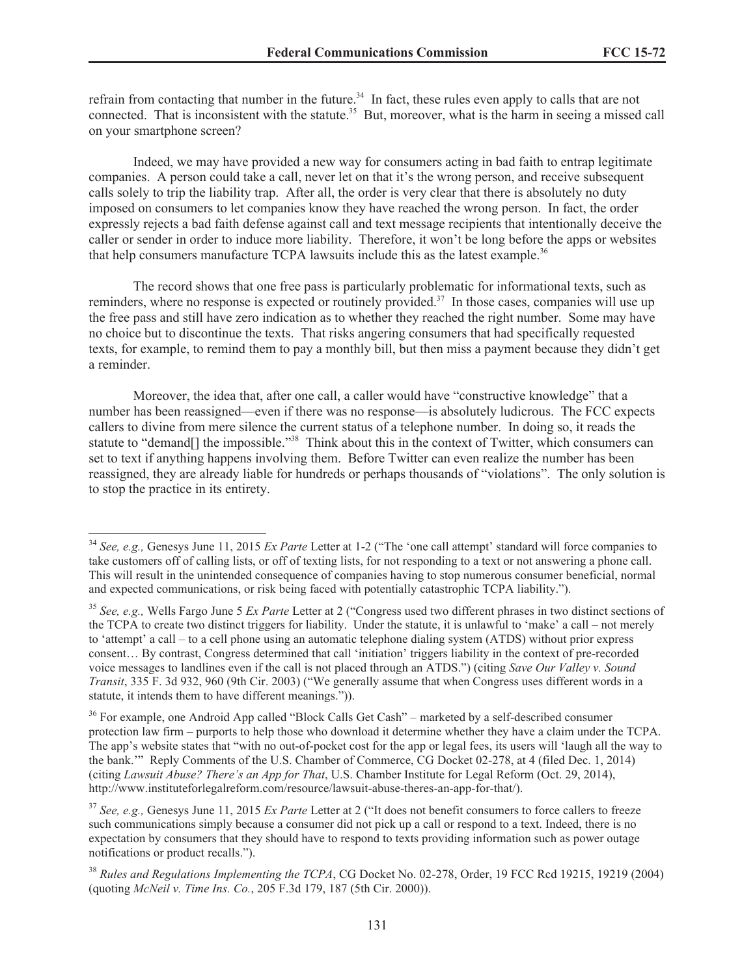refrain from contacting that number in the future.<sup>34</sup> In fact, these rules even apply to calls that are not connected. That is inconsistent with the statute.<sup>35</sup> But, moreover, what is the harm in seeing a missed call on your smartphone screen?

Indeed, we may have provided a new way for consumers acting in bad faith to entrap legitimate companies. A person could take a call, never let on that it's the wrong person, and receive subsequent calls solely to trip the liability trap. After all, the order is very clear that there is absolutely no duty imposed on consumers to let companies know they have reached the wrong person. In fact, the order expressly rejects a bad faith defense against call and text message recipients that intentionally deceive the caller or sender in order to induce more liability. Therefore, it won't be long before the apps or websites that help consumers manufacture TCPA lawsuits include this as the latest example.<sup>36</sup>

The record shows that one free pass is particularly problematic for informational texts, such as reminders, where no response is expected or routinely provided.<sup>37</sup> In those cases, companies will use up the free pass and still have zero indication as to whether they reached the right number. Some may have no choice but to discontinue the texts. That risks angering consumers that had specifically requested texts, for example, to remind them to pay a monthly bill, but then miss a payment because they didn't get a reminder.

Moreover, the idea that, after one call, a caller would have "constructive knowledge" that a number has been reassigned—even if there was no response—is absolutely ludicrous. The FCC expects callers to divine from mere silence the current status of a telephone number. In doing so, it reads the statute to "demand[] the impossible."<sup>38</sup> Think about this in the context of Twitter, which consumers can set to text if anything happens involving them. Before Twitter can even realize the number has been reassigned, they are already liable for hundreds or perhaps thousands of "violations". The only solution is to stop the practice in its entirety.

<sup>34</sup> *See, e.g.,* Genesys June 11, 2015 *Ex Parte* Letter at 1-2 ("The 'one call attempt' standard will force companies to take customers off of calling lists, or off of texting lists, for not responding to a text or not answering a phone call. This will result in the unintended consequence of companies having to stop numerous consumer beneficial, normal and expected communications, or risk being faced with potentially catastrophic TCPA liability.").

<sup>35</sup> *See, e.g.,* Wells Fargo June 5 *Ex Parte* Letter at 2 ("Congress used two different phrases in two distinct sections of the TCPA to create two distinct triggers for liability. Under the statute, it is unlawful to 'make' a call – not merely to 'attempt' a call – to a cell phone using an automatic telephone dialing system (ATDS) without prior express consent… By contrast, Congress determined that call 'initiation' triggers liability in the context of pre-recorded voice messages to landlines even if the call is not placed through an ATDS.") (citing *Save Our Valley v. Sound Transit*, 335 F. 3d 932, 960 (9th Cir. 2003) ("We generally assume that when Congress uses different words in a statute, it intends them to have different meanings.")).

<sup>&</sup>lt;sup>36</sup> For example, one Android App called "Block Calls Get Cash" – marketed by a self-described consumer protection law firm – purports to help those who download it determine whether they have a claim under the TCPA. The app's website states that "with no out-of-pocket cost for the app or legal fees, its users will 'laugh all the way to the bank.'" Reply Comments of the U.S. Chamber of Commerce, CG Docket 02-278, at 4 (filed Dec. 1, 2014) (citing *Lawsuit Abuse? There's an App for That*, U.S. Chamber Institute for Legal Reform (Oct. 29, 2014), http://www.instituteforlegalreform.com/resource/lawsuit-abuse-theres-an-app-for-that/).

<sup>37</sup> *See, e.g.,* Genesys June 11, 2015 *Ex Parte* Letter at 2 ("It does not benefit consumers to force callers to freeze such communications simply because a consumer did not pick up a call or respond to a text. Indeed, there is no expectation by consumers that they should have to respond to texts providing information such as power outage notifications or product recalls.").

<sup>38</sup> *Rules and Regulations Implementing the TCPA*, CG Docket No. 02-278, Order, 19 FCC Rcd 19215, 19219 (2004) (quoting *McNeil v. Time Ins. Co.*, 205 F.3d 179, 187 (5th Cir. 2000)).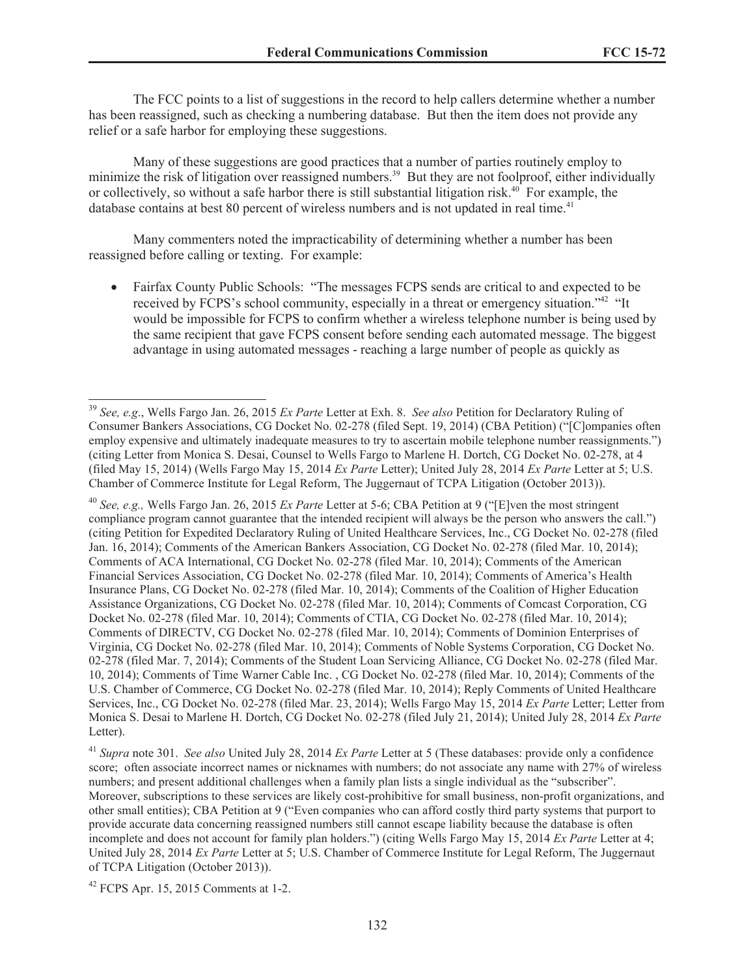The FCC points to a list of suggestions in the record to help callers determine whether a number has been reassigned, such as checking a numbering database. But then the item does not provide any relief or a safe harbor for employing these suggestions.

Many of these suggestions are good practices that a number of parties routinely employ to minimize the risk of litigation over reassigned numbers.<sup>39</sup> But they are not foolproof, either individually or collectively, so without a safe harbor there is still substantial litigation risk.<sup>40</sup> For example, the database contains at best 80 percent of wireless numbers and is not updated in real time.<sup>41</sup>

Many commenters noted the impracticability of determining whether a number has been reassigned before calling or texting. For example:

Fairfax County Public Schools: "The messages FCPS sends are critical to and expected to be received by FCPS's school community, especially in a threat or emergency situation."<sup>42</sup> "It would be impossible for FCPS to confirm whether a wireless telephone number is being used by the same recipient that gave FCPS consent before sending each automated message. The biggest advantage in using automated messages - reaching a large number of people as quickly as

 $42$  FCPS Apr. 15, 2015 Comments at 1-2.

<sup>39</sup> *See, e.g*., Wells Fargo Jan. 26, 2015 *Ex Parte* Letter at Exh. 8. *See also* Petition for Declaratory Ruling of Consumer Bankers Associations, CG Docket No. 02-278 (filed Sept. 19, 2014) (CBA Petition) ("[C]ompanies often employ expensive and ultimately inadequate measures to try to ascertain mobile telephone number reassignments.") (citing Letter from Monica S. Desai, Counsel to Wells Fargo to Marlene H. Dortch, CG Docket No. 02-278, at 4 (filed May 15, 2014) (Wells Fargo May 15, 2014 *Ex Parte* Letter); United July 28, 2014 *Ex Parte* Letter at 5; U.S. Chamber of Commerce Institute for Legal Reform, The Juggernaut of TCPA Litigation (October 2013)).

<sup>40</sup> *See, e.g.,* Wells Fargo Jan. 26, 2015 *Ex Parte* Letter at 5-6; CBA Petition at 9 ("[E]ven the most stringent compliance program cannot guarantee that the intended recipient will always be the person who answers the call.") (citing Petition for Expedited Declaratory Ruling of United Healthcare Services, Inc., CG Docket No. 02-278 (filed Jan. 16, 2014); Comments of the American Bankers Association, CG Docket No. 02-278 (filed Mar. 10, 2014); Comments of ACA International, CG Docket No. 02-278 (filed Mar. 10, 2014); Comments of the American Financial Services Association, CG Docket No. 02-278 (filed Mar. 10, 2014); Comments of America's Health Insurance Plans, CG Docket No. 02-278 (filed Mar. 10, 2014); Comments of the Coalition of Higher Education Assistance Organizations, CG Docket No. 02-278 (filed Mar. 10, 2014); Comments of Comcast Corporation, CG Docket No. 02-278 (filed Mar. 10, 2014); Comments of CTIA, CG Docket No. 02-278 (filed Mar. 10, 2014); Comments of DIRECTV, CG Docket No. 02-278 (filed Mar. 10, 2014); Comments of Dominion Enterprises of Virginia, CG Docket No. 02-278 (filed Mar. 10, 2014); Comments of Noble Systems Corporation, CG Docket No. 02-278 (filed Mar. 7, 2014); Comments of the Student Loan Servicing Alliance, CG Docket No. 02-278 (filed Mar. 10, 2014); Comments of Time Warner Cable Inc. , CG Docket No. 02-278 (filed Mar. 10, 2014); Comments of the U.S. Chamber of Commerce, CG Docket No. 02-278 (filed Mar. 10, 2014); Reply Comments of United Healthcare Services, Inc., CG Docket No. 02-278 (filed Mar. 23, 2014); Wells Fargo May 15, 2014 *Ex Parte* Letter; Letter from Monica S. Desai to Marlene H. Dortch, CG Docket No. 02-278 (filed July 21, 2014); United July 28, 2014 *Ex Parte* Letter).

<sup>41</sup> *Supra* note 301. *See also* United July 28, 2014 *Ex Parte* Letter at 5 (These databases: provide only a confidence score; often associate incorrect names or nicknames with numbers; do not associate any name with 27% of wireless numbers; and present additional challenges when a family plan lists a single individual as the "subscriber". Moreover, subscriptions to these services are likely cost-prohibitive for small business, non-profit organizations, and other small entities); CBA Petition at 9 ("Even companies who can afford costly third party systems that purport to provide accurate data concerning reassigned numbers still cannot escape liability because the database is often incomplete and does not account for family plan holders.") (citing Wells Fargo May 15, 2014 *Ex Parte* Letter at 4; United July 28, 2014 *Ex Parte* Letter at 5; U.S. Chamber of Commerce Institute for Legal Reform, The Juggernaut of TCPA Litigation (October 2013)).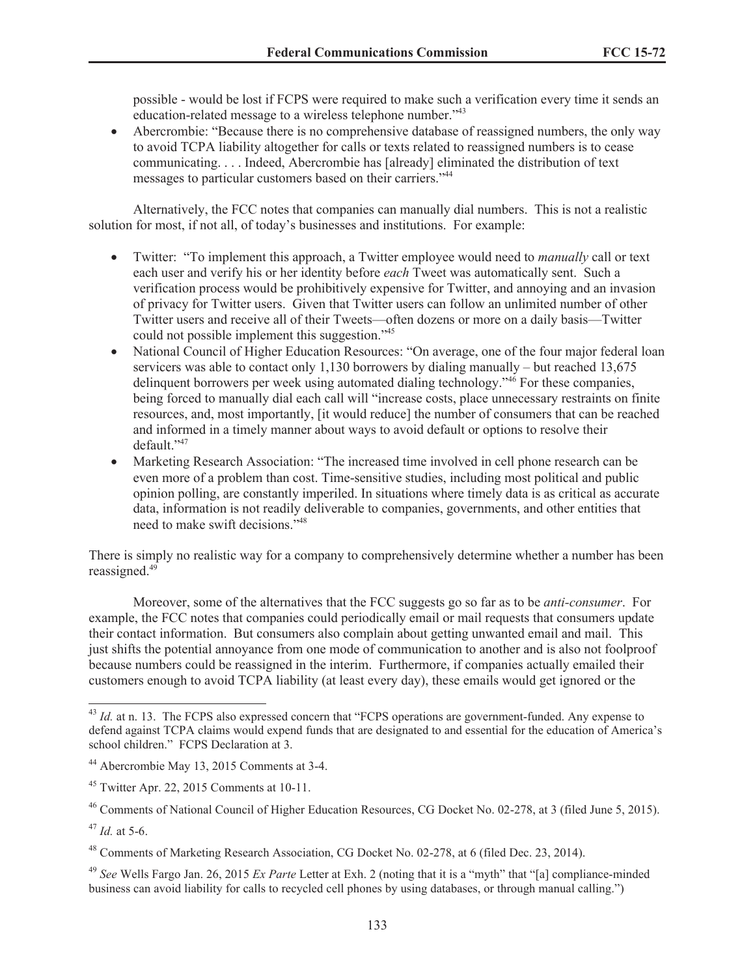possible - would be lost if FCPS were required to make such a verification every time it sends an education-related message to a wireless telephone number."<sup>43</sup>

Abercrombie: "Because there is no comprehensive database of reassigned numbers, the only way to avoid TCPA liability altogether for calls or texts related to reassigned numbers is to cease communicating. . . . Indeed, Abercrombie has [already] eliminated the distribution of text messages to particular customers based on their carriers."<sup>44</sup>

Alternatively, the FCC notes that companies can manually dial numbers. This is not a realistic solution for most, if not all, of today's businesses and institutions. For example:

- · Twitter: "To implement this approach, a Twitter employee would need to *manually* call or text each user and verify his or her identity before *each* Tweet was automatically sent. Such a verification process would be prohibitively expensive for Twitter, and annoying and an invasion of privacy for Twitter users. Given that Twitter users can follow an unlimited number of other Twitter users and receive all of their Tweets—often dozens or more on a daily basis—Twitter could not possible implement this suggestion."<sup>45</sup>
- · National Council of Higher Education Resources: "On average, one of the four major federal loan servicers was able to contact only 1,130 borrowers by dialing manually – but reached 13,675 delinquent borrowers per week using automated dialing technology.<sup> $46$ </sup> For these companies, being forced to manually dial each call will "increase costs, place unnecessary restraints on finite resources, and, most importantly, [it would reduce] the number of consumers that can be reached and informed in a timely manner about ways to avoid default or options to resolve their default."<sup>47</sup>
- · Marketing Research Association: "The increased time involved in cell phone research can be even more of a problem than cost. Time-sensitive studies, including most political and public opinion polling, are constantly imperiled. In situations where timely data is as critical as accurate data, information is not readily deliverable to companies, governments, and other entities that need to make swift decisions."<sup>48</sup>

There is simply no realistic way for a company to comprehensively determine whether a number has been reassigned. $49$ 

Moreover, some of the alternatives that the FCC suggests go so far as to be *anti-consumer*. For example, the FCC notes that companies could periodically email or mail requests that consumers update their contact information. But consumers also complain about getting unwanted email and mail. This just shifts the potential annoyance from one mode of communication to another and is also not foolproof because numbers could be reassigned in the interim. Furthermore, if companies actually emailed their customers enough to avoid TCPA liability (at least every day), these emails would get ignored or the

<sup>&</sup>lt;sup>43</sup> *Id.* at n. 13. The FCPS also expressed concern that "FCPS operations are government-funded. Any expense to defend against TCPA claims would expend funds that are designated to and essential for the education of America's school children." FCPS Declaration at 3.

<sup>44</sup> Abercrombie May 13, 2015 Comments at 3-4.

<sup>45</sup> Twitter Apr. 22, 2015 Comments at 10-11.

<sup>46</sup> Comments of National Council of Higher Education Resources, CG Docket No. 02-278, at 3 (filed June 5, 2015).

<sup>47</sup> *Id.* at 5-6.

<sup>48</sup> Comments of Marketing Research Association, CG Docket No. 02-278, at 6 (filed Dec. 23, 2014).

<sup>49</sup> *See* Wells Fargo Jan. 26, 2015 *Ex Parte* Letter at Exh. 2 (noting that it is a "myth" that "[a] compliance-minded business can avoid liability for calls to recycled cell phones by using databases, or through manual calling.")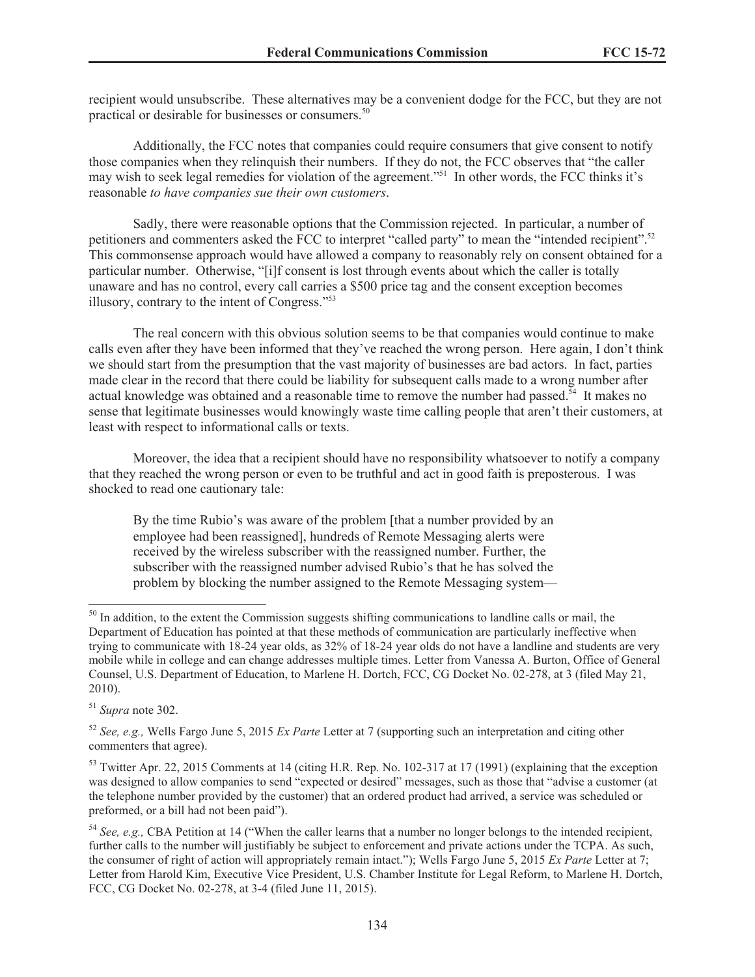recipient would unsubscribe. These alternatives may be a convenient dodge for the FCC, but they are not practical or desirable for businesses or consumers.<sup>50</sup>

Additionally, the FCC notes that companies could require consumers that give consent to notify those companies when they relinquish their numbers. If they do not, the FCC observes that "the caller may wish to seek legal remedies for violation of the agreement."<sup>51</sup> In other words, the FCC thinks it's reasonable *to have companies sue their own customers*.

Sadly, there were reasonable options that the Commission rejected. In particular, a number of petitioners and commenters asked the FCC to interpret "called party" to mean the "intended recipient".<sup>52</sup> This commonsense approach would have allowed a company to reasonably rely on consent obtained for a particular number. Otherwise, "[i]f consent is lost through events about which the caller is totally unaware and has no control, every call carries a \$500 price tag and the consent exception becomes illusory, contrary to the intent of Congress."<sup>53</sup>

The real concern with this obvious solution seems to be that companies would continue to make calls even after they have been informed that they've reached the wrong person. Here again, I don't think we should start from the presumption that the vast majority of businesses are bad actors. In fact, parties made clear in the record that there could be liability for subsequent calls made to a wrong number after actual knowledge was obtained and a reasonable time to remove the number had passed.<sup>54</sup> It makes no sense that legitimate businesses would knowingly waste time calling people that aren't their customers, at least with respect to informational calls or texts.

Moreover, the idea that a recipient should have no responsibility whatsoever to notify a company that they reached the wrong person or even to be truthful and act in good faith is preposterous. I was shocked to read one cautionary tale:

By the time Rubio's was aware of the problem [that a number provided by an employee had been reassigned], hundreds of Remote Messaging alerts were received by the wireless subscriber with the reassigned number. Further, the subscriber with the reassigned number advised Rubio's that he has solved the problem by blocking the number assigned to the Remote Messaging system—

<sup>51</sup> *Supra* note 302.

<sup>&</sup>lt;sup>50</sup> In addition, to the extent the Commission suggests shifting communications to landline calls or mail, the Department of Education has pointed at that these methods of communication are particularly ineffective when trying to communicate with 18-24 year olds, as 32% of 18-24 year olds do not have a landline and students are very mobile while in college and can change addresses multiple times. Letter from Vanessa A. Burton, Office of General Counsel, U.S. Department of Education, to Marlene H. Dortch, FCC, CG Docket No. 02-278, at 3 (filed May 21, 2010).

<sup>52</sup> *See, e.g.,* Wells Fargo June 5, 2015 *Ex Parte* Letter at 7 (supporting such an interpretation and citing other commenters that agree).

<sup>&</sup>lt;sup>53</sup> Twitter Apr. 22, 2015 Comments at 14 (citing H.R. Rep. No. 102-317 at 17 (1991) (explaining that the exception was designed to allow companies to send "expected or desired" messages, such as those that "advise a customer (at the telephone number provided by the customer) that an ordered product had arrived, a service was scheduled or preformed, or a bill had not been paid").

<sup>54</sup> *See, e.g.,* CBA Petition at 14 ("When the caller learns that a number no longer belongs to the intended recipient, further calls to the number will justifiably be subject to enforcement and private actions under the TCPA. As such, the consumer of right of action will appropriately remain intact."); Wells Fargo June 5, 2015 *Ex Parte* Letter at 7; Letter from Harold Kim, Executive Vice President, U.S. Chamber Institute for Legal Reform, to Marlene H. Dortch, FCC, CG Docket No. 02-278, at 3-4 (filed June 11, 2015).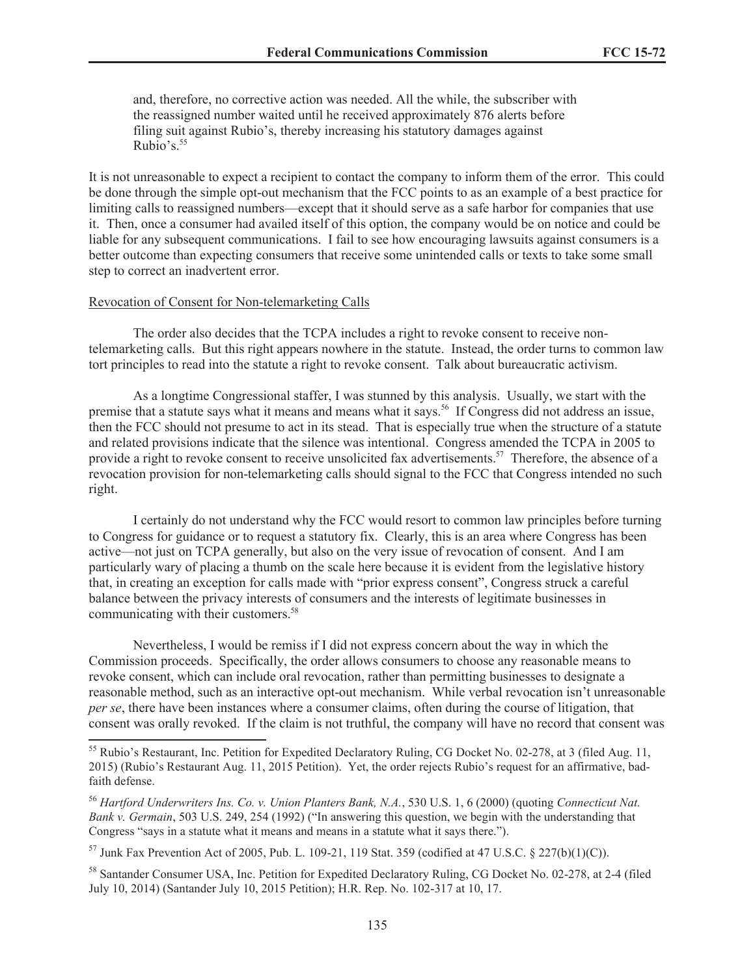and, therefore, no corrective action was needed. All the while, the subscriber with the reassigned number waited until he received approximately 876 alerts before filing suit against Rubio's, thereby increasing his statutory damages against Rubio's. $55$ 

It is not unreasonable to expect a recipient to contact the company to inform them of the error. This could be done through the simple opt-out mechanism that the FCC points to as an example of a best practice for limiting calls to reassigned numbers—except that it should serve as a safe harbor for companies that use it. Then, once a consumer had availed itself of this option, the company would be on notice and could be liable for any subsequent communications. I fail to see how encouraging lawsuits against consumers is a better outcome than expecting consumers that receive some unintended calls or texts to take some small step to correct an inadvertent error.

#### Revocation of Consent for Non-telemarketing Calls

The order also decides that the TCPA includes a right to revoke consent to receive nontelemarketing calls. But this right appears nowhere in the statute. Instead, the order turns to common law tort principles to read into the statute a right to revoke consent. Talk about bureaucratic activism.

As a longtime Congressional staffer, I was stunned by this analysis. Usually, we start with the premise that a statute says what it means and means what it says.<sup>56</sup> If Congress did not address an issue, then the FCC should not presume to act in its stead. That is especially true when the structure of a statute and related provisions indicate that the silence was intentional. Congress amended the TCPA in 2005 to provide a right to revoke consent to receive unsolicited fax advertisements.<sup>57</sup> Therefore, the absence of a revocation provision for non-telemarketing calls should signal to the FCC that Congress intended no such right.

I certainly do not understand why the FCC would resort to common law principles before turning to Congress for guidance or to request a statutory fix. Clearly, this is an area where Congress has been active—not just on TCPA generally, but also on the very issue of revocation of consent. And I am particularly wary of placing a thumb on the scale here because it is evident from the legislative history that, in creating an exception for calls made with "prior express consent", Congress struck a careful balance between the privacy interests of consumers and the interests of legitimate businesses in communicating with their customers.<sup>58</sup>

Nevertheless, I would be remiss if I did not express concern about the way in which the Commission proceeds. Specifically, the order allows consumers to choose any reasonable means to revoke consent, which can include oral revocation, rather than permitting businesses to designate a reasonable method, such as an interactive opt-out mechanism. While verbal revocation isn't unreasonable *per se*, there have been instances where a consumer claims, often during the course of litigation, that consent was orally revoked. If the claim is not truthful, the company will have no record that consent was

<sup>&</sup>lt;sup>55</sup> Rubio's Restaurant, Inc. Petition for Expedited Declaratory Ruling, CG Docket No. 02-278, at 3 (filed Aug. 11, 2015) (Rubio's Restaurant Aug. 11, 2015 Petition). Yet, the order rejects Rubio's request for an affirmative, badfaith defense.

<sup>56</sup> *Hartford Underwriters Ins. Co. v. Union Planters Bank, N.A.*, 530 U.S. 1, 6 (2000) (quoting *Connecticut Nat. Bank v. Germain*, 503 U.S. 249, 254 (1992) ("In answering this question, we begin with the understanding that Congress "says in a statute what it means and means in a statute what it says there.").

 $^{57}$  Junk Fax Prevention Act of 2005, Pub. L. 109-21, 119 Stat. 359 (codified at 47 U.S.C. § 227(b)(1)(C)).

<sup>&</sup>lt;sup>58</sup> Santander Consumer USA, Inc. Petition for Expedited Declaratory Ruling, CG Docket No. 02-278, at 2-4 (filed July 10, 2014) (Santander July 10, 2015 Petition); H.R. Rep. No. 102-317 at 10, 17.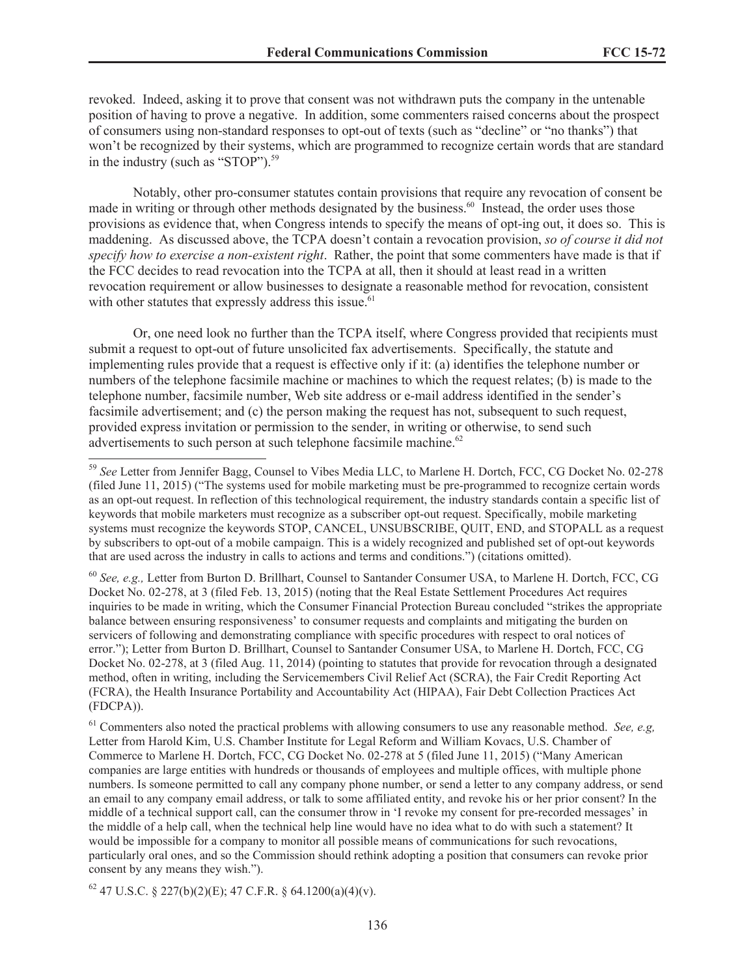revoked. Indeed, asking it to prove that consent was not withdrawn puts the company in the untenable position of having to prove a negative. In addition, some commenters raised concerns about the prospect of consumers using non-standard responses to opt-out of texts (such as "decline" or "no thanks") that won't be recognized by their systems, which are programmed to recognize certain words that are standard in the industry (such as "STOP").<sup>59</sup>

Notably, other pro-consumer statutes contain provisions that require any revocation of consent be made in writing or through other methods designated by the business.<sup>60</sup> Instead, the order uses those provisions as evidence that, when Congress intends to specify the means of opt-ing out, it does so. This is maddening. As discussed above, the TCPA doesn't contain a revocation provision, *so of course it did not specify how to exercise a non-existent right*. Rather, the point that some commenters have made is that if the FCC decides to read revocation into the TCPA at all, then it should at least read in a written revocation requirement or allow businesses to designate a reasonable method for revocation, consistent with other statutes that expressly address this issue.<sup>61</sup>

Or, one need look no further than the TCPA itself, where Congress provided that recipients must submit a request to opt-out of future unsolicited fax advertisements. Specifically, the statute and implementing rules provide that a request is effective only if it: (a) identifies the telephone number or numbers of the telephone facsimile machine or machines to which the request relates; (b) is made to the telephone number, facsimile number, Web site address or e-mail address identified in the sender's facsimile advertisement; and (c) the person making the request has not, subsequent to such request, provided express invitation or permission to the sender, in writing or otherwise, to send such advertisements to such person at such telephone facsimile machine.<sup>62</sup>

<sup>60</sup> *See, e.g.,* Letter from Burton D. Brillhart, Counsel to Santander Consumer USA, to Marlene H. Dortch, FCC, CG Docket No. 02-278, at 3 (filed Feb. 13, 2015) (noting that the Real Estate Settlement Procedures Act requires inquiries to be made in writing, which the Consumer Financial Protection Bureau concluded "strikes the appropriate balance between ensuring responsiveness' to consumer requests and complaints and mitigating the burden on servicers of following and demonstrating compliance with specific procedures with respect to oral notices of error."); Letter from Burton D. Brillhart, Counsel to Santander Consumer USA, to Marlene H. Dortch, FCC, CG Docket No. 02-278, at 3 (filed Aug. 11, 2014) (pointing to statutes that provide for revocation through a designated method, often in writing, including the Servicemembers Civil Relief Act (SCRA), the Fair Credit Reporting Act (FCRA), the Health Insurance Portability and Accountability Act (HIPAA), Fair Debt Collection Practices Act (FDCPA)).

<sup>61</sup> Commenters also noted the practical problems with allowing consumers to use any reasonable method. *See, e.g,* Letter from Harold Kim, U.S. Chamber Institute for Legal Reform and William Kovacs, U.S. Chamber of Commerce to Marlene H. Dortch, FCC, CG Docket No. 02-278 at 5 (filed June 11, 2015) ("Many American companies are large entities with hundreds or thousands of employees and multiple offices, with multiple phone numbers. Is someone permitted to call any company phone number, or send a letter to any company address, or send an email to any company email address, or talk to some affiliated entity, and revoke his or her prior consent? In the middle of a technical support call, can the consumer throw in 'I revoke my consent for pre-recorded messages' in the middle of a help call, when the technical help line would have no idea what to do with such a statement? It would be impossible for a company to monitor all possible means of communications for such revocations, particularly oral ones, and so the Commission should rethink adopting a position that consumers can revoke prior consent by any means they wish.").

 $62$  47 U.S.C. § 227(b)(2)(E); 47 C.F.R. § 64.1200(a)(4)(y).

<sup>59</sup> *See* Letter from Jennifer Bagg, Counsel to Vibes Media LLC, to Marlene H. Dortch, FCC, CG Docket No. 02-278 (filed June 11, 2015) ("The systems used for mobile marketing must be pre-programmed to recognize certain words as an opt-out request. In reflection of this technological requirement, the industry standards contain a specific list of keywords that mobile marketers must recognize as a subscriber opt-out request. Specifically, mobile marketing systems must recognize the keywords STOP, CANCEL, UNSUBSCRIBE, QUIT, END, and STOPALL as a request by subscribers to opt-out of a mobile campaign. This is a widely recognized and published set of opt-out keywords that are used across the industry in calls to actions and terms and conditions.") (citations omitted).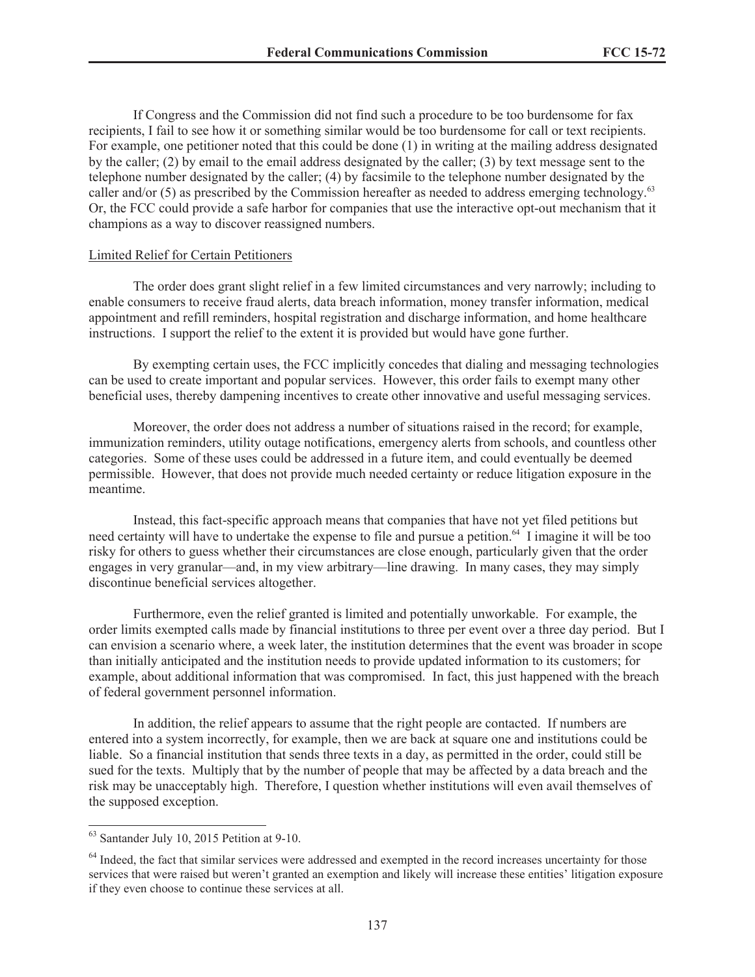If Congress and the Commission did not find such a procedure to be too burdensome for fax recipients, I fail to see how it or something similar would be too burdensome for call or text recipients. For example, one petitioner noted that this could be done (1) in writing at the mailing address designated by the caller; (2) by email to the email address designated by the caller; (3) by text message sent to the telephone number designated by the caller; (4) by facsimile to the telephone number designated by the caller and/or (5) as prescribed by the Commission hereafter as needed to address emerging technology.<sup>63</sup> Or, the FCC could provide a safe harbor for companies that use the interactive opt-out mechanism that it champions as a way to discover reassigned numbers.

#### Limited Relief for Certain Petitioners

The order does grant slight relief in a few limited circumstances and very narrowly; including to enable consumers to receive fraud alerts, data breach information, money transfer information, medical appointment and refill reminders, hospital registration and discharge information, and home healthcare instructions. I support the relief to the extent it is provided but would have gone further.

By exempting certain uses, the FCC implicitly concedes that dialing and messaging technologies can be used to create important and popular services. However, this order fails to exempt many other beneficial uses, thereby dampening incentives to create other innovative and useful messaging services.

Moreover, the order does not address a number of situations raised in the record; for example, immunization reminders, utility outage notifications, emergency alerts from schools, and countless other categories. Some of these uses could be addressed in a future item, and could eventually be deemed permissible. However, that does not provide much needed certainty or reduce litigation exposure in the meantime.

Instead, this fact-specific approach means that companies that have not yet filed petitions but need certainty will have to undertake the expense to file and pursue a petition.<sup>64</sup> I imagine it will be too risky for others to guess whether their circumstances are close enough, particularly given that the order engages in very granular—and, in my view arbitrary—line drawing. In many cases, they may simply discontinue beneficial services altogether.

Furthermore, even the relief granted is limited and potentially unworkable. For example, the order limits exempted calls made by financial institutions to three per event over a three day period. But I can envision a scenario where, a week later, the institution determines that the event was broader in scope than initially anticipated and the institution needs to provide updated information to its customers; for example, about additional information that was compromised. In fact, this just happened with the breach of federal government personnel information.

In addition, the relief appears to assume that the right people are contacted. If numbers are entered into a system incorrectly, for example, then we are back at square one and institutions could be liable. So a financial institution that sends three texts in a day, as permitted in the order, could still be sued for the texts. Multiply that by the number of people that may be affected by a data breach and the risk may be unacceptably high. Therefore, I question whether institutions will even avail themselves of the supposed exception.

 $63$  Santander July 10, 2015 Petition at 9-10.

 $64$  Indeed, the fact that similar services were addressed and exempted in the record increases uncertainty for those services that were raised but weren't granted an exemption and likely will increase these entities' litigation exposure if they even choose to continue these services at all.